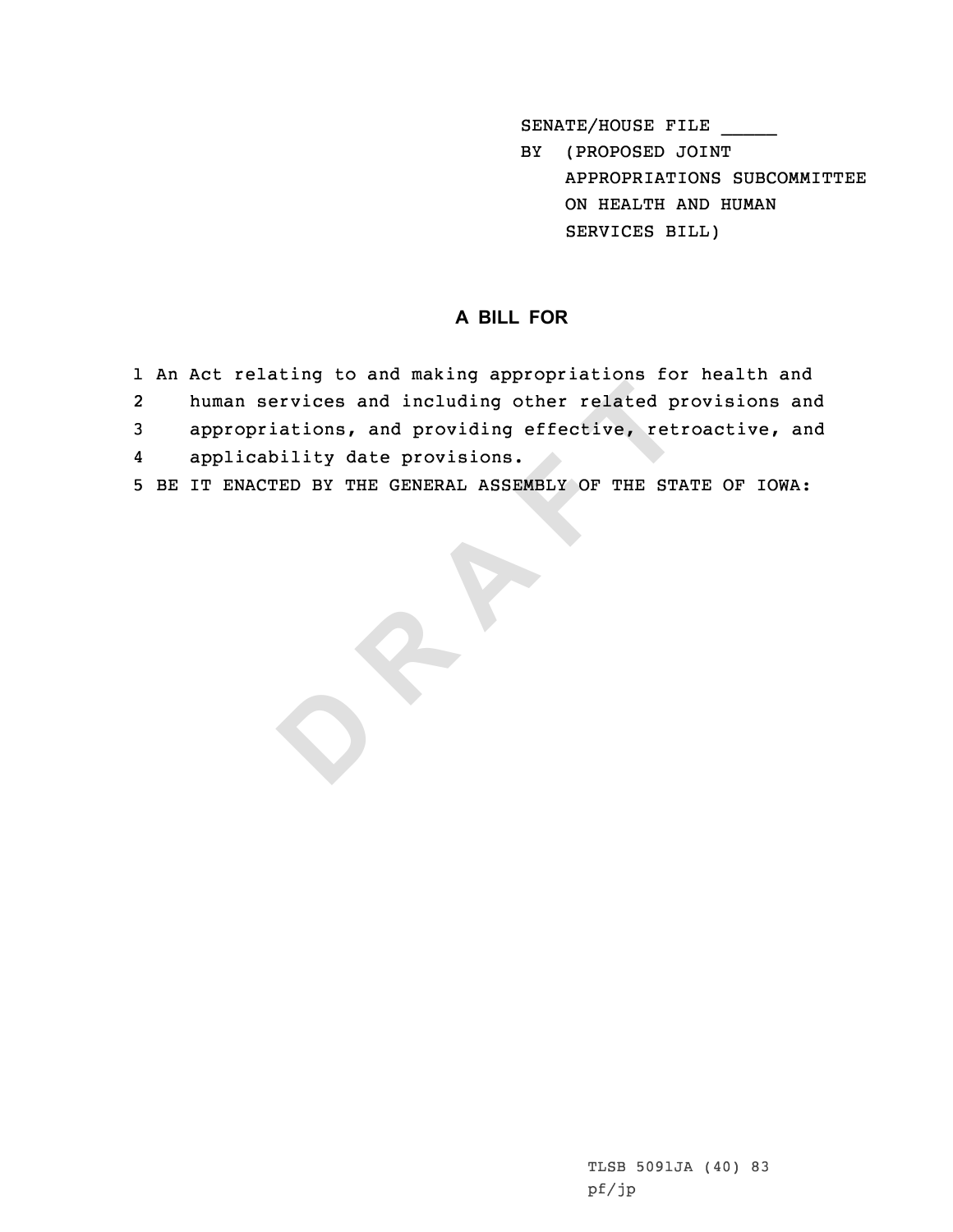SENATE/HOUSE FILE

BY (PROPOSED JOINT APPROPRIATIONS SUBCOMMITTEE ON HEALTH AND HUMAN SERVICES BILL)

## **<sup>A</sup> BILL FOR**

- 1 An Act relating to and making appropriations for health and<br>2 human services and including other related provisions an
- **Example and including other related p**<br> **A**<br> **ED BY THE GENERAL ASSEMBLY OF THE STARP OF THE STARP OF THE STARP OF THE STARP OF THE STARP OF THE STARP OF THE STARP OF THE STARP OF THE STARP OF THE STARP OF THE STARP OF TH** human services and including other related provisions and<br>3 appropriations, and providing effective, retroactive, and<br>4 applicability date provisions.
- 
- 
- 5 BE IT ENACTED BY THE GENERAL ASSEMBLY OF THE STATE OF IOWA: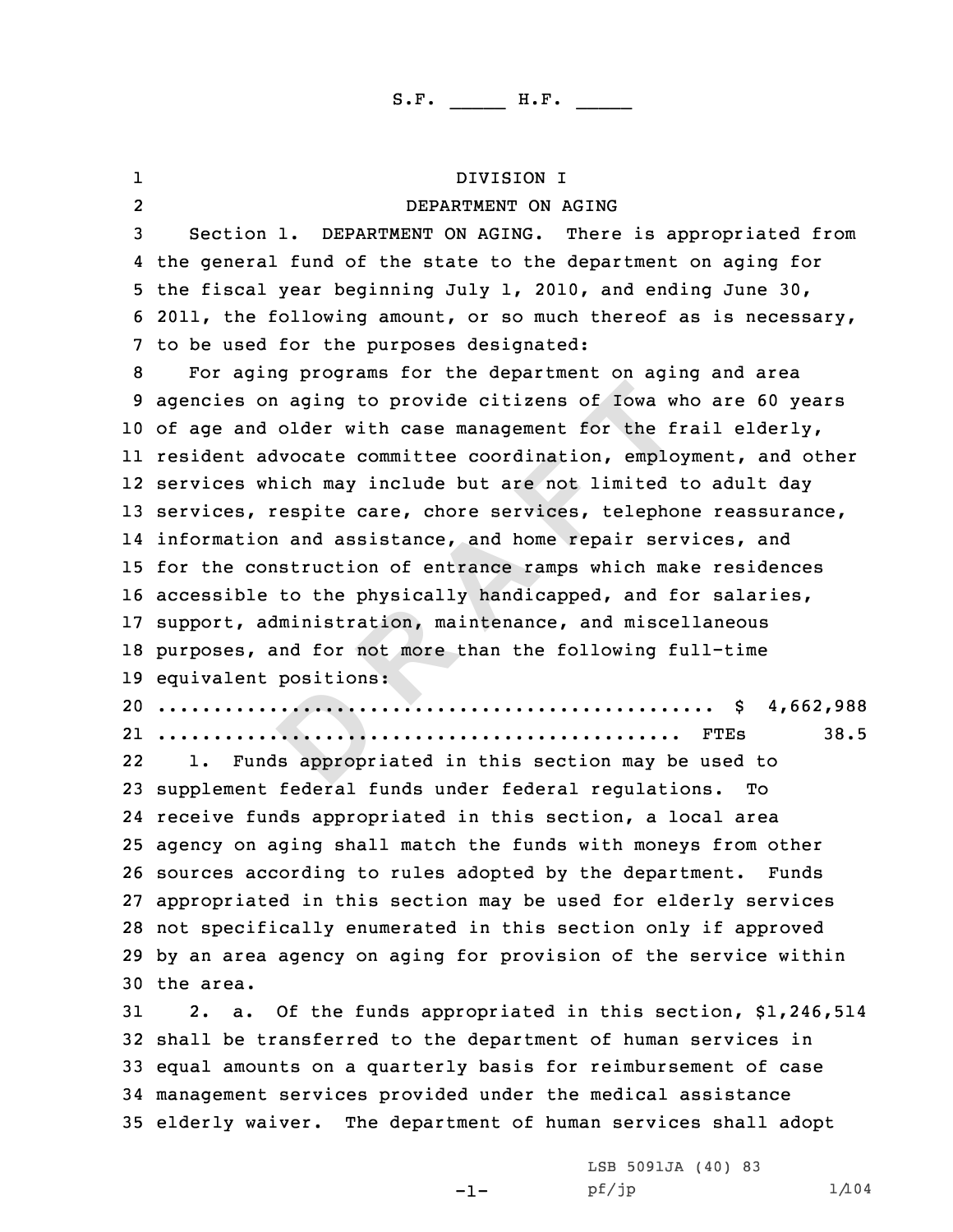| ı              | DIVISION I                                                         |
|----------------|--------------------------------------------------------------------|
| $\overline{2}$ | DEPARTMENT ON AGING                                                |
| 3              | Section 1. DEPARTMENT ON AGING. There is appropriated from         |
| 4              | the general fund of the state to the department on aging for       |
| 5.             | the fiscal year beginning July 1, 2010, and ending June 30,        |
| 6              | 2011, the following amount, or so much thereof as is necessary,    |
|                | 7 to be used for the purposes designated:                          |
| 8              | For aging programs for the department on aging and area            |
| 9              | agencies on aging to provide citizens of Iowa who are 60 years     |
|                | 10 of age and older with case management for the frail elderly,    |
|                | 11 resident advocate committee coordination, employment, and other |
|                | 12 services which may include but are not limited to adult day     |
|                | 13 services, respite care, chore services, telephone reassurance,  |
|                | 14 information and assistance, and home repair services, and       |
| 15.            | for the construction of entrance ramps which make residences       |
|                | 16 accessible to the physically handicapped, and for salaries,     |
| 17             | support, administration, maintenance, and miscellaneous            |
| 18             | purposes, and for not more than the following full-time            |
|                | 19 equivalent positions:                                           |
| 20             | \$4,662,988                                                        |
|                | 38.5                                                               |
| 22             | Funds appropriated in this section may be used to<br>ı.            |
| 23             | supplement federal funds under federal requlations.<br>Tо          |
|                | 24 receive funds appropriated in this section, a local area        |
|                | 25 agency on aging shall match the funds with moneys from other    |
|                | 26 sources according to rules adopted by the department. Funds     |
|                | 27 appropriated in this section may be used for elderly services   |
|                | 28 not specifically enumerated in this section only if approved    |
|                | 29 by an area agency on aging for provision of the service within  |
|                | 30 the area.                                                       |
| 31             | Of the funds appropriated in this section, \$1,246,514<br>2. a.    |
|                | 32 shall be transferred to the department of human services in     |
|                | 33 equal amounts on a quarterly basis for reimbursement of case    |
|                | 34 management services provided under the medical assistance       |

<sup>35</sup> elderly waiver. The department of human services shall adopt

-1-

LSB 5091JA (40) <sup>83</sup> pf/jp 1/104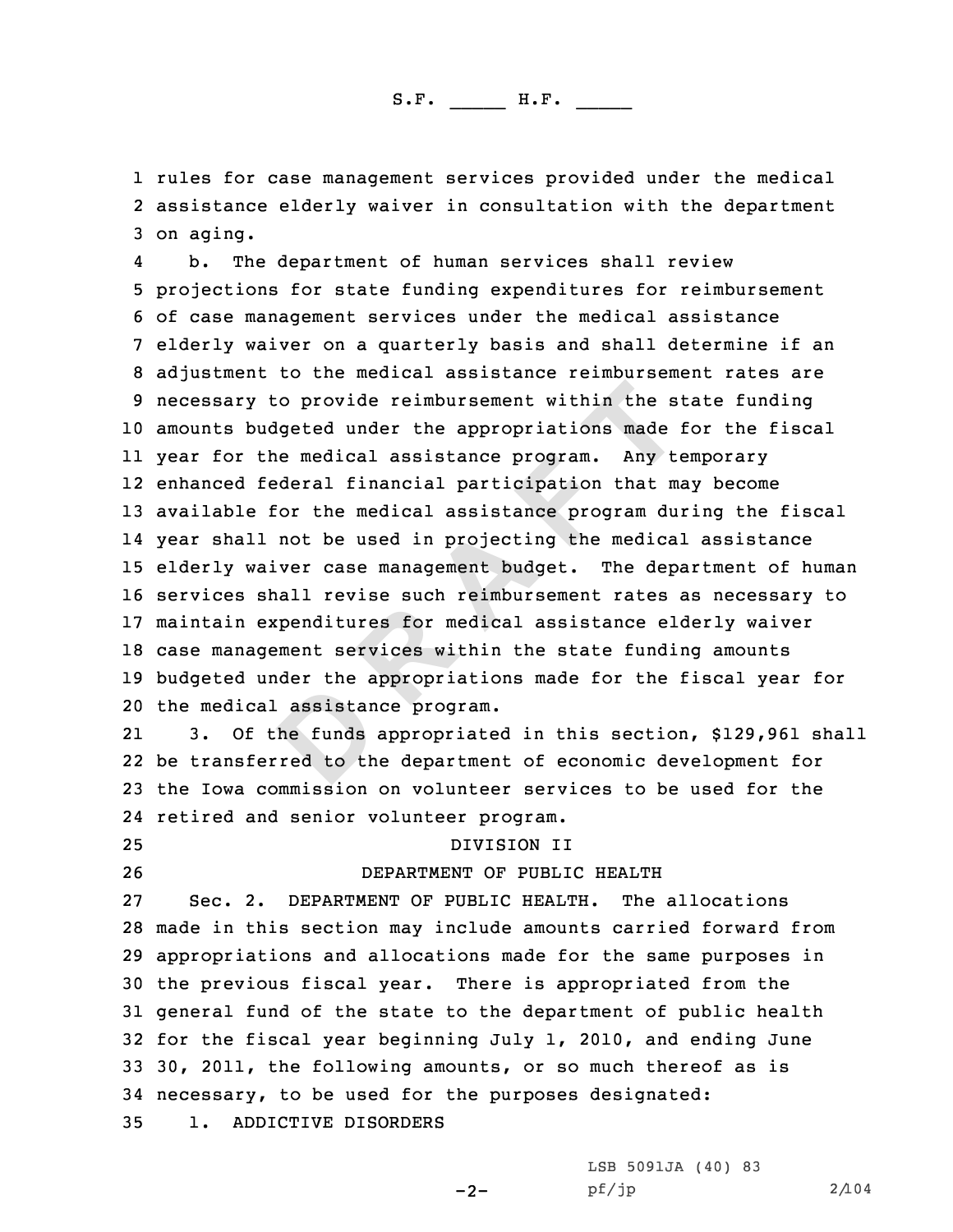1 rules for case management services provided under the medical<br>2 assistance elderly waiver in consultation with the department 2 assistance elderly waiver in consultation with the department<br>3 on aging.<br>4 b. The department of human services shall review

**D R A F T** b. The department of human services shall review<br>5 projections for state funding expenditures for reimbursement<br>6 of case management services under the medical assistance<br>7 elderly waiver on a quarterly basis and shall det amounts budgeted under the appropriations made for the fiscal year for the medical assistance program. Any temporary enhanced federal financial participation that may become available for the medical assistance program during the fiscal year shall not be used in projecting the medical assistance elderly waiver case management budget. The department of human services shall revise such reimbursement rates as necessary to maintain expenditures for medical assistance elderly waiver case management services within the state funding amounts budgeted under the appropriations made for the fiscal year for the medical assistance program.

21 3. Of the funds appropriated in this section, \$129,961 shall 22 be transferred to the department of economic development for <sup>23</sup> the Iowa commission on volunteer services to be used for the 24 retired and senior volunteer program.

## 25 DIVISION II DEPARTMENT OF PUBLI

26 DEPARTMENT OF PUBLIC HEALTH<br>27 Sec. 2. DEPARTMENT OF PUBLIC HEALTH. The Sec. 2. DEPARTMENT OF PUBLIC HEALTH. The allocations <sup>28</sup> made in this section may include amounts carried forward from <sup>29</sup> appropriations and allocations made for the same purposes in <sup>30</sup> the previous fiscal year. There is appropriated from the <sup>31</sup> general fund of the state to the department of public health <sup>32</sup> for the fiscal year beginning July 1, 2010, and ending June <sup>33</sup> 30, 2011, the following amounts, or so much thereof as is 34 necessary, to be used for the purposes designated:<br>35 1. ADDICTIVE DISORDERS 1. ADDICTIVE DISORDERS

-2-

LSB 5091JA (40) <sup>83</sup> pf/jp 2/104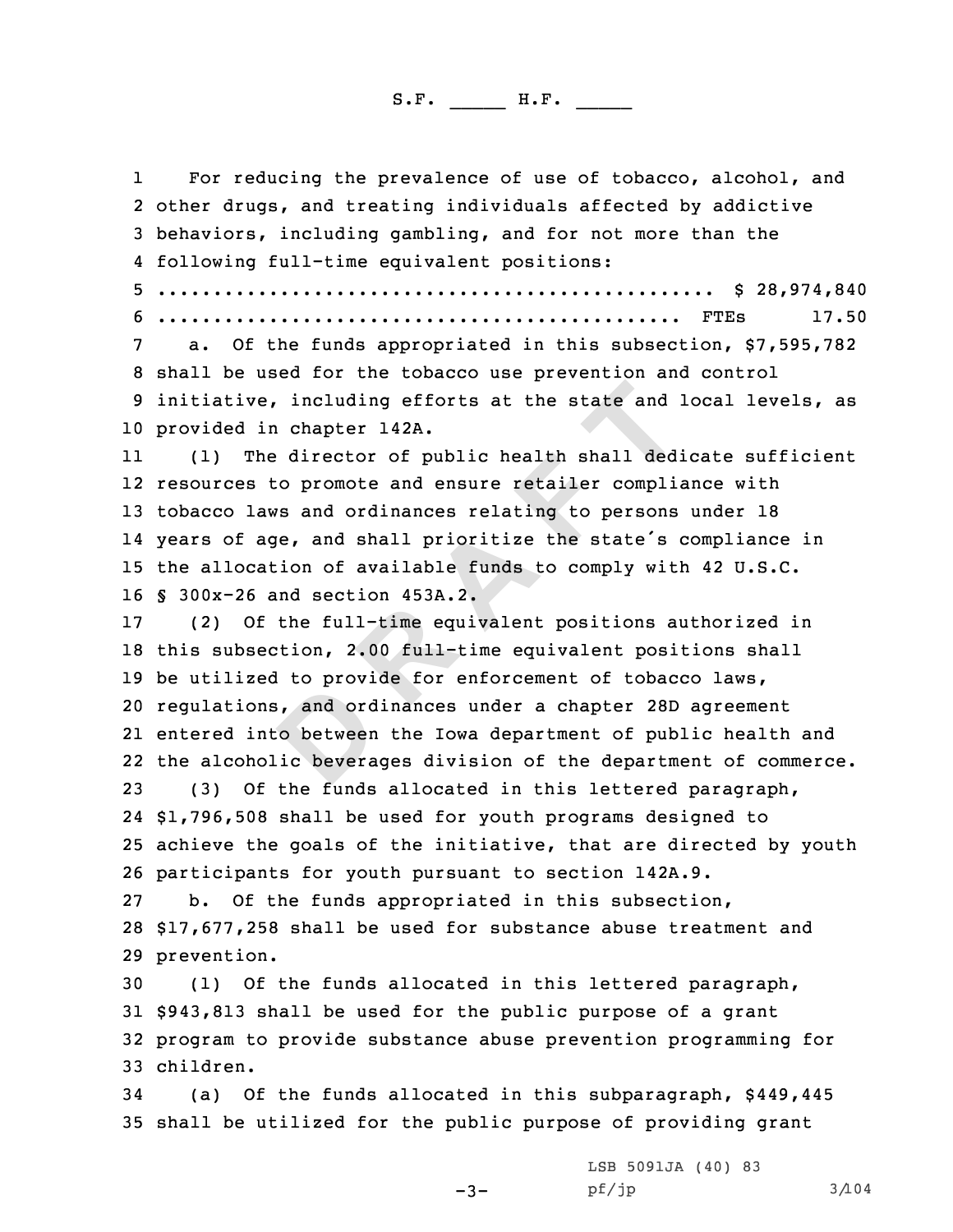including efforts at the state and is chapter 142A.<br> **EXECUTE:** director of public health shall ded:<br> **D** co promote and ensure retailer complicities and ordinances relating to persons<br> **EXECUTE:** the state's state's state 1I For reducing the prevalence of use of tobacco, alcohol, and<br>2 other drugs, and treating individuals affected by addictive 3 behaviors, including gambling, and for not more than the<br>4 following full-time equivalent positions: following full-time equivalent positions: <sup>5</sup> .................................................. \$ 28,974,840 <sup>6</sup> ............................................... FTEs 17.50 <sup>7</sup> a. Of the funds appropriated in this subsection, \$7,595,782 <sup>8</sup> shall be used for the tobacco use prevention and control <sup>9</sup> initiative, including efforts at the state and local levels, as provided in chapter 142A. 11 (1) The director of public health shall dedicate sufficient resources to promote and ensure retailer compliance with tobacco laws and ordinances relating to persons under <sup>18</sup> years of age, and shall prioritize the state's compliance in the allocation of available funds to comply with <sup>42</sup> U.S.C. 16 § 300x-26 and section 453A.2.<br>17 (2) Of the full-time equi (2) Of the full-time equivalent positions authorized in this subsection, 2.00 full-time equivalent positions shall be utilized to provide for enforcement of tobacco laws, regulations, and ordinances under <sup>a</sup> chapter 28D agreement entered into between the Iowa department of public health and the alcoholic beverages division of the department of commerce. (3) Of the funds allocated in this lettered paragraph, \$1,796,508 shall be used for youth programs designed to achieve the goals of the initiative, that are directed by youth 26 participants for youth pursuant to section 142A.9.<br>27 b. Of the funds appropriated in this subsectio b. Of the funds appropriated in this subsection, \$17,677,258 shall be used for substance abuse treatment and prevention. (1) Of the funds allocated in this lettered paragraph, \$943,813 shall be used for the public purpose of <sup>a</sup> grant program to provide substance abuse prevention programming for children. (a) Of the funds allocated in this subparagraph, \$449,445 shall be utilized for the public purpose of providing grant

> LSB 5091JA (40) <sup>83</sup> pf/jp 3/104

-3-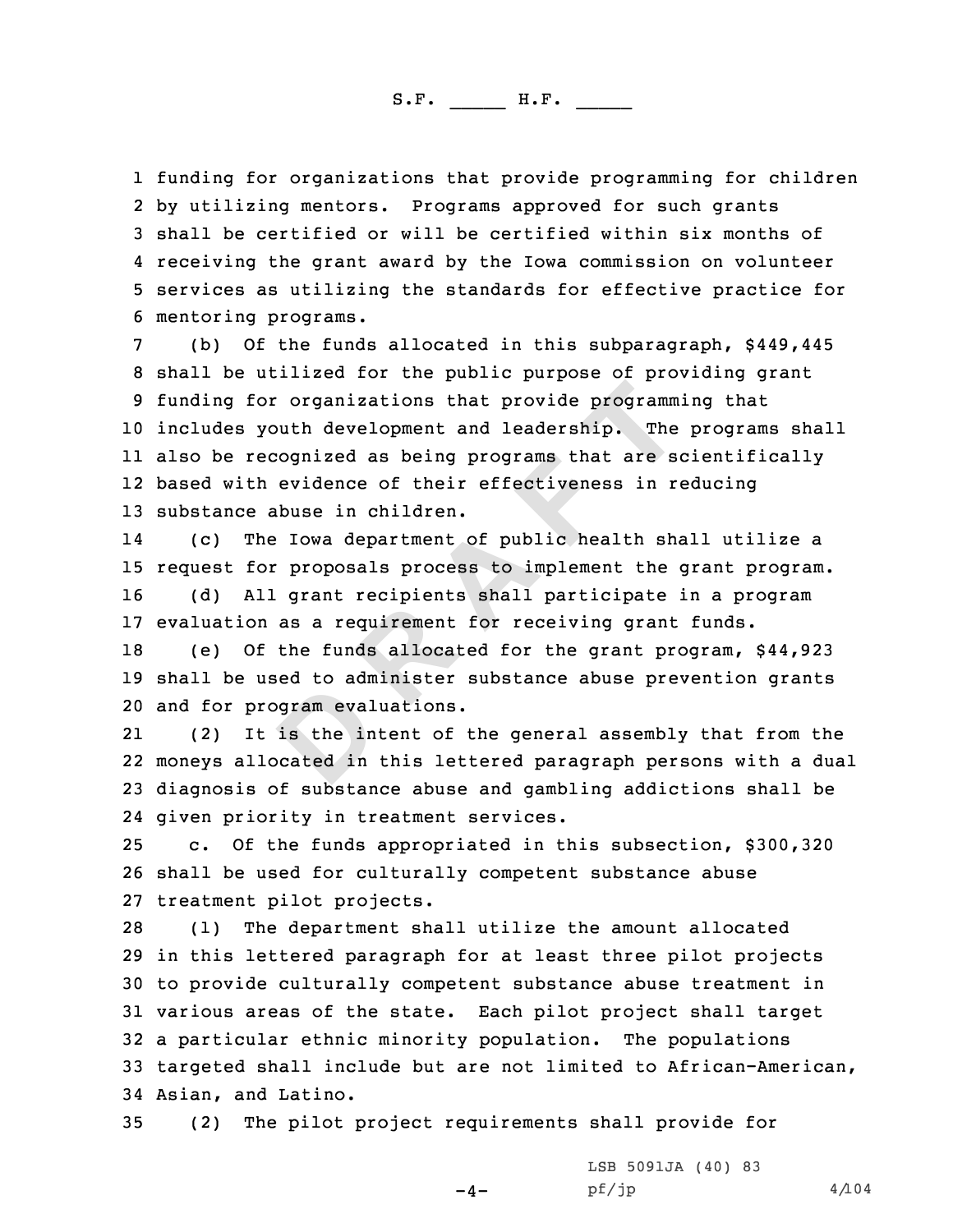1 funding for organizations that provide programming for children<br>2 by utilizing mentors. Programs approved for such grants 2 by utilizing mentors. Programs approved for such grants<br>3 shall be certified or will be certified within six months of<br>4 receiving the grant award by the Iowa commission on volunteer

**EXECUTE THE PROPER CONTROLLER CONTROLLER CONTROLLER CONTROLLER CONTROLLER CONTROLLER CONTROLLER CONTROLLER CONTROLLER CONTROLLER CONTROLLER CONTROLLER CONTROLLER A <b>B CONTROLLER CONTROLLER CONTROLLER A C CONTROLLER** 4 receiving the grant award by the Iowa commission on volunteer<br>5 services as utilizing the standards for effective practice for<br>6 mentoring programs.<br>(b) Of the funds allocated in this subparagraph, \$449,445<br>8 shall be ut includes youth development and leadership. The programs shall also be recognized as being programs that are scientifically based with evidence of their effectiveness in reducing substance abuse in children.

14 (c) The Iowa department of public health shall utilize <sup>a</sup> 15 request for proposals process to implement the grant program.<br>16 (d) All grant recipients shall participate in a program (d) All grant recipients shall participate in a program 17 evaluation as a requirement for receiving grant funds.<br>18 (e) Of the funds allocated for the grant program.

(e) Of the funds allocated for the grant program,  $$44,923$ <sup>19</sup> shall be used to administer substance abuse prevention grants 20 and for program evaluations.<br>21 (2) It is the intent of

21It is the intent of the general assembly that from the 22 moneys allocated in this lettered paragraph persons with <sup>a</sup> dual <sup>23</sup> diagnosis of substance abuse and gambling addictions shall be 24 given priority in treatment services.

<sup>25</sup> c. Of the funds appropriated in this subsection, \$300,320 <sup>26</sup> shall be used for culturally competent substance abuse 27 treatment pilot projects.<br>28 (1) The department sh.

The department shall utilize the amount allocated in this lettered paragraph for at least three pilot projects to provide culturally competent substance abuse treatment in various areas of the state. Each pilot project shall target <sup>a</sup> particular ethnic minority population. The populations targeted shall include but are not limited to African-American, 34 Asian, and Latino.<br>35 (2) The pilot

 $-4-$ 

(2) The pilot project requirements shall provide for

LSB 5091JA (40) <sup>83</sup>  $pf/jp$  4/104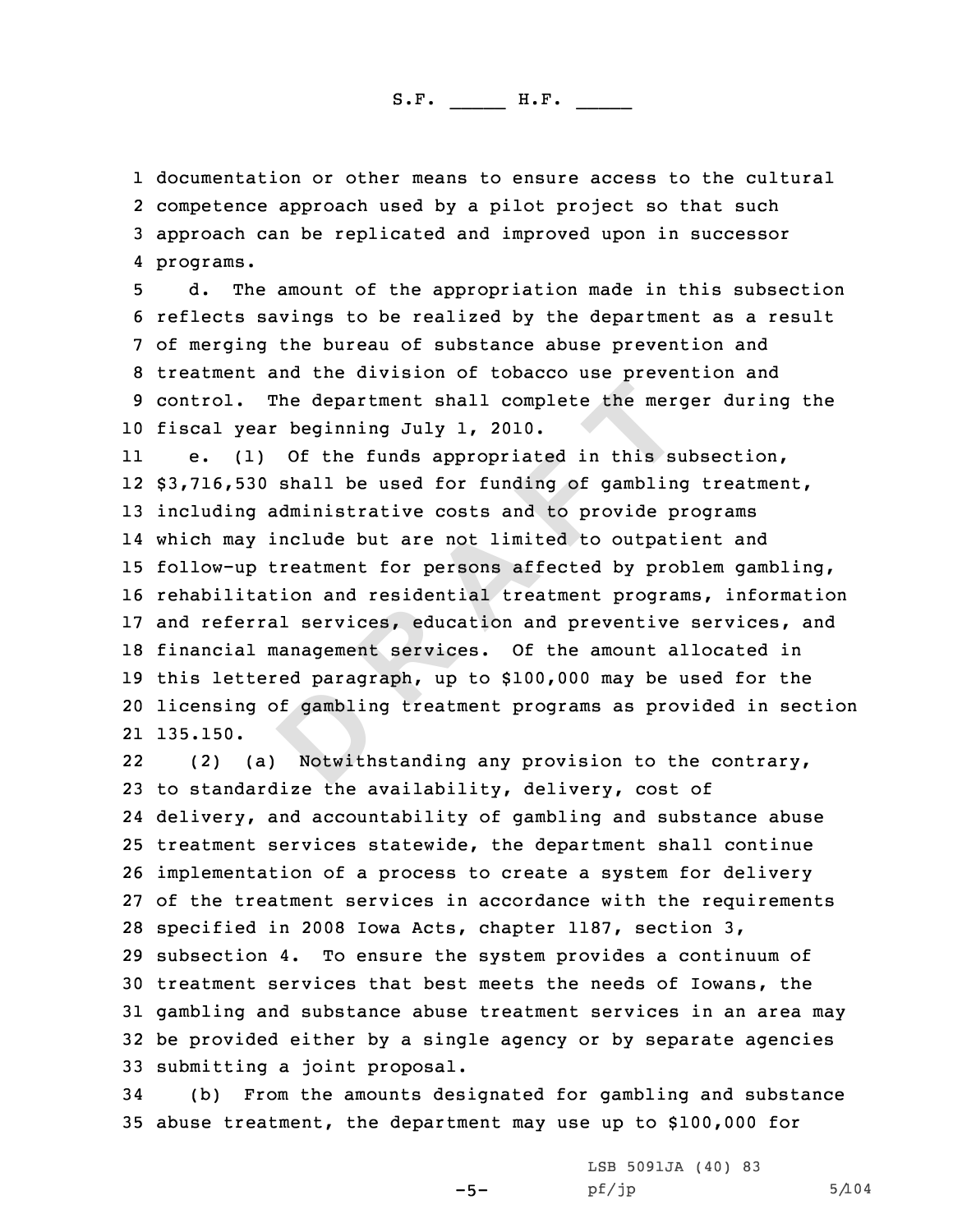1 documentation or other means to ensure access to the cultural<br>2 competence approach used by a pilot project so that such 2 competence approach used by a pilot project so that such<br>3 approach can be replicated and improved upon in successor programs.

5 d. The amount of the appropriation made in this subsection<br>6 reflects savings to be realized by the department as a result<br>7 of merging the bureau of substance abuse prevention and<br>8 treatment and the division of tobacco 10 fiscal year beginning July 1, 2010.<br>11 e. (1) Of the funds appropriate

The department shall complete the mer-<br>
beginning July 1, 2010.<br>
Of the funds appropriated in this st<br>
shall be used for funding of gambling<br>
dministrative costs and to provide p<br>
nclude but are not limited to outpat<br>
reat 11(1) Of the funds appropriated in this subsection, \$3,716,530 shall be used for funding of gambling treatment, including administrative costs and to provide programs which may include but are not limited to outpatient and follow-up treatment for persons affected by problem gambling, rehabilitation and residential treatment programs, information and referral services, education and preventive services, and financial management services. Of the amount allocated in this lettered paragraph, up to \$100,000 may be used for the licensing of gambling treatment programs as provided in section 21 135.150.

22 (2) (a) Notwithstanding any provision to the contrary, to standardize the availability, delivery, cost of delivery, and accountability of gambling and substance abuse treatment services statewide, the department shall continue implementation of <sup>a</sup> process to create <sup>a</sup> system for delivery of the treatment services in accordance with the requirements specified in <sup>2008</sup> Iowa Acts, chapter 1187, section 3, subsection 4. To ensure the system provides <sup>a</sup> continuum of treatment services that best meets the needs of Iowans, the gambling and substance abuse treatment services in an area may be provided either by <sup>a</sup> single agency or by separate agencies 33 submitting a joint proposal.<br>34 (b) From the amounts des

(b) From the amounts designated for gambling and substance <sup>35</sup> abuse treatment, the department may use up to \$100,000 for

-5-

LSB 5091JA (40) <sup>83</sup>  $pf/jp$  5/104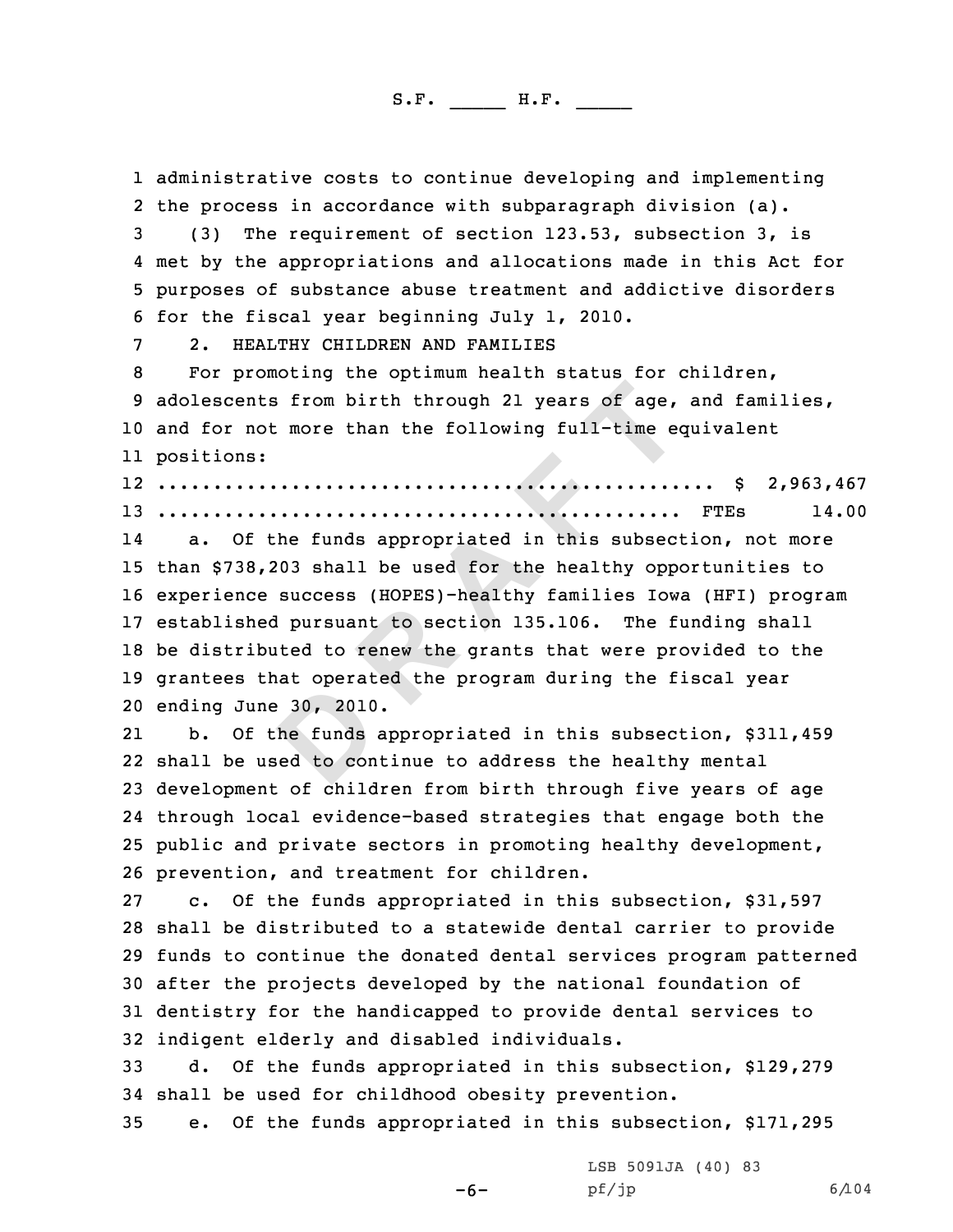1 administrative costs to continue developing and implementing<br>2 the process in accordance with subparagraph division (a).

the process in accordance with subparagraph division (a).<br>3 (3) The requirement of section 123.53, subsection 3, is<br>4 met by the appropriations and allocations made in this Act for 4 met by the appropriations and allocations made in this Act for<br>5 purposes of substance abuse treatment and addictive disorders<br>6 for the fiscal year beginning July 1, 2010.<br>2. HEALTHY CHILDREN AND FAMILIES<br>8 For promotin

<sup>10</sup> and for not more than the following full-time equivalent 11 positions:

12 .................................................. \$ 2,963,467

<sup>13</sup> ............................................... FTEs 14.00

**D R A F T** 14 a. Of the funds appropriated in this subsection, not more than \$738,203 shall be used for the healthy opportunities to experience success (HOPES)-healthy families Iowa (HFI) program established pursuant to section 135.106. The funding shall be distributed to renew the grants that were provided to the grantees that operated the program during the fiscal year ending June 30, 2010.

21 b. Of the funds appropriated in this subsection, \$311,459 22 shall be used to continue to address the healthy mental <sup>23</sup> development of children from birth through five years of age 24 through local evidence-based strategies that engage both the <sup>25</sup> public and private sectors in promoting healthy development, 26 prevention, and treatment for children.<br>27 c. Of the funds appropriated in this

c. Of the funds appropriated in this subsection, \$31,597 shall be distributed to <sup>a</sup> statewide dental carrier to provide funds to continue the donated dental services program patterned after the projects developed by the national foundation of dentistry for the handicapped to provide dental services to 32 indigent elderly and disabled individuals.<br>33 a. Of the funds appropriated in this sa

d. Of the funds appropriated in this subsection, \$129,279 34 shall be used for childhood obesity prevention.<br>35 e. Of the funds appropriated in this subsec

e. Of the funds appropriated in this subsection, \$171,295

-6-

LSB 5091JA (40) <sup>83</sup> pf/jp 6/104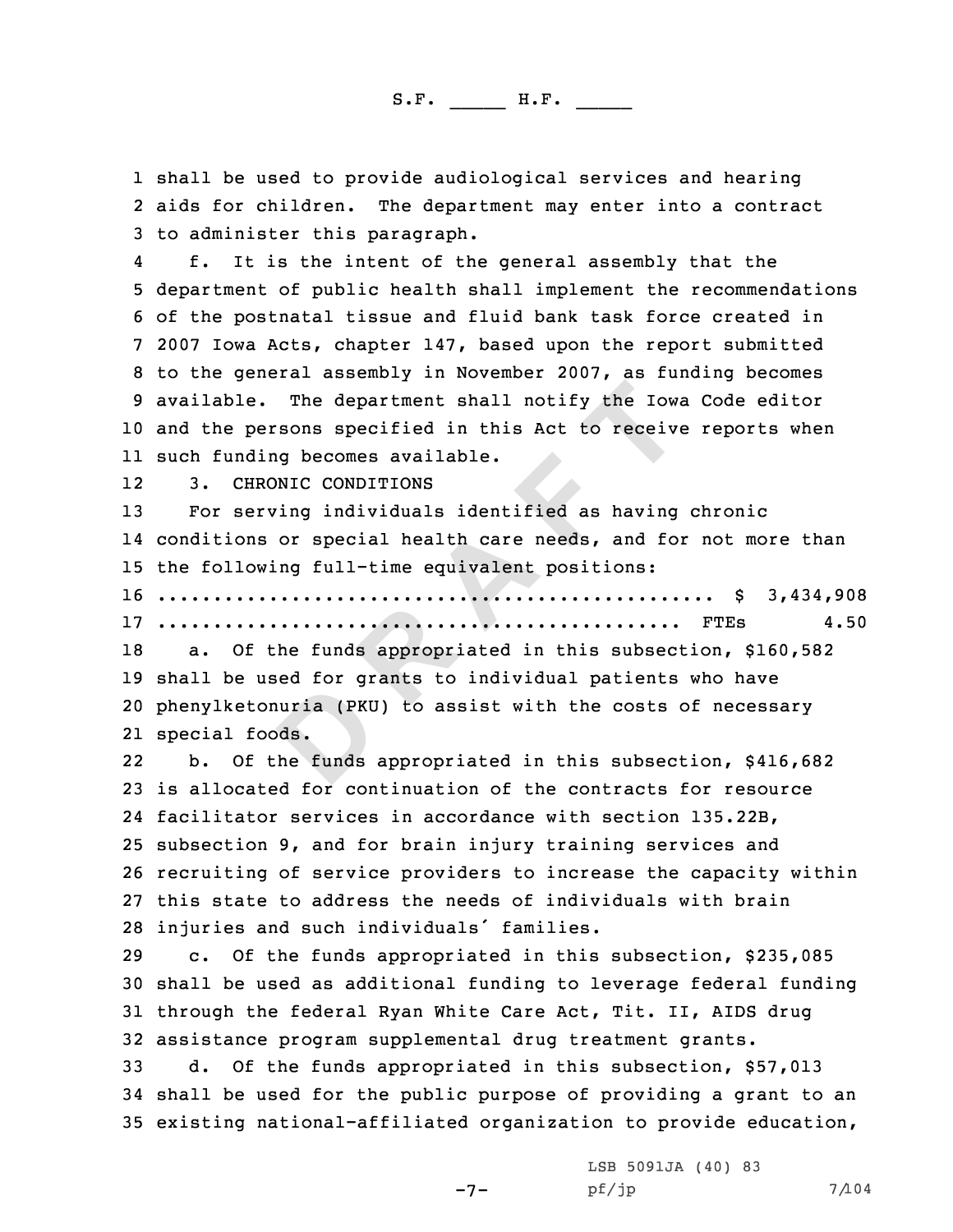1 shall be used to provide audiological services and hearing<br>2 aids for children. The department mav enter into a contra 2 aids for children. The department may enter into a contract<br>3 to administer this paragraph.<br>4 f. It is the intent of the general assembly that the

f. It is the intent of the general assembly that the<br>5 department of public health shall implement the recommendations<br>6 of the postnatal tissue and fluid bank task force created in<br>7 2007 Iowa Acts, chapter 147, based upo <sup>10</sup> and the persons specified in this Act to receive reports when 11 such funding becomes available.

1212 3. CHRONIC CONDITIONS<br>13 For serving individuals

The department shall notify the Iow.<br>
soons specified in this Act to receive<br>
soons specified in this Act to receive<br>
y becomes available.<br>
NNIC CONDITIONS<br>
ing individuals identified as having<br>
or special health care need For serving individuals identified as having chronic conditions or special health care needs, and for not more than the following full-time equivalent positions: .................................................. \$ 3,434,908 ............................................... FTEs 4.50 a. Of the funds appropriated in this subsection, \$160,582 shall be used for grants to individual patients who have phenylketonuria (PKU) to assist with the costs of necessary

21 special foods.

22 b. Of the funds appropriated in this subsection, \$416,682 is allocated for continuation of the contracts for resource facilitator services in accordance with section 135.22B, subsection 9, and for brain injury training services and recruiting of service providers to increase the capacity within this state to address the needs of individuals with brain 28 injuries and such individuals' families.<br>29 c. Of the funds appropriated in this

c. Of the funds appropriated in this subsection, \$235,085 <sup>30</sup> shall be used as additional funding to leverage federal funding <sup>31</sup> through the federal Ryan White Care Act, Tit. II, AIDS drug 32 assistance program supplemental drug treatment grants.<br>33 a. Of the funds appropriated in this subsection. S

d. Of the funds appropriated in this subsection, \$57,013 <sup>34</sup> shall be used for the public purpose of providing <sup>a</sup> grant to an <sup>35</sup> existing national-affiliated organization to provide education,

 $-7-$ 

LSB 5091JA (40) <sup>83</sup>  $pf/jp$  7/104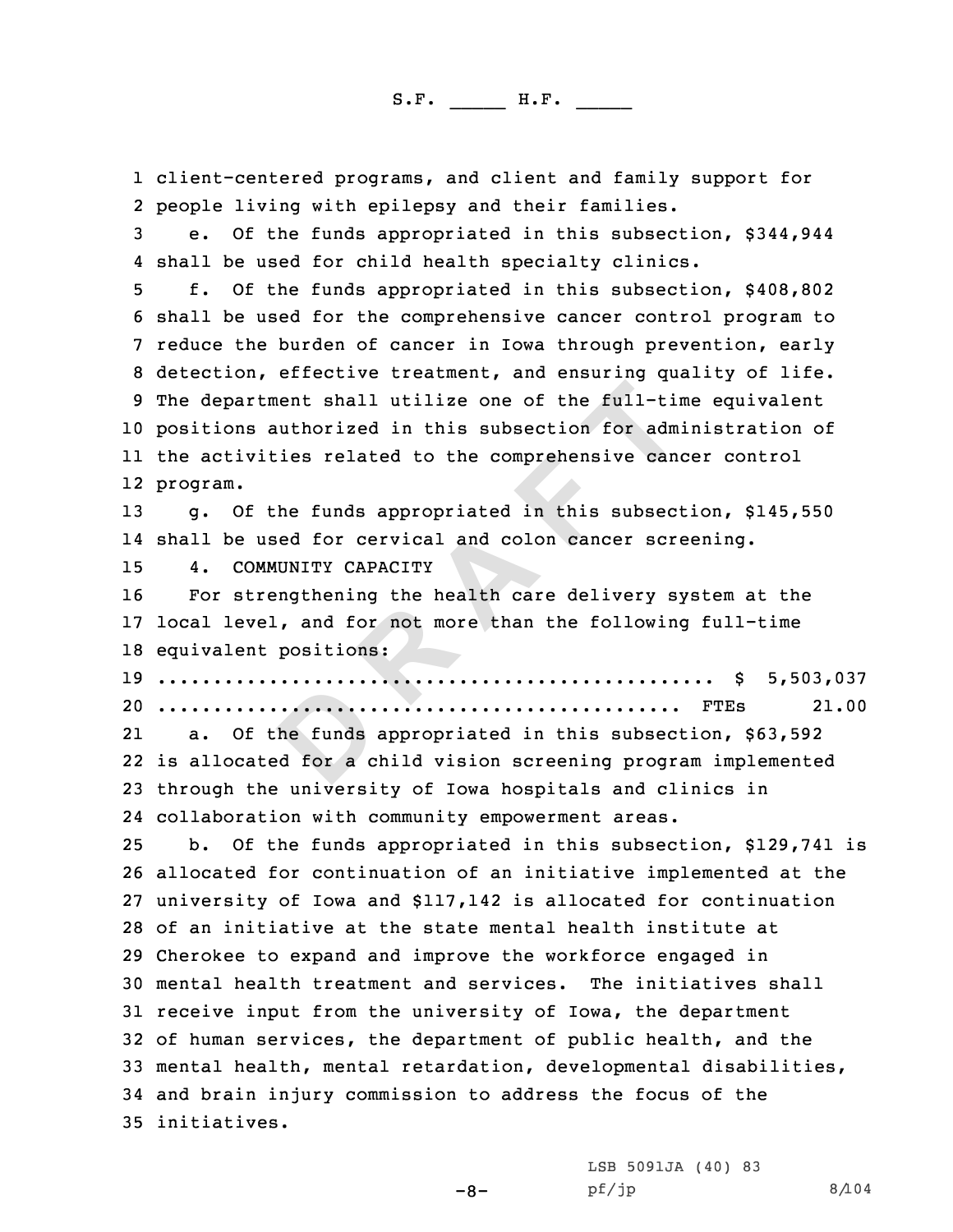nent shall utilize one of the full-tinuthorized in this subsection for adm<br>
ies related to the comprehensive can-<br>
the funds appropriated in this subsect<br>
ed for cervical and colon cancer scru<br>
UNITY CAPACITY<br>
ingthening t 1 client-centered programs, and client and family support for<br>2 people living with epilepsy and their families. 2 people living with epilepsy and their families.<br>3 e. Of the funds appropriated in this subsection, \$344,944<br>4 shall be used for child health specialty clinics. 4 shall be used for child health specialty clinics.<br>5 f. Of the funds appropriated in this subsection, \$408,802<br>6 shall be used for the comprehensive cancer control program to<br>7 reduce the burden of cancer in Iowa through positions authorized in this subsection for administration of the activities related to the comprehensive cancer control 12 program. g. Of the funds appropriated in this subsection, \$145,550 shall be used for cervical and colon cancer screening. 15 4. COMMUNITY CAPACITY<br>16 For strengthening the For strengthening the health care delivery system at the local level, and for not more than the following full-time equivalent positions: .................................................. \$ 5,503,037 ............................................... FTEs 21.00 21 a. Of the funds appropriated in this subsection, \$63,592 is allocated for <sup>a</sup> child vision screening program implemented through the university of Iowa hospitals and clinics in collaboration with community empowerment areas. b. Of the funds appropriated in this subsection, \$129,741 is allocated for continuation of an initiative implemented at the university of Iowa and \$117,142 is allocated for continuation of an initiative at the state mental health institute at Cherokee to expand and improve the workforce engaged in mental health treatment and services. The initiatives shall receive input from the university of Iowa, the department of human services, the department of public health, and the mental health, mental retardation, developmental disabilities, and brain injury commission to address the focus of the initiatives.

-8-

LSB 5091JA (40) <sup>83</sup>  $pf/jp$  8/104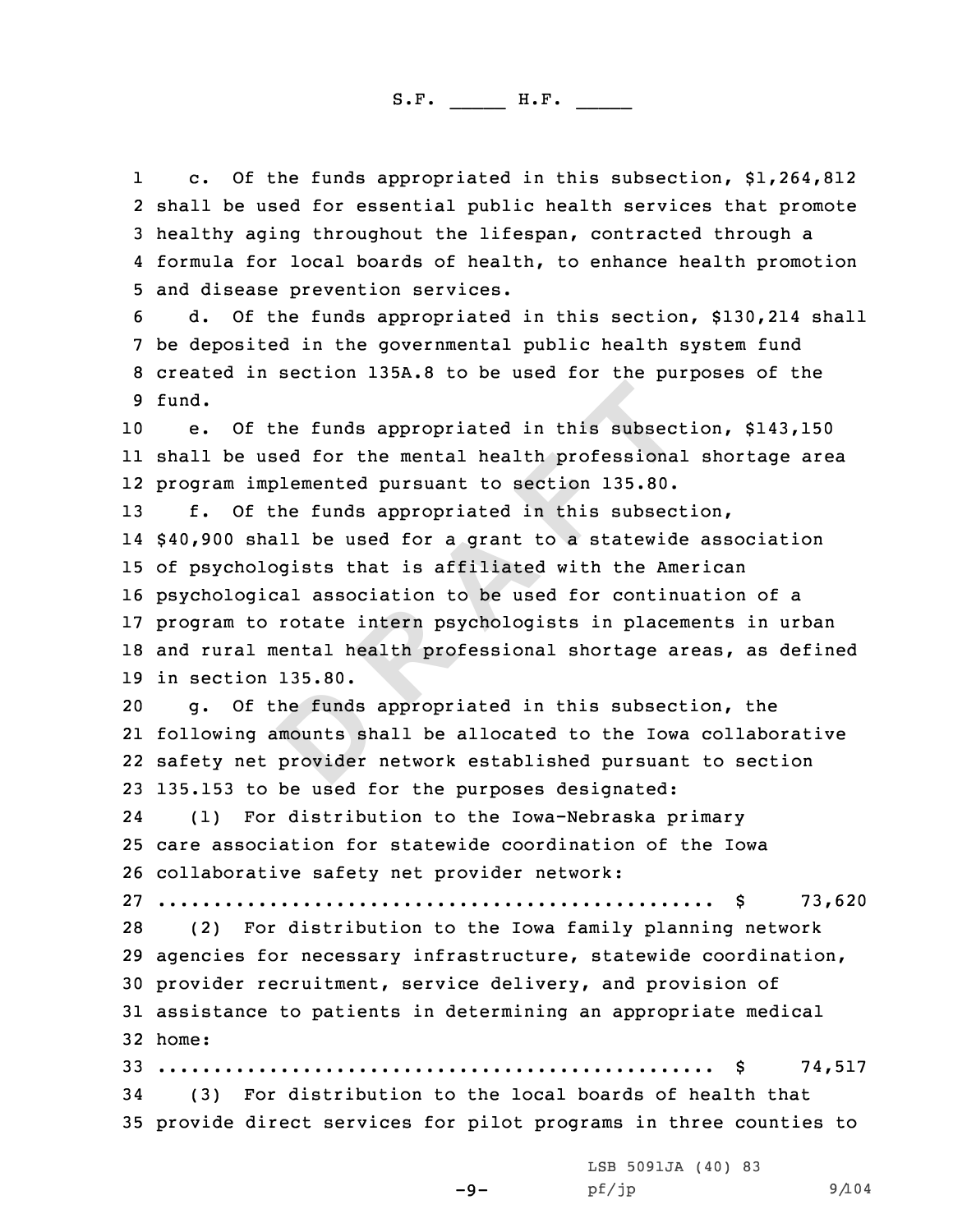11 c. Of the funds appropriated in this subsection, \$1,264,812<br>2 shall be used for essential public health services that promote 3 healthy aging throughout the lifespan, contracted through a<br>4 formula for local boards of health, to enhance health promotion

5 and disease prevention services.<br>6 d. Of the funds appropriated in this section, \$130,214 shall<br>7 be deposited in the governmental public health system fund<br>8 created in section 135A.8 to be used for the purposes of the 9 fund.

<sup>10</sup> e. Of the funds appropriated in this subsection, \$143,150 11 shall be used for the mental health professional shortage area 12 program implemented pursuant to section 135.80.

**D R A F T** f. Of the funds appropriated in this subsection, \$40,900 shall be used for <sup>a</sup> grant to <sup>a</sup> statewide association of psychologists that is affiliated with the American psychological association to be used for continuation of <sup>a</sup> program to rotate intern psychologists in placements in urban and rural mental health professional shortage areas, as defined 19 in section 135.80.<br>20 **q.** Of the fund

g. Of the funds appropriated in this subsection, the following amounts shall be allocated to the Iowa collaborative safety net provider network established pursuant to section 135.153 to be used for the purposes designated:

24 (1) For distribution to the Iowa-Nebraska primary <sup>25</sup> care association for statewide coordination of the Iowa <sup>26</sup> collaborative safety net provider network:

<sup>27</sup> .................................................. \$ 73,620

(2) For distribution to the Iowa family planning network <sup>29</sup> agencies for necessary infrastructure, statewide coordination, <sup>30</sup> provider recruitment, service delivery, and provision of <sup>31</sup> assistance to patients in determining an appropriate medical 32 home:

<sup>33</sup> .................................................. \$ 74,517 (3) For distribution to the local boards of health that <sup>35</sup> provide direct services for pilot programs in three counties to

-9-

LSB 5091JA (40) <sup>83</sup> pf/jp 9/104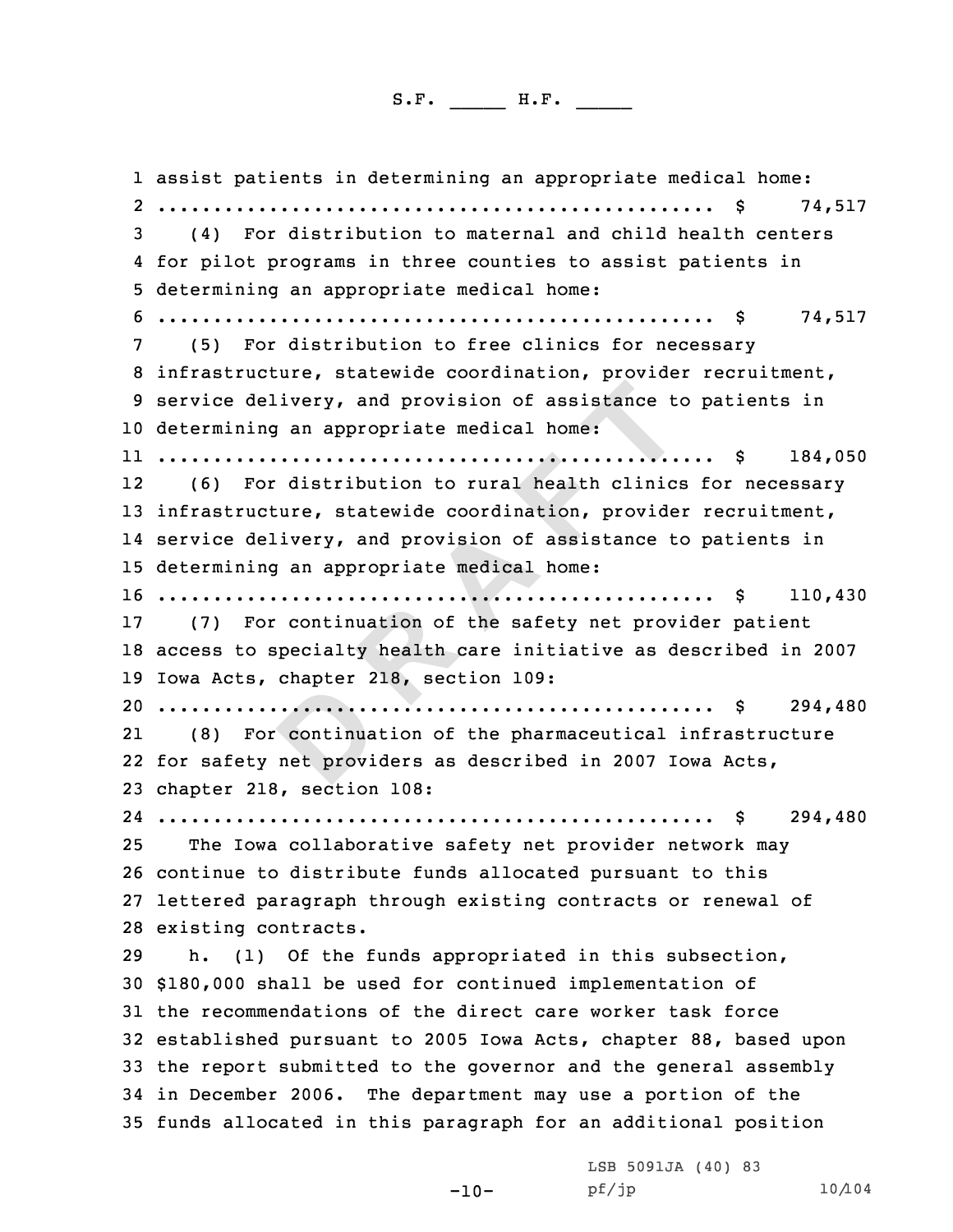**Example 12** and provision of assistance to<br> **EXECUTE:** and provision of assistance to<br> **C**<br> **EXECUTE:** distribution to rural health clinic:<br>
Example 21 and provision of assistance to<br> **EXECUTE:** and provision of assistanc assist patients in determining an appropriate medical home: 2 .................................................. \$ 74,517 <sup>3</sup> (4) For distribution to maternal and child health centers 4 for pilot programs in three counties to assist patients in <sup>5</sup> determining an appropriate medical home: <sup>6</sup> .................................................. \$ 74,517 <sup>7</sup> (5) For distribution to free clinics for necessary <sup>8</sup> infrastructure, statewide coordination, provider recruitment, <sup>9</sup> service delivery, and provision of assistance to patients in determining an appropriate medical home: .................................................. \$ 184,050 (6) For distribution to rural health clinics for necessary infrastructure, statewide coordination, provider recruitment, service delivery, and provision of assistance to patients in determining an appropriate medical home: .................................................. \$ 110,430 (7) For continuation of the safety net provider patient access to specialty health care initiative as described in <sup>2007</sup> Iowa Acts, chapter 218, section 109: .................................................. \$ 294,480 21 (8) For continuation of the pharmaceutical infrastructure for safety net providers as described in <sup>2007</sup> Iowa Acts, chapter 218, section 108: .................................................. \$ 294,480 The Iowa collaborative safety net provider network may continue to distribute funds allocated pursuant to this lettered paragraph through existing contracts or renewal of 28 existing contracts.<br>29 h. (1) Of the : (1) Of the funds appropriated in this subsection, \$180,000 shall be used for continued implementation of the recommendations of the direct care worker task force established pursuant to <sup>2005</sup> Iowa Acts, chapter 88, based upon the report submitted to the governor and the general assembly in December 2006. The department may use <sup>a</sup> portion of the funds allocated in this paragraph for an additional position

-10-

LSB 5091JA (40) 83<br>pf/jp

pf/jp 10/104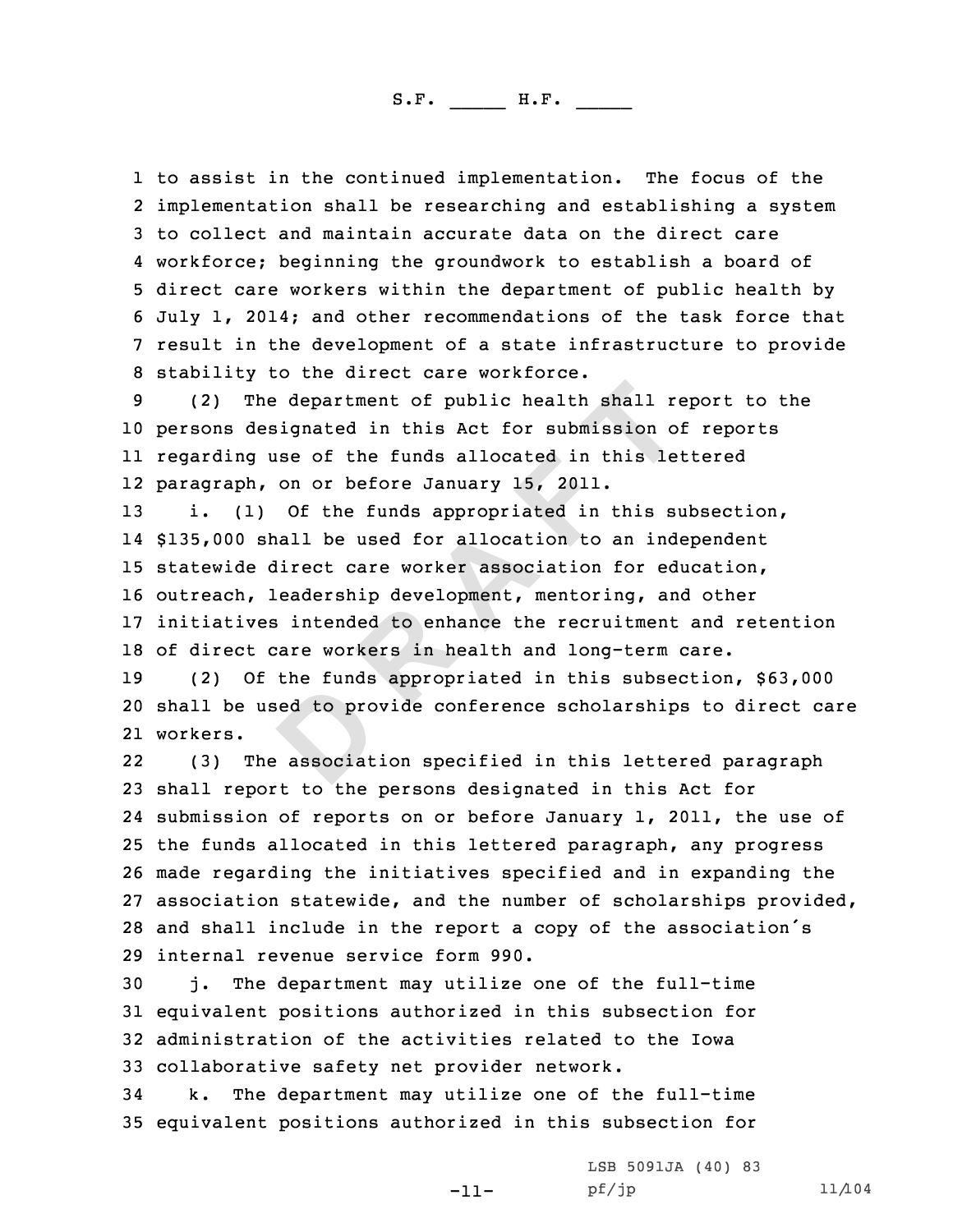1 to assist in the continued implementation. The focus of the<br>2 implementation shall be researching and establishing a syste 2 implementation shall be researching and establishing a system<br>3 to collect and maintain accurate data on the direct care<br>4 workforce; beginning the groundwork to establish a board of 4 workforce; beginning the groundwork to establish a board of<br>5 direct care workers within the department of public health by<br>6 July 1, 2014; and other recommendations of the task force that<br>7 result in the development of

<sup>10</sup> persons designated in this Act for submission of reports 11 regarding use of the funds allocated in this lettered 12 paragraph, on or before January 15, 2011.

**D R A F T** i. (1) Of the funds appropriated in this subsection, \$135,000 shall be used for allocation to an independent statewide direct care worker association for education, outreach, leadership development, mentoring, and other initiatives intended to enhance the recruitment and retention 18 of direct care workers in health and long-term care.<br>19 (2) Of the funds appropriated in this subsection

<sup>19</sup> (2) Of the funds appropriated in this subsection, \$63,000 <sup>20</sup> shall be used to provide conference scholarships to direct care 21 workers.

22 (3) The association specified in this lettered paragraph shall report to the persons designated in this Act for submission of reports on or before January 1, 2011, the use of the funds allocated in this lettered paragraph, any progress made regarding the initiatives specified and in expanding the association statewide, and the number of scholarships provided, and shall include in the report <sup>a</sup> copy of the association's 29 internal revenue service form 990.<br>30 j. The department may utilize

-11-

j. The department may utilize one of the full-time <sup>31</sup> equivalent positions authorized in this subsection for <sup>32</sup> administration of the activities related to the Iowa 33 collaborative safety net provider network.<br>34 k. The department may utilize one of t

The department may utilize one of the full-time <sup>35</sup> equivalent positions authorized in this subsection for

LSB 5091JA (40) 83<br>pf/jp

pf/jp 11/104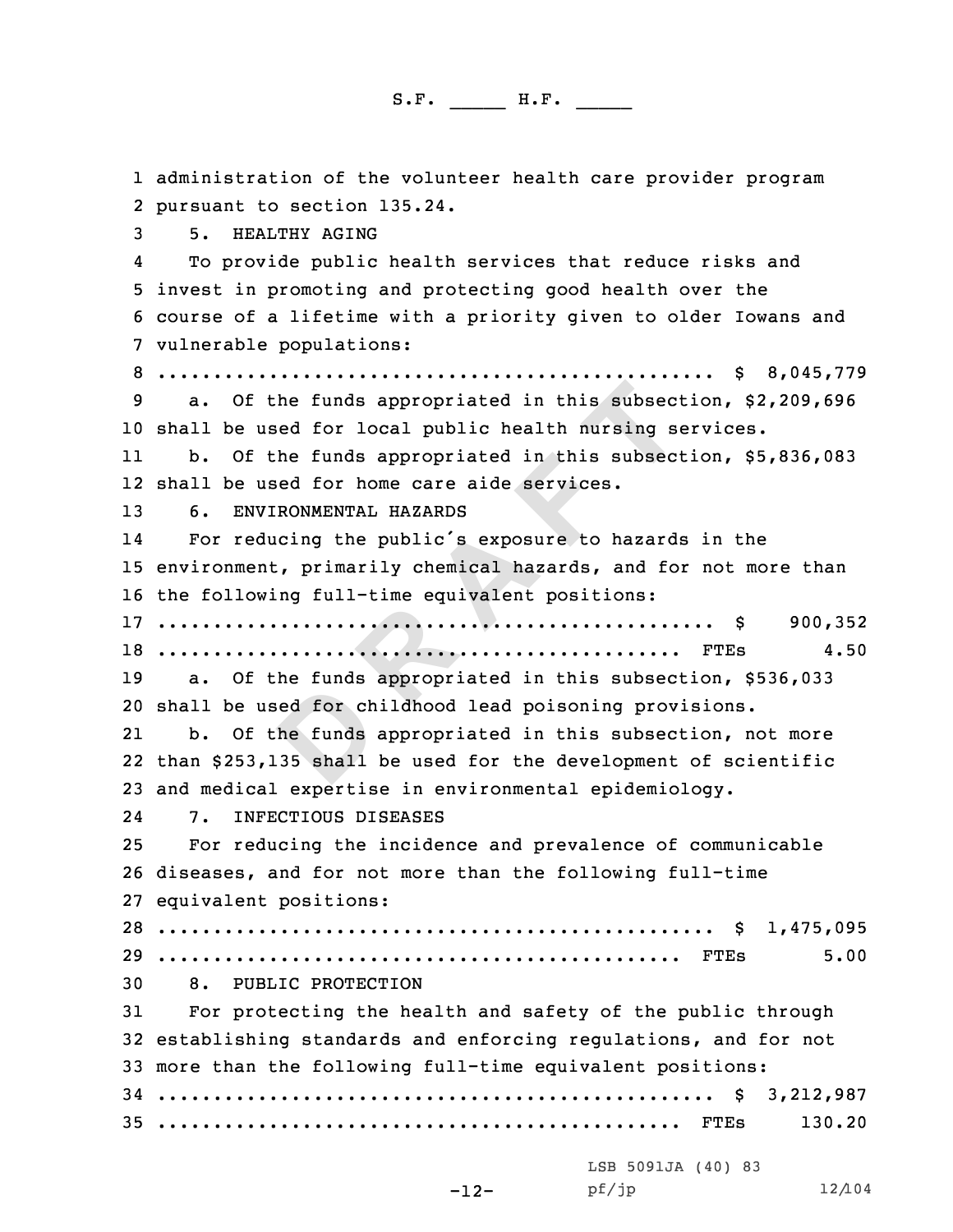**Example 1 Example 1 CONTER 12 CONTER 12 CONTER 12 CONTER 12 CONTER 12 CONTER 12 CONTER 12 CONTER 12 CONTER 12 CONTER 12 CONTER 12 CONTER 12 CONTER 12 CONTER 12 CONTER 12 CONTER 12 CONTE** 1 administration of the volunteer health care provider program<br>2 pursuant to section 135.24. 2 pursuant to section 135.24.<br>3 5. HEALTHY AGING<br>4 To provide public health services that reduce risks and To provide public health services that reduce risks and <sup>5</sup> invest in promoting and protecting good health over the <sup>6</sup> course of <sup>a</sup> lifetime with <sup>a</sup> priority given to older Iowans and <sup>7</sup> vulnerable populations: <sup>8</sup> .................................................. \$ 8,045,779 <sup>9</sup> a. Of the funds appropriated in this subsection, \$2,209,696 <sup>10</sup> shall be used for local public health nursing services. 11 b. Of the funds appropriated in this subsection, \$5,836,083 12 shall be used for home care aide services. <sup>13</sup> 6. ENVIRONMENTAL HAZARDS 14 For reducing the public's exposure to hazards in the <sup>15</sup> environment, primarily chemical hazards, and for not more than <sup>16</sup> the following full-time equivalent positions: <sup>17</sup> .................................................. \$ 900,352 <sup>18</sup> ............................................... FTEs 4.50 a. Of the funds appropriated in this subsection, \$536,033 <sup>20</sup> shall be used for childhood lead poisoning provisions. 21 b. Of the funds appropriated in this subsection, not more 22 than \$253,135 shall be used for the development of scientific 23 and medical expertise in environmental epidemiology.<br>24 7. INFECTIOUS DISEASES 2424 7. INFECTIOUS DISEASES<br>25 For reducing the incide: For reducing the incidence and prevalence of communicable <sup>26</sup> diseases, and for not more than the following full-time <sup>27</sup> equivalent positions: <sup>28</sup> .................................................. \$ 1,475,095 <sup>29</sup> ............................................... FTEs 5.00 30 8. PUBLIC PROTECTION<br>31 For protecting the hea For protecting the health and safety of the public through <sup>32</sup> establishing standards and enforcing regulations, and for not <sup>33</sup> more than the following full-time equivalent positions: <sup>34</sup> .................................................. \$ 3,212,987 <sup>35</sup> ............................................... FTEs 130.20 LSB 5091JA (40) 83<br>pf/jp pf/jp 12/104

```
-12-
```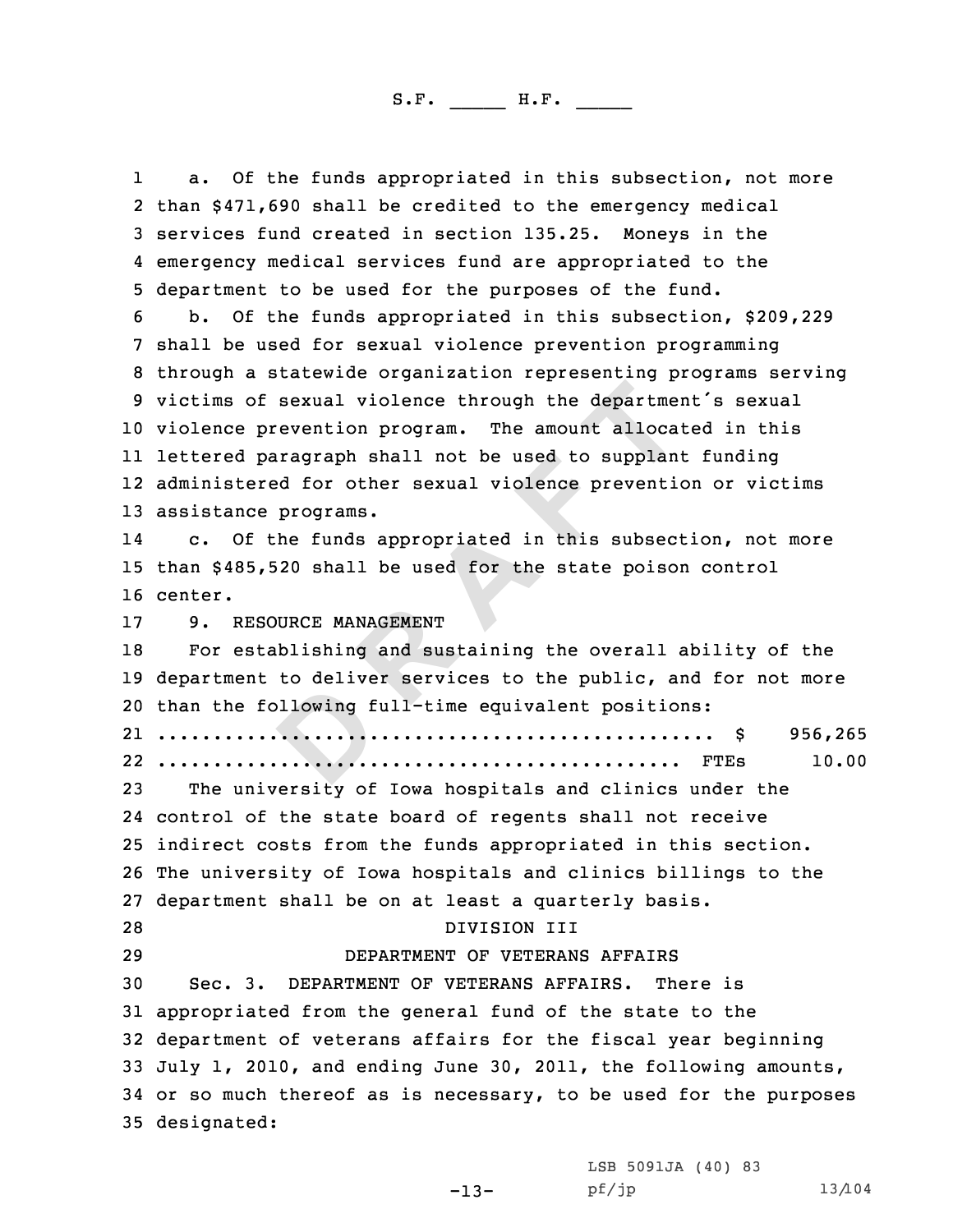**Example 1 Example 1 CONTERT 12 CONTERT**<br> **EXECUTE: P EXECUTE: P EXECUTE: P EXECUTE: Programs.**<br> **A EXECUTE: Programs.**<br> **A EXECUTE: Programs.**<br> **A EXECUTE: D EXECUTE: A EXECUTE: A** 11 a. Of the funds appropriated in this subsection, not more<br>2 than \$471.690 shall be credited to the emergency medical 2 than \$471,690 shall be credited to the emergency medical<br>3 services fund created in section 135.25. Moneys in the<br>4 emergency medical services fund are appropriated to the 4 emergency medical services fund are appropriated to the<br>5 department to be used for the purposes of the fund.<br>6 b. Of the funds appropriated in this subsection, \$209,229<br>7 shall be used for sexual violence prevention pro violence prevention program. The amount allocated in this lettered paragraph shall not be used to supplant funding administered for other sexual violence prevention or victims assistance programs. 14 c. Of the funds appropriated in this subsection, not more than \$485,520 shall be used for the state poison control 16 center. 17 9. RESOURCE MANAGEMENT<br>18 For establishing and su For establishing and sustaining the overall ability of the department to deliver services to the public, and for not more than the following full-time equivalent positions: .................................................. \$ 956,265 ............................................... FTEs 10.00 The university of Iowa hospitals and clinics under the control of the state board of regents shall not receive indirect costs from the funds appropriated in this section. The university of Iowa hospitals and clinics billings to the department shall be on at least <sup>a</sup> quarterly basis. 28 DIVISION III<br>29 DEPARTMENT OF VETERAN DEPARTMENT OF VETERANS AFFAIRS Sec. 3. DEPARTMENT OF VETERANS AFFAIRS. appropriated from the general fund of the state to the department of veterans affairs for the fiscal year beginning July 1, 2010, and ending June 30, 2011, the following amounts, or so much thereof as is necessary, to be used for the purposes designated:

> LSB 5091JA (40) <sup>83</sup> pf/jp 13/104

-13-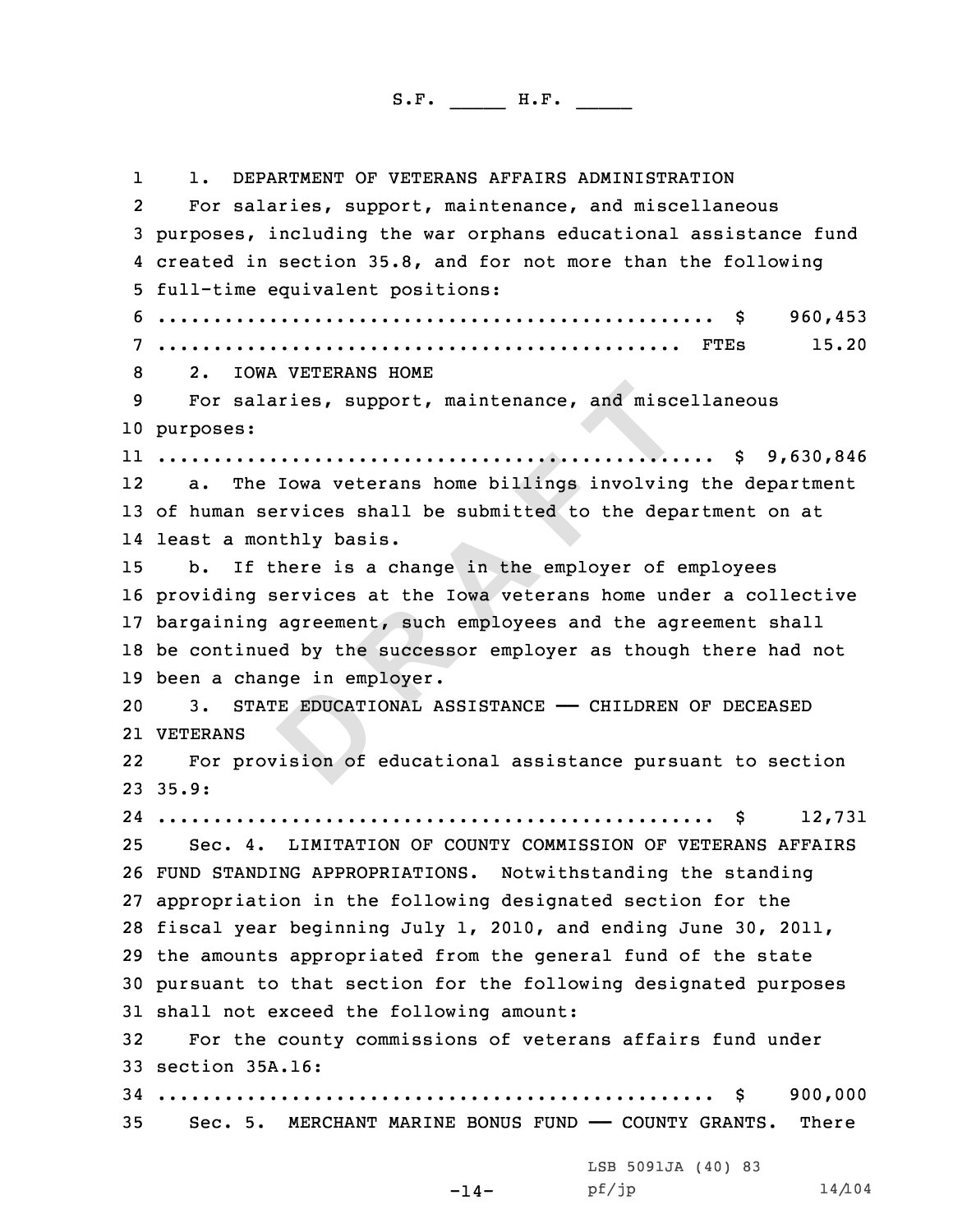**Example 12**<br> **EXECUTE:** The submitted to the dependence of the submitted to the dependence of the submitted to the dependence in the submitted to the dependence is a change in the employer of exervices at the Iowa veteran 11. DEPARTMENT OF VETERANS AFFAIRS ADMINISTRATION<br>2 For salaries, support, maintenance, and miscellaneous 3 purposes, including the war orphans educational assistance fund<br>4 created in section 35.8, and for not more than the following created in section 35.8, and for not more than the following <sup>5</sup> full-time equivalent positions: <sup>6</sup> .................................................. \$ 960,453 <sup>7</sup> ............................................... FTEs 15.20 <sup>8</sup> 2. IOWA VETERANS HOME <sup>9</sup> For salaries, support, maintenance, and miscellaneous 10 purposes: 11 .................................................. \$ 9,630,846 12 a. The Iowa veterans home billings involving the department <sup>13</sup> of human services shall be submitted to the department on at 14 least <sup>a</sup> monthly basis. <sup>15</sup> b. If there is <sup>a</sup> change in the employer of employees <sup>16</sup> providing services at the Iowa veterans home under <sup>a</sup> collective <sup>17</sup> bargaining agreement, such employees and the agreement shall <sup>18</sup> be continued by the successor employer as though there had not 19 been a change in employer.<br>20 3. STATE EDUCATIONAL A 3. STATE EDUCATIONAL ASSISTANCE - CHILDREN OF DECEASED 21 VETERANS 22 For provision of educational assistance pursuant to section  $23.35.9:$ 24 .................................................. \$ 12,731 <sup>25</sup> Sec. 4. LIMITATION OF COUNTY COMMISSION OF VETERANS AFFAIRS <sup>26</sup> FUND STANDING APPROPRIATIONS. Notwithstanding the standing <sup>27</sup> appropriation in the following designated section for the <sup>28</sup> fiscal year beginning July 1, 2010, and ending June 30, 2011, <sup>29</sup> the amounts appropriated from the general fund of the state <sup>30</sup> pursuant to that section for the following designated purposes 31 shall not exceed the following amount:<br>32 For the county commissions of veter For the county commissions of veterans affairs fund under <sup>33</sup> section 35A.16: <sup>34</sup> .................................................. \$ 900,000 Sec. 5. MERCHANT MARINE BONUS FUND - COUNTY GRANTS. LSB 5091JA (40) 83<br>pf/jp

-14-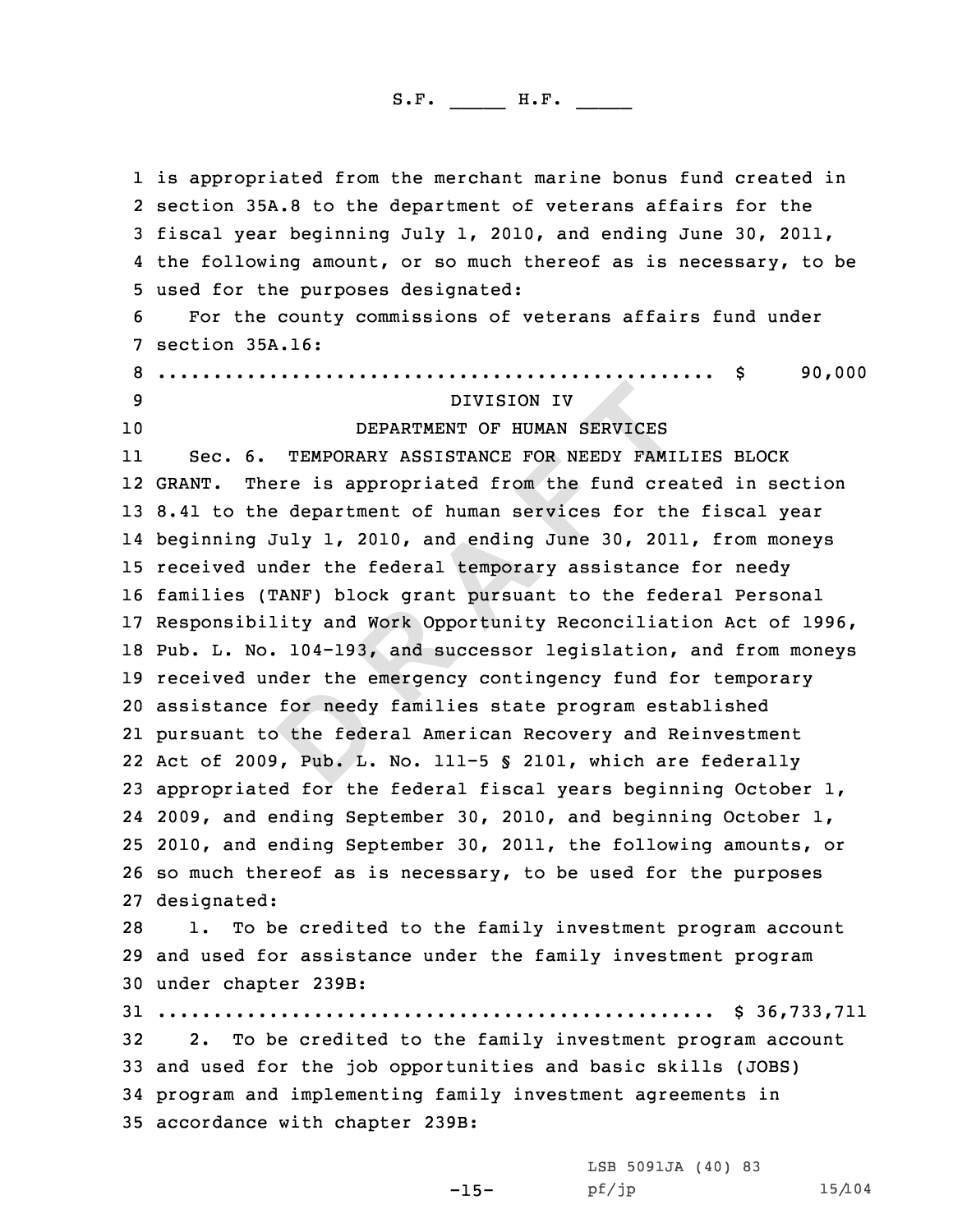DIVISION IV<br>DEPARTMENT OF HUMAN SERVICES<br>TEMPORARY ASSISTANCE FOR NEEDY FAMI<br>Pre is appropriated from the fund cree:<br>department of human services for the<br>Iuly 1, 2010, and ending June 30, 2011<br>nder the federal temporary as 1 is appropriated from the merchant marine bonus fund created in<br>2 section 35A.8 to the department of veterans affairs for the 2 section 35A.8 to the department of veterans affairs for the<br>3 fiscal year beginning July 1, 2010, and ending June 30, 2011,<br>4 the following amount, or so much thereof as is necessary, to be the following amount, or so much thereof as is necessary, to be <sup>5</sup> used for the purposes designated: <sup>6</sup> For the county commissions of veterans affairs fund under <sup>7</sup> section 35A.16: <sup>8</sup> .................................................. \$ 90,000 <sup>9</sup> DIVISION IV DEPARTMENT OF HUMAN SERVICES 11 Sec. 6. TEMPORARY ASSISTANCE FOR NEEDY FAMILIES BLOCK GRANT. There is appropriated from the fund created in section 8.41 to the department of human services for the fiscal year beginning July 1, 2010, and ending June 30, 2011, from moneys received under the federal temporary assistance for needy families (TANF) block grant pursuant to the federal Personal Responsibility and Work Opportunity Reconciliation Act of 1996, Pub. L. No. 104-193, and successor legislation, and from moneys received under the emergency contingency fund for temporary assistance for needy families state program established pursuant to the federal American Recovery and Reinvestment Act of 2009, Pub. L. No. 111-5 § 2101, which are federally appropriated for the federal fiscal years beginning October 1, 2009, and ending September 30, 2010, and beginning October 1, 2010, and ending September 30, 2011, the following amounts, or so much thereof as is necessary, to be used for the purposes designated: 1. To be credited to the family investment program account and used for assistance under the family investment program under chapter 239B: .................................................. \$ 36,733,711 2. To be credited to the family investment program account and used for the job opportunities and basic skills (JOBS) program and implementing family investment agreements in accordance with chapter 239B:

-15-

LSB 5091JA (40) 83<br>pf/jp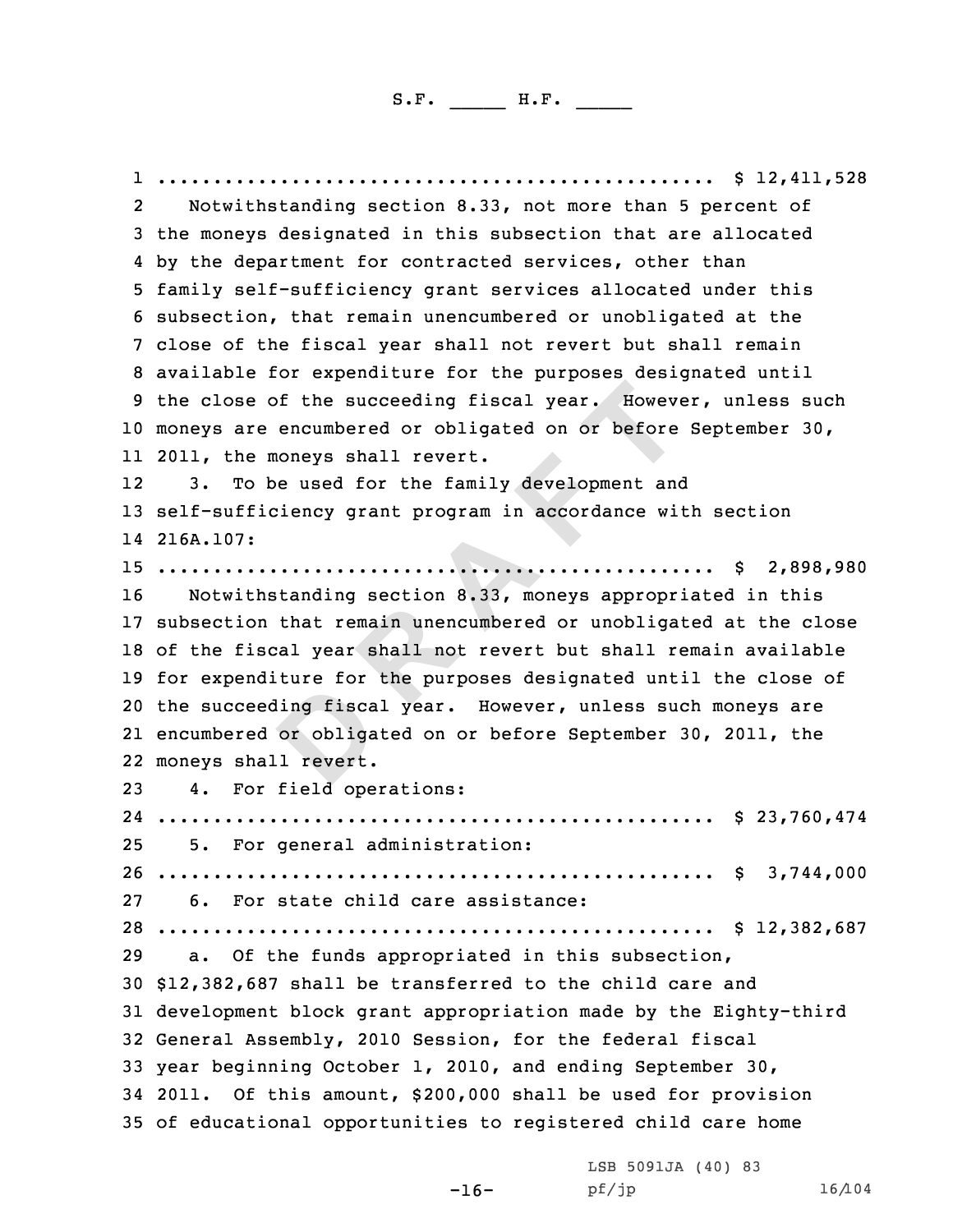**P EXECUTE THE TERN FORMATION**<br> **D EXECUTE:**<br> **D EXECUTE:**<br> **D EXECUTE:**<br> **D EXECUTE:**<br> **D EXECUTE:**<br> **D EXECUTE:**<br> **D EXECUTE:**<br> **D EXECUTE:**<br> **D EXECUTE:**<br> **D EXECUTE:**<br> **D EXECUTE:**<br> **D EXECUTE** 1 .................................................. \$ 12,411,528 23 the moneys designated in this subsection that are allocated<br>4 by the department for contracted services, other than 4 by the department for contracted services, other than<br>5 family self-sufficiency grant services allocated under this<br>6 subsection, that remain unencumbered or unobligated at the<br>7 close of the fiscal year shall not revert moneys are encumbered or obligated on or before September 30, 2011, the moneys shall revert. 12 3. To be used for the family development and self-sufficiency grant program in accordance with section 216A.107: .................................................. \$ 2,898,980 Notwithstanding section 8.33, moneys appropriated in this subsection that remain unencumbered or unobligated at the close of the fiscal year shall not revert but shall remain available for expenditure for the purposes designated until the close of the succeeding fiscal year. However, unless such moneys are encumbered or obligated on or before September 30, 2011, the moneys shall revert. 4. For field operations: .................................................. \$ 23,760,474 5. For general administration: .................................................. \$ 3,744,000 6. For state child care assistance: .................................................. \$ 12,382,687 a. Of the funds appropriated in this subsection, \$12,382,687 shall be transferred to the child care and development block grant appropriation made by the Eighty-third General Assembly, <sup>2010</sup> Session, for the federal fiscal year beginning October 1, 2010, and ending September 30, 2011. Of this amount, \$200,000 shall be used for provision of educational opportunities to registered child care home

> -16- LSB 5091JA (40) 83<br>pf/jp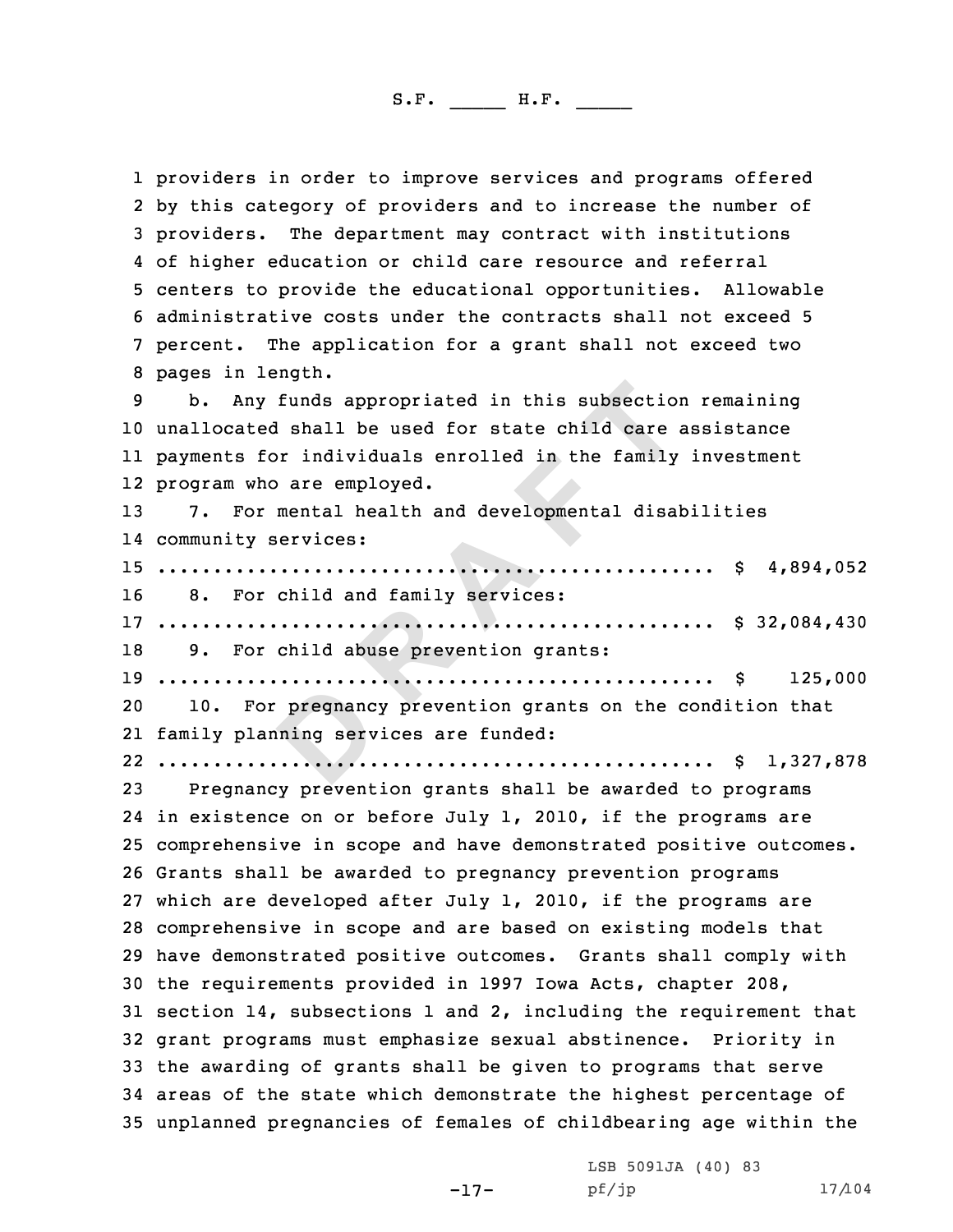**Funds appropriated in this subsection**<br> **C EXECUTE:**<br> **EXECUTE:**<br> **EXECUTE:**<br> **EXECUTE:**<br> **EXECUTE:**<br> **EXECUTE:**<br> **EXECUTE:**<br> **EXECUTE:**<br> **CA**<br> **CA**<br> **CA**<br> **CA**<br> **EXECUTE:**<br> **CA**<br> **CA**<br> **EXECUTE:**<br> **CA**<br> **CA**<br> **CA**<br> **CA** 1 providers in order to improve services and programs offered 2 by this category of providers and to increase the number of 3 providers. The department may contract with institutions<br>4 of higher education or child care resource and referral 4 of higher education or child care resource and referral<br>5 centers to provide the educational opportunities. Allowable<br>6 administrative costs under the contracts shall not exceed 5<br>7 percent. The application for a grant s unallocated shall be used for state child care assistance payments for individuals enrolled in the family investment program who are employed. 7. For mental health and developmental disabilities community services: .................................................. \$ 4,894,052 8. For child and family services: .................................................. \$ 32,084,430 9. For child abuse prevention grants: .................................................. \$ 125,000 10. For pregnancy prevention grants on the condition that family planning services are funded: .................................................. \$ 1,327,878 Pregnancy prevention grants shall be awarded to programs in existence on or before July 1, 2010, if the programs are comprehensive in scope and have demonstrated positive outcomes. Grants shall be awarded to pregnancy prevention programs which are developed after July 1, 2010, if the programs are comprehensive in scope and are based on existing models that have demonstrated positive outcomes. Grants shall comply with the requirements provided in <sup>1997</sup> Iowa Acts, chapter 208, section 14, subsections <sup>1</sup> and 2, including the requirement that grant programs must emphasize sexual abstinence. Priority in the awarding of grants shall be given to programs that serve areas of the state which demonstrate the highest percentage of unplanned pregnancies of females of childbearing age within the

> $-17-$  pf/jp LSB 5091JA (40) <sup>83</sup>

pf/jp 17/104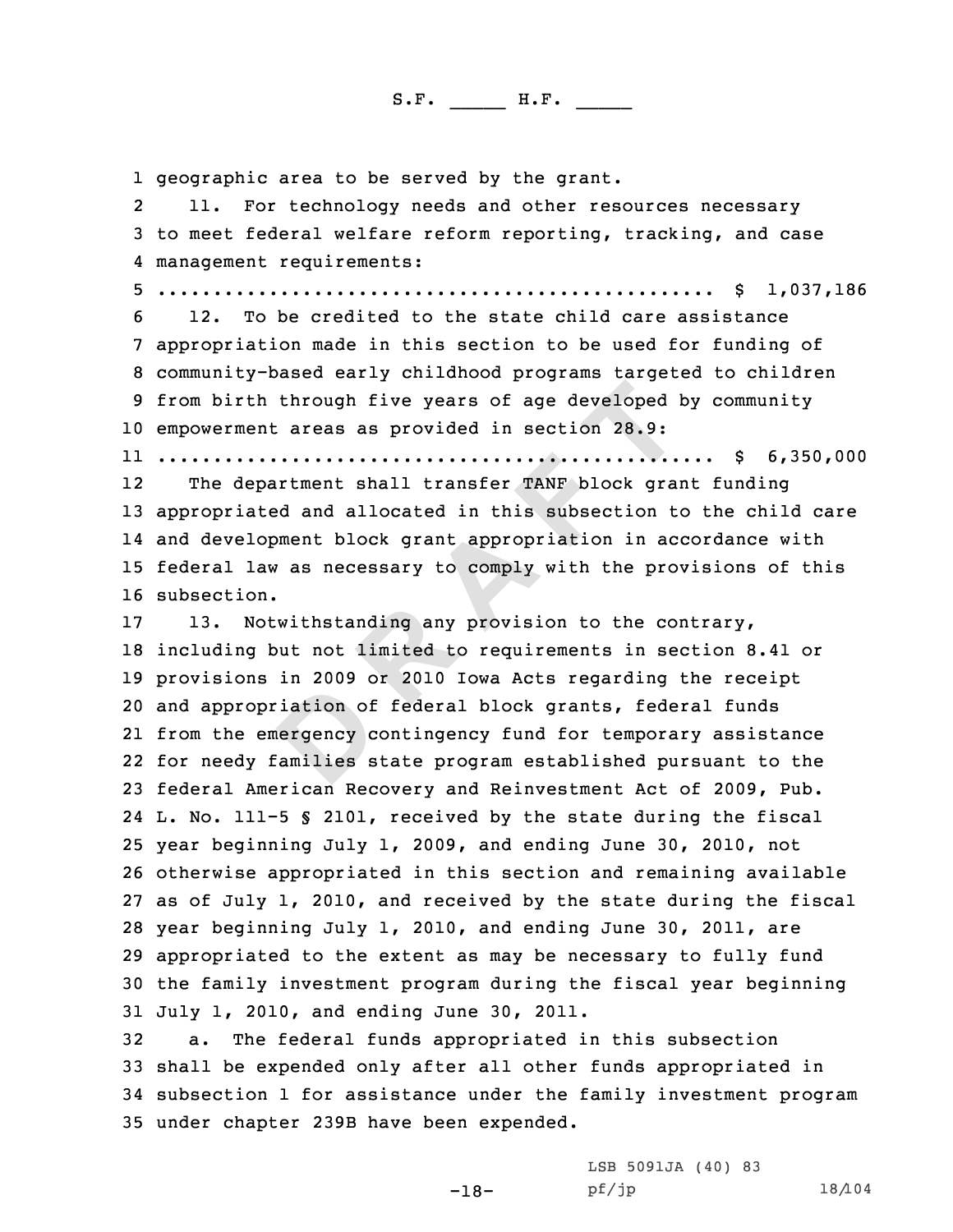1 geographic area to be served by the grant.<br>2 11. For technology needs and other res

11. For technology needs and other resources necessary<br>3 to meet federal welfare reform reporting, tracking, and case<br>4 management requirements:

 management requirements: <sup>5</sup> .................................................. \$ 1,037,186 <sup>6</sup> 12. To be credited to the state child care assistance <sup>7</sup> appropriation made in this section to be used for funding of <sup>8</sup> community-based early childhood programs targeted to children <sup>9</sup> from birth through five years of age developed by community <sup>10</sup> empowerment areas as provided in section 28.9:

11 .................................................. \$ 6,350,000

12 The department shall transfer TANF block grant funding appropriated and allocated in this subsection to the child care and development block grant appropriation in accordance with federal law as necessary to comply with the provisions of this subsection.

**Example 1 Example 1 Example 1 Example 1 Example 1 Example 1 Example 1 Example 1 CONFORM EXAMP DOCK grant and allocated in this subsection to ment block grant appropriation in action as necessary to compl**  13. Notwithstanding any provision to the contrary, including but not limited to requirements in section 8.41 or provisions in <sup>2009</sup> or <sup>2010</sup> Iowa Acts regarding the receipt and appropriation of federal block grants, federal funds from the emergency contingency fund for temporary assistance for needy families state program established pursuant to the federal American Recovery and Reinvestment Act of 2009, Pub. L. No. 111-5 § 2101, received by the state during the fiscal year beginning July 1, 2009, and ending June 30, 2010, not otherwise appropriated in this section and remaining available as of July 1, 2010, and received by the state during the fiscal year beginning July 1, 2010, and ending June 30, 2011, are appropriated to the extent as may be necessary to fully fund the family investment program during the fiscal year beginning 31 July 1, 2010, and ending June 30, 2011.<br>32 a. The federal funds appropriated i

a. The federal funds appropriated in this subsection shall be expended only after all other funds appropriated in subsection <sup>1</sup> for assistance under the family investment program under chapter 239B have been expended.

> -18- LSB 5091JA (40) 83<br>pf/jp pf/jp 18/104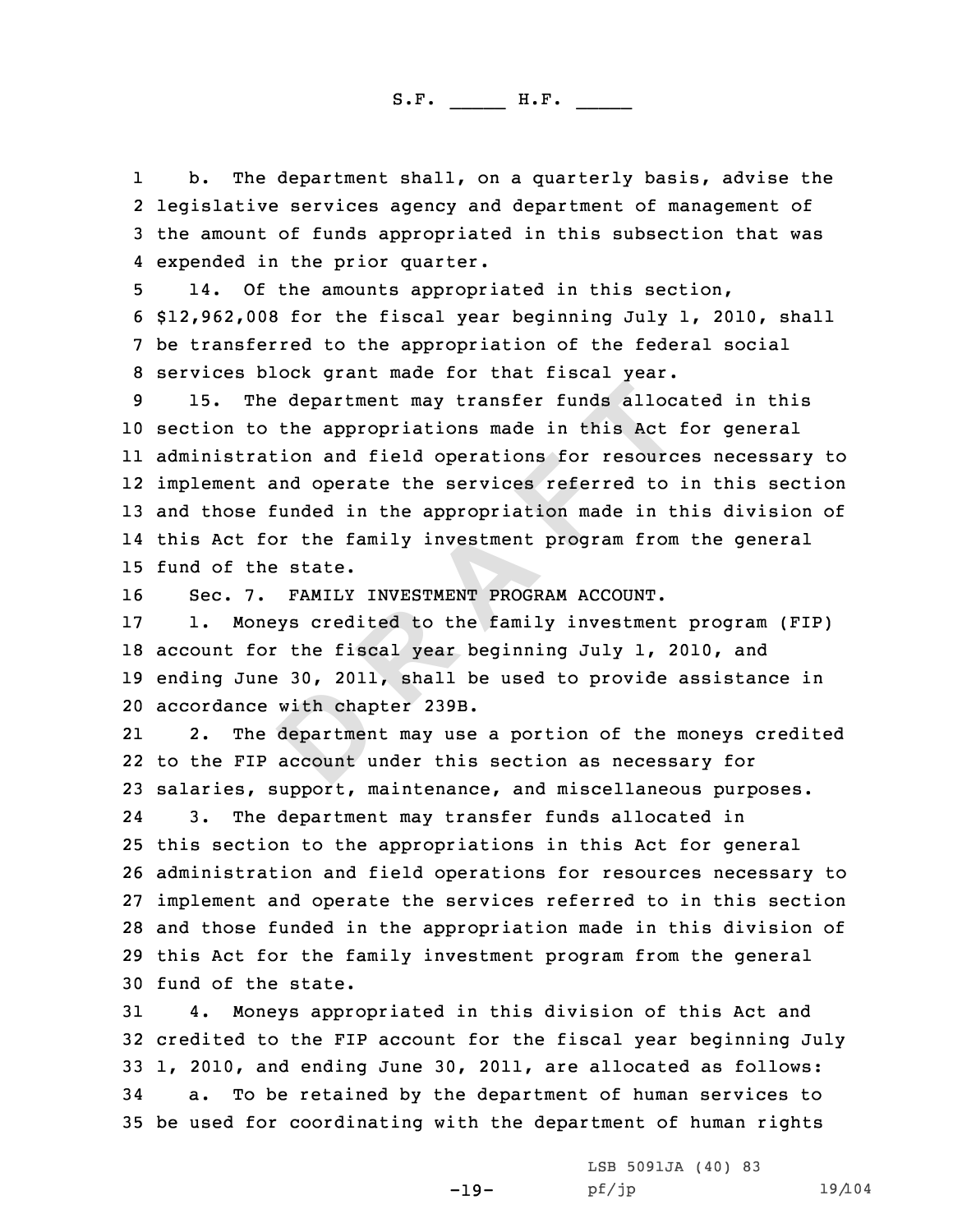11 b. The department shall, on a quarterly basis, advise the<br>2 legislative services agency and department of management of 3 the amount of funds appropriated in this subsection that was 4 expended in the prior quarter.

14. Of the amounts appropriated in this section,<br>6 \$12,962,008 for the fiscal year beginning July 1, 2010, shall<br>7 be transferred to the appropriation of the federal social<br>8 services block grant made for that fiscal year.

**D R A F T** <sup>10</sup> section to the appropriations made in this Act for general 11 administration and field operations for resources necessary to 12 implement and operate the services referred to in this section <sup>13</sup> and those funded in the appropriation made in this division of 14 this Act for the family investment program from the general 15 fund of the state.<br>16 Sec. 7. FAMILY

16 Sec. 7. FAMILY INVESTMENT PROGRAM ACCOUNT.<br>17 1. Moneys credited to the family investmen

1. Moneys credited to the family investment program (FIP) <sup>18</sup> account for the fiscal year beginning July 1, 2010, and <sup>19</sup> ending June 30, 2011, shall be used to provide assistance in 20 accordance with chapter 239B.<br>21 2. The department may use

21The department may use a portion of the moneys credited 22 to the FIP account under this section as necessary for 23 salaries, support, maintenance, and miscellaneous purposes.<br>24 3. The department may transfer funds allocated in 24The department may transfer funds allocated in <sup>25</sup> this section to the appropriations in this Act for general <sup>26</sup> administration and field operations for resources necessary to <sup>27</sup> implement and operate the services referred to in this section <sup>28</sup> and those funded in the appropriation made in this division of <sup>29</sup> this Act for the family investment program from the general 30 fund of the state.<br>31 4. Monevs appr

4. Moneys appropriated in this division of this Act and <sup>32</sup> credited to the FIP account for the fiscal year beginning July 33 1, 2010, and ending June 30, 2011, are allocated as follows:<br>34 a. To be retained by the department of human services to a. To be retained by the department of human services to <sup>35</sup> be used for coordinating with the department of human rights

-19-

LSB 5091JA (40) 83<br>pf/jp

pf/jp 19/104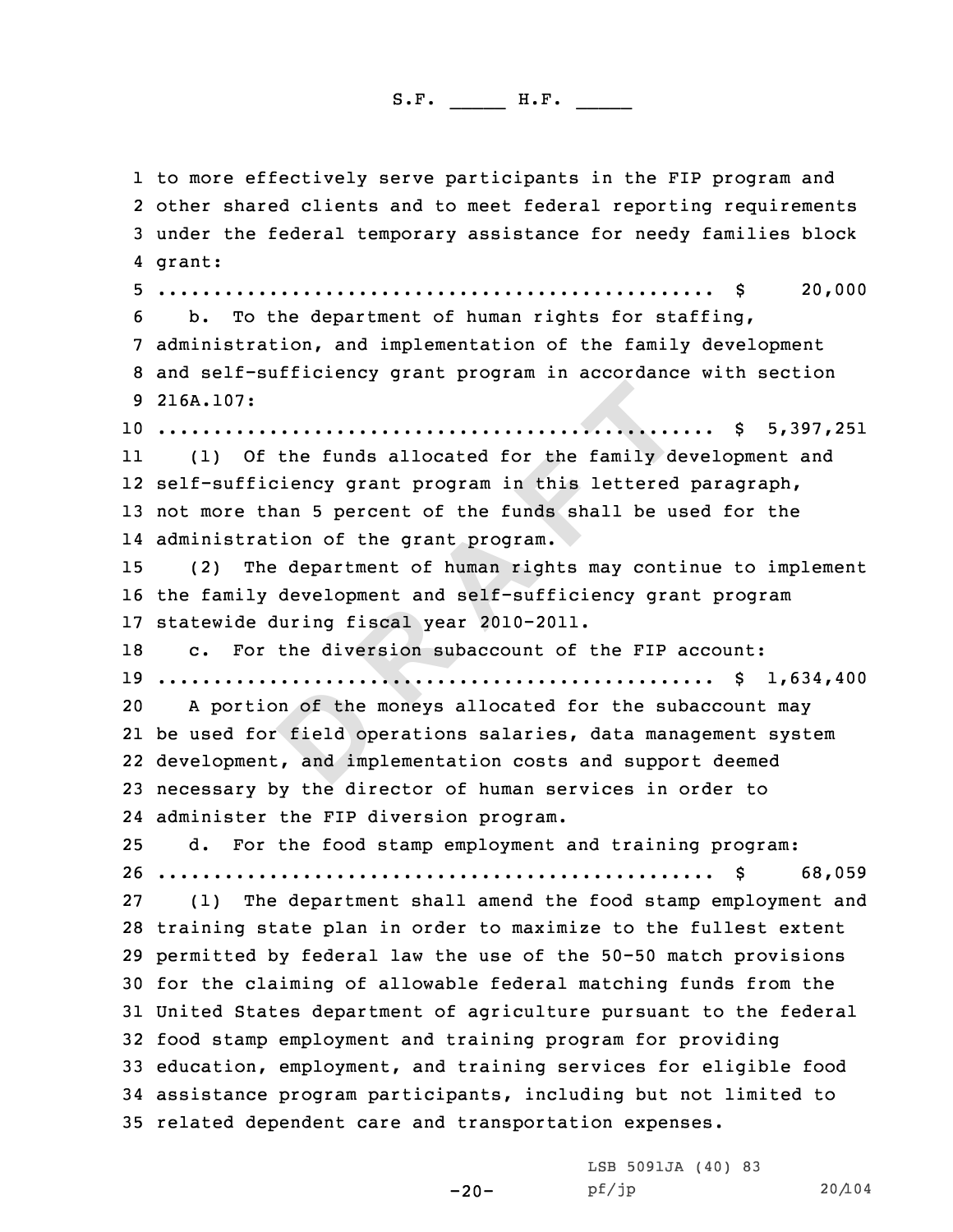**Example 19 and 19 and 19 and 19 and 19 and 19 and 19 and 19 and 19 and 19 and 19 and 19 and 19 and 19 and 19 and 19 and 19 and 19 and 19 and 19 and 19 and 19 and 19 and 19 and 19 and 19 and 19 and 19 and 19 and 19 and 19** 1 to more effectively serve participants in the FIP program and<br>2 other shared clients and to meet federal reporting requiremen 2 other shared clients and to meet federal reporting requirements<br>3 under the federal temporary assistance for needy families block<br>4 grant: grant:45 .................................................. \$ 20,000 <sup>6</sup> b. To the department of human rights for staffing, <sup>7</sup> administration, and implementation of the family development <sup>8</sup> and self-sufficiency grant program in accordance with section <sup>9</sup> 216A.107: .................................................. \$ 5,397,251 11 (1) Of the funds allocated for the family development and self-sufficiency grant program in this lettered paragraph, not more than <sup>5</sup> percent of the funds shall be used for the administration of the grant program. (2) The department of human rights may continue to implement the family development and self-sufficiency grant program 17 statewide during fiscal year 2010-2011.<br>18 C. For the diversion subaccount of c. For the diversion subaccount of the FIP account: .................................................. \$ 1,634,400 A portion of the moneys allocated for the subaccount may be used for field operations salaries, data management system development, and implementation costs and support deemed necessary by the director of human services in order to administer the FIP diversion program. d. For the food stamp employment and training program: .................................................. \$ 68,059 (1) The department shall amend the food stamp employment and training state plan in order to maximize to the fullest extent permitted by federal law the use of the 50-50 match provisions for the claiming of allowable federal matching funds from the United States department of agriculture pursuant to the federal food stamp employment and training program for providing education, employment, and training services for eligible food assistance program participants, including but not limited to related dependent care and transportation expenses.

> LSB 5091JA (40) 83<br>pf/jp pf/jp 20/104

-20-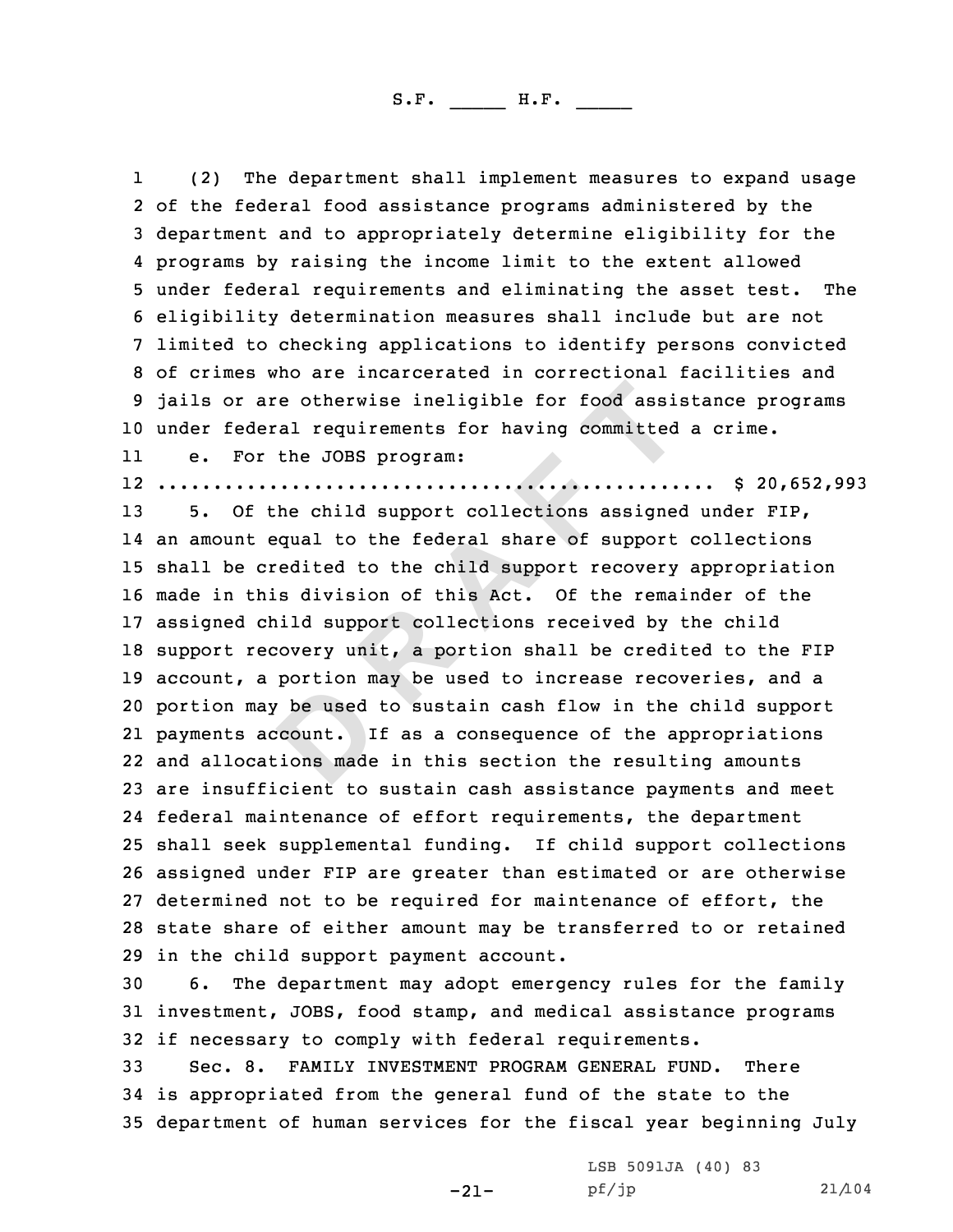11 (2) The department shall implement measures to expand usage<br>2 of the federal food assistance programs administered by the 3 department and to appropriately determine eligibility for the<br>4 programs by raising the income limit to the extent allowed 4 programs by raising the income limit to the extent allowed<br>5 under federal requirements and eliminating the asset test. The<br>6 eligibility determination measures shall include but are not<br>7 limited to checking application <sup>10</sup> under federal requirements for having committed <sup>a</sup> crime.

11e. For the JOBS program:

12 .................................................. \$ 20,652,993

**Example 10 Example 10 COM COM COM COM COM COM COM COM COM CODES CODES CODES CODES CONES CONES CONES CONES CONES CONES CONES CONES CONES CONES CONES CONES CONES CONES** 13 5. Of the child support collections assigned under FIP, an amount equal to the federal share of support collections shall be credited to the child support recovery appropriation made in this division of this Act. Of the remainder of the assigned child support collections received by the child support recovery unit, <sup>a</sup> portion shall be credited to the FIP 19 account, a portion may be used to increase recoveries, and a portion may be used to sustain cash flow in the child support payments account. If as <sup>a</sup> consequence of the appropriations and allocations made in this section the resulting amounts are insufficient to sustain cash assistance payments and meet federal maintenance of effort requirements, the department shall seek supplemental funding. If child support collections assigned under FIP are greater than estimated or are otherwise determined not to be required for maintenance of effort, the state share of either amount may be transferred to or retained 29 in the child support payment account.<br>30 6. The department may adopt emerg

The department may adopt emergency rules for the family <sup>31</sup> investment, JOBS, food stamp, and medical assistance programs 32 if necessary to comply with federal requirements.<br>33 Sec. 8. FAMILY INVESTMENT PROGRAM GENERAL FUN

FAMILY INVESTMENT PROGRAM GENERAL FUND. There <sup>34</sup> is appropriated from the general fund of the state to the <sup>35</sup> department of human services for the fiscal year beginning July

-21-

LSB 5091JA (40) 83<br>pf/jp

pf/jp 21/104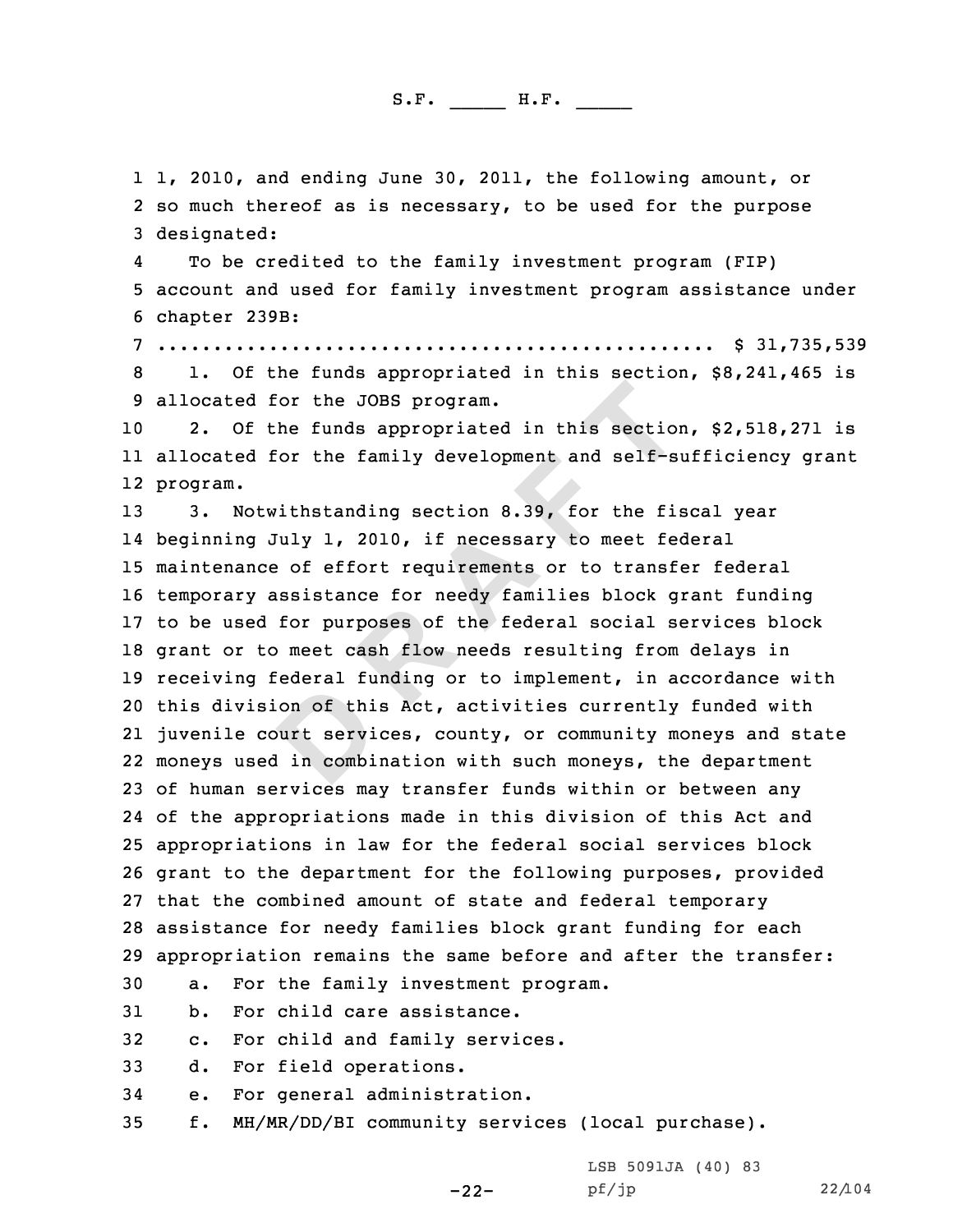1 1, 2010, and ending June 30, 2011, the following amount, or<br>2 so much thereof as is necessary, to be used for the purpose 2 so much thereof as is necessary, to be used for the purpose<br>3 designated:

4To be credited to the family investment program (FIP) <sup>5</sup> account and used for family investment program assistance under <sup>6</sup> chapter 239B: <sup>7</sup> .................................................. \$ 31,735,539 <sup>8</sup> 1. Of the funds appropriated in this section, \$8,241,465 is <sup>9</sup> allocated for the JOBS program.

2. Of the funds appropriated in this section, \$2,518,271 is 11 allocated for the family development and self-sufficiency grant 12 program.

For the JOBS program.<br>
The funds appropriated in this section<br>
Dor the family development and self-s<br>
<br> **D EPPE 11 THE EVALUATE:**<br> **D EPPE 11 THE 11 THE 11:**<br> **D EPPE 11 THE 11:**<br> **D EPPE 11:**<br> **EPPE 11:**<br> **EPPE 11**  3. Notwithstanding section 8.39, for the fiscal year beginning July 1, 2010, if necessary to meet federal maintenance of effort requirements or to transfer federal temporary assistance for needy families block grant funding to be used for purposes of the federal social services block grant or to meet cash flow needs resulting from delays in receiving federal funding or to implement, in accordance with this division of this Act, activities currently funded with juvenile court services, county, or community moneys and state moneys used in combination with such moneys, the department of human services may transfer funds within or between any of the appropriations made in this division of this Act and appropriations in law for the federal social services block grant to the department for the following purposes, provided that the combined amount of state and federal temporary assistance for needy families block grant funding for each 29 appropriation remains the same before and after the transfer:<br>30 a. For the family investment program.

30 a. For the family investment program.<br>31 b. For child care assistance.

31 b. For child care assistance.<br>32 c. For child and family servi

32 c. For child and family services.<br>33 d. For field operations.

33 d. For field operations.<br>34 e. For general administr

34 e. For general administration.<br>35 f. MH/MR/DD/BI community servi

<sup>35</sup> f. MH/MR/DD/BI community services (local purchase).

-22-

LSB 5091JA (40) 83<br>pf/jp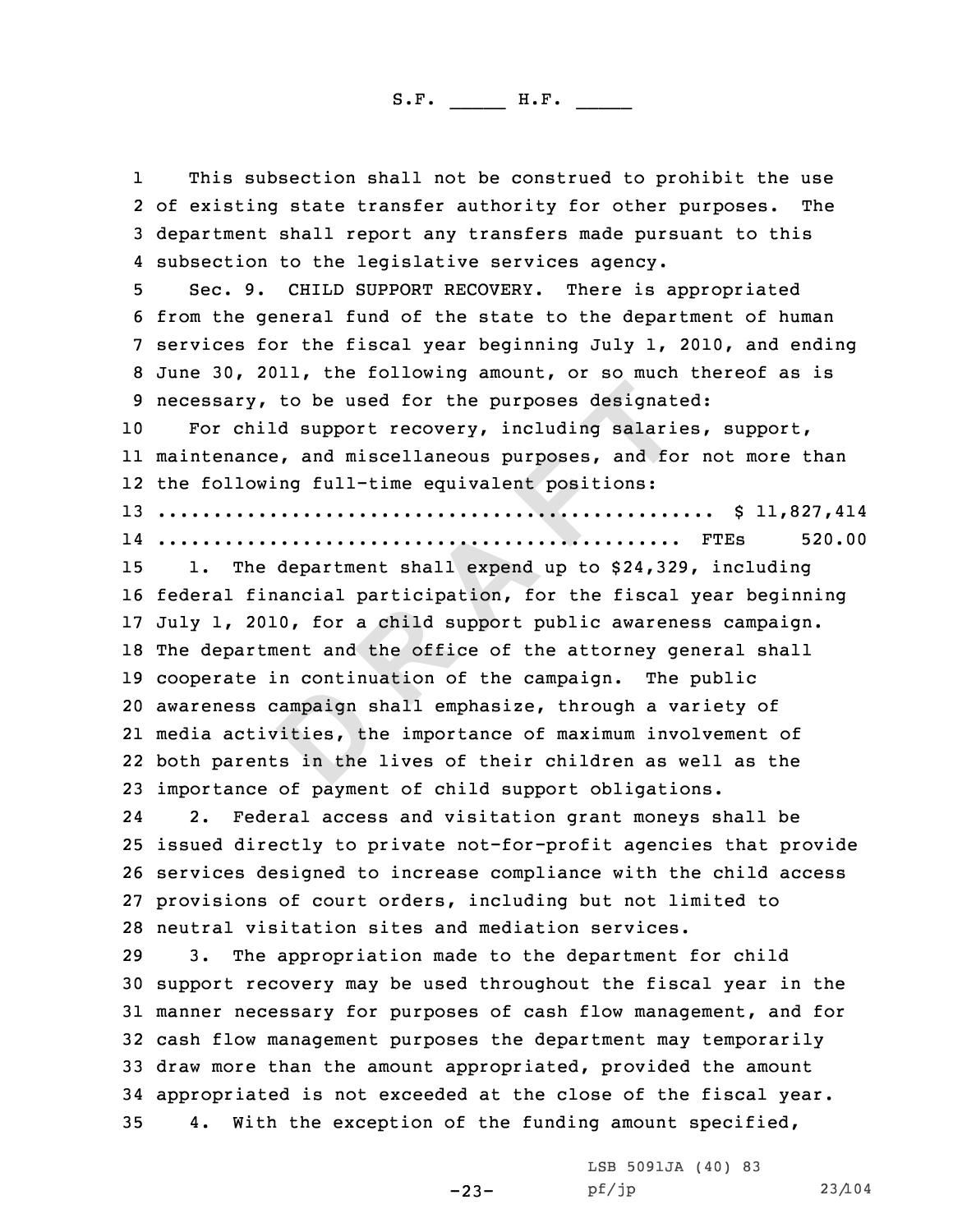1I This subsection shall not be construed to prohibit the use<br>2 of existing state transfer authority for other purposes. The 3 department shall report any transfers made pursuant to this<br>4 subsection to the legislative services agency.

5 Sec. 9. CHILD SUPPORT RECOVERY. There is appropriated<br>6 from the general fund of the state to the department of human<br>7 services for the fiscal year beginning July 1, 2010, and ending<br>8 June 30, 2011, the following amoun

For child support recovery, including salaries, support, 11 maintenance, and miscellaneous purposes, and for not more than 12 the following full-time equivalent positions:

<sup>13</sup> .................................................. \$ 11,827,414

14 ............................................... FTEs 520.00

**d D EXECTS EXECTS EXECTS CONTING SET AND <b>EXECUTE: P EXECUTE: CONTING SET A EXECUTE: CONTING SET A CONTING SET A CONTING SET A CONTING SET A CONTING SET A CONTING SET A CONTING SET A CONT**  1. The department shall expend up to \$24,329, including federal financial participation, for the fiscal year beginning July 1, 2010, for <sup>a</sup> child support public awareness campaign. The department and the office of the attorney general shall cooperate in continuation of the campaign. The public awareness campaign shall emphasize, through <sup>a</sup> variety of media activities, the importance of maximum involvement of both parents in the lives of their children as well as the 23 importance of payment of child support obligations.<br>24 2. Federal access and visitation grant monevs s

24Federal access and visitation grant moneys shall be <sup>25</sup> issued directly to private not-for-profit agencies that provide <sup>26</sup> services designed to increase compliance with the child access <sup>27</sup> provisions of court orders, including but not limited to 28 neutral visitation sites and mediation services.<br>29 3. The appropriation made to the department

The appropriation made to the department for child <sup>30</sup> support recovery may be used throughout the fiscal year in the <sup>31</sup> manner necessary for purposes of cash flow management, and for <sup>32</sup> cash flow management purposes the department may temporarily <sup>33</sup> draw more than the amount appropriated, provided the amount 34 appropriated is not exceeded at the close of the fiscal year.<br>35 4. With the exception of the funding amount specified, 4. With the exception of the funding amount specified,

-23-

LSB 5091JA (40) 83<br>pf/jp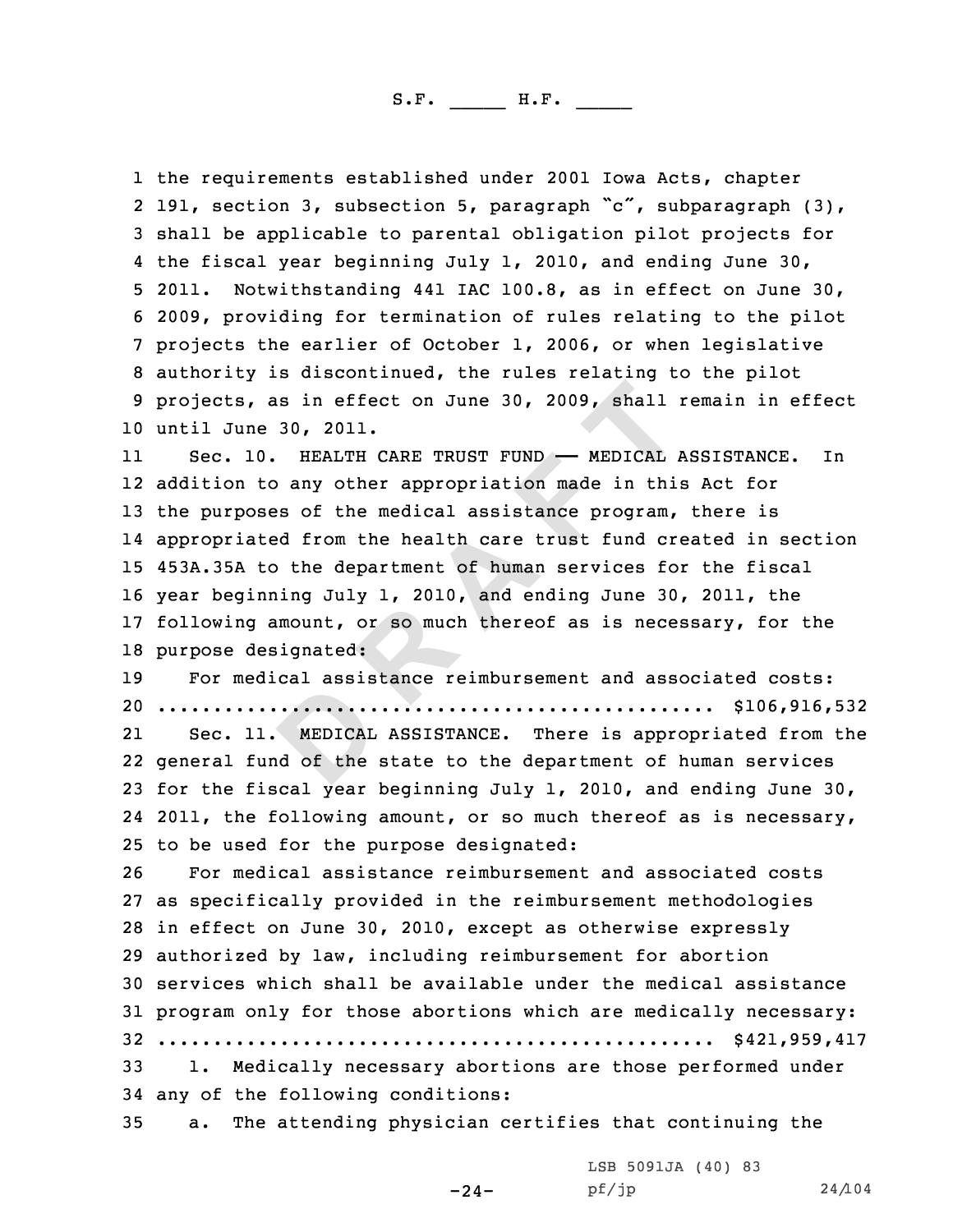1 the requirements established under 2001 Iowa Acts, chapter 2 191, section 3, subsection 5, paragraph "c", subparagraph  $(3)$ , 3 shall be applicable to parental obligation pilot projects for<br>4 the fiscal year beginning July 1, 2010, and ending June 30, 5 2011. Notwithstanding 441 IAC 100.8, as in effect on June 30,<br>6 2009, providing for termination of rules relating to the pilot<br>7 projects the earlier of October 1, 2006, or when legislative<br>8 authority is discontinued, t <sup>10</sup> until June 30, 2011.

**Solutionary** and  $\overline{AB}$  **COLOFITY (ARE TRUST FUND**  $\rightarrow$  MEDICAL *1*<br> **D** any other appropriation made in this<br> **D** any other appropriation made in this<br> **EXECUTE 1**<br> **EXECUTE ARE TRUST FUND**  $\rightarrow$  MEDICAL *1*<br> **D** any ot 11Sec. 10. HEALTH CARE TRUST FUND - MEDICAL ASSISTANCE. In 12 addition to any other appropriation made in this Act for <sup>13</sup> the purposes of the medical assistance program, there is 14 appropriated from the health care trust fund created in section <sup>15</sup> 453A.35A to the department of human services for the fiscal <sup>16</sup> year beginning July 1, 2010, and ending June 30, 2011, the <sup>17</sup> following amount, or so much thereof as is necessary, for the 18 purpose designated:<br>19 For medical assis

For medical assistance reimbursement and associated costs: <sup>20</sup> .................................................. \$106,916,532 21 Sec. 11. MEDICAL ASSISTANCE. There is appropriated from the 22 general fund of the state to the department of human services <sup>23</sup> for the fiscal year beginning July 1, 2010, and ending June 30, 24 2011, the following amount, or so much thereof as is necessary,

25 to be used for the purpose designated:<br>26 For medical assistance reimbursemen

For medical assistance reimbursement and associated costs as specifically provided in the reimbursement methodologies in effect on June 30, 2010, except as otherwise expressly authorized by law, including reimbursement for abortion services which shall be available under the medical assistance program only for those abortions which are medically necessary: .................................................. \$421,959,417 1. Medically necessary abortions are those performed under 34 any of the following conditions:<br>35 a. The attending physician  $\mathbf{c}$ 

a. The attending physician certifies that continuing the

LSB 5091JA (40) 83<br>pf/jp

pf/jp 24/104

-24-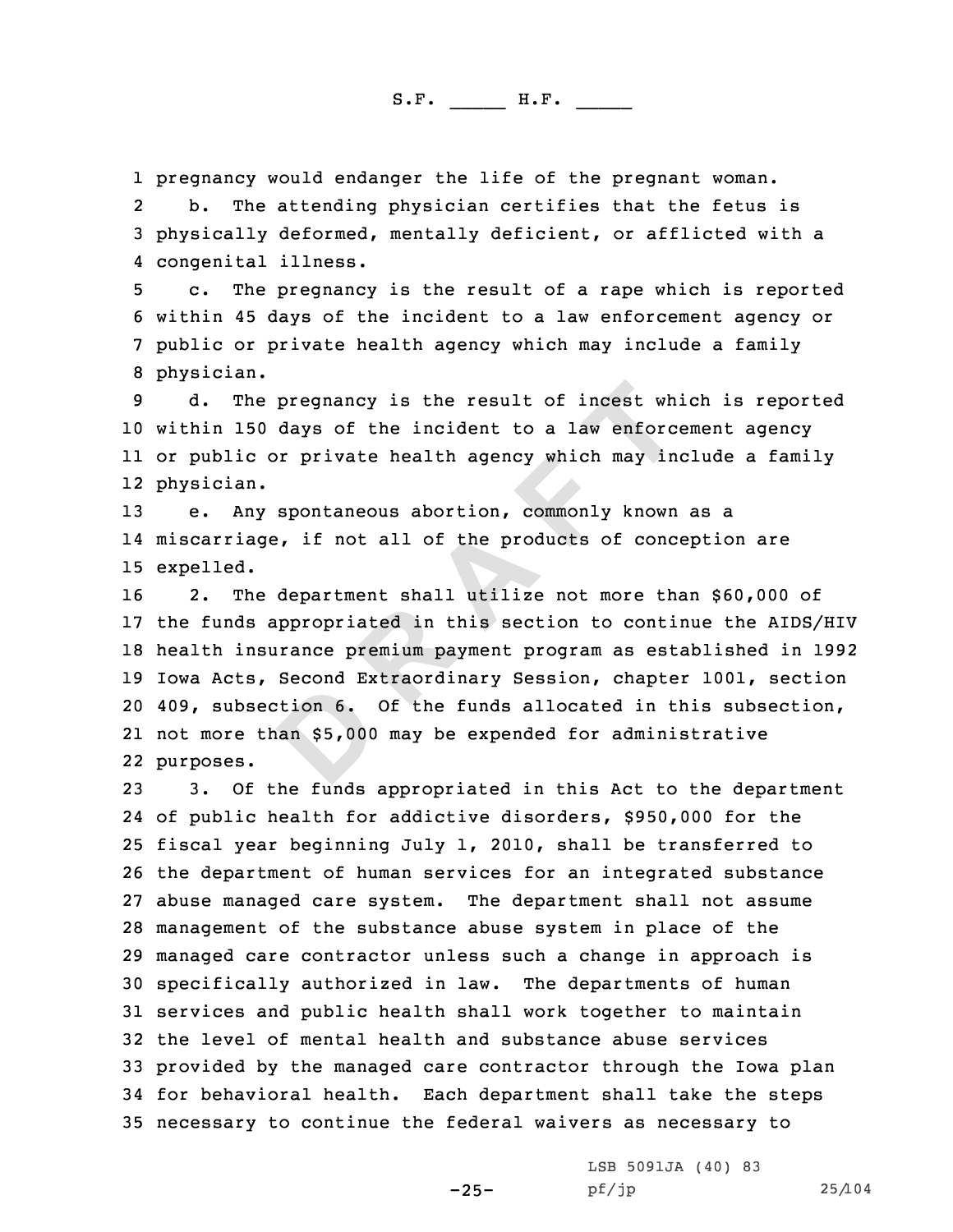1 pregnancy would endanger the life of the pregnant woman.<br>2 b. The attending physician certifies that the fetus

b. The attending physician certifies that the fetus is<br>3 physically deformed, mentally deficient, or afflicted with a<br>4 congenital illness.

5 c. The pregnancy is the result of a rape which is reported 6 within 45 days of the incident to a law enforcement agency or 7 public or private health agency which may include a family 8 physician.

 d. The pregnancy is the result of incest which is reported within <sup>150</sup> days of the incident to <sup>a</sup> law enforcement agency or public or private health agency which may include <sup>a</sup> family physician.

<sup>13</sup> e. Any spontaneous abortion, commonly known as <sup>a</sup> 14 miscarriage, if not all of the products of conception are 15 expelled.

pregnancy is the result of incest which<br>days of the incident to a law enforce<br>or private health agency which may in<br>spontaneous abortion, commonly known<br>, if not all of the products of conce<br>department shall utilize not mo 2. The department shall utilize not more than \$60,000 of the funds appropriated in this section to continue the AIDS/HIV health insurance premium payment program as established in <sup>1992</sup> Iowa Acts, Second Extraordinary Session, chapter 1001, section 409, subsection 6. Of the funds allocated in this subsection, not more than \$5,000 may be expended for administrative purposes.

 3. Of the funds appropriated in this Act to the department of public health for addictive disorders, \$950,000 for the fiscal year beginning July 1, 2010, shall be transferred to the department of human services for an integrated substance abuse managed care system. The department shall not assume management of the substance abuse system in place of the managed care contractor unless such <sup>a</sup> change in approach is specifically authorized in law. The departments of human services and public health shall work together to maintain the level of mental health and substance abuse services provided by the managed care contractor through the Iowa plan for behavioral health. Each department shall take the steps necessary to continue the federal waivers as necessary to

-25-

LSB 5091JA (40) 83<br>pf/jp

pf/jp 25/104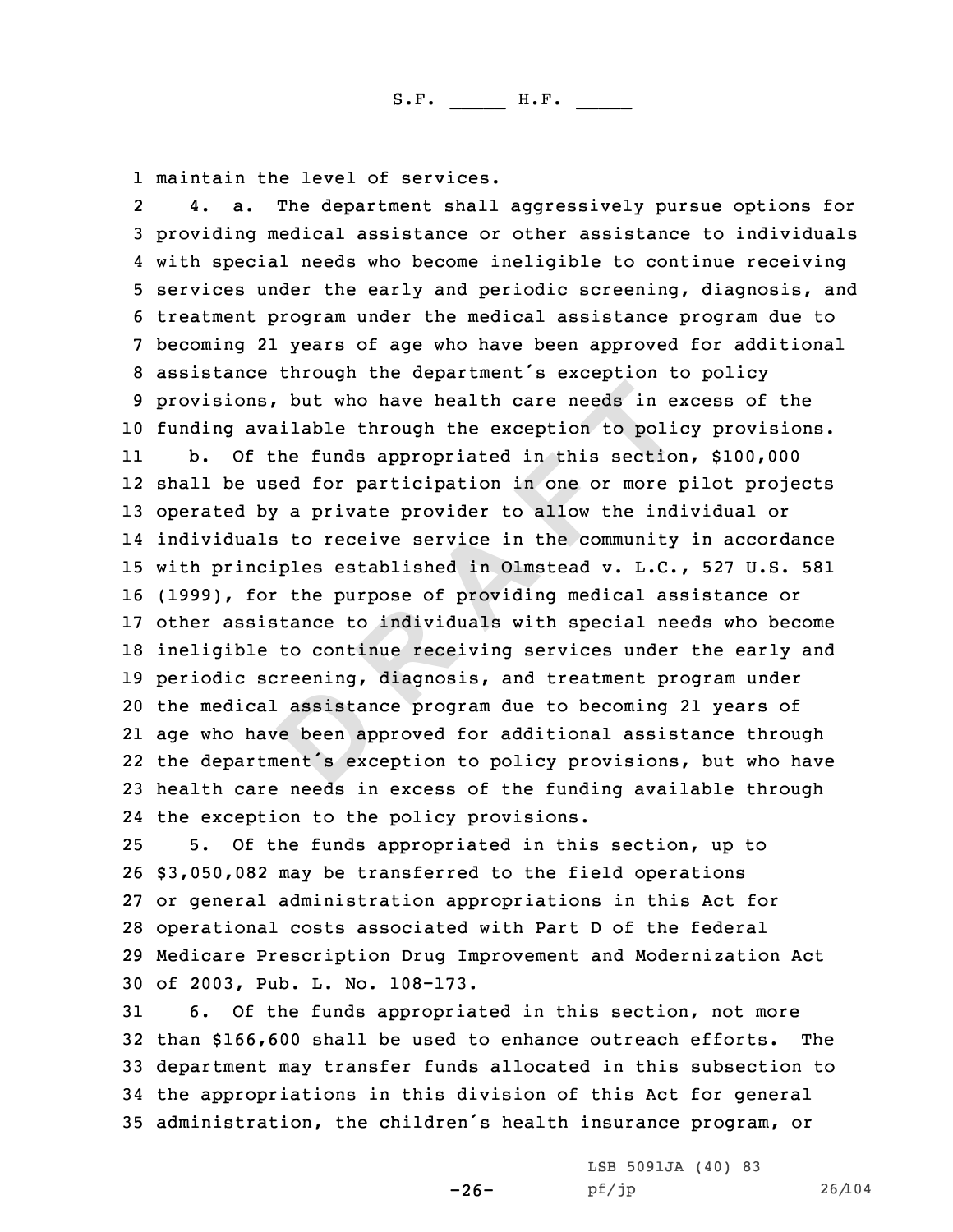**D R A F T** 1 maintain the level of services.<br>2 4. a. The department shall 4. a. The department shall aggressively pursue options for<br>3 providing medical assistance or other assistance to individuals<br>4 with special needs who become ineligible to continue receiving 4 with special needs who become ineligible to continue receiving<br>5 services under the early and periodic screening, diagnosis, and<br>6 treatment program under the medical assistance program due to<br>7 becoming 21 years of age funding available through the exception to policy provisions. 11 b. Of the funds appropriated in this section, \$100,000 shall be used for participation in one or more pilot projects operated by <sup>a</sup> private provider to allow the individual or individuals to receive service in the community in accordance with principles established in Olmstead v. L.C., <sup>527</sup> U.S. <sup>581</sup> (1999), for the purpose of providing medical assistance or other assistance to individuals with special needs who become ineligible to continue receiving services under the early and periodic screening, diagnosis, and treatment program under the medical assistance program due to becoming <sup>21</sup> years of age who have been approved for additional assistance through the department's exception to policy provisions, but who have health care needs in excess of the funding available through the exception to the policy provisions.

 5. Of the funds appropriated in this section, up to \$3,050,082 may be transferred to the field operations or general administration appropriations in this Act for operational costs associated with Part <sup>D</sup> of the federal Medicare Prescription Drug Improvement and Modernization Act of 2003, Pub. L. No. 108-173.

6. Of the funds appropriated in this section, not more<br>n \$166.600 shall be used to enhance outreach efforts. The 32 than \$166,600 shall be used to enhance outreach efforts. <sup>33</sup> department may transfer funds allocated in this subsection to <sup>34</sup> the appropriations in this division of this Act for general <sup>35</sup> administration, the children's health insurance program, or

-26-

LSB 5091JA (40) <sup>83</sup>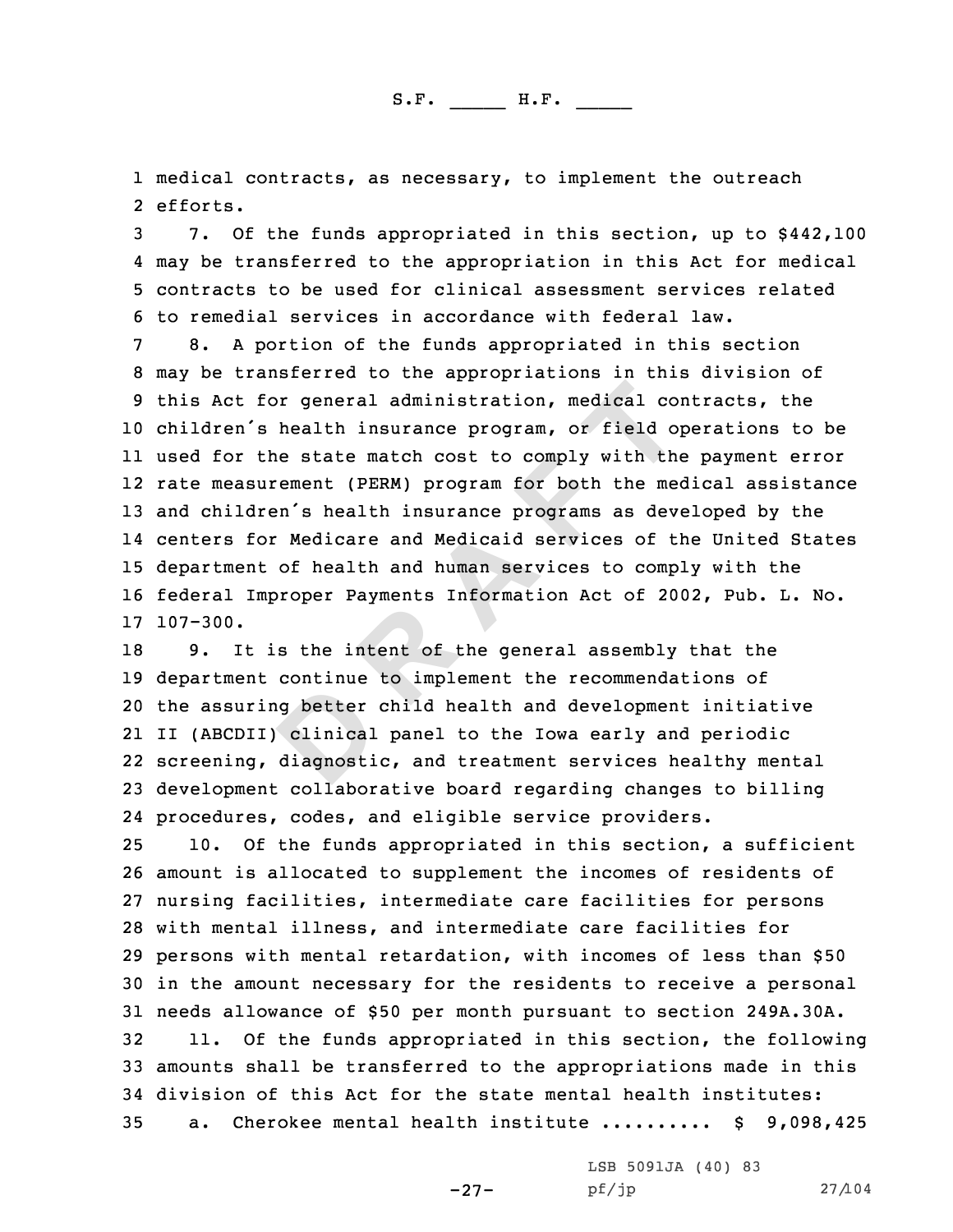1 medical contracts, as necessary, to implement the outreach<br>2 efforts. 2 efforts.

3 7. Of the funds appropriated in this section, up to \$442,100<br>4 may be transferred to the appropriation in this Act for medical

or general administration, medical comparison in the state match cost to comply with the ement (PERM) program for both the menn's health insurance programs as deveral in the menn's health insurance programs as deveral of t 4 may be transferred to the appropriation in this Act for medical<br>5 contracts to be used for clinical assessment services related<br>6 to remedial services in accordance with federal law.<br>7 8. A portion of the funds appropria children's health insurance program, or field operations to be used for the state match cost to comply with the payment error rate measurement (PERM) program for both the medical assistance and children's health insurance programs as developed by the centers for Medicare and Medicaid services of the United States department of health and human services to comply with the federal Improper Payments Information Act of 2002, Pub. L. No. 17 107-300.

 9. It is the intent of the general assembly that the department continue to implement the recommendations of the assuring better child health and development initiative II (ABCDII) clinical panel to the Iowa early and periodic screening, diagnostic, and treatment services healthy mental development collaborative board regarding changes to billing procedures, codes, and eligible service providers.

 10. Of the funds appropriated in this section, <sup>a</sup> sufficient amount is allocated to supplement the incomes of residents of nursing facilities, intermediate care facilities for persons with mental illness, and intermediate care facilities for persons with mental retardation, with incomes of less than \$50 in the amount necessary for the residents to receive <sup>a</sup> personal 31 needs allowance of \$50 per month pursuant to section 249A.30A.<br>32 11. Of the funds appropriated in this section, the followi 11. Of the funds appropriated in this section, the following amounts shall be transferred to the appropriations made in this 34 division of this Act for the state mental health institutes:<br>35 a. Cherokee mental health institute ......... \$ 9,098 a. Cherokee mental health institute .......... \$ 9,098,425

-27-

LSB 5091JA (40) 83<br>pf/jp

pf/jp 27/104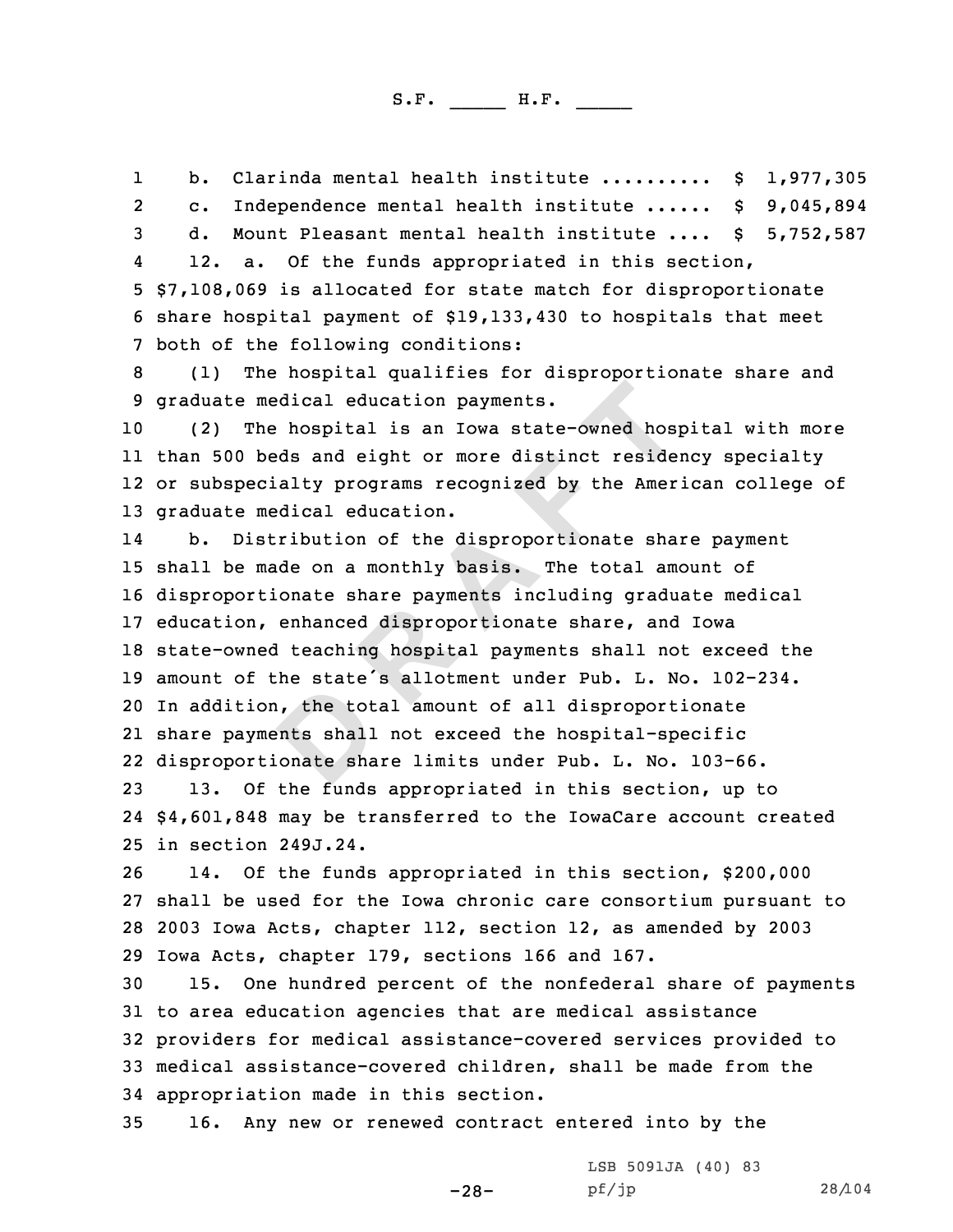1b. Clarinda mental health institute .......... \$ 1,977,305<br>2 c. Independence mental health institute ...... \$ 9,045,894 d. Mount Pleasant mental health institute .... \$ 5,752,587<br>4 12. a. Of the funds appropriated in this section, 5 \$7,108,069 is allocated for state match for disproportionate<br>6 share hospital payment of \$19,133,430 to hospitals that meet<br>7 both of the following conditions:<br>8 (1) The hospital qualifies for disproportionate share and<br>

(2) The hospital is an Iowa state-owned hospital with more than <sup>500</sup> beds and eight or more distinct residency specialty or subspecialty programs recognized by the American college of graduate medical education.

**Example 1**<br> **Example 12**<br> **Example 12**<br> **Example 12**<br> **Example 12**<br> **Example 12**<br> **Example 12**<br> **Example 12**<br> **Example 12**<br> **Example 12**<br> **Example 12**<br> **Example 12**<br> **Example 12**<br> **Example 12**<br> **Example 12**<br> **Example 12**<br> 14 b. Distribution of the disproportionate share payment shall be made on <sup>a</sup> monthly basis. The total amount of disproportionate share payments including graduate medical education, enhanced disproportionate share, and Iowa state-owned teaching hospital payments shall not exceed the amount of the state's allotment under Pub. L. No. 102-234. In addition, the total amount of all disproportionate share payments shall not exceed the hospital-specific disproportionate share limits under Pub. L. No. 103-66.

<sup>23</sup> 13. Of the funds appropriated in this section, up to 24 \$4,601,848 may be transferred to the IowaCare account created <sup>25</sup> in section 249J.24.

14. Of the funds appropriated in this section, \$200,000 <sup>27</sup> shall be used for the Iowa chronic care consortium pursuant to <sup>28</sup> <sup>2003</sup> Iowa Acts, chapter 112, section 12, as amended by <sup>2003</sup> 29 Iowa Acts, chapter 179, sections 166 and 167.<br>30 15. One hundred percent of the nonfederal

15. One hundred percent of the nonfederal share of payments <sup>31</sup> to area education agencies that are medical assistance <sup>32</sup> providers for medical assistance-covered services provided to <sup>33</sup> medical assistance-covered children, shall be made from the 34 appropriation made in this section.<br>35 16. Any new or renewed contract

-28-

16. Any new or renewed contract entered into by the

LSB 5091JA (40) 83<br>pf/jp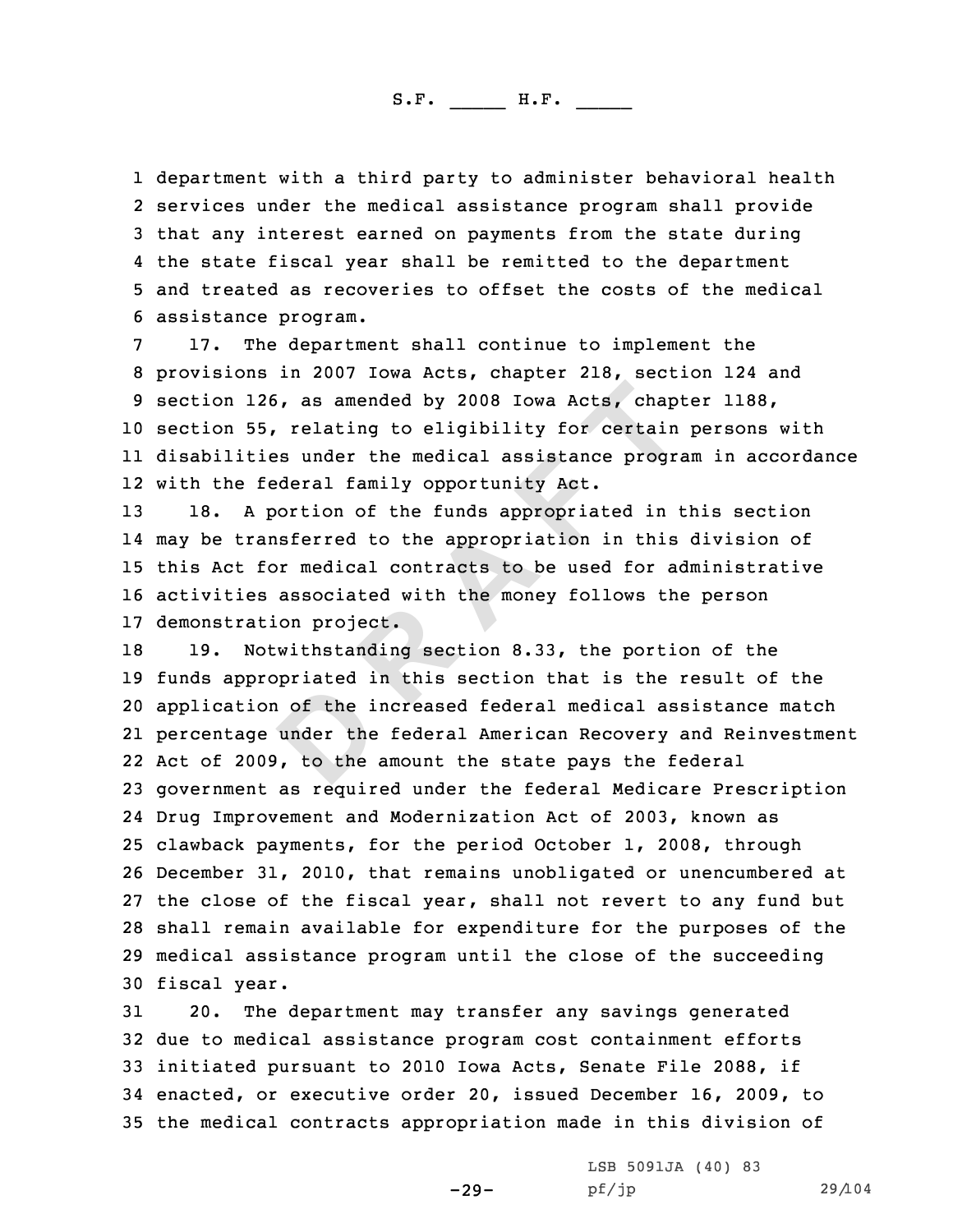1 department with a third party to administer behavioral health 2 services under the medical assistance program shall provide 3 that any interest earned on payments from the state during<br>4 the state fiscal year shall be remitted to the department

4 the state fiscal year shall be remitted to the department<br>5 and treated as recoveries to offset the costs of the medical<br>6 assistance program.<br>7 17. The department shall continue to implement the<br>8 provisions in 2007 Iow section 55, relating to eligibility for certain persons with disabilities under the medical assistance program in accordance with the federal family opportunity Act.

 18. <sup>A</sup> portion of the funds appropriated in this section may be transferred to the appropriation in this division of this Act for medical contracts to be used for administrative activities associated with the money follows the person 17 demonstration project.<br>18 19. Notwithstandino

**D R A F T** Notwithstanding section 8.33, the portion of the funds appropriated in this section that is the result of the application of the increased federal medical assistance match percentage under the federal American Recovery and Reinvestment Act of 2009, to the amount the state pays the federal government as required under the federal Medicare Prescription Drug Improvement and Modernization Act of 2003, known as clawback payments, for the period October 1, 2008, through December 31, 2010, that remains unobligated or unencumbered at the close of the fiscal year, shall not revert to any fund but shall remain available for expenditure for the purposes of the medical assistance program until the close of the succeeding 30 fiscal year.<br>31 20. The

The department may transfer any savings generated due to medical assistance program cost containment efforts initiated pursuant to <sup>2010</sup> Iowa Acts, Senate File 2088, if enacted, or executive order 20, issued December 16, 2009, to the medical contracts appropriation made in this division of

-29-

LSB 5091JA (40) 83<br>pf/jp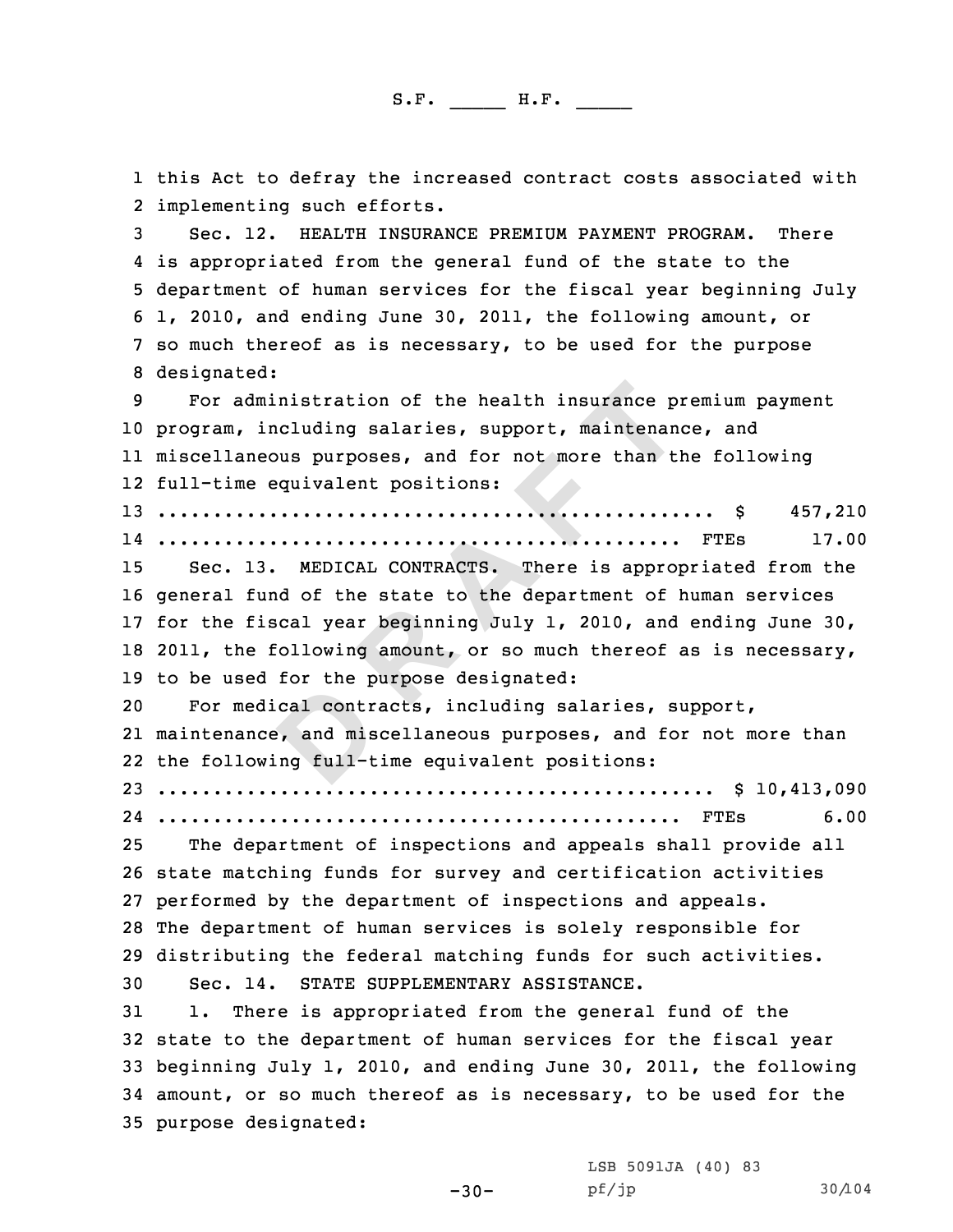**D R A F T** 1 this Act to defray the increased contract costs associated with<br>2 implementing such efforts. 2 implementing such efforts.<br>3 Sec. 12. HEALTH INSURANCE PREMIUM PAYMENT PROGRAM. There<br>4 is appropriated from the general fund of the state to the 5 department of human services for the fiscal year beginning July<br>6 1, 2010, and ending June 30, 2011, the following amount, or<br>7 so much thereof as is necessary, to be used for the purpose<br>8 designated: For administration of the health insurance premium payment program, including salaries, support, maintenance, and miscellaneous purposes, and for not more than the following full-time equivalent positions: .................................................. \$ 457,210 ............................................... FTEs 17.00 Sec. 13. MEDICAL CONTRACTS. There is appropriated from the general fund of the state to the department of human services for the fiscal year beginning July 1, 2010, and ending June 30, 18 2011, the following amount, or so much thereof as is necessary, 19 to be used for the purpose designated:<br>20 For medical contracts, including sa For medical contracts, including salaries, support, maintenance, and miscellaneous purposes, and for not more than the following full-time equivalent positions: .................................................. \$ 10,413,090 ............................................... FTEs 6.00 The department of inspections and appeals shall provide all state matching funds for survey and certification activities performed by the department of inspections and appeals. The department of human services is solely responsible for 29 distributing the federal matching funds for such activities.<br>30 Sec. 14. STATE SUPPLEMENTARY ASSISTANCE. 30 Sec. 14. STATE SUPPLEMENTARY ASSISTANCE.<br>31 1. There is appropriated from the genera 1. There is appropriated from the general fund of the state to the department of human services for the fiscal year beginning July 1, 2010, and ending June 30, 2011, the following amount, or so much thereof as is necessary, to be used for the purpose designated:

> LSB 5091JA (40) <sup>83</sup> pf/jp 30/104

-30-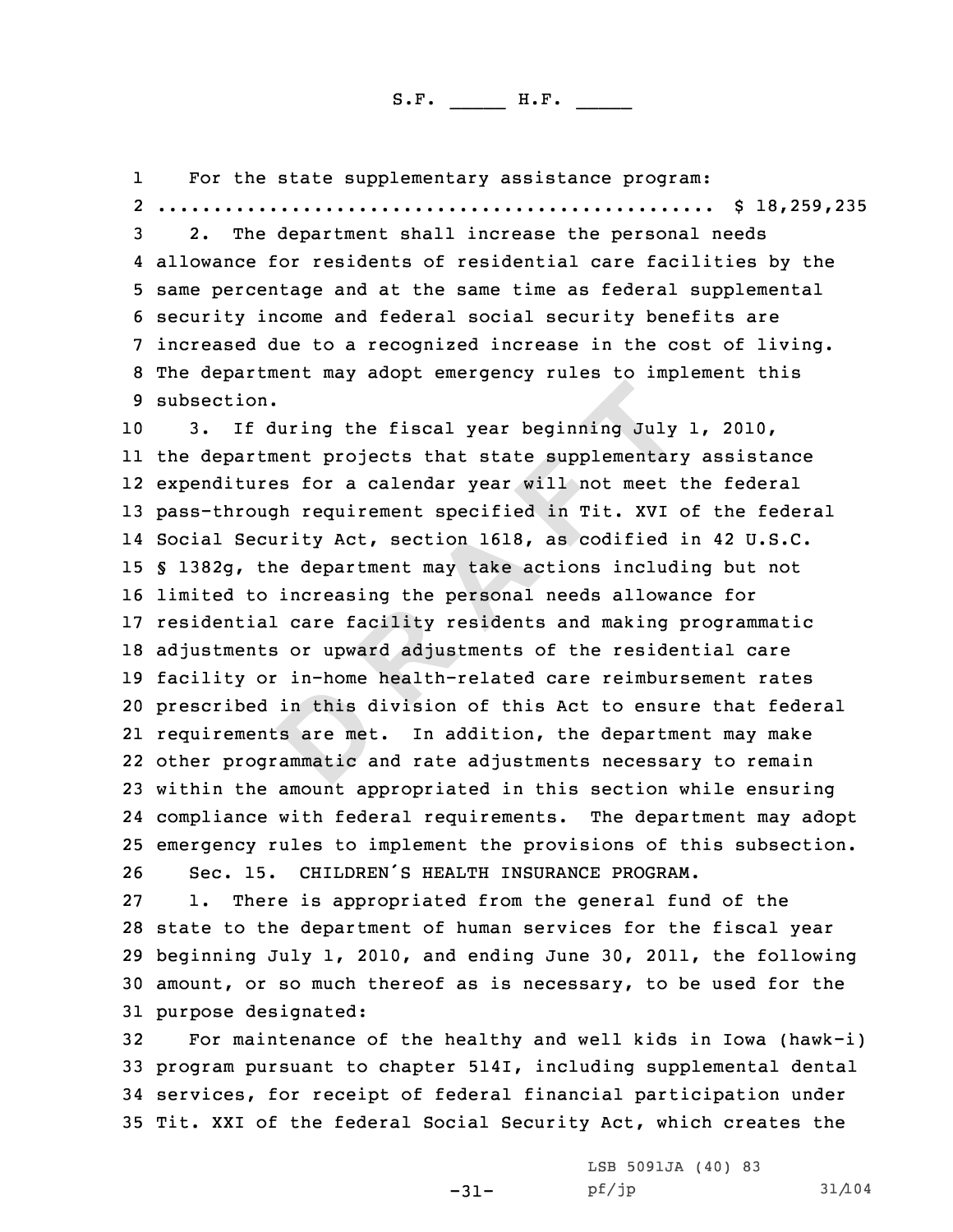1For the state supplementary assistance program: 2

2. The department shall increase the personal needs<br>4 allowance for residents of residential care facilities by the 5 same percentage and at the same time as federal supplemental<br>6 security income and federal social security benefits are<br>7 increased due to a recognized increase in the cost of living.<br>8 The department may adopt emergency

**Example 1998** 21 **DEVENDENT**<br> **D EXECUTE:**<br> **EXECUTE:**<br> **EXECUTE:**<br> **EXECUTE:**<br> **EXECUTE:**<br> **EXECUTE:**<br> **EXECUTE:**<br> **EXECUTE:**<br> **EXECUTE:**<br> **EXECUTE:**<br> **EXECUTE:**<br> **EXECUTE:**<br> **EXECUTE:**<br> **EXECUTE:**<br> **EXECUTE:**<br> **EXECUT**  3. If during the fiscal year beginning July 1, 2010, 11 the department projects that state supplementary assistance expenditures for <sup>a</sup> calendar year will not meet the federal pass-through requirement specified in Tit. XVI of the federal Social Security Act, section 1618, as codified in <sup>42</sup> U.S.C. § 1382g, the department may take actions including but not limited to increasing the personal needs allowance for residential care facility residents and making programmatic adjustments or upward adjustments of the residential care facility or in-home health-related care reimbursement rates prescribed in this division of this Act to ensure that federal requirements are met. In addition, the department may make other programmatic and rate adjustments necessary to remain within the amount appropriated in this section while ensuring compliance with federal requirements. The department may adopt 25 emergency rules to implement the provisions of this subsection.<br>26 Sec. 15. CHILDREN'S HEALTH INSURANCE PROGRAM.

26 Sec. 15. CHILDREN'S HEALTH INSURANCE PROGRAM.<br>27 1. There is appropriated from the general fun There is appropriated from the general fund of the <sup>28</sup> state to the department of human services for the fiscal year <sup>29</sup> beginning July 1, 2010, and ending June 30, 2011, the following <sup>30</sup> amount, or so much thereof as is necessary, to be used for the 31 purpose designated:<br>32 For maintenance

For maintenance of the healthy and well kids in Iowa (hawk-i) program pursuant to chapter 514I, including supplemental dental services, for receipt of federal financial participation under Tit. XXI of the federal Social Security Act, which creates the

-31-

LSB 5091JA (40) 83<br>pf/jp pf/jp 31/104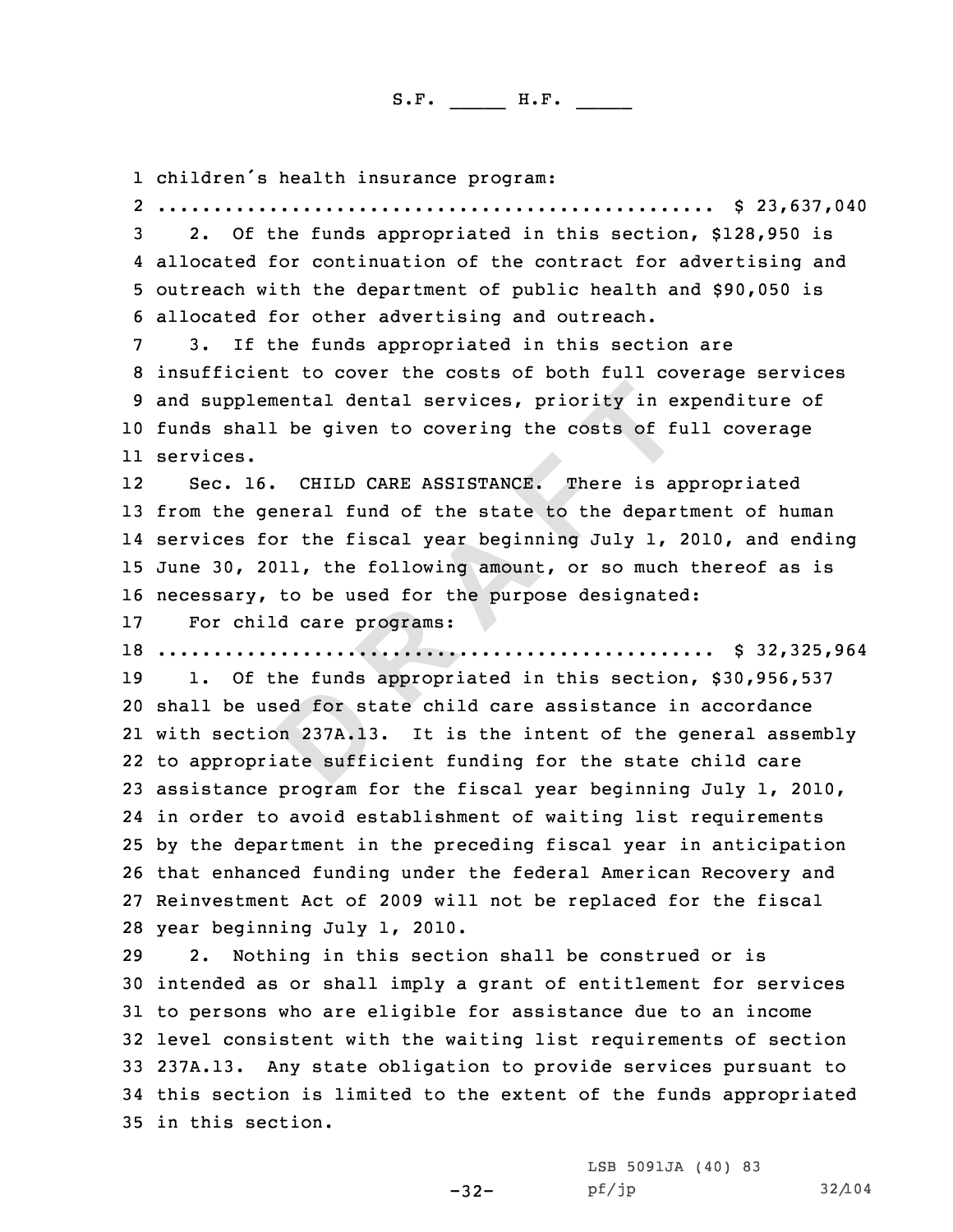1 children's health insurance program: 2

.................................................. \$ 23,637,040 <sup>3</sup> 2. Of the funds appropriated in this section, \$128,950 is 4

4 allocated for continuation of the contract for advertising and<br>5 outreach with the department of public health and \$90,050 is<br>6 allocated for other advertising and outreach.<br>7 3. If the funds appropriated in this section <sup>10</sup> funds shall be given to covering the costs of full coverage 11 services.

**Referend and Services, priority in example the costs of fits<br>
<b>CHILD CARE ASSISTANCE.** There is a peneral fund of the state to the depart<br>
or the fiscal year beginning July 1,<br>
111, the following amount, or so much to be 12 Sec. 16. CHILD CARE ASSISTANCE. There is appropriated <sup>13</sup> from the general fund of the state to the department of human 14 services for the fiscal year beginning July 1, 2010, and ending <sup>15</sup> June 30, 2011, the following amount, or so much thereof as is 16 necessary, to be used for the purpose designated:<br>17 For child care programs:

For child care programs:

<sup>18</sup> .................................................. \$ 32,325,964

1. Of the funds appropriated in this section, \$30,956,537 shall be used for state child care assistance in accordance with section 237A.13. It is the intent of the general assembly to appropriate sufficient funding for the state child care assistance program for the fiscal year beginning July 1, 2010, in order to avoid establishment of waiting list requirements by the department in the preceding fiscal year in anticipation that enhanced funding under the federal American Recovery and Reinvestment Act of <sup>2009</sup> will not be replaced for the fiscal 28 year beginning July 1, 2010.<br>29 2. Nothing in this secti

Nothing in this section shall be construed or is intended as or shall imply <sup>a</sup> grant of entitlement for services to persons who are eligible for assistance due to an income level consistent with the waiting list requirements of section 237A.13. Any state obligation to provide services pursuant to this section is limited to the extent of the funds appropriated in this section.

-32-

LSB 5091JA (40) 83<br>pf/jp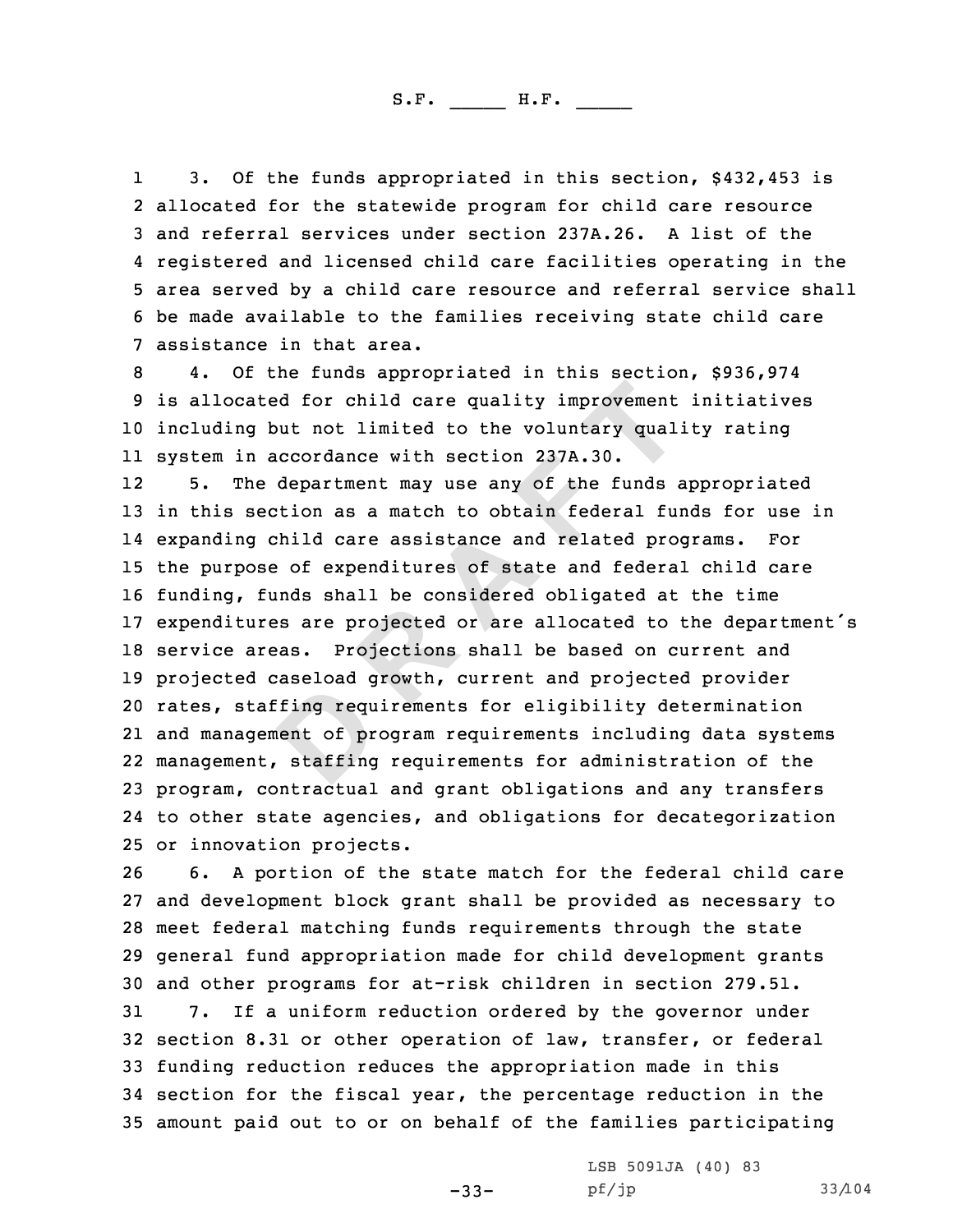11 3. Of the funds appropriated in this section, \$432,453 is<br>2 allocated for the statewide program for child care resource 2 allocated for the statewide program for child care resource<br>3 and referral services under section 237A.26. A list of the<br>4 registered and licensed child care facilities operating in 4 registered and licensed child care facilities operating in the<br>5 area served by a child care resource and referral service shall<br>6 be made available to the families receiving state child care<br>7 assistance in that area.<br>8

<sup>10</sup> including but not limited to the voluntary quality rating 11 system in accordance with section 237A.30.

<br>**Example 12 Example 12 Example 12 Example 12 Example 12 Example 12 Example 12 Example 12 Example 12 Example 12 Example 12 Example 12 Example 12 Example 12 Example 12 Example 12 C Exampl** 12 5. The department may use any of the funds appropriated 13 in this section as a match to obtain federal funds for use in<br>14 expanding child care assistance and related programs. For expanding child care assistance and related programs. For the purpose of expenditures of state and federal child care funding, funds shall be considered obligated at the time expenditures are projected or are allocated to the department's service areas. Projections shall be based on current and projected caseload growth, current and projected provider rates, staffing requirements for eligibility determination and management of program requirements including data systems management, staffing requirements for administration of the program, contractual and grant obligations and any transfers to other state agencies, and obligations for decategorization

25 or innovation projects.<br>26 6. A portion of the 6. A portion of the state match for the federal child care and development block grant shall be provided as necessary to meet federal matching funds requirements through the state general fund appropriation made for child development grants 30 and other programs for at-risk children in section 279.51.<br>31 7. If a uniform reduction ordered by the governor unde 7. If a uniform reduction ordered by the governor under section 8.31 or other operation of law, transfer, or federal funding reduction reduces the appropriation made in this section for the fiscal year, the percentage reduction in the amount paid out to or on behalf of the families participating

-33-

LSB 5091JA (40) 83<br>pf/jp

pf/jp 33/104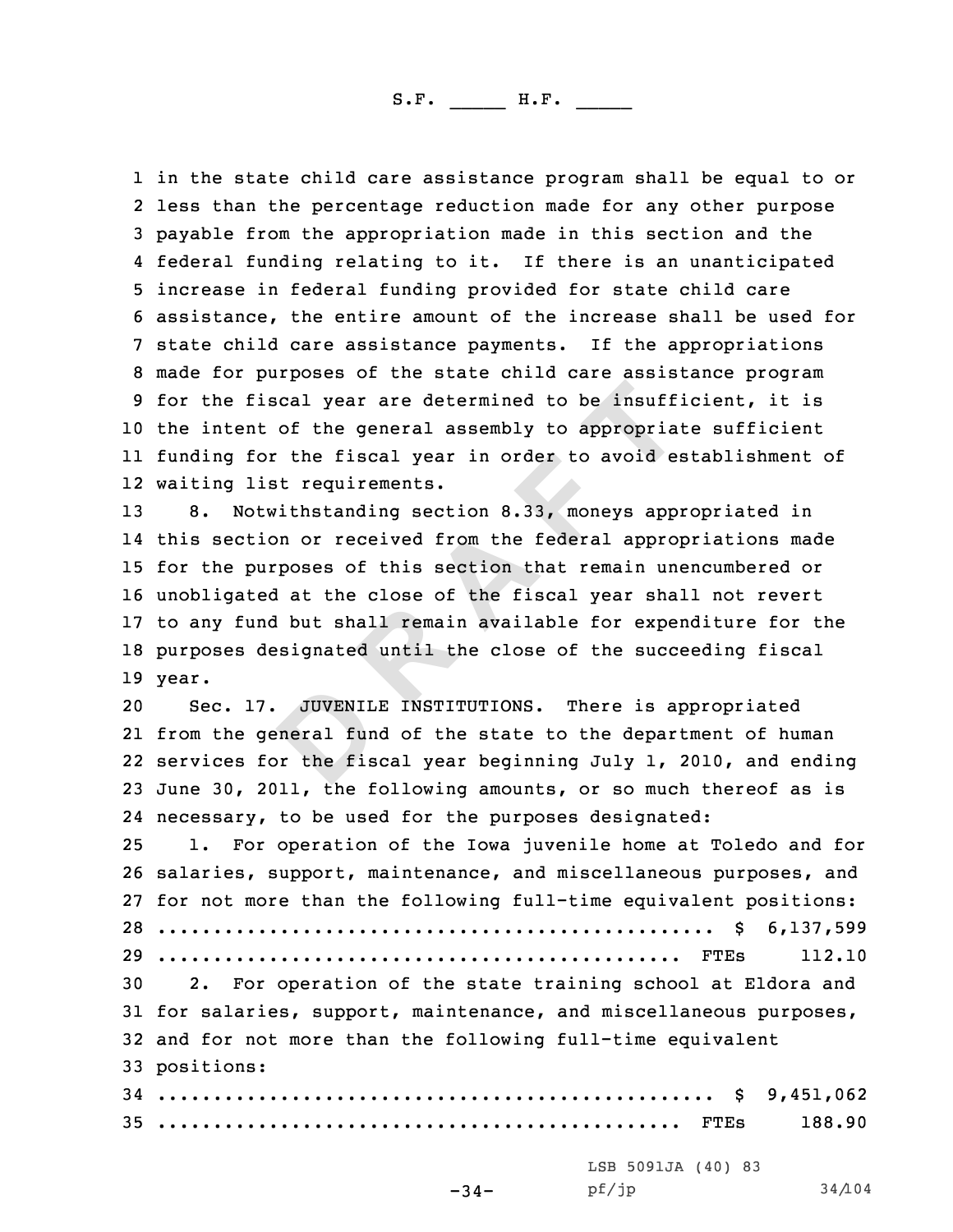1 in the state child care assistance program shall be equal to or<br>2 less than the percentage reduction made for any other purpose 2 less than the percentage reduction made for any other purpose<br>3 payable from the appropriation made in this section and the<br>4 federal funding relating to it. If there is an unanticipated 4 federal funding relating to it. If there is an unanticipated<br>5 increase in federal funding provided for state child care<br>6 assistance, the entire amount of the increase shall be used for<br>7 state child care assistance pay <sup>10</sup> the intent of the general assembly to appropriate sufficient 11 funding for the fiscal year in order to avoid establishment of 12 waiting list requirements.

**D R A F T** 8. Notwithstanding section 8.33, moneys appropriated in this section or received from the federal appropriations made for the purposes of this section that remain unencumbered or unobligated at the close of the fiscal year shall not revert to any fund but shall remain available for expenditure for the purposes designated until the close of the succeeding fiscal 19 year.

 Sec. 17. JUVENILE INSTITUTIONS. There is appropriated from the general fund of the state to the department of human services for the fiscal year beginning July 1, 2010, and ending June 30, 2011, the following amounts, or so much thereof as is necessary, to be used for the purposes designated: 1. For operation of the Iowa juvenile home at Toledo and for salaries, support, maintenance, and miscellaneous purposes, and for not more than the following full-time equivalent positions: .................................................. \$ 6,137,599

 ............................................... FTEs 112.10 2. For operation of the state training school at Eldora and for salaries, support, maintenance, and miscellaneous purposes, and for not more than the following full-time equivalent positions:

<sup>34</sup> .................................................. \$ 9,451,062 <sup>35</sup> ............................................... FTEs 188.90

-34-

LSB 5091JA (40) 83<br>pf/jp

pf/jp 34/104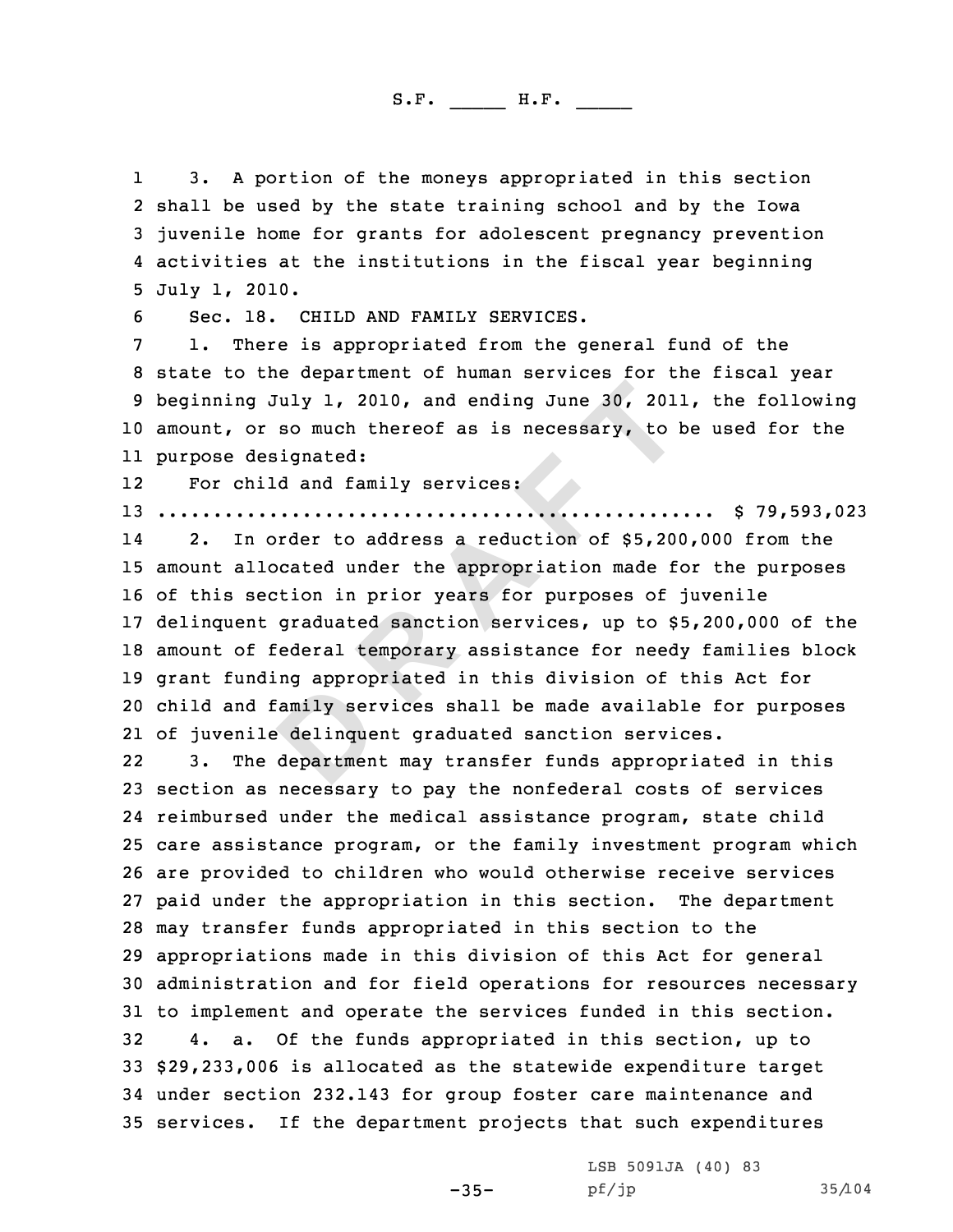11 3. A portion of the moneys appropriated in this section<br>2 shall be used by the state training school and by the Iowa 3 juvenile home for grants for adolescent pregnancy prevention<br>4 activities at the institutions in the fiscal year beginning

4 activities at the institutions in the fiscal year beginning<br>5 July 1, 2010.<br>6 Sec. 18. CHILD AND FAMILY SERVICES.<br>7 1. There is appropriated from the general fund of the<br>8 state to the department of human services for th <sup>10</sup> amount, or so much thereof as is necessary, to be used for the 11 purpose designated:

1212 For child and family services:<br>13 ..................................

<sup>13</sup> .................................................. \$ 79,593,023

**D R A F T** 14 2. In order to address <sup>a</sup> reduction of \$5,200,000 from the amount allocated under the appropriation made for the purposes of this section in prior years for purposes of juvenile delinquent graduated sanction services, up to \$5,200,000 of the amount of federal temporary assistance for needy families block grant funding appropriated in this division of this Act for child and family services shall be made available for purposes of juvenile delinquent graduated sanction services.

22 3. The department may transfer funds appropriated in this section as necessary to pay the nonfederal costs of services reimbursed under the medical assistance program, state child care assistance program, or the family investment program which are provided to children who would otherwise receive services paid under the appropriation in this section. The department may transfer funds appropriated in this section to the appropriations made in this division of this Act for general administration and for field operations for resources necessary 31 to implement and operate the services funded in this section.<br>32 4. a. Of the funds appropriated in this section, up to 4. a. Of the funds appropriated in this section, up to \$29,233,006 is allocated as the statewide expenditure target under section 232.143 for group foster care maintenance and services. If the department projects that such expenditures

-35-

LSB 5091JA (40) 83<br>pf/jp

pf/jp 35/104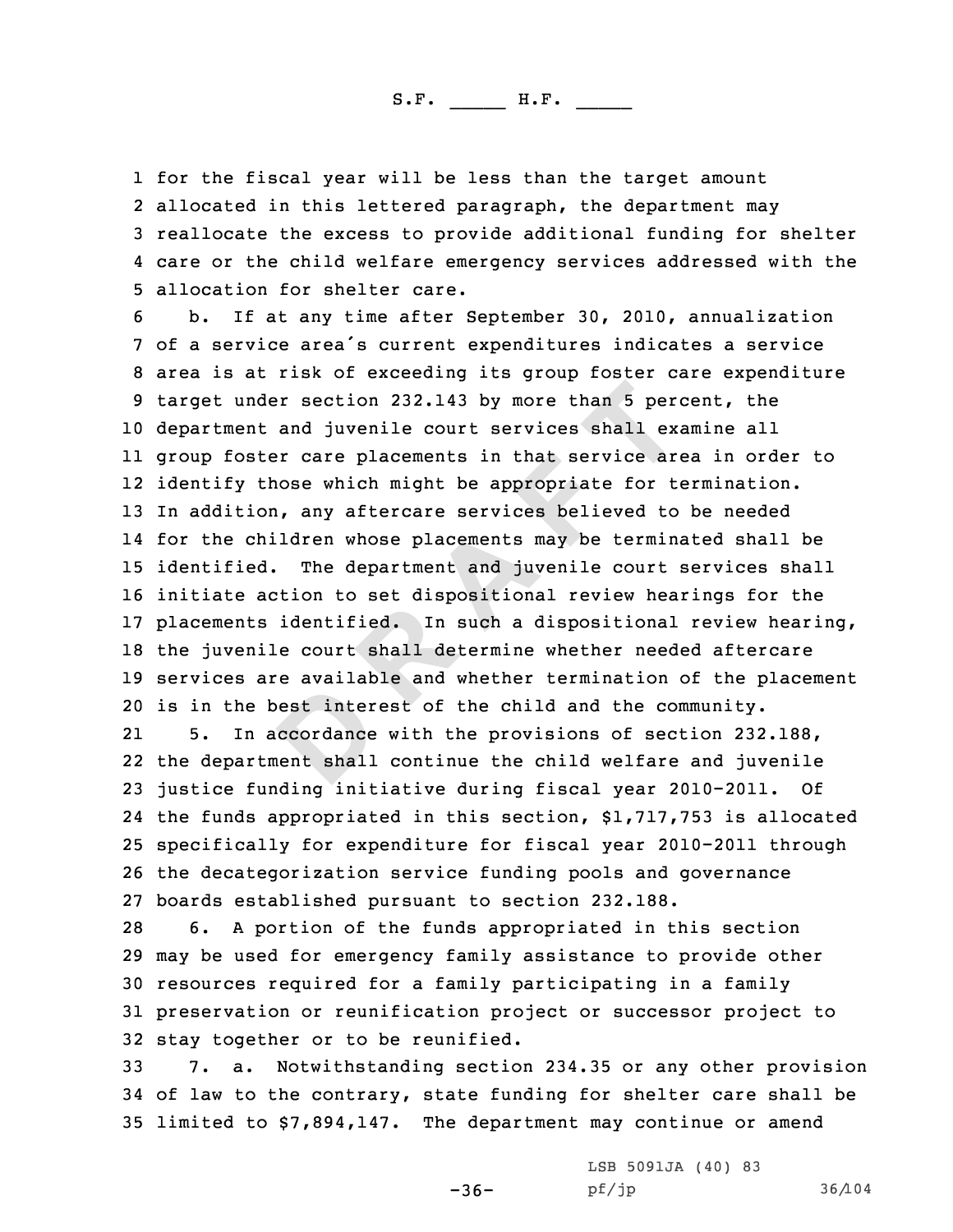1 for the fiscal year will be less than the target amount<br>2 allocated in this lettered paragraph. the department ma 2 allocated in this lettered paragraph, the department may<br>3 reallocate the excess to provide additional funding for shelter<br>4 care or the child welfare emergency services addressed with the

**D R A F T** 4 care or the child welfare emergency services addressed with the<br>5 allocation for shelter care.<br>6 b. If at any time after September 30, 2010, annualization<br>7 of a service area's current expenditures indicates a service<br>8 department and juvenile court services shall examine all group foster care placements in that service area in order to identify those which might be appropriate for termination. In addition, any aftercare services believed to be needed for the children whose placements may be terminated shall be identified. The department and juvenile court services shall initiate action to set dispositional review hearings for the placements identified. In such <sup>a</sup> dispositional review hearing, the juvenile court shall determine whether needed aftercare services are available and whether termination of the placement 20 is in the best interest of the child and the community.<br>21 5. In accordance with the provisions of section 232

21In accordance with the provisions of section 232.188, the department shall continue the child welfare and juvenile justice funding initiative during fiscal year 2010-2011. Of the funds appropriated in this section, \$1,717,753 is allocated specifically for expenditure for fiscal year 2010-2011 through the decategorization service funding pools and governance 27 boards established pursuant to section 232.188.<br>28 6. A portion of the funds appropriated in the

6. A portion of the funds appropriated in this section <sup>29</sup> may be used for emergency family assistance to provide other <sup>30</sup> resources required for <sup>a</sup> family participating in <sup>a</sup> family <sup>31</sup> preservation or reunification project or successor project to 32 stay together or to be reunified.<br>33 7. a. Notwithstanding sectio

<sup>33</sup> 7. a. Notwithstanding section 234.35 or any other provision <sup>34</sup> of law to the contrary, state funding for shelter care shall be <sup>35</sup> limited to \$7,894,147. The department may continue or amend

 $-36-$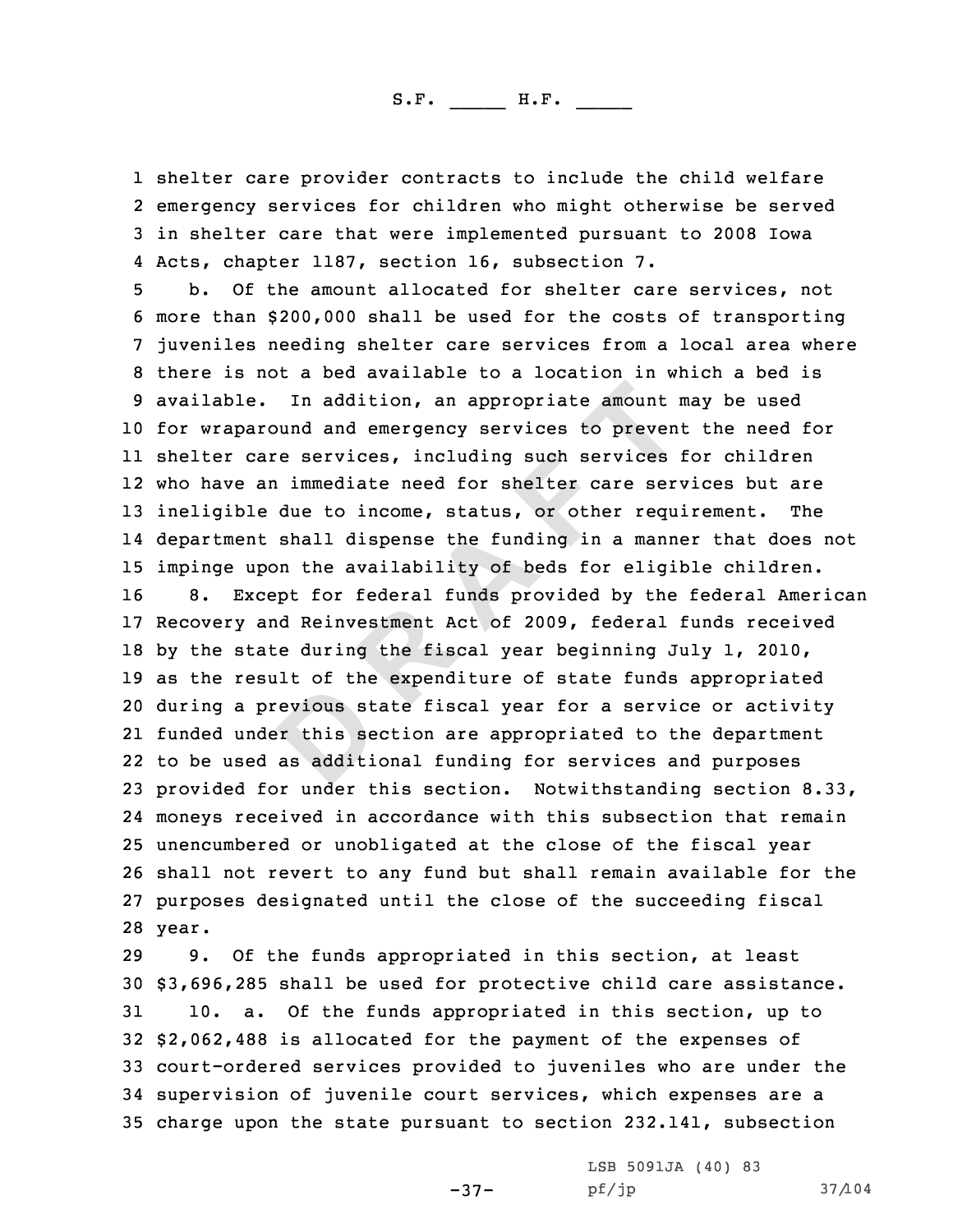1 shelter care provider contracts to include the child welfare 2 emergency services for children who might otherwise be served 3 in shelter care that were implemented pursuant to 2008 Iowa<br>4 Acts, chapter 1187, section 16, subsection 7.

In addition, an appropriate amount is<br>und and emergency services to preven<br>re services, including such services<br>a immediate need for shelter care ser-<br>due to income, status, or other requ<br>shall dispense the funding in a ma 4 Acts, chapter 1187, section 16, subsection 7.<br>5 b. Of the amount allocated for shelter care services, not<br>6 more than \$200,000 shall be used for the costs of transporting<br>7 juveniles needing shelter care services from a for wraparound and emergency services to prevent the need for shelter care services, including such services for children who have an immediate need for shelter care services but are ineligible due to income, status, or other requirement. The department shall dispense the funding in <sup>a</sup> manner that does not 15 impinge upon the availability of beds for eligible children.<br>16 8. Except for federal funds provided by the federal Amer. 8. Except for federal funds provided by the federal American Recovery and Reinvestment Act of 2009, federal funds received by the state during the fiscal year beginning July 1, 2010, as the result of the expenditure of state funds appropriated during <sup>a</sup> previous state fiscal year for <sup>a</sup> service or activity funded under this section are appropriated to the department to be used as additional funding for services and purposes provided for under this section. Notwithstanding section 8.33, moneys received in accordance with this subsection that remain unencumbered or unobligated at the close of the fiscal year shall not revert to any fund but shall remain available for the purposes designated until the close of the succeeding fiscal 28 year.

 9. Of the funds appropriated in this section, at least  $$3,696,285$  shall be used for protective child care assistance.<br>31 10. a. Of the funds appropriated in this section, up to 10. a. Of the funds appropriated in this section, up to \$2,062,488 is allocated for the payment of the expenses of court-ordered services provided to juveniles who are under the supervision of juvenile court services, which expenses are <sup>a</sup> charge upon the state pursuant to section 232.141, subsection

-37-

LSB 5091JA (40) 83<br>pf/jp

pf/jp 37/104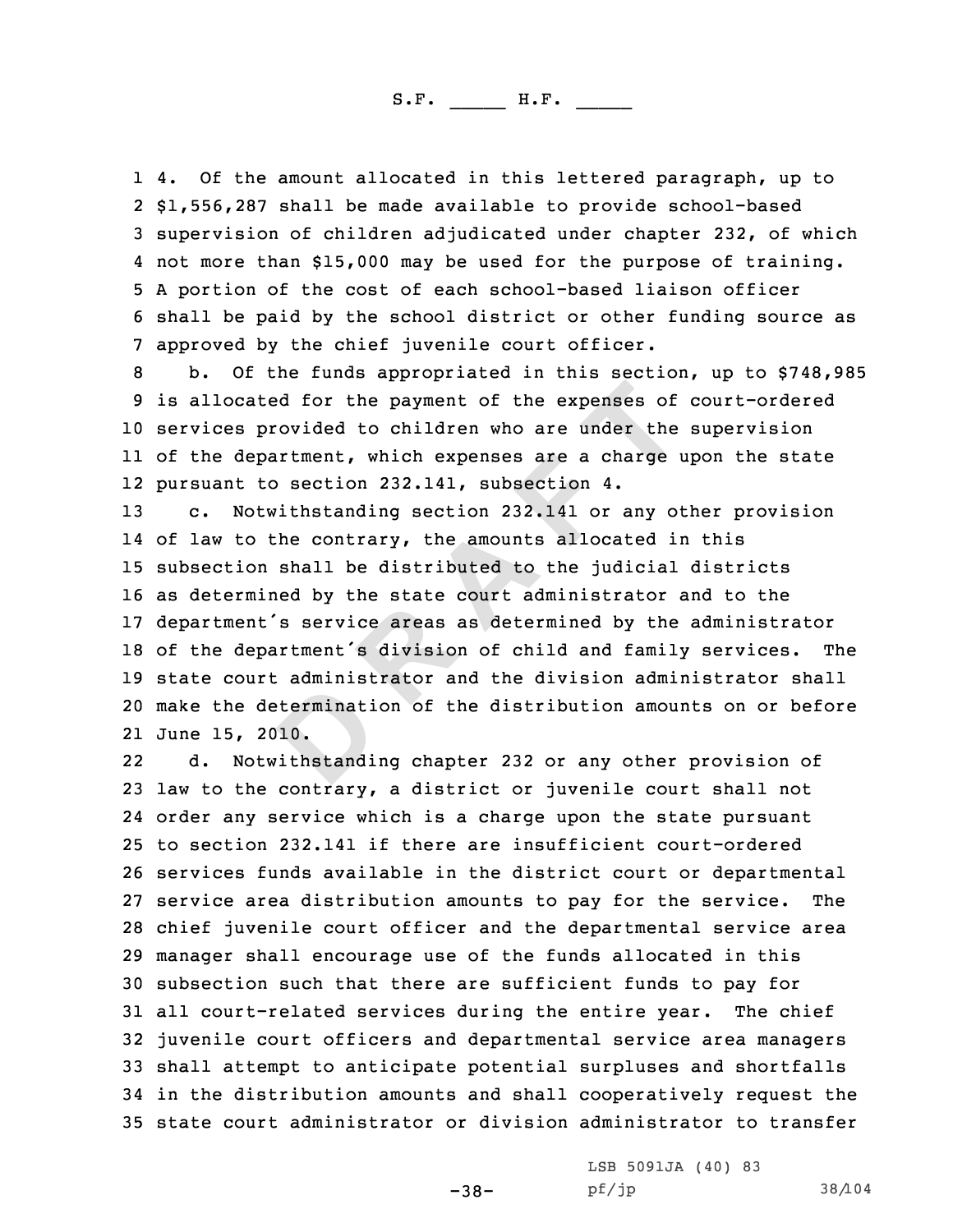1 4. Of the amount allocated in this lettered paragraph, up to<br>2 S1.556.287 shall be made available to provide school-based 2 \$1,556,287 shall be made available to provide school-based<br>3 supervision of children adjudicated under chapter 232, of which<br>4 not more than \$15,000 may be used for the purpose of training. 5 A portion of the cost of each school-based liaison officer<br>6 shall be paid by the school district or other funding source as<br>7 approved by the chief juvenile court officer.<br>8 b. Of the funds appropriated in this section,

<sup>10</sup> services provided to children who are under the supervision 11 of the department, which expenses are <sup>a</sup> charge upon the state 12 pursuant to section 232.141, subsection 4.

<br>**Example 1 Example 1 C Expenses** of<br> **D Example 1 Expenses** are a charge<br> **D S B Externe 1232.141, subsection 4.**<br> **Exity be contrary, the amounts allocated is<br>
<b>Shall be distributed to the judicial**<br> **R**  c. Notwithstanding section 232.141 or any other provision of law to the contrary, the amounts allocated in this subsection shall be distributed to the judicial districts as determined by the state court administrator and to the 17 department's service areas as determined by the administrator<br>18 of the department's division of child and family services. The 18 of the department's division of child and family services. state court administrator and the division administrator shall make the determination of the distribution amounts on or before June 15, 2010.

22 d. Notwithstanding chapter <sup>232</sup> or any other provision of <sup>23</sup> law to the contrary, <sup>a</sup> district or juvenile court shall not 24 order any service which is <sup>a</sup> charge upon the state pursuant <sup>25</sup> to section 232.141 if there are insufficient court-ordered 26 services funds available in the district court or departmental<br>27 service area distribution amounts to pay for the service. The 27 service area distribution amounts to pay for the service. <sup>28</sup> chief juvenile court officer and the departmental service area <sup>29</sup> manager shall encourage use of the funds allocated in this 30 subsection such that there are sufficient funds to pay for<br>31 all court-related services during the entire year. The chief 31 all court-related services during the entire year. <sup>32</sup> juvenile court officers and departmental service area managers <sup>33</sup> shall attempt to anticipate potential surpluses and shortfalls <sup>34</sup> in the distribution amounts and shall cooperatively request the <sup>35</sup> state court administrator or division administrator to transfer

-38-

LSB 5091JA (40) 83<br>pf/jp

pf/jp 38/104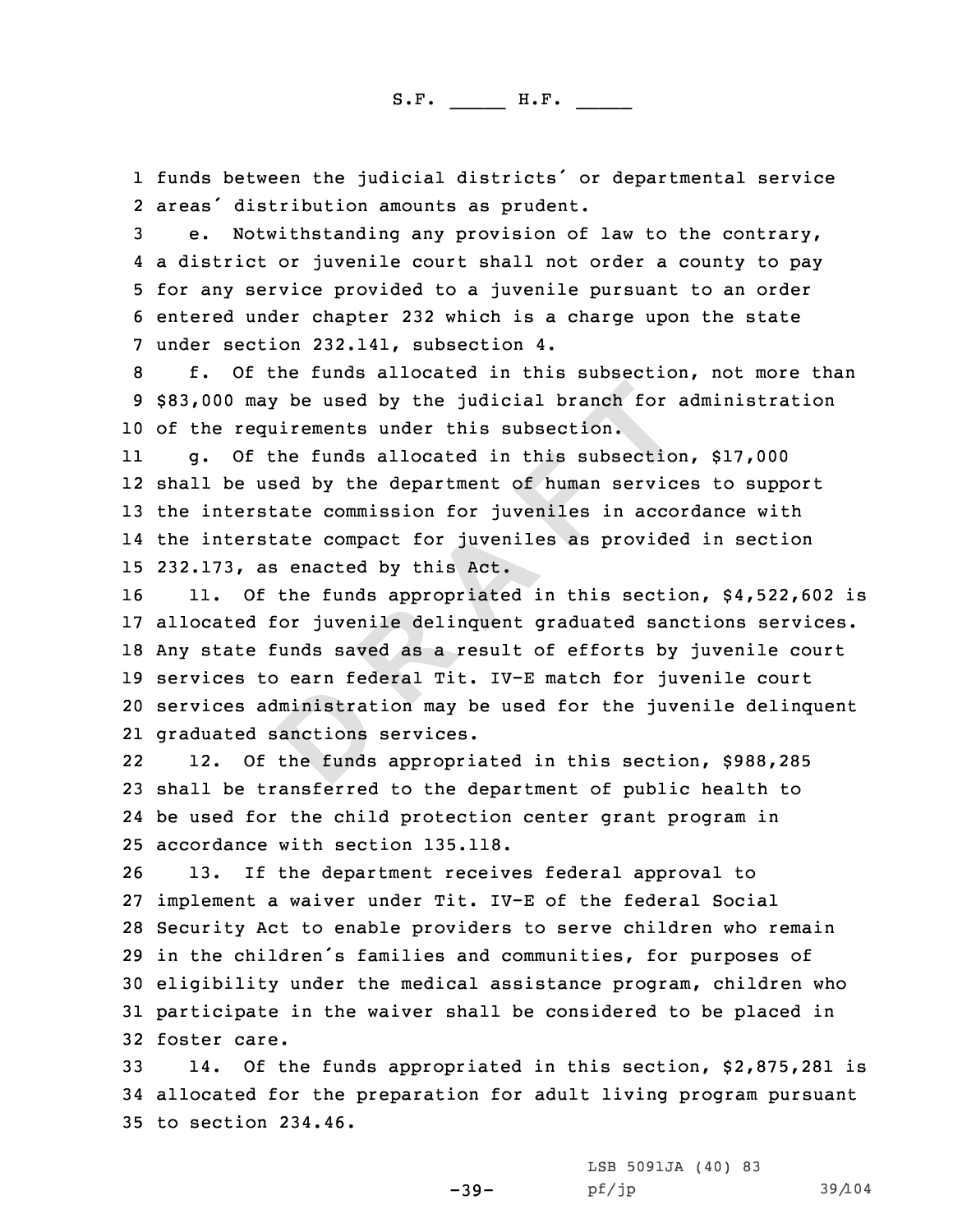1 funds between the judicial districts' or departmental service<br>2 areas' distribution amounts as prudent.

2 areas' distribution amounts as prudent.<br>3 e. Notwithstanding any provision of law to the contrary,<br>4 a district or juvenile court shall not order a county to pay 5 for any service provided to a juvenile pursuant to an order<br>6 entered under chapter 232 which is a charge upon the state<br>7 under section 232.141, subsection 4.<br>6 f. Of the funds allocated in this subsection, not more tha

<sup>10</sup> of the requirements under this subsection.

11 g. Of the funds allocated in this subsection, \$17,000 12 shall be used by the department of human services to support <sup>13</sup> the interstate commission for juveniles in accordance with 14 the interstate compact for juveniles as provided in section 15 232.173, as enacted by this Act.<br>16 11. Of the funds appropriate

**Example 10 Example 10 Example 10 Example 10 Example 10 Example 10 Example 10 Example 10 C EXEL A CO EXEL A CO EXEL A CO EXEL A CO EXEL A CO EXEL A CO EXEL A CO EXEL A CO E** 11. Of the funds appropriated in this section, \$4,522,602 is allocated for juvenile delinquent graduated sanctions services. Any state funds saved as <sup>a</sup> result of efforts by juvenile court services to earn federal Tit. IV-E match for juvenile court services administration may be used for the juvenile delinquent graduated sanctions services.

22 12. Of the funds appropriated in this section, \$988,285 <sup>23</sup> shall be transferred to the department of public health to 24 be used for the child protection center grant program in 25 accordance with section 135.118.<br>26 13. If the department receiv

13. If the department receives federal approval to implement <sup>a</sup> waiver under Tit. IV-E of the federal Social Security Act to enable providers to serve children who remain in the children's families and communities, for purposes of eligibility under the medical assistance program, children who participate in the waiver shall be considered to be placed in foster care.<br> $33$   $14.$  Of t

14. Of the funds appropriated in this section, \$2,875,281 is <sup>34</sup> allocated for the preparation for adult living program pursuant <sup>35</sup> to section 234.46.

> LSB 5091JA (40) 83<br>pf/jp pf/jp 39/104

-39-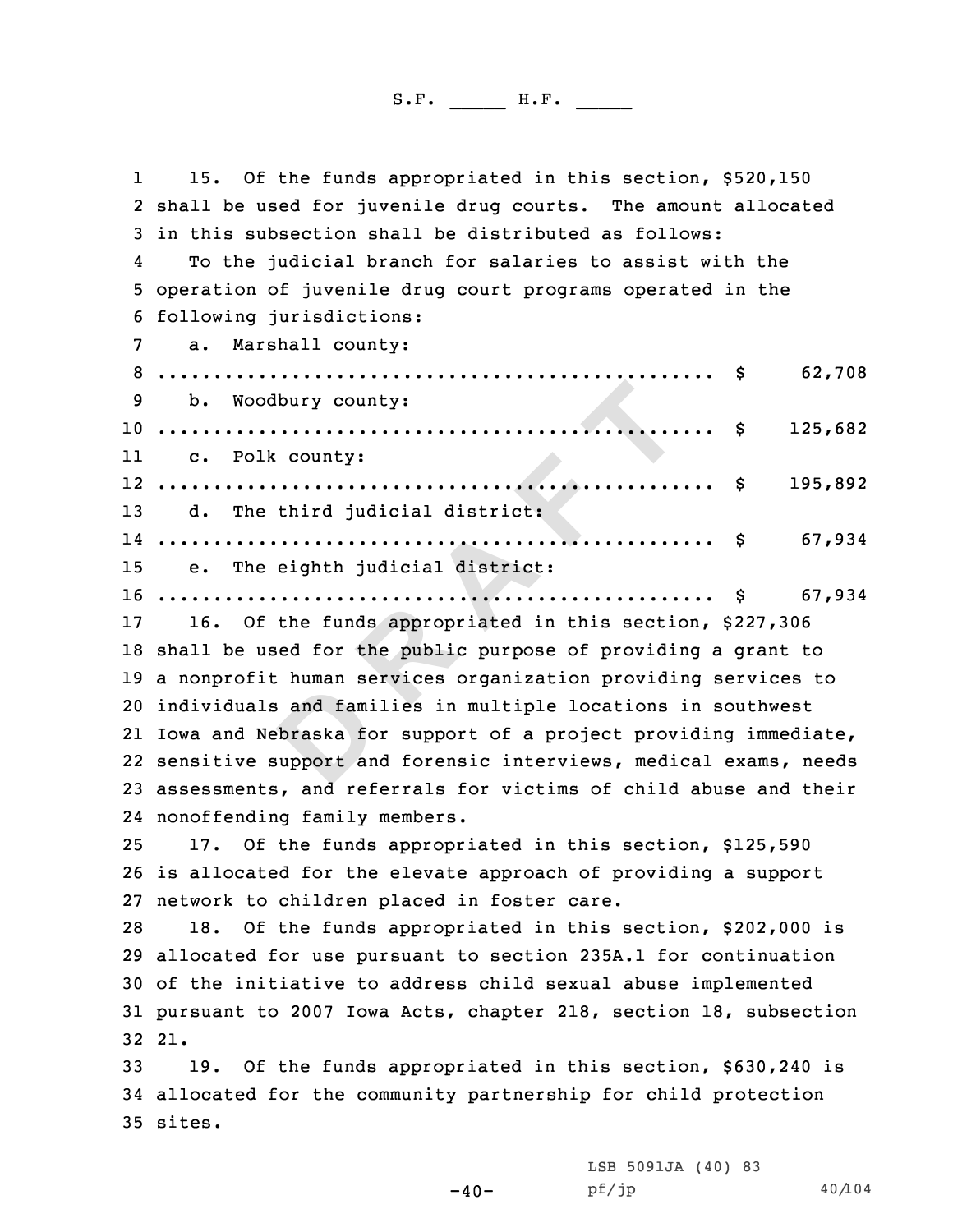**D R A F T** 11 15. Of the funds appropriated in this section, \$520,150<br>2 shall be used for iuvenile drug courts. The amount allocat 2 shall be used for juvenile drug courts. The amount allocated<br>3 in this subsection shall be distributed as follows:<br>4 To the judicial branch for salaries to assist with the To the judicial branch for salaries to assist with the <sup>5</sup> operation of juvenile drug court programs operated in the <sup>6</sup> following jurisdictions: <sup>7</sup> a. Marshall county: <sup>8</sup> .................................................. \$ 62,708 <sup>9</sup> b. Woodbury county: .................................................. \$ 125,682 11 c. Polk county: .................................................. \$ 195,892 d. The third judicial district: .................................................. \$ 67,934 e. The eighth judicial district: .................................................. \$ 67,934 16. Of the funds appropriated in this section, \$227,306 shall be used for the public purpose of providing <sup>a</sup> grant to <sup>a</sup> nonprofit human services organization providing services to individuals and families in multiple locations in southwest Iowa and Nebraska for support of <sup>a</sup> project providing immediate, sensitive support and forensic interviews, medical exams, needs assessments, and referrals for victims of child abuse and their nonoffending family members. 17. Of the funds appropriated in this section, \$125,590 is allocated for the elevate approach of providing <sup>a</sup> support 27 network to children placed in foster care.<br>28 18. Of the funds appropriated in this 18. Of the funds appropriated in this section, \$202,000 is allocated for use pursuant to section 235A.1 for continuation of the initiative to address child sexual abuse implemented pursuant to <sup>2007</sup> Iowa Acts, chapter 218, section 18, subsection 32 21. 19. Of the funds appropriated in this section, \$630,240 is allocated for the community partnership for child protection 35 sites.

 $-40-$ 

LSB 5091JA (40) <sup>83</sup>

pf/jp 40/104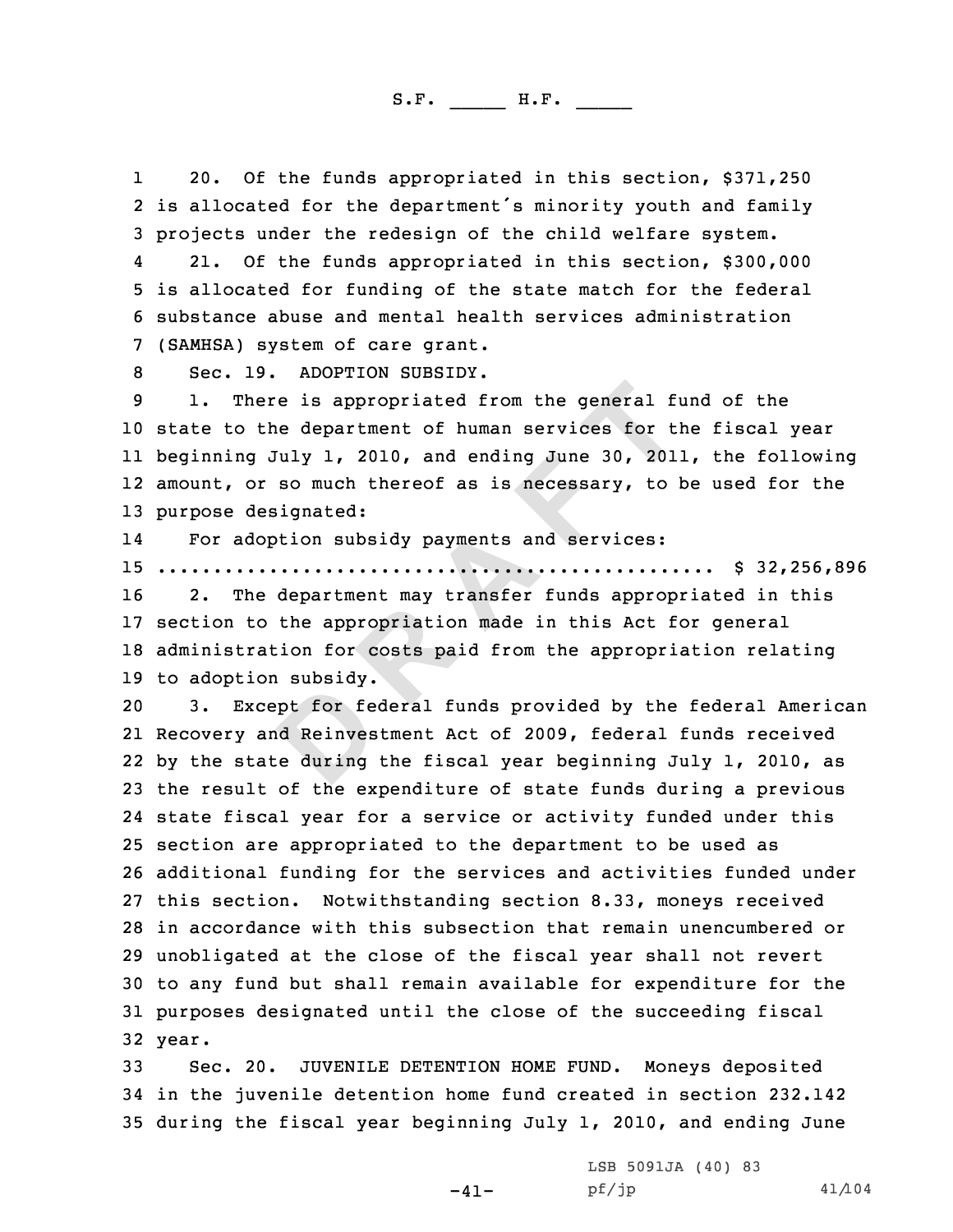120. Of the funds appropriated in this section, \$371,250<br>2 is allocated for the department's minority youth and family 2 is allocated for the department's minority youth and family<br>3 projects under the redesign of the child welfare system.<br>4 21. Of the funds appropriated in this section. \$300.000

21. Of the funds appropriated in this section, \$300,000<br>5 is allocated for funding of the state match for the federal<br>6 substance abuse and mental health services administration<br>7 (SAMHSA) system of care grant.<br>8 Sec. 19.

**D R A F T** state to the department of human services for the fiscal year beginning July 1, 2010, and ending June 30, 2011, the following amount, or so much thereof as is necessary, to be used for the purpose designated:

14For adoption subsidy payments and services:

<sup>15</sup> .................................................. \$ 32,256,896

2. The department may transfer funds appropriated in this <sup>17</sup> section to the appropriation made in this Act for general <sup>18</sup> administration for costs paid from the appropriation relating 19 to adoption subsidy.<br>20 3. Except for fee

Except for federal funds provided by the federal American Recovery and Reinvestment Act of 2009, federal funds received by the state during the fiscal year beginning July 1, 2010, as the result of the expenditure of state funds during <sup>a</sup> previous state fiscal year for <sup>a</sup> service or activity funded under this section are appropriated to the department to be used as additional funding for the services and activities funded under this section. Notwithstanding section 8.33, moneys received in accordance with this subsection that remain unencumbered or unobligated at the close of the fiscal year shall not revert to any fund but shall remain available for expenditure for the purposes designated until the close of the succeeding fiscal 32 year.

<sup>33</sup> Sec. 20. JUVENILE DETENTION HOME FUND. Moneys deposited <sup>34</sup> in the juvenile detention home fund created in section 232.142 <sup>35</sup> during the fiscal year beginning July 1, 2010, and ending June

LSB 5091JA (40) 83<br>pf/jp

pf/jp 41/104

-41-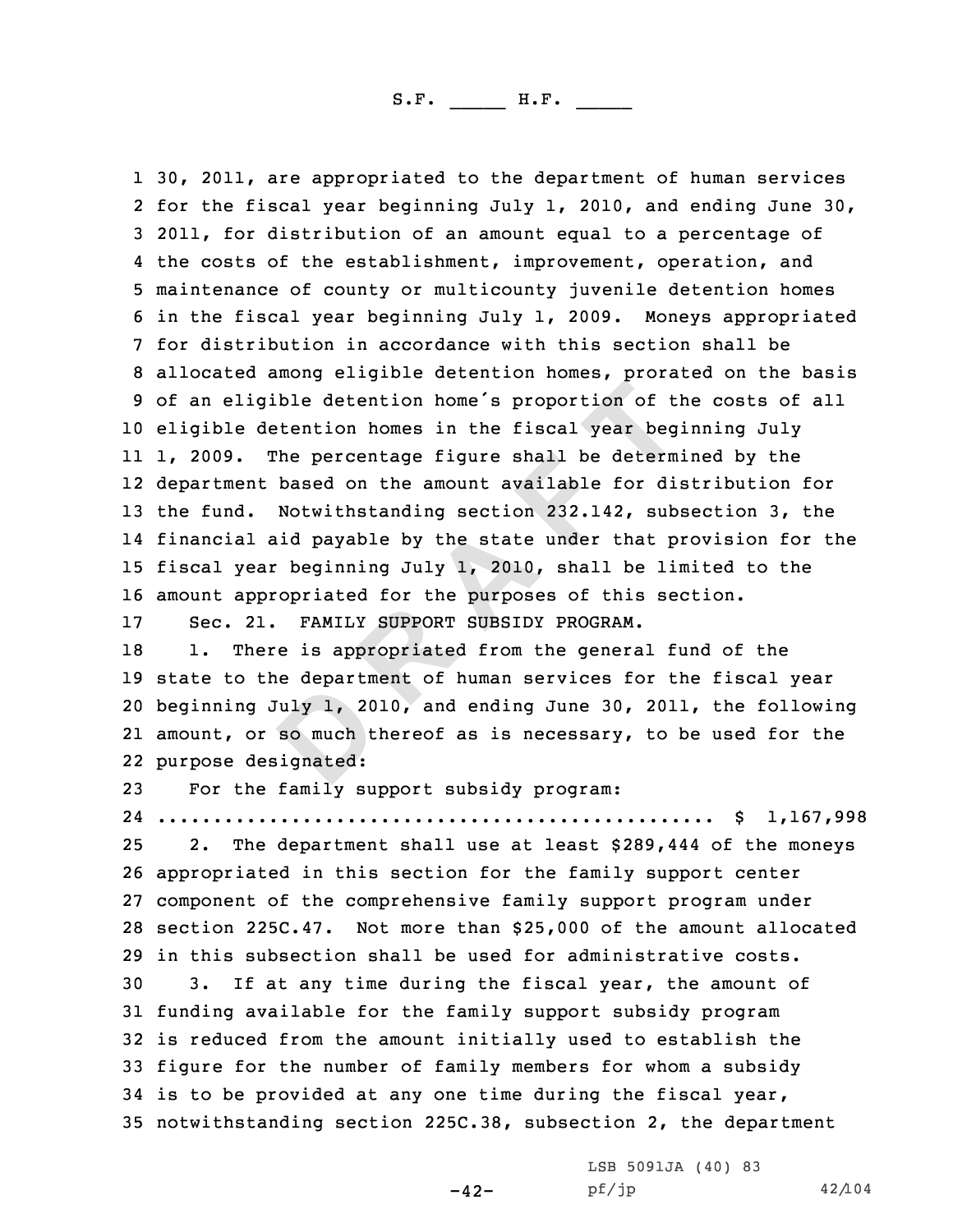**D R A F T** 1 30, 2011, are appropriated to the department of human services 2 for the fiscal year beginning July 1, 2010, and ending June 30, 3 2011, for distribution of an amount equal to a percentage of<br>4 the costs of the establishment, improvement, operation, and 5 maintenance of county or multicounty juvenile detention homes<br>6 in the fiscal year beginning July 1, 2009. Moneys appropriated<br>7 for distribution in accordance with this section shall be<br>8 allocated among eligible detent <sup>10</sup> eligible detention homes in the fiscal year beginning July 11 1, 2009. The percentage figure shall be determined by the 12 department based on the amount available for distribution for <sup>13</sup> the fund. Notwithstanding section 232.142, subsection 3, the 14 financial aid payable by the state under that provision for the <sup>15</sup> fiscal year beginning July 1, 2010, shall be limited to the 16 amount appropriated for the purposes of this section.<br>17 Sec. 21. FAMILY SUPPORT SUBSIDY PROGRAM.

17 Sec. 21. FAMILY SUPPORT SUBSIDY PROGRAM.<br>18 1. There is appropriated from the genera

1. There is appropriated from the general fund of the state to the department of human services for the fiscal year beginning July 1, 2010, and ending June 30, 2011, the following amount, or so much thereof as is necessary, to be used for the purpose designated:

<sup>23</sup> For the family support subsidy program:

 .................................................. \$ 1,167,998 2. The department shall use at least \$289,444 of the moneys appropriated in this section for the family support center component of the comprehensive family support program under section 225C.47. Not more than \$25,000 of the amount allocated 29 in this subsection shall be used for administrative costs.<br>30 3. If at any time during the fiscal year, the amount o If at any time during the fiscal year, the amount of funding available for the family support subsidy program is reduced from the amount initially used to establish the figure for the number of family members for whom <sup>a</sup> subsidy is to be provided at any one time during the fiscal year, notwithstanding section 225C.38, subsection 2, the department

 $-42-$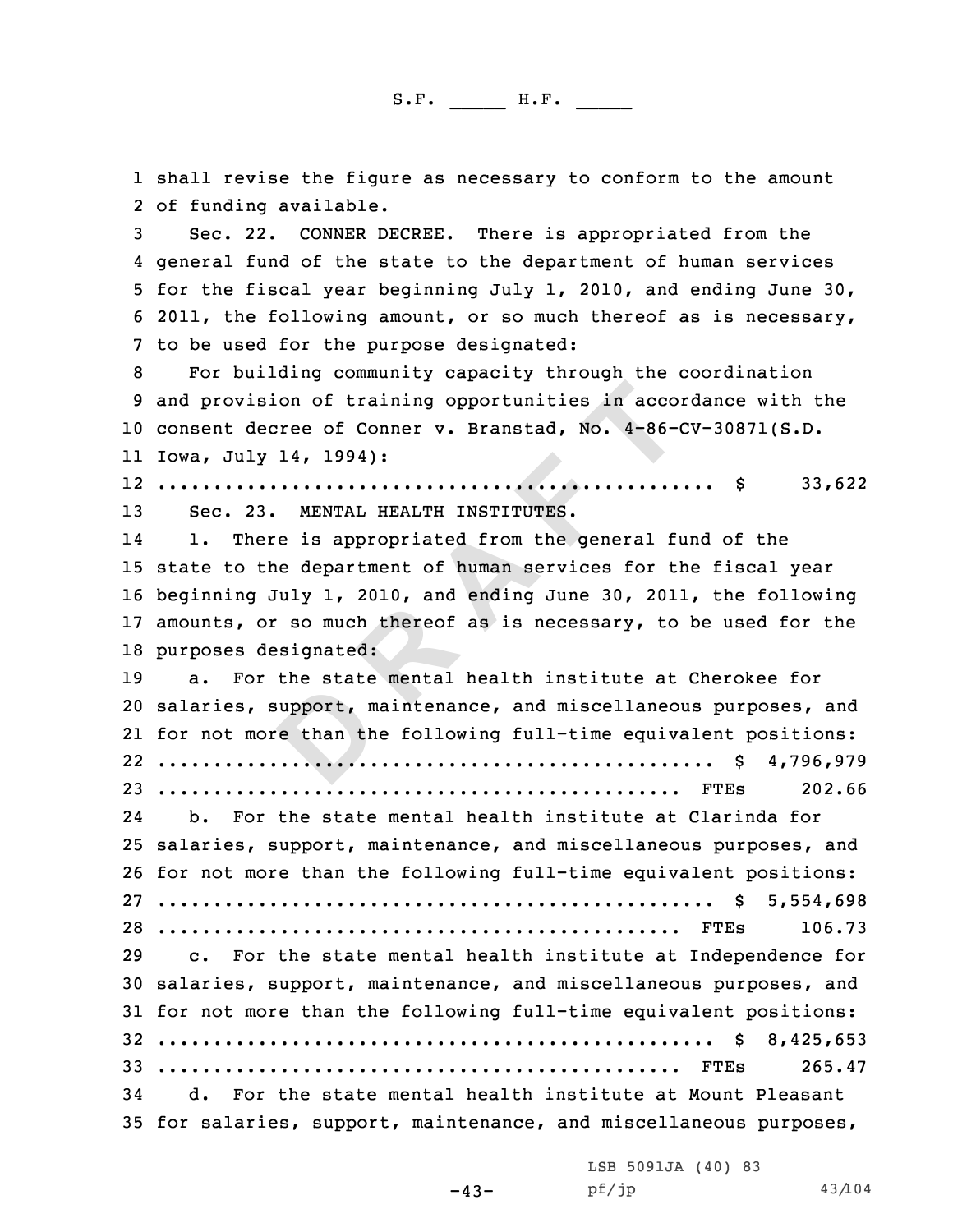1 shall revise the figure as necessary to conform to the amount<br>2 of funding available.

2 of funding available.<br>3 Sec. 22. CONNER DECREE. There is appropriated from the<br>4 general fund of the state to the department of human services 5 for the fiscal year beginning July 1, 2010, and ending June 30,<br>6 2011, the following amount, or so much thereof as is necessary,<br>7 to be used for the purpose designated:<br>8 For building community capacity through the coo

<sup>10</sup> consent decree of Conner v. Branstad, No. 4-86-CV-30871(S.D. 11 Iowa, July 14, 1994):

12 .................................................. \$ 33,622

13 Sec. 23. MENTAL HEALTH INSTITUTES.<br>14 1. There is appropriated from the 14There is appropriated from the general fund of the <sup>15</sup> state to the department of human services for the fiscal year <sup>16</sup> beginning July 1, 2010, and ending June 30, 2011, the following <sup>17</sup> amounts, or so much thereof as is necessary, to be used for the

**Comparing the set of Conner v. Branstad, No. 4-86-14, 1994):<br>
<b>D EXECT: EXECT: EXECT: EXECT: EXECT: EXECT: EXECT: EXECT: EXECT: EXECT: EXECT: CONNET INSTITUTES.**<br> **D ENTAL HEALTH INSTITUTES.**<br> **D** 18 purposes designated:<br>19 a. For the state a. For the state mental health institute at Cherokee for salaries, support, maintenance, and miscellaneous purposes, and for not more than the following full-time equivalent positions: .................................................. \$ 4,796,979 ............................................... FTEs 202.66 24 b. For the state mental health institute at Clarinda for salaries, support, maintenance, and miscellaneous purposes, and for not more than the following full-time equivalent positions: .................................................. \$ 5,554,698 ............................................... FTEs 106.73 c. For the state mental health institute at Independence for salaries, support, maintenance, and miscellaneous purposes, and for not more than the following full-time equivalent positions: .................................................. \$ 8,425,653 ............................................... FTEs 265.47 d. For the state mental health institute at Mount Pleasant

<sup>35</sup> for salaries, support, maintenance, and miscellaneous purposes,

-43-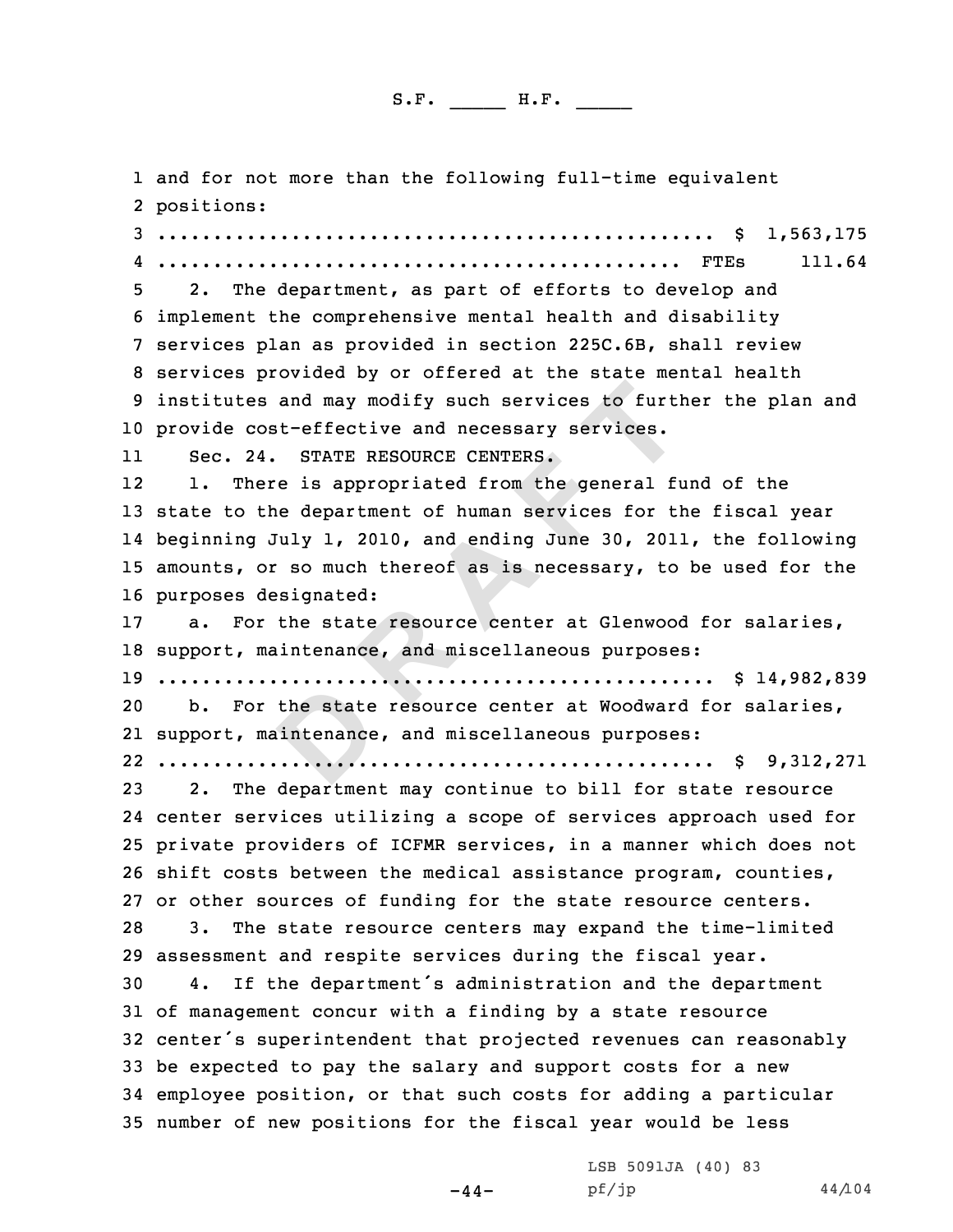and may modify such services to further-<br>
it-effective and necessary services.<br>
STATE RESOURCE CENTERS.<br>
e is appropriated from the general file department of human services for the<br>
indiversity 1, 2010, and ending June 30 1 and for not more than the following full-time equivalent<br>2 positions: positions: <sup>3</sup> .................................................. \$ 1,563,175 4 ............................................... FTEs 111.64 <sup>5</sup> 2. The department, as part of efforts to develop and <sup>6</sup> implement the comprehensive mental health and disability <sup>7</sup> services plan as provided in section 225C.6B, shall review <sup>8</sup> services provided by or offered at the state mental health <sup>9</sup> institutes and may modify such services to further the plan and <sup>10</sup> provide cost-effective and necessary services. 11 Sec. 24. STATE RESOURCE CENTERS. 12 1. There is appropriated from the general fund of the <sup>13</sup> state to the department of human services for the fiscal year 14 beginning July 1, 2010, and ending June 30, 2011, the following <sup>15</sup> amounts, or so much thereof as is necessary, to be used for the 16 purposes designated:<br>17 a. For the state For the state resource center at Glenwood for salaries, <sup>18</sup> support, maintenance, and miscellaneous purposes: <sup>19</sup> .................................................. \$ 14,982,839 For the state resource center at Woodward for salaries, 21 support, maintenance, and miscellaneous purposes: 22 .................................................. \$ 9,312,271 <sup>23</sup> 2. The department may continue to bill for state resource 24 center services utilizing <sup>a</sup> scope of services approach used for <sup>25</sup> private providers of ICFMR services, in <sup>a</sup> manner which does not <sup>26</sup> shift costs between the medical assistance program, counties, 27 or other sources of funding for the state resource centers.<br>28 3. The state resource centers may expand the time-limit. The state resource centers may expand the time-limited 29 assessment and respite services during the fiscal year.<br>30 4. If the department's administration and the depar If the department's administration and the department <sup>31</sup> of management concur with <sup>a</sup> finding by <sup>a</sup> state resource <sup>32</sup> center's superintendent that projected revenues can reasonably <sup>33</sup> be expected to pay the salary and support costs for <sup>a</sup> new <sup>34</sup> employee position, or that such costs for adding <sup>a</sup> particular <sup>35</sup> number of new positions for the fiscal year would be less

 $-44-$ 

LSB 5091JA (40) 83<br>pf/jp

pf/jp 44/104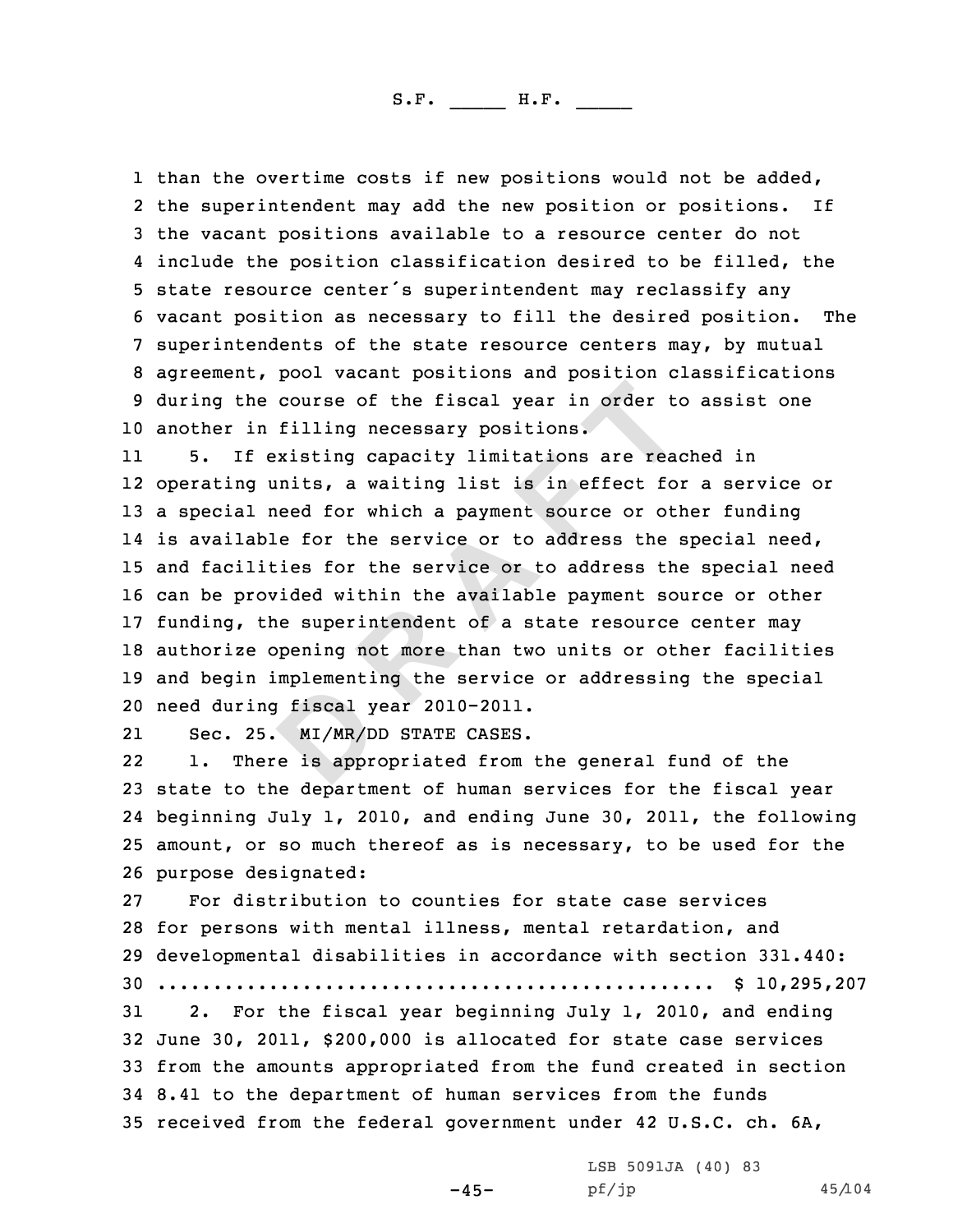1 than the overtime costs if new positions would not be added, 2 the superintendent may add the new position or positions. If 3 the vacant positions available to a resource center do not<br>4 include the position classification desired to be filled, the 4 include the position classification desired to be filled, the<br>5 state resource center's superintendent may reclassify any<br>6 vacant position as necessary to fill the desired position. The<br>7 superintendents of the state re <sup>10</sup> another in filling necessary positions.

**Provident in the fiscal year in order** to filling necessary positions.<br> **EXECUTE:** THE EXECUTE: THE ARRAIGNMENT AND THE SECTION OF THE SECTION OF THE SECTION OF THE SECTION OF THE SECTION OF THE SECTION OF THE SECTION OF 11 5. If existing capacity limitations are reached in 12 operating units, <sup>a</sup> waiting list is in effect for <sup>a</sup> service or <sup>13</sup> <sup>a</sup> special need for which <sup>a</sup> payment source or other funding 14 is available for the service or to address the special need, <sup>15</sup> and facilities for the service or to address the special need <sup>16</sup> can be provided within the available payment source or other 17 funding, the superintendent of a state resource center may <sup>18</sup> authorize opening not more than two units or other facilities <sup>19</sup> and begin implementing the service or addressing the special <sup>20</sup> need during fiscal year 2010-2011.

21Sec. 25. MI/MR/DD STATE CASES.<br>1. There is appropriated from

22There is appropriated from the general fund of the <sup>23</sup> state to the department of human services for the fiscal year 24 beginning July 1, 2010, and ending June 30, 2011, the following <sup>25</sup> amount, or so much thereof as is necessary, to be used for the 26 purpose designated:<br>27 For distribution

For distribution to counties for state case services for persons with mental illness, mental retardation, and developmental disabilities in accordance with section 331.440: .................................................. \$ 10,295,207 2. For the fiscal year beginning July 1, 2010, and ending June 30, 2011, \$200,000 is allocated for state case services from the amounts appropriated from the fund created in section 8.41 to the department of human services from the funds received from the federal government under <sup>42</sup> U.S.C. ch. 6A,

-45-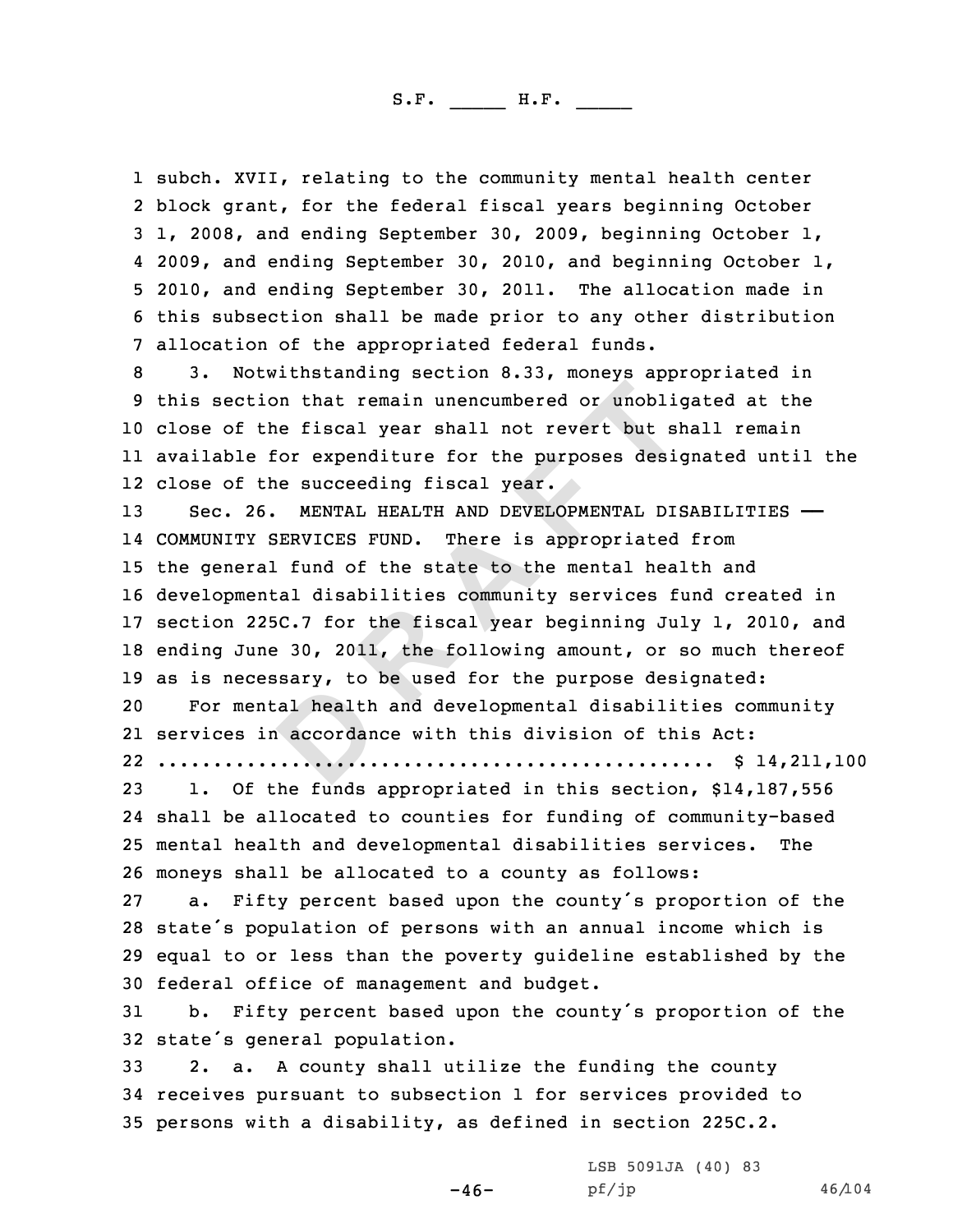1 subch. XVII, relating to the community mental health center 2 block grant, for the federal fiscal years beginning October 3 1, 2008, and ending September 30, 2009, beginning October 1, 4 2009, and ending September 30, 2010, and beginning October 1, 5 2010, and ending September 30, 2011. The allocation made in<br>6 this subsection shall be made prior to any other distribution<br>7 allocation of the appropriated federal funds.<br>8 3. Notwithstanding section 8.33, moneys approp

<sup>10</sup> close of the fiscal year shall not revert but shall remain 11 available for expenditure for the purposes designated until the 12 close of the succeeding fiscal year.

**Example 1 Example 1 CONTROMAGE 1 CONTROMAGE 1 CONTROMAGE 1 CONTROMAGE 1 CONTROMAGE 1 CONTROMAGE 1 CONTROMAGE 1 CONTROMAGE 1 CONTROMAGE 1 CONTROMAGE 1 CONTROMAGE 1 CONTROMAGE 1 CONTROMAGE 1 CO**  Sec. 26. MENTAL HEALTH AND DEVELOPMENTAL DISABILITIES —— COMMUNITY SERVICES FUND. There is appropriated from the general fund of the state to the mental health and developmental disabilities community services fund created in section 225C.7 for the fiscal year beginning July 1, 2010, and ending June 30, 2011, the following amount, or so much thereof 19 as is necessary, to be used for the purpose designated:<br>20 For mental health and developmental disabilities com

For mental health and developmental disabilities community 21 services in accordance with this division of this Act:

22 .................................................. \$ 14,211,100

 1. Of the funds appropriated in this section, \$14,187,556 shall be allocated to counties for funding of community-based mental health and developmental disabilities services. The 26 moneys shall be allocated to a county as follows:<br>27 a. Fifty percent based upon the county's prop

a. Fifty percent based upon the county's proportion of the <sup>28</sup> state's population of persons with an annual income which is <sup>29</sup> equal to or less than the poverty guideline established by the 30 federal office of management and budget.<br>31 b. Fifty percent based upon the coun

b. Fifty percent based upon the county's proportion of the 32 state's general population.<br>33 2. a. A county shall up

 $-46-$ 

2. a. A county shall utilize the funding the county <sup>34</sup> receives pursuant to subsection <sup>1</sup> for services provided to <sup>35</sup> persons with <sup>a</sup> disability, as defined in section 225C.2.

LSB 5091JA (40) 83<br>pf/jp

pf/jp 46/104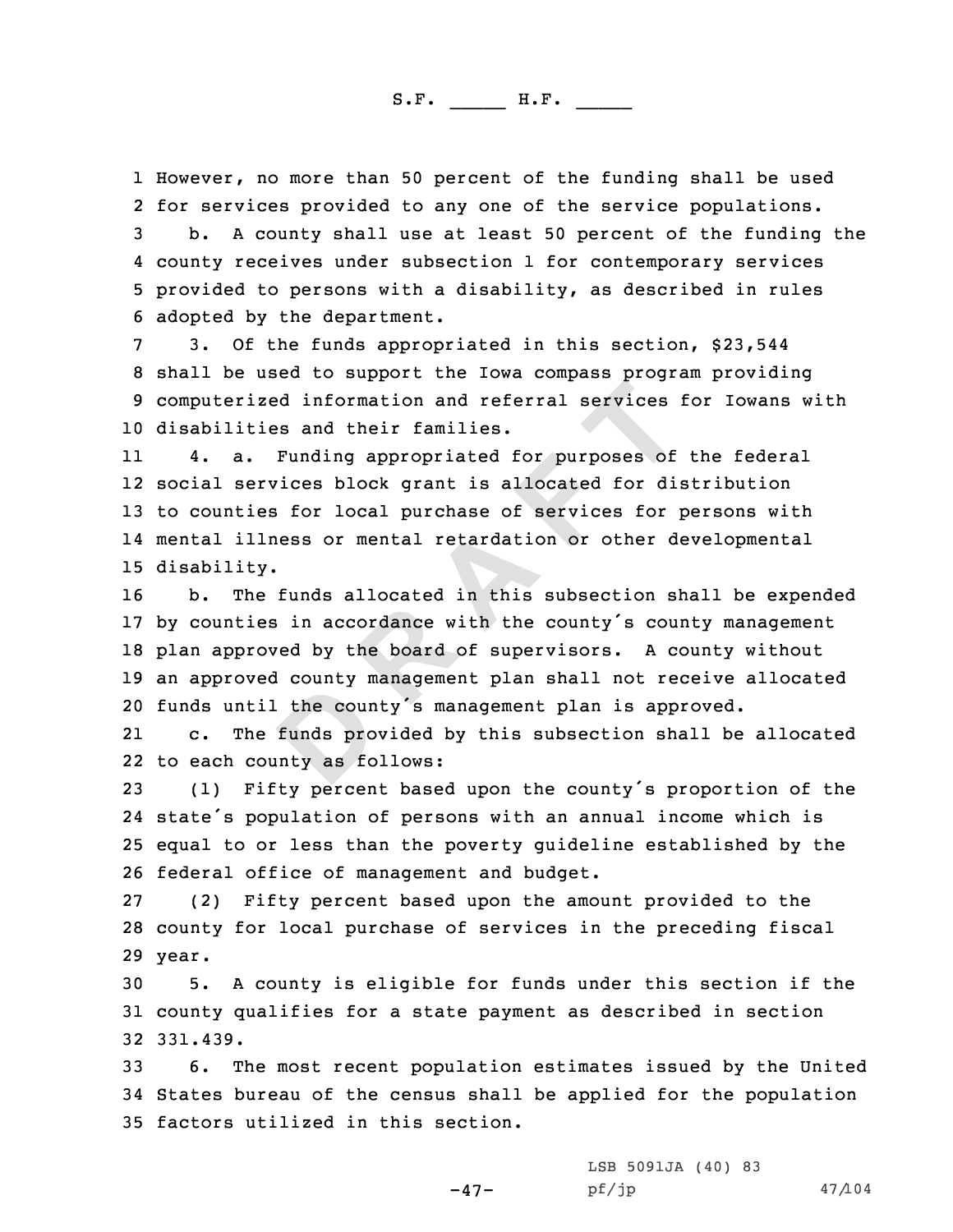1 However, no more than 50 percent of the funding shall be used 2 for services provided to any one of the service populations. for services provided to any one of the funding the services populations at least 50 percent of the funding the<br>4 county receives under subsection 1 for contemporary services

4 county receives under subsection 1 for contemporary services<br>5 provided to persons with a disability, as described in rules<br>6 adopted by the department.<br>7 3. Of the funds appropriated in this section, \$23,544<br>8 shall be <sup>10</sup> disabilities and their families.

**D R A F T** 11 4. a. Funding appropriated for purposes of the federal 12 social services block grant is allocated for distribution <sup>13</sup> to counties for local purchase of services for persons with 14 mental illness or mental retardation or other developmental 15 disability.

 b. The funds allocated in this subsection shall be expended by counties in accordance with the county's county management plan approved by the board of supervisors. <sup>A</sup> county without an approved county management plan shall not receive allocated 20 funds until the county's management plan is approved.<br>21 c. The funds provided by this subsection shall be

21The funds provided by this subsection shall be allocated 22 to each county as follows:

 (1) Fifty percent based upon the county's proportion of the state's population of persons with an annual income which is equal to or less than the poverty guideline established by the 26 federal office of management and budget.<br>27 (2) Fifty percent based upon the amo

(2) Fifty percent based upon the amount provided to the <sup>28</sup> county for local purchase of services in the preceding fiscal 29 year.

<sup>30</sup> 5. <sup>A</sup> county is eligible for funds under this section if the <sup>31</sup> county qualifies for <sup>a</sup> state payment as described in section 32 331.439.

<sup>33</sup> 6. The most recent population estimates issued by the United <sup>34</sup> States bureau of the census shall be applied for the population <sup>35</sup> factors utilized in this section.

> LSB 5091JA (40) 83<br>pf/jp pf/jp 47/104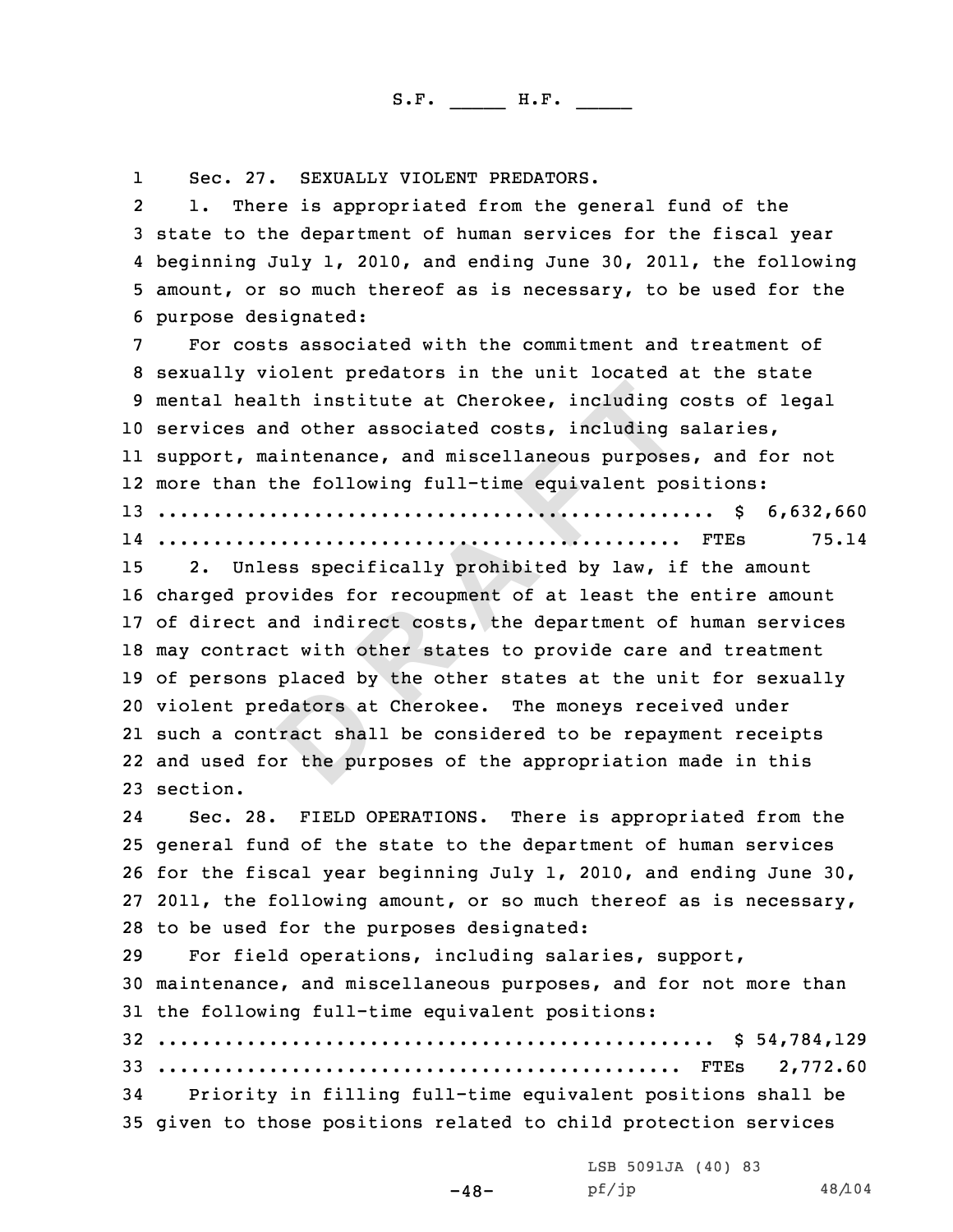1

Sec. 27. SEXUALLY VIOLENT PREDATORS.<br>2 1. There is appropriated from the general fund of the 1. State to the department of human services for the fiscal year<br>4. beginning July 1, 2010, and ending June 30, 2011, the following

5 amount, or so much thereof as is necessary, to be used for the<br>6 purpose designated:<br>7 For costs associated with the commitment and treatment of<br>8 sexually violent predators in the unit located at the state<br>9 mental heal services and other associated costs, including salaries, support, maintenance, and miscellaneous purposes, and for not more than the following full-time equivalent positions: .................................................. \$ 6,632,660 ............................................... FTEs 75.14

**A EXECUTE: A EXECUTE: A EXECUTE: A EXECUTE: A EXECUTE: A EXECUTE: CONDENDING D EXECUTE: CONDENDING D EXECUTE: CONDENDING D EXECUTE: CONDENDING D EXECUTE: CONDENDING D EX**  2. Unless specifically prohibited by law, if the amount charged provides for recoupment of at least the entire amount of direct and indirect costs, the department of human services may contract with other states to provide care and treatment of persons placed by the other states at the unit for sexually violent predators at Cherokee. The moneys received under such <sup>a</sup> contract shall be considered to be repayment receipts and used for the purposes of the appropriation made in this 23 section.

24 Sec. 28. FIELD OPERATIONS. There is appropriated from the <sup>25</sup> general fund of the state to the department of human services <sup>26</sup> for the fiscal year beginning July 1, 2010, and ending June 30, <sup>27</sup> 2011, the following amount, or so much thereof as is necessary, 28 to be used for the purposes designated:<br>29 For field operations, including sala

For field operations, including salaries, support, maintenance, and miscellaneous purposes, and for not more than the following full-time equivalent positions: .................................................. \$ 54,784,129 ............................................... FTEs 2,772.60

Priority in filling full-time equivalent positions shall be <sup>35</sup> given to those positions related to child protection services

-48-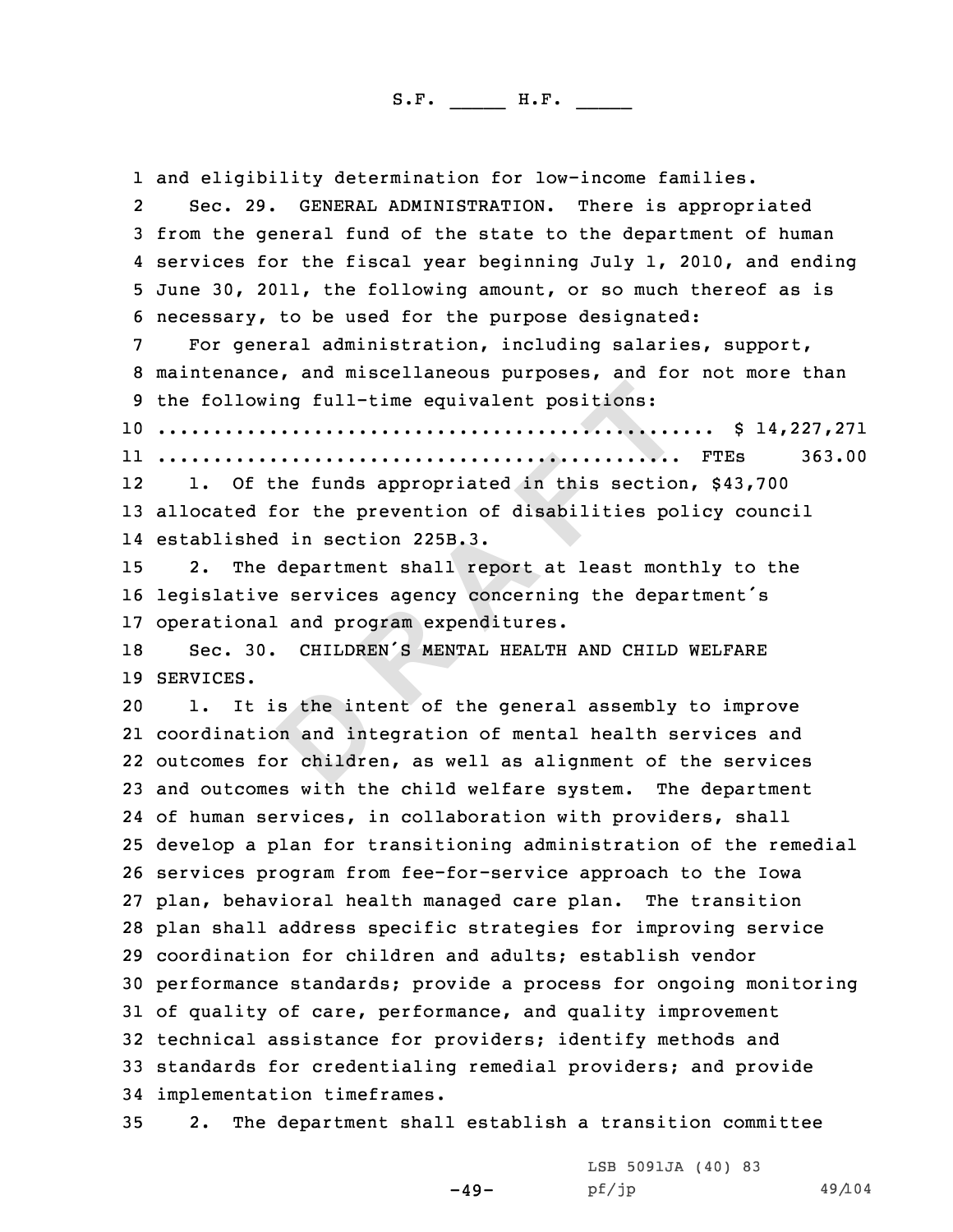In the funds appropriated in this section<br>the funds appropriated in this section<br>ior the prevention of disabilities po<br>in section 225B.3.<br>department shall report at least monitor services agency concerning the depa<br>and pro 1 and eligibility determination for low-income families.<br>2 Sec. 29. GENERAL ADMINISTRATION. There is appropr Sec. 29. GENERAL ADMINISTRATION. There is appropriated<br>3 from the general fund of the state to the department of human<br>4 services for the fiscal year beginning July 1, 2010, and ending 5 June 30, 2011, the following amount, or so much thereof as is<br>6 necessary, to be used for the purpose designated:<br>7 For general administration, including salaries, support,<br>8 maintenance, and miscellaneous purposes, and .................................................. \$ 14,227,271 ............................................... FTEs 363.00 12 1. Of the funds appropriated in this section, \$43,700 allocated for the prevention of disabilities policy council established in section 225B.3. 2. The department shall report at least monthly to the legislative services agency concerning the department's 17 operational and program expenditures.<br>18 Sec. 30. CHILDREN'S MENTAL HEALTH Sec. 30. CHILDREN'S MENTAL HEALTH AND CHILD WELFARE SERVICES. 1. It is the intent of the general assembly to improve coordination and integration of mental health services and outcomes for children, as well as alignment of the services and outcomes with the child welfare system. The department of human services, in collaboration with providers, shall develop <sup>a</sup> plan for transitioning administration of the remedial services program from fee-for-service approach to the Iowa plan, behavioral health managed care plan. The transition plan shall address specific strategies for improving service coordination for children and adults; establish vendor performance standards; provide <sup>a</sup> process for ongoing monitoring of quality of care, performance, and quality improvement technical assistance for providers; identify methods and standards for credentialing remedial providers; and provide 34 implementation timeframes.<br>35 2. The department shal

2. The department shall establish a transition committee

 $-49-$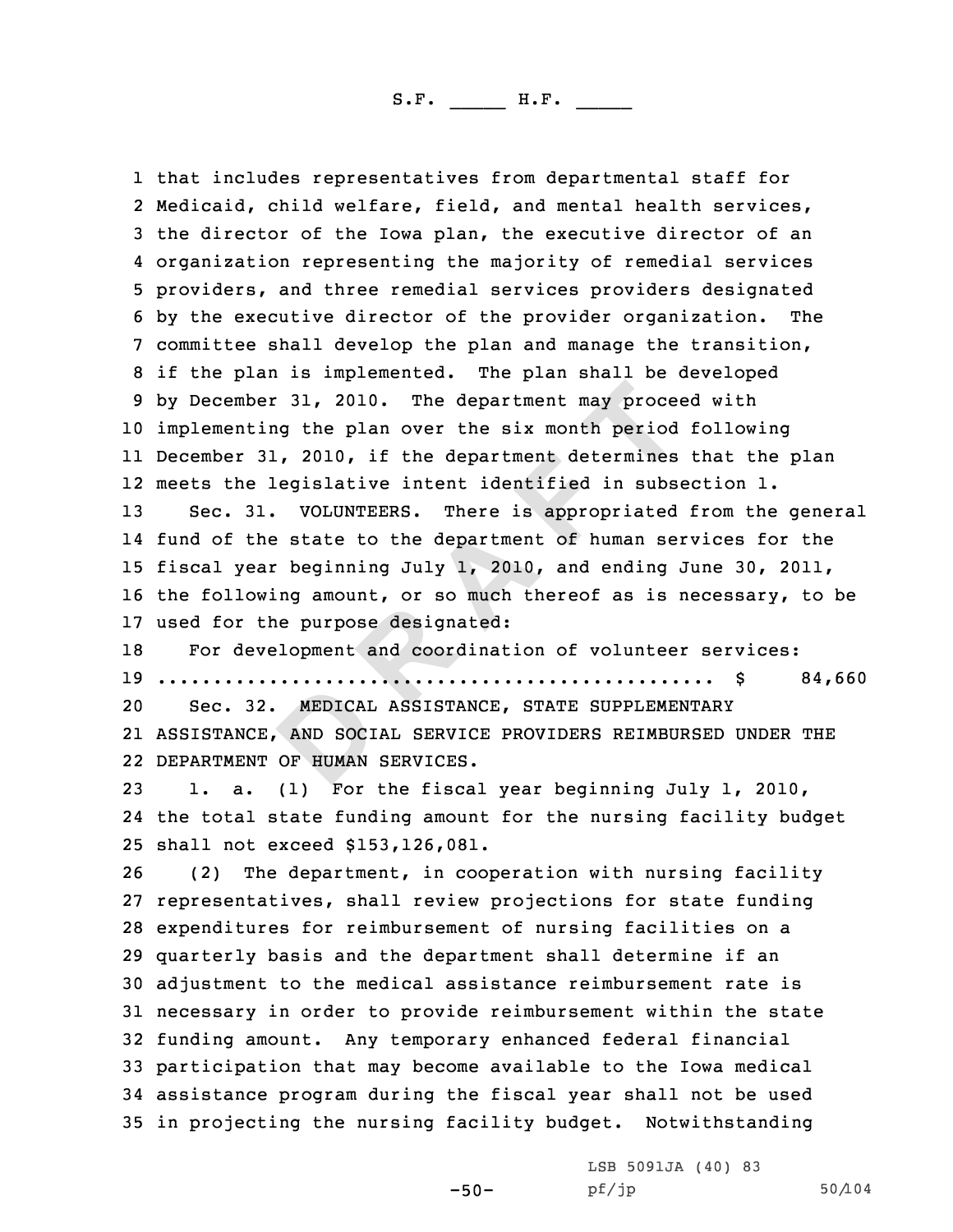**Example 10 EXECTS:** THE **EXECTS CONDERT AND SOCIAL SERVICES.**<br>
(1) For the six month period, 2010, if the department determines<br>
equisitive intent identified in subset volumers.<br>
There is appropriated<br>
extate to the d 1 that includes representatives from departmental staff for 1 that includes representatives from departmental staff for<br>2 Medicaid, child welfare, field, and mental health service 2 Medicaid, child welfare, field, and mental health services,<br>3 the director of the Iowa plan, the executive director of an<br>4 organization representing the majority of remedial services 4 organization representing the majority of remedial services<br>5 providers, and three remedial services providers designated<br>6 by the executive director of the provider organization. The<br>7 committee shall develop the plan a implementing the plan over the six month period following December 31, 2010, if the department determines that the plan meets the legislative intent identified in subsection 1. Sec. 31. VOLUNTEERS. There is appropriated from the general fund of the state to the department of human services for the fiscal year beginning July 1, 2010, and ending June 30, 2011, the following amount, or so much thereof as is necessary, to be 17 used for the purpose designated:<br>18 For development and coordinat For development and coordination of volunteer services: .................................................. \$ 84,660 Sec. 32. MEDICAL ASSISTANCE, STATE SUPPLEMENTARY ASSISTANCE, AND SOCIAL SERVICE PROVIDERS REIMBURSED UNDER THE DEPARTMENT OF HUMAN SERVICES. 1. a. (1) For the fiscal year beginning July 1, 2010, the total state funding amount for the nursing facility budget 25 shall not exceed \$153,126,081.<br>26 (2) The department, in coo (2) The department, in cooperation with nursing facility representatives, shall review projections for state funding expenditures for reimbursement of nursing facilities on <sup>a</sup> quarterly basis and the department shall determine if an adjustment to the medical assistance reimbursement rate is necessary in order to provide reimbursement within the state funding amount. Any temporary enhanced federal financial participation that may become available to the Iowa medical assistance program during the fiscal year shall not be used in projecting the nursing facility budget. Notwithstanding

LSB 5091JA (40) 83<br>pf/jp

pf/jp 50/104

-50-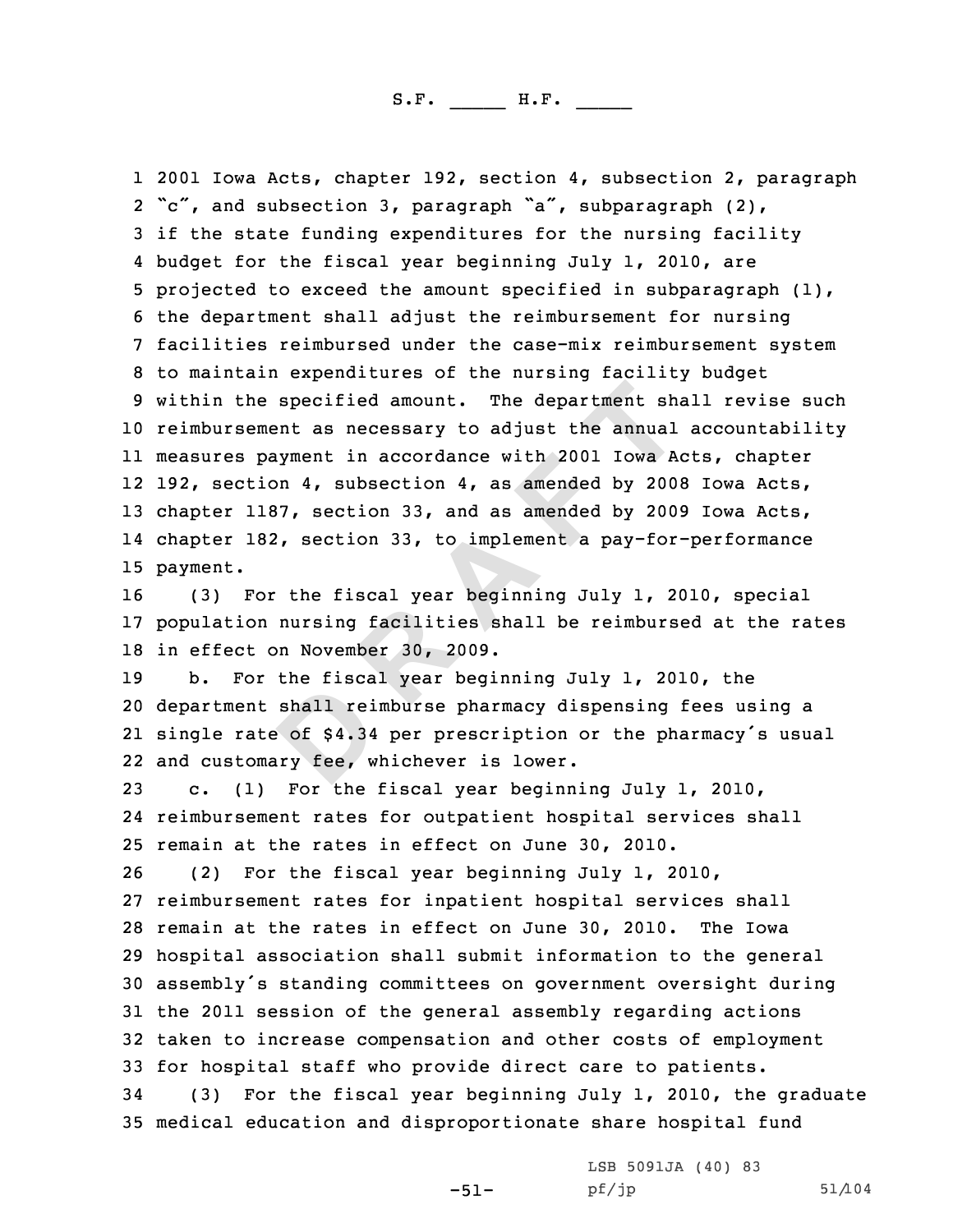specified amount. The department shant as necessary to adjust the annual symment in accordance with 2001 Iowa A<sub>0</sub> and A<sub>1</sub> as amended by 200877, section 33, and as amended by 200877, section 33, and as amended by 20087, s 1 2001 Iowa Acts, chapter 192, section 4, subsection 2, paragraph<br>2 "c", and subsection 3, paragraph "a", subparagraph (2), 2 "c", and subsection 3, paragraph "a", subparagraph (2),<br>3 if the state funding expenditures for the nursing facility<br>4 budget for the fiscal year beginning July 1, 2010, are 4 budget for the fiscal year beginning July 1, 2010, are<br>5 projected to exceed the amount specified in subparagraph (1),<br>6 the department shall adjust the reimbursement for nursing<br>7 facilities reimbursed under the case-mi <sup>10</sup> reimbursement as necessary to adjust the annual accountability 11 measures payment in accordance with <sup>2001</sup> Iowa Acts, chapter 12 192, section 4, subsection 4, as amended by <sup>2008</sup> Iowa Acts, <sup>13</sup> chapter 1187, section 33, and as amended by <sup>2009</sup> Iowa Acts, 14 chapter 182, section 33, to implement <sup>a</sup> pay-for-performance 15 payment.

<sup>16</sup> (3) For the fiscal year beginning July 1, 2010, special <sup>17</sup> population nursing facilities shall be reimbursed at the rates 18 in effect on November 30, 2009.<br>19 b. For the fiscal year begi

b. For the fiscal year beginning July 1, 2010, the department shall reimburse pharmacy dispensing fees using <sup>a</sup> single rate of \$4.34 per prescription or the pharmacy's usual and customary fee, whichever is lower.

<sup>23</sup> c. (1) For the fiscal year beginning July 1, 2010, 24 reimbursement rates for outpatient hospital services shall 25 remain at the rates in effect on June 30, 2010.<br>26 (2) For the fiscal year beginning July 1, 2

(2) For the fiscal year beginning July 1, 2010, 27 reimbursement rates for inpatient hospital services shall<br>28 remain at the rates in effect on June 30, 2010. The Iowa 28 remain at the rates in effect on June 30, 2010. <sup>29</sup> hospital association shall submit information to the general <sup>30</sup> assembly's standing committees on government oversight during <sup>31</sup> the <sup>2011</sup> session of the general assembly regarding actions <sup>32</sup> taken to increase compensation and other costs of employment 33 for hospital staff who provide direct care to patients.<br>34 (3) For the fiscal year beginning July 1, 2010, the

(3) For the fiscal year beginning July 1, 2010, the graduate <sup>35</sup> medical education and disproportionate share hospital fund

-51-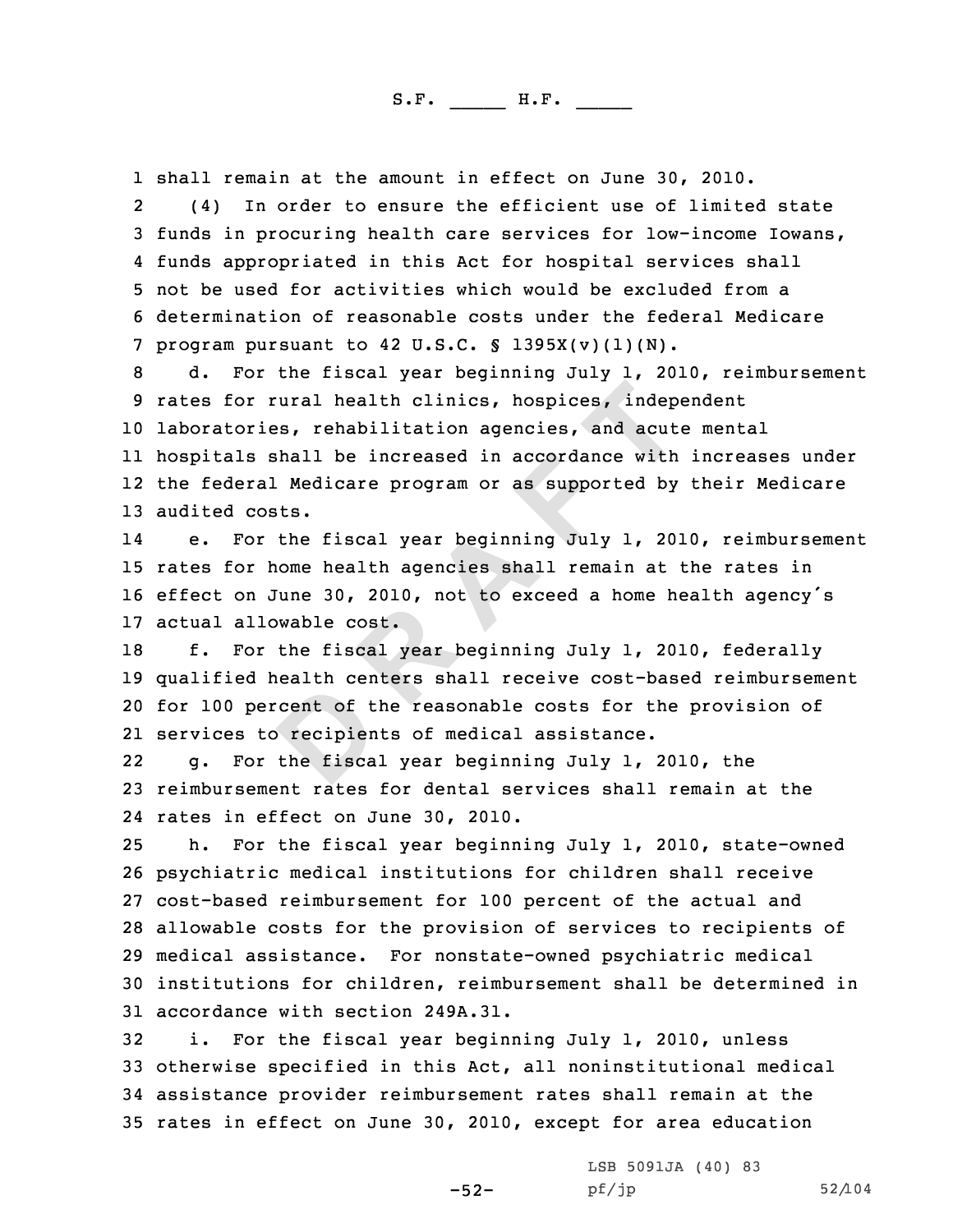1 shall remain at the amount in effect on June 30, 2010.<br>2 (4) In order to ensure the efficient use of limite

 (4) In order to ensure the efficient use of limited state <sup>3</sup> funds in procuring health care services for low-income Iowans, 44 funds appropriated in this Act for hospital services shall<br>5 not be used for activities which would be excluded from a<br>6 determination of reasonable costs under the federal Medicare<br>7 program pursuant to 42 U.S.C. § 1395

**Example 12**<br> **P Example 12**<br> **Example 12**<br> **Example 12**<br> **Example 12**<br> **Example 12**<br> **Example 12**<br> **Example 12**<br> **Example 12**<br> **Example 12**<br> **Example 12**<br> **Example 12**<br> **Example 12**<br> **Example 12**<br> **Example 12**<br> **Example**  laboratories, rehabilitation agencies, and acute mental hospitals shall be increased in accordance with increases under the federal Medicare program or as supported by their Medicare audited costs.

14 e. For the fiscal year beginning July 1, 2010, reimbursement <sup>15</sup> rates for home health agencies shall remain at the rates in <sup>16</sup> effect on June 30, 2010, not to exceed <sup>a</sup> home health agency's 17 actual allowable cost.<br>18 f. For the fiscal v

f. For the fiscal year beginning July 1, 2010, federally qualified health centers shall receive cost-based reimbursement for <sup>100</sup> percent of the reasonable costs for the provision of services to recipients of medical assistance.

22 g. For the fiscal year beginning July 1, 2010, the <sup>23</sup> reimbursement rates for dental services shall remain at the 24 rates in effect on June 30, 2010.

 h. For the fiscal year beginning July 1, 2010, state-owned psychiatric medical institutions for children shall receive cost-based reimbursement for <sup>100</sup> percent of the actual and allowable costs for the provision of services to recipients of medical assistance. For nonstate-owned psychiatric medical institutions for children, reimbursement shall be determined in 31 accordance with section 249A.31.<br>32 i. For the fiscal vear begin

i. For the fiscal year beginning July 1, 2010, unless otherwise specified in this Act, all noninstitutional medical assistance provider reimbursement rates shall remain at the rates in effect on June 30, 2010, except for area education

-52-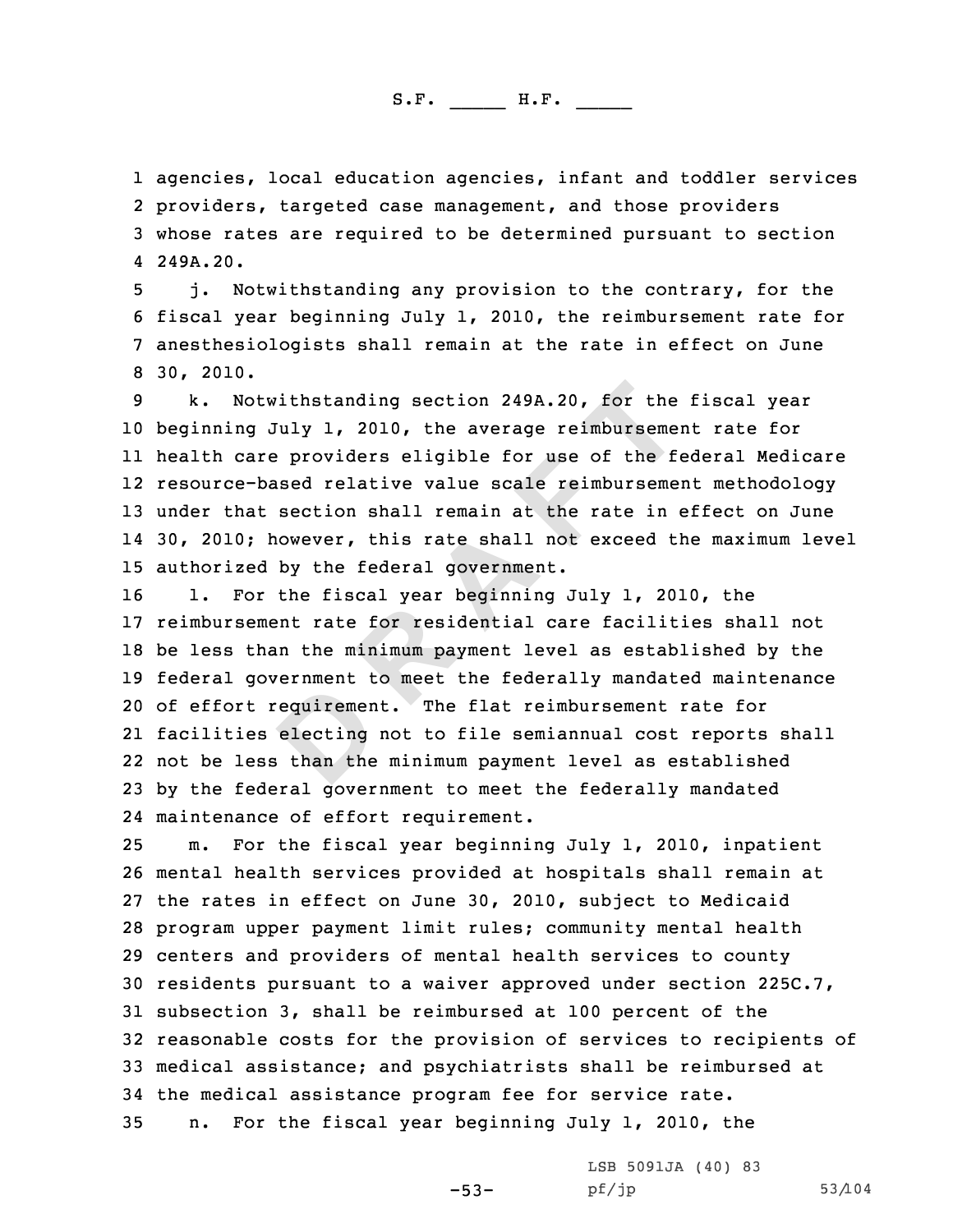1 agencies, local education agencies, infant and toddler services<br>2 providers, targeted case management, and those providers providers, targeted case management, and those providers <sup>3</sup> whose rates are required to be determined pursuant to section 4249A.20.

j. Notwithstanding any provision to the contrary, for the<br>6 fiscal year beginning July 1, 2010, the reimbursement rate for<br>7 anesthesiologists shall remain at the rate in effect on June<br>8 30, 2010.<br>k. Notwithstanding secti

 beginning July 1, 2010, the average reimbursement rate for health care providers eligible for use of the federal Medicare resource-based relative value scale reimbursement methodology under that section shall remain at the rate in effect on June 14 30, 2010; however, this rate shall not exceed the maximum level 15 authorized by the federal government.<br>16 1. For the fiscal year beginning.

**Example 1.** 2010, the average reimburseme:<br> **P Example 1.** 2010, the average reimburseme:<br> **P Example 1.** 2010, the average reimburseme:<br> **P Example 1. EXAMPLE 1. EXAMPLE 1. EXAMPLE 1. EXAMPLE 1. CONCE 1.** For the fiscal year beginning July 1, 2010, the reimbursement rate for residential care facilities shall not be less than the minimum payment level as established by the federal government to meet the federally mandated maintenance of effort requirement. The flat reimbursement rate for facilities electing not to file semiannual cost reports shall not be less than the minimum payment level as established by the federal government to meet the federally mandated maintenance of effort requirement.

 m. For the fiscal year beginning July 1, 2010, inpatient mental health services provided at hospitals shall remain at the rates in effect on June 30, 2010, subject to Medicaid program upper payment limit rules; community mental health centers and providers of mental health services to county residents pursuant to <sup>a</sup> waiver approved under section 225C.7, subsection 3, shall be reimbursed at <sup>100</sup> percent of the reasonable costs for the provision of services to recipients of medical assistance; and psychiatrists shall be reimbursed at 34 the medical assistance program fee for service rate.<br>35 n. For the fiscal year beginning July 1, 2010, t n. For the fiscal year beginning July 1, 2010, the

-53-

LSB 5091JA (40) 83<br>pf/jp

pf/jp 53/104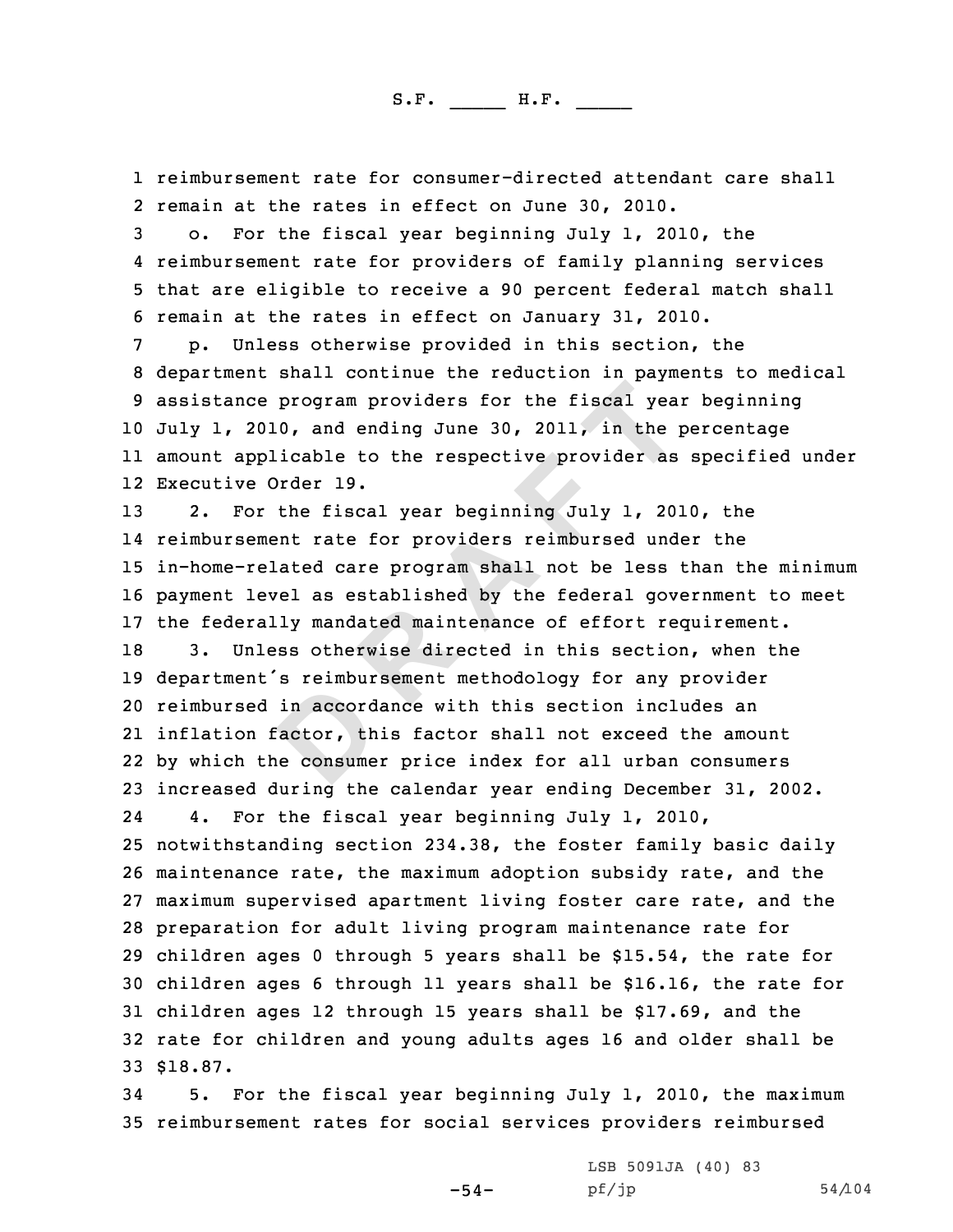1 reimbursement rate for consumer-directed attendant care shall<br>2 remain at the rates in effect on June 30, 2010.

2 remain at the rates in effect on June 30, 2010.<br>3 o. For the fiscal year beginning July 1, 2010, the<br>4 reimbursement rate for providers of family planning services

4 reimbursement rate for providers of family planning services<br>5 that are eligible to receive a 90 percent federal match shall<br>6 remain at the rates in effect on January 31, 2010.<br>7 p. Unless otherwise provided in this sec July 1, 2010, and ending June 30, 2011, in the percentage amount applicable to the respective provider as specified under Executive Order 19.

program providers for the fiscal yea<br>
0, and ending June 30, 2011, in the p<br>
icable to the respective provider as<br>
Drder 19.<br>
the fiscal year beginning July 1, 20:<br>
ent rate for providers reimbursed und<br>
lated care program 2. For the fiscal year beginning July 1, 2010, the reimbursement rate for providers reimbursed under the in-home-related care program shall not be less than the minimum payment level as established by the federal government to meet 17 the federally mandated maintenance of effort requirement.<br>18 3. Unless otherwise directed in this section, when the 3. Unless otherwise directed in this section, when the department's reimbursement methodology for any provider reimbursed in accordance with this section includes an inflation factor, this factor shall not exceed the amount by which the consumer price index for all urban consumers 23 increased during the calendar year ending December 31, 2002.<br>24 1. For the fiscal year beginning July 1, 2010, 24For the fiscal year beginning July 1, 2010, notwithstanding section 234.38, the foster family basic daily maintenance rate, the maximum adoption subsidy rate, and the maximum supervised apartment living foster care rate, and the preparation for adult living program maintenance rate for children ages <sup>0</sup> through <sup>5</sup> years shall be \$15.54, the rate for children ages <sup>6</sup> through <sup>11</sup> years shall be \$16.16, the rate for children ages <sup>12</sup> through <sup>15</sup> years shall be \$17.69, and the rate for children and young adults ages <sup>16</sup> and older shall be 33 \$18.87.

<sup>34</sup> 5. For the fiscal year beginning July 1, 2010, the maximum <sup>35</sup> reimbursement rates for social services providers reimbursed

-54-

LSB 5091JA (40) <sup>83</sup>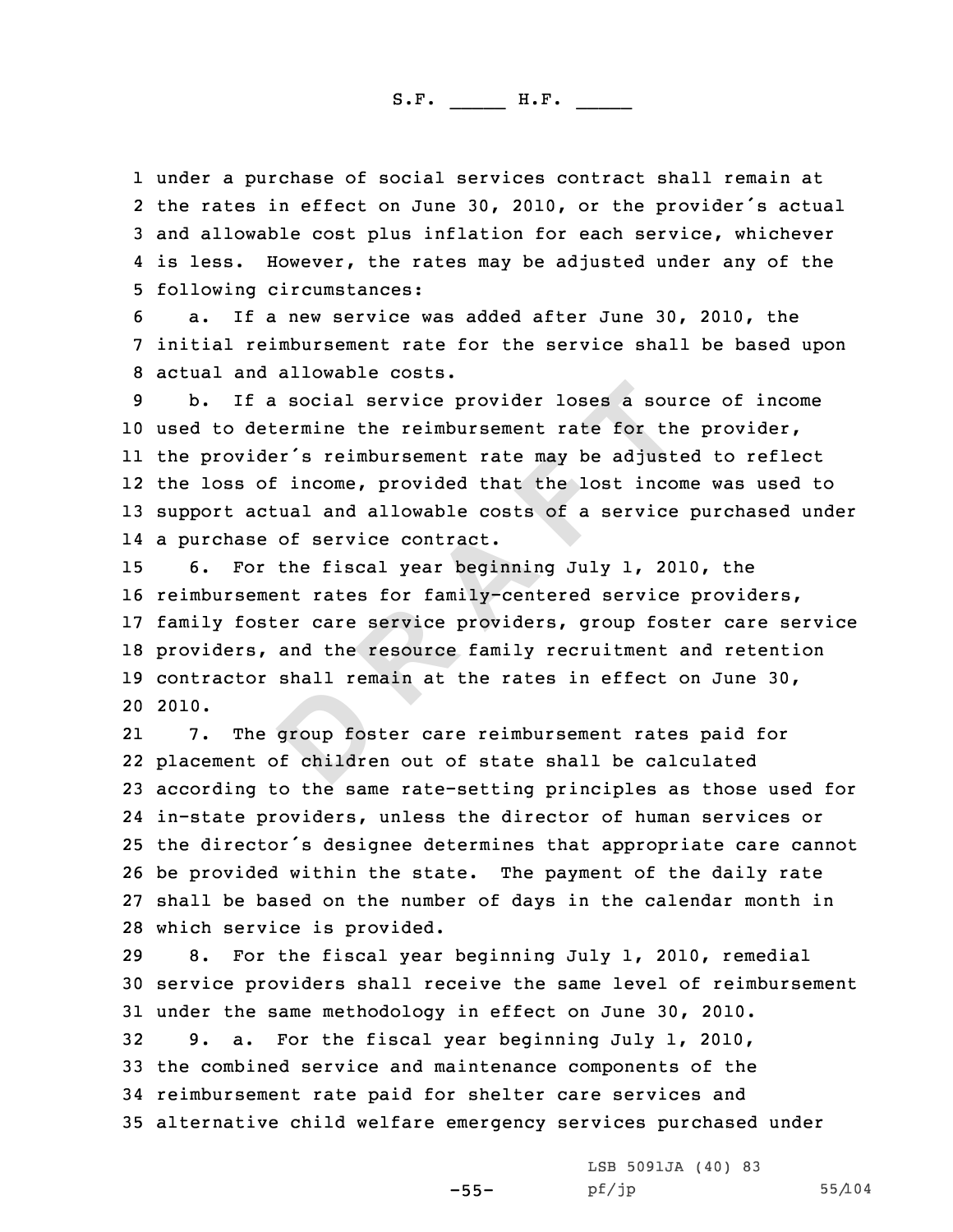1 under a purchase of social services contract shall remain at 2 the rates in effect on June 30, 2010, or the provider's actual 3 and allowable cost plus inflation for each service, whichever<br>4 is less. However, the rates may be adjusted under any of the

4 is less. However, the rates may be adjusted under any of the<br>5 following circumstances:<br>6 a. If a new service was added after June 30, 2010, the<br>7 initial reimbursement rate for the service shall be based upon<br>8 actual a

**Example 1 EXTERT 1992 EXERC 2013 EXERC 2013 EXERC 2013 EXERC 2013 EXERC 2013 CONDE 2013 CONDE 2013 CONDE 2013 CONDE 2013 CONDE 2013 CONDE 2013 CONDE 2013 CONDE 2013 CONDE 2013 CONDE 2013** used to determine the reimbursement rate for the provider, the provider's reimbursement rate may be adjusted to reflect the loss of income, provided that the lost income was used to support actual and allowable costs of <sup>a</sup> service purchased under <sup>a</sup> purchase of service contract.

 6. For the fiscal year beginning July 1, 2010, the reimbursement rates for family-centered service providers, family foster care service providers, group foster care service providers, and the resource family recruitment and retention contractor shall remain at the rates in effect on June 30, 2010.

21 7. The group foster care reimbursement rates paid for placement of children out of state shall be calculated according to the same rate-setting principles as those used for in-state providers, unless the director of human services or the director's designee determines that appropriate care cannot be provided within the state. The payment of the daily rate shall be based on the number of days in the calendar month in 28 which service is provided.<br>29 8. For the fiscal year

For the fiscal year beginning July 1, 2010, remedial <sup>30</sup> service providers shall receive the same level of reimbursement 31 under the same methodology in effect on June 30, 2010.<br>32 9. a. For the fiscal vear beginning July 1, 2010. 9. a. For the fiscal year beginning July 1, 2010, <sup>33</sup> the combined service and maintenance components of the <sup>34</sup> reimbursement rate paid for shelter care services and <sup>35</sup> alternative child welfare emergency services purchased under

-55-

LSB 5091JA (40) 83<br>pf/jp

pf/jp 55/104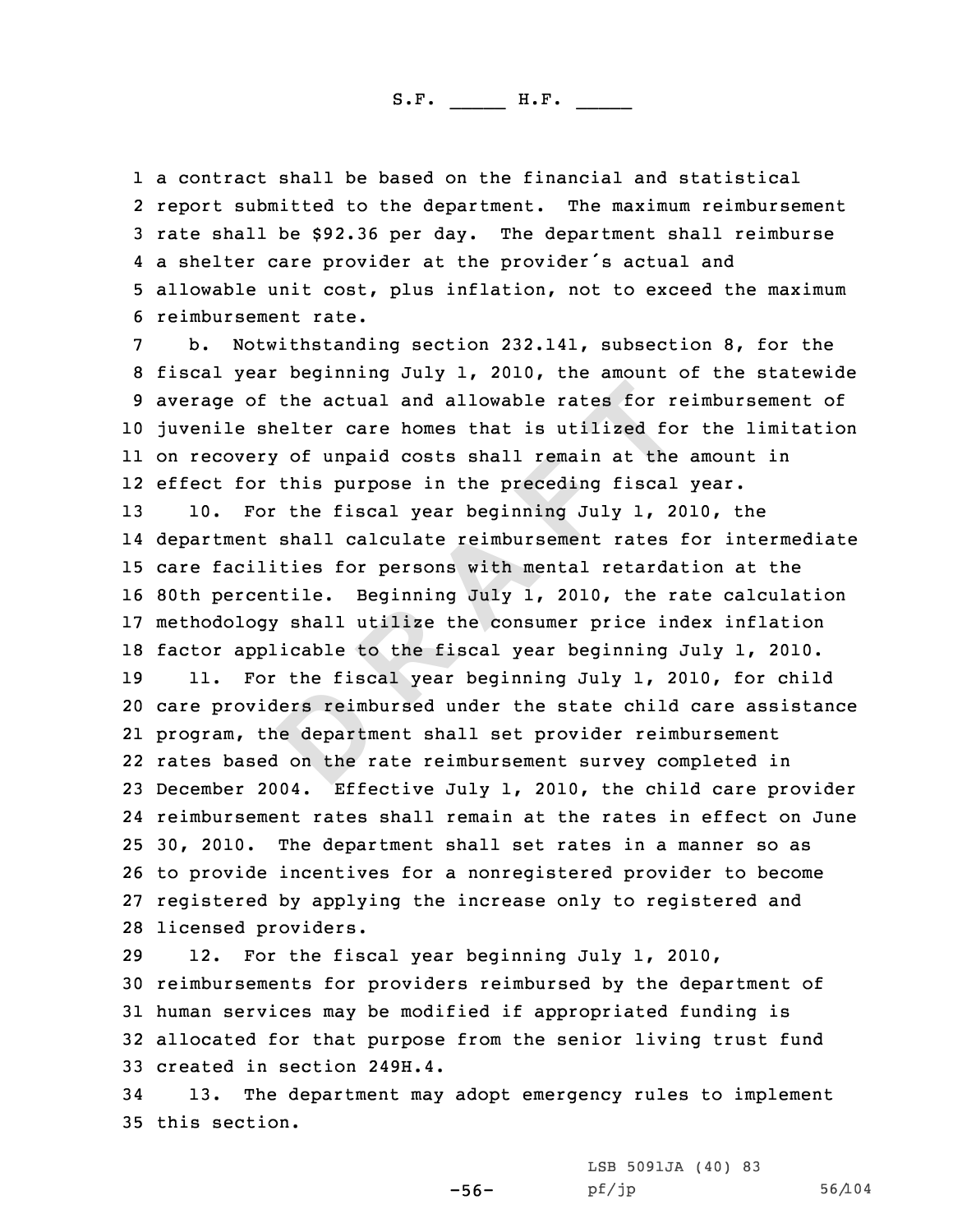1 a contract shall be based on the financial and statistical 2 report submitted to the department. The maximum reimbursement 3 rate shall be \$92.36 per day. The department shall reimburse<br>4 a shelter care provider at the provider's actual and

**D R A F T** 5 allowable unit cost, plus inflation, not to exceed the maximum<br>6 reimbursement rate.<br>7 b. Notwithstanding section 232.141, subsection 8, for the<br>8 fiscal year beginning July 1, 2010, the amount of the statewide<br>9 average juvenile shelter care homes that is utilized for the limitation on recovery of unpaid costs shall remain at the amount in effect for this purpose in the preceding fiscal year. 10. For the fiscal year beginning July 1, 2010, the department shall calculate reimbursement rates for intermediate

<sup>15</sup> care facilities for persons with mental retardation at the <sup>16</sup> 80th percentile. Beginning July 1, 2010, the rate calculation <sup>17</sup> methodology shall utilize the consumer price index inflation

18 factor applicable to the fiscal year beginning July 1, 2010.<br>19 11. For the fiscal year beginning July 1, 2010, for chile 11. For the fiscal year beginning July 1, 2010, for child care providers reimbursed under the state child care assistance program, the department shall set provider reimbursement rates based on the rate reimbursement survey completed in December 2004. Effective July 1, 2010, the child care provider reimbursement rates shall remain at the rates in effect on June 30, 2010. The department shall set rates in <sup>a</sup> manner so as to provide incentives for <sup>a</sup> nonregistered provider to become registered by applying the increase only to registered and 28 licensed providers.<br>29 12. For the fis

For the fiscal year beginning July 1, 2010, <sup>30</sup> reimbursements for providers reimbursed by the department of <sup>31</sup> human services may be modified if appropriated funding is <sup>32</sup> allocated for that purpose from the senior living trust fund 33 created in section 249H.4.<br>34 13. The department may

13. The department may adopt emergency rules to implement <sup>35</sup> this section.

-56-

LSB 5091JA (40) <sup>83</sup>

pf/jp 56/104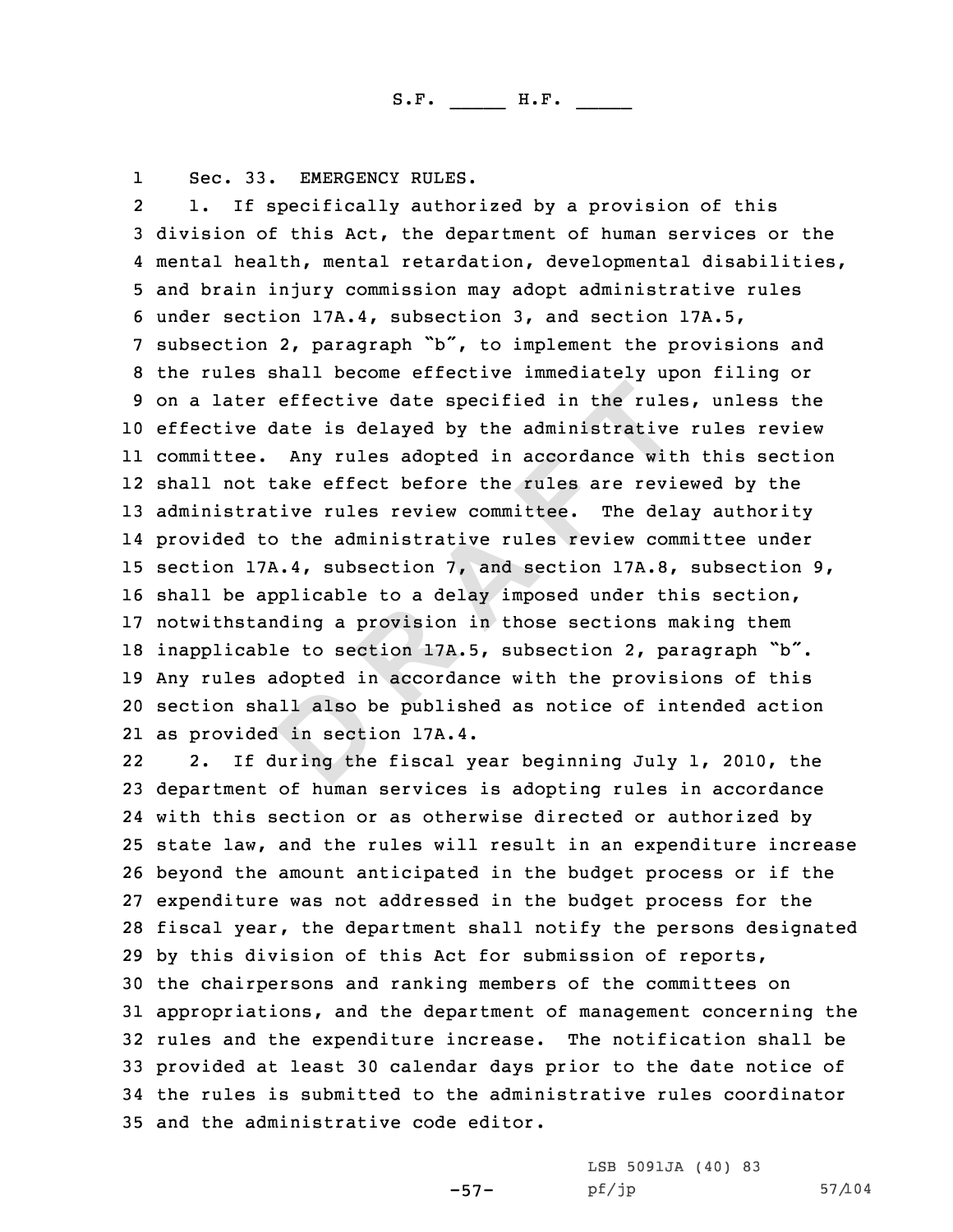1

effective date specified in the rule:<br>late is delayed by the administrative<br>Any rules adopted in accordance witi<br>cake effect before the rules are revice<br>ive rules review committee. The delay<br>of the administrative rules rev Sec. 33. EMERGENCY RULES.<br>2 1. If specifically authorized by a provision of this 3 division of this Act, the department of human services or the<br>4 mental health, mental retardation, developmental disabilities, 5 and brain injury commission may adopt administrative rules<br>6 under section 17A.4, subsection 3, and section 17A.5,<br>7 subsection 2, paragraph "b", to implement the provisions and<br>8 the rules shall become effective immedia effective date is delayed by the administrative rules review committee. Any rules adopted in accordance with this section shall not take effect before the rules are reviewed by the administrative rules review committee. The delay authority provided to the administrative rules review committee under section 17A.4, subsection 7, and section 17A.8, subsection 9, shall be applicable to <sup>a</sup> delay imposed under this section, notwithstanding <sup>a</sup> provision in those sections making them inapplicable to section 17A.5, subsection 2, paragraph "b". Any rules adopted in accordance with the provisions of this section shall also be published as notice of intended action as provided in section 17A.4.

22 2. If during the fiscal year beginning July 1, 2010, the department of human services is adopting rules in accordance with this section or as otherwise directed or authorized by state law, and the rules will result in an expenditure increase beyond the amount anticipated in the budget process or if the expenditure was not addressed in the budget process for the fiscal year, the department shall notify the persons designated by this division of this Act for submission of reports, the chairpersons and ranking members of the committees on appropriations, and the department of management concerning the rules and the expenditure increase. The notification shall be provided at least <sup>30</sup> calendar days prior to the date notice of the rules is submitted to the administrative rules coordinator and the administrative code editor.

-57-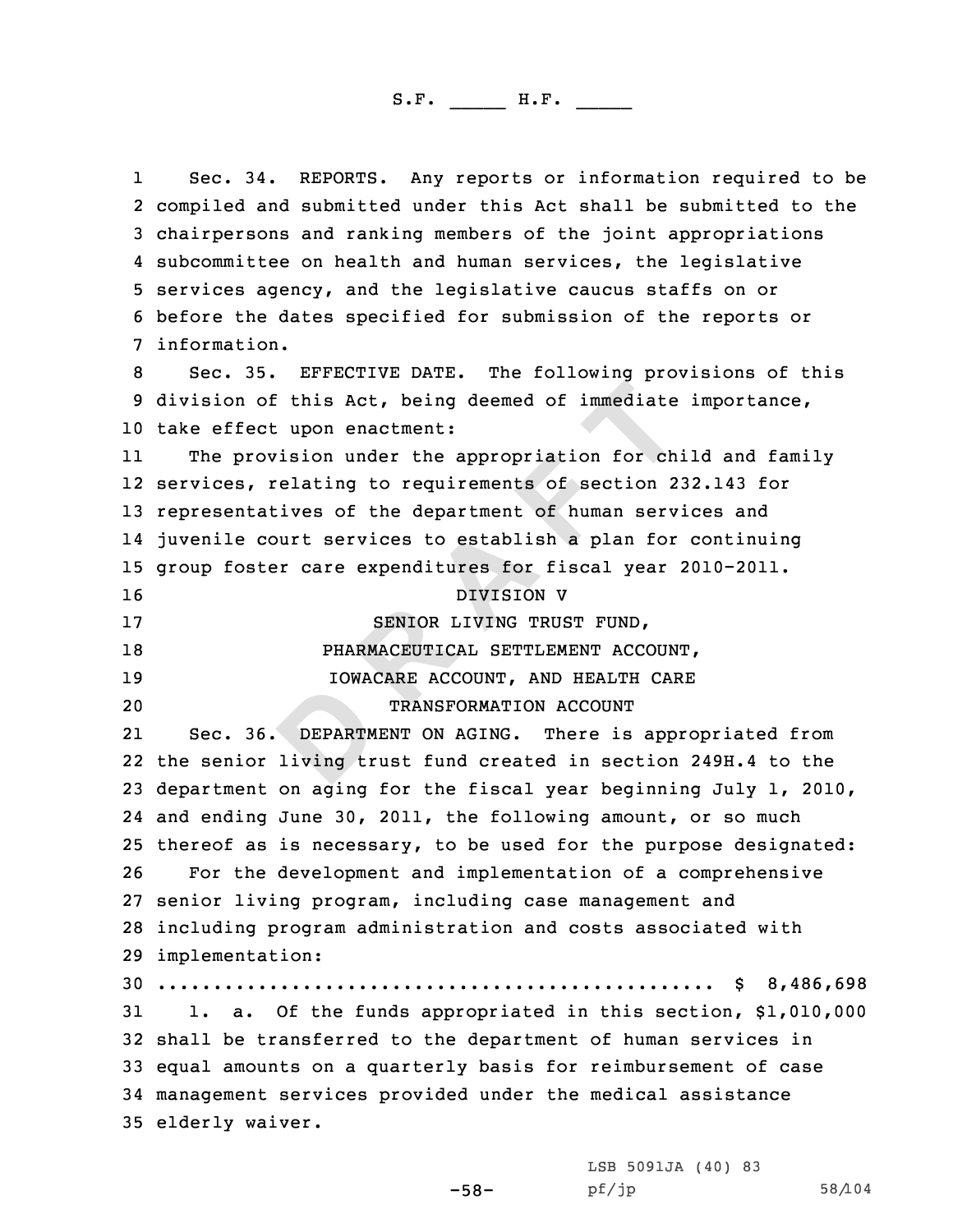E this Act, being deemed of immediate<br> **E** tyon enactment:<br> **E** tyon enactment:<br> **E** tyon enactment:<br> **E** tyon and the appropriation for chinal<br> **E** celesting to requirements of section 2<br>
<br> **EPARTMENT CONSULARAMAGE ENTERE** 1Sec. 34. REPORTS. Any reports or information required to be<br>2 compiled and submitted under this Act shall be submitted to the 3 chairpersons and ranking members of the joint appropriations<br>4 subcommittee on health and human services, the legislative 5 services agency, and the legislative caucus staffs on or<br>6 before the dates specified for submission of the reports or<br>7 information. 8 Sec. 35. EFFECTIVE DATE. The following provisions of this<br>9 division of this Act, being deemed of immediate importance, <sup>10</sup> take effect upon enactment: 11 The provision under the appropriation for child and family 12 services, relating to requirements of section 232.143 for <sup>13</sup> representatives of the department of human services and 14 juvenile court services to establish <sup>a</sup> plan for continuing <sup>15</sup> group foster care expenditures for fiscal year 2010-2011. 16 DIVISION V<br>17 SENIOR LIVING TRUS 17 SENIOR LIVING TRUST FUND,<br>18 DHARMACEUTICAL SETTLEMENT ACCO 18 PHARMACEUTICAL SETTLEMENT ACCOUNT,<br>19 19 IOWACARE ACCOUNT, AND HEALTH CARE 19 10WACARE ACCOUNT, AND HEALTH CARE<br>20 10 120 TRANSFORMATION ACCOUNT TRANSFORMATION ACCOUNT 21 Sec. 36. DEPARTMENT ON AGING. There is appropriated from 22 the senior living trust fund created in section 249H.4 to the <sup>23</sup> department on aging for the fiscal year beginning July 1, 2010, 24 and ending June 30, 2011, the following amount, or so much 25 thereof as is necessary, to be used for the purpose designated:<br>26 For the development and implementation of a comprehensive For the development and implementation of a comprehensive <sup>27</sup> senior living program, including case management and <sup>28</sup> including program administration and costs associated with 29 implementation: <sup>30</sup> .................................................. \$ 8,486,698 1. a. Of the funds appropriated in this section, \$1,010,000 <sup>32</sup> shall be transferred to the department of human services in <sup>33</sup> equal amounts on <sup>a</sup> quarterly basis for reimbursement of case <sup>34</sup> management services provided under the medical assistance <sup>35</sup> elderly waiver.

-58-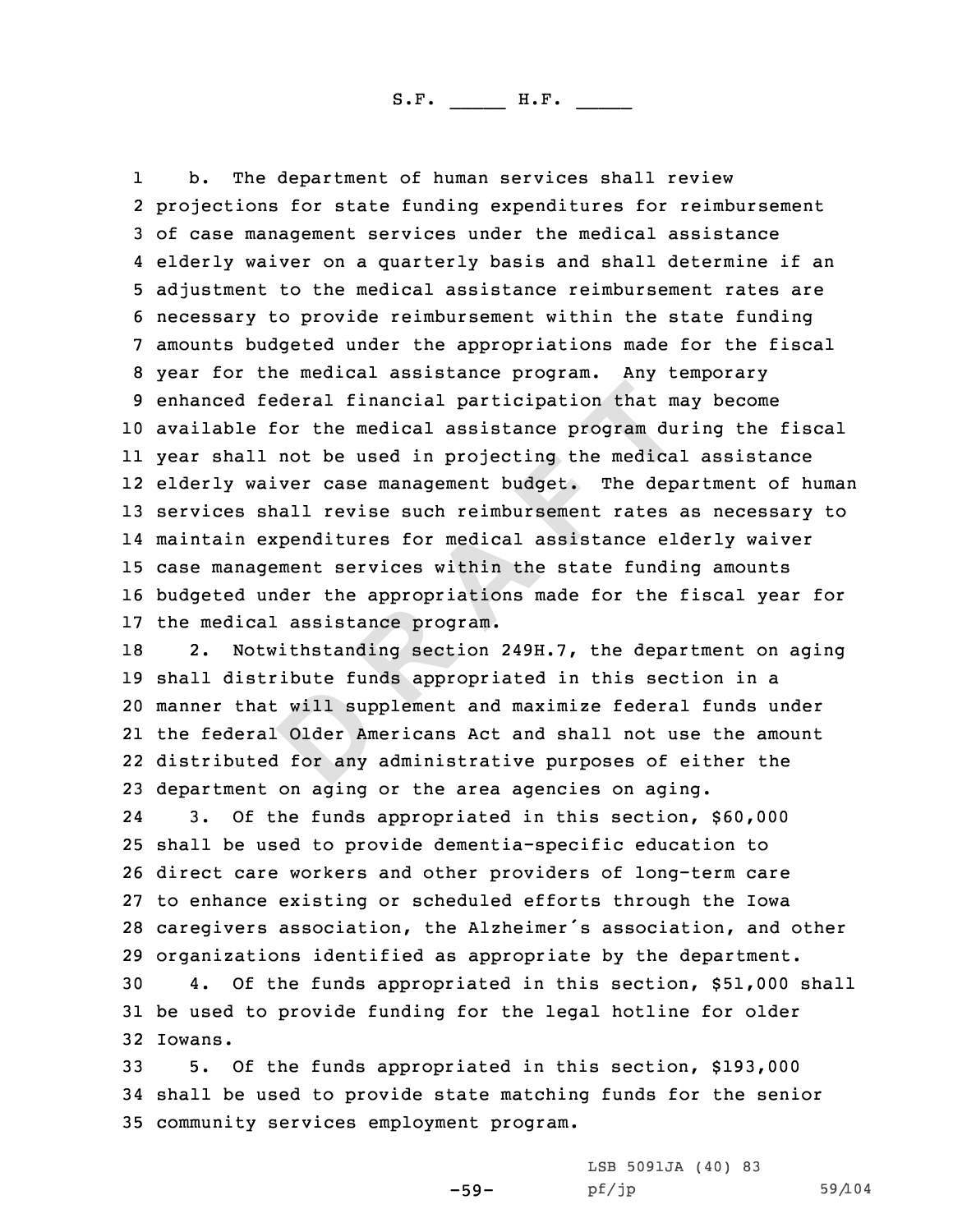**Example 1 Example 1 Example 1 CONTE 1 CONTE 1 CONTE 1 CONTE 1 CONTE 1 CONTE 1 CONTE 1 CONTE 1 CONTE 1 CONTE 1 CONTE 1 CONTE 1 CONTE 1 CONTE 1 CONTE 1 CONTE 1 CONTE 1 CONTE 1 CONTE** 11 b. The department of human services shall review<br>2 projections for state funding expenditures for reimbursement 3 of case management services under the medical assistance<br>4 elderly waiver on a quarterly basis and shall determine if an 5 adjustment to the medical assistance reimbursement rates are<br>6 necessary to provide reimbursement within the state funding<br>7 amounts budgeted under the appropriations made for the fiscal<br>8 year for the medical assistance <sup>10</sup> available for the medical assistance program during the fiscal 11 year shall not be used in projecting the medical assistance 12 elderly waiver case management budget. The department of human <sup>13</sup> services shall revise such reimbursement rates as necessary to 14 maintain expenditures for medical assistance elderly waiver <sup>15</sup> case management services within the state funding amounts <sup>16</sup> budgeted under the appropriations made for the fiscal year for 17 the medical assistance program.<br>18 2. Notwithstanding section

2. Notwithstanding section 249H.7, the department on aging shall distribute funds appropriated in this section in <sup>a</sup> manner that will supplement and maximize federal funds under the federal Older Americans Act and shall not use the amount distributed for any administrative purposes of either the department on aging or the area agencies on aging.

24 3. Of the funds appropriated in this section, \$60,000 <sup>25</sup> shall be used to provide dementia-specific education to <sup>26</sup> direct care workers and other providers of long-term care <sup>27</sup> to enhance existing or scheduled efforts through the Iowa <sup>28</sup> caregivers association, the Alzheimer's association, and other 29 organizations identified as appropriate by the department.<br>30 4. Of the funds appropriated in this section, \$51,000

4. Of the funds appropriated in this section, \$51,000 shall <sup>31</sup> be used to provide funding for the legal hotline for older 32 Iowans.

<sup>33</sup> 5. Of the funds appropriated in this section, \$193,000 <sup>34</sup> shall be used to provide state matching funds for the senior <sup>35</sup> community services employment program.

> LSB 5091JA (40) 83<br>pf/jp pf/jp 59/104

-59-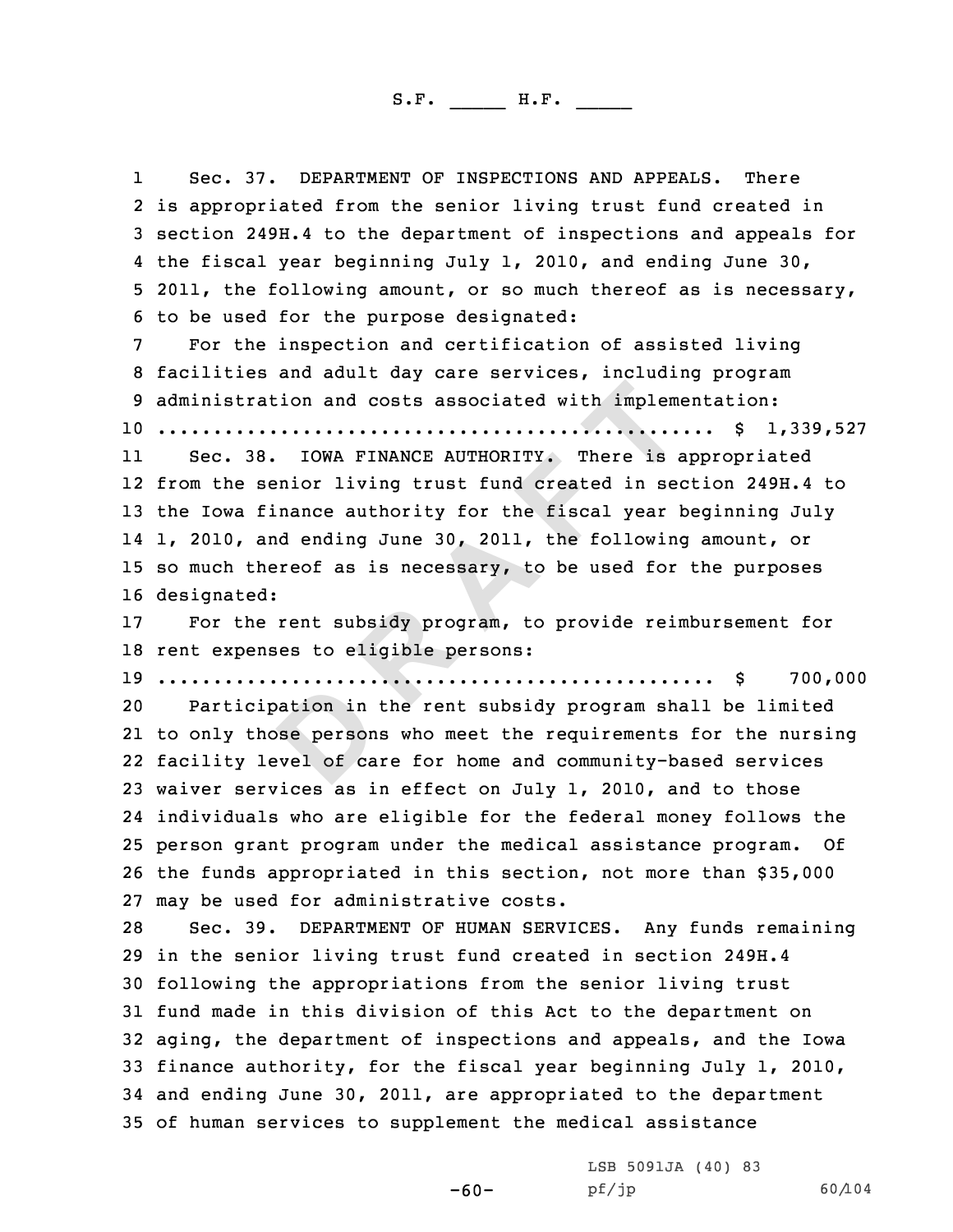**EXECUTE:**<br> **DOMA FINANCE AUTHORITY.** There is a pair of living trust fund created in set anance authority for the fiscal year lad ending June 30, 2011, the following<br>
preof as is necessary, to be used for the size of as i 1Sec. 37. DEPARTMENT OF INSPECTIONS AND APPEALS. There<br>2 is appropriated from the senior living trust fund created in 3 section 249H.4 to the department of inspections and appeals for<br>4 the fiscal year beginning July 1, 2010, and ending June 30, 4 the fiscal year beginning July 1, 2010, and ending June 30,<br>5 2011, the following amount, or so much thereof as is necessary,<br>6 to be used for the purpose designated:<br>7 For the inspection and certification of assisted li .................................................. \$ 1,339,527 11 Sec. 38. IOWA FINANCE AUTHORITY. There is appropriated from the senior living trust fund created in section 249H.4 to the Iowa finance authority for the fiscal year beginning July 1, 2010, and ending June 30, 2011, the following amount, or so much thereof as is necessary, to be used for the purposes designated: For the rent subsidy program, to provide reimbursement for rent expenses to eligible persons: .................................................. \$ 700,000 Participation in the rent subsidy program shall be limited to only those persons who meet the requirements for the nursing facility level of care for home and community-based services waiver services as in effect on July 1, 2010, and to those individuals who are eligible for the federal money follows the person grant program under the medical assistance program. Of the funds appropriated in this section, not more than \$35,000 27 may be used for administrative costs.<br>28 Sec. 39. DEPARTMENT OF HUMAN SERV Sec. 39. DEPARTMENT OF HUMAN SERVICES. Any funds remaining in the senior living trust fund created in section 249H.4 following the appropriations from the senior living trust fund made in this division of this Act to the department on aging, the department of inspections and appeals, and the Iowa finance authority, for the fiscal year beginning July 1, 2010, and ending June 30, 2011, are appropriated to the department of human services to supplement the medical assistance

-60-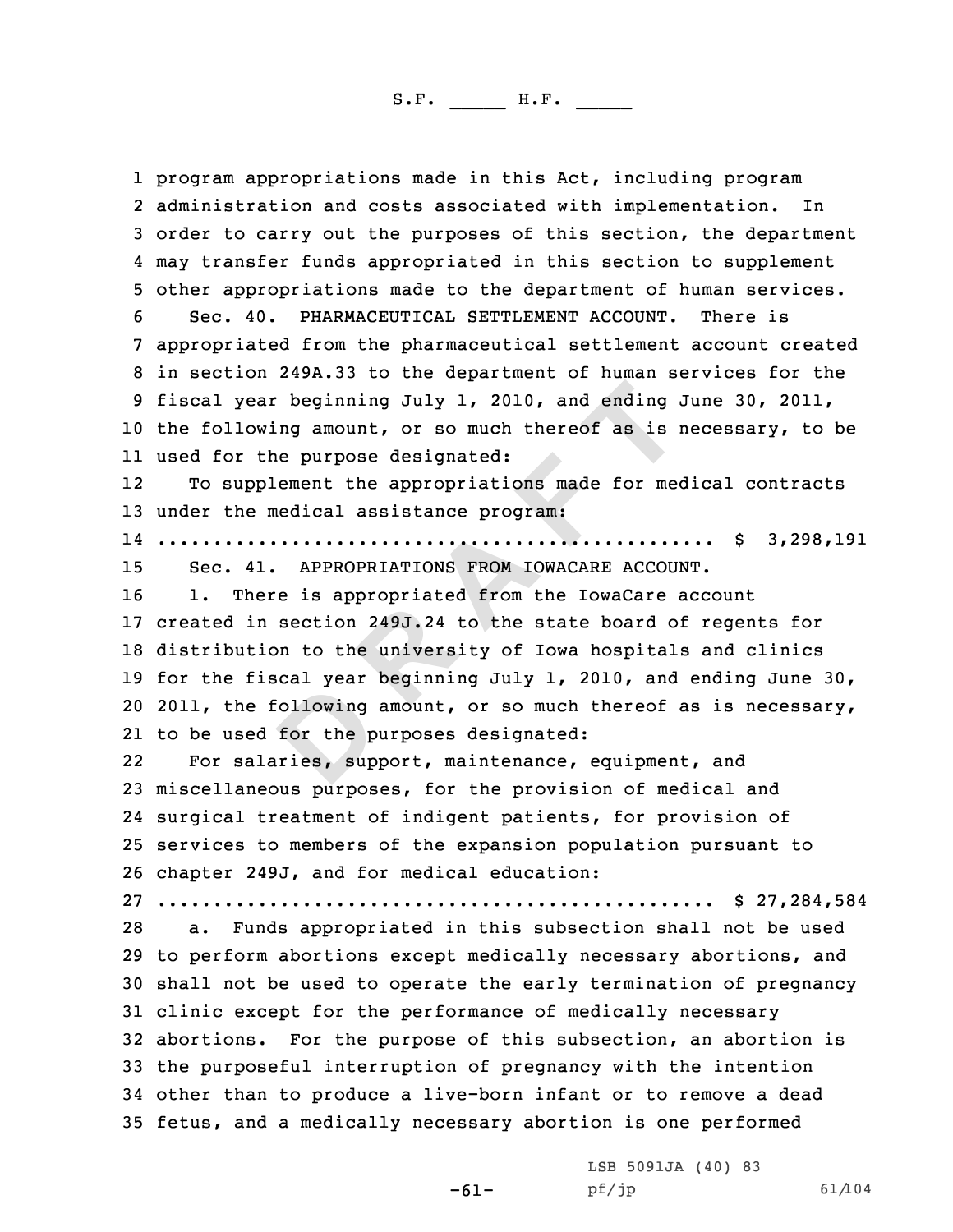1 program appropriations made in this Act, including program

**D R A F T** 2 administration and costs associated with implementation. In 3 order to carry out the purposes of this section, the department<br>4 may transfer funds appropriated in this section to supplement 4 may transfer funds appropriated in this section to supplement<br>5 other appropriations made to the department of human services.<br>6 Sec. 40. PHARMACEUTICAL SETTLEMENT ACCOUNT. There is<br>7 appropriated from the pharmaceutical the following amount, or so much thereof as is necessary, to be used for the purpose designated: 12 To supplement the appropriations made for medical contracts under the medical assistance program: .................................................. \$ 3,298,191 15 Sec. 41. APPROPRIATIONS FROM IOWACARE ACCOUNT.<br>16 1. There is appropriated from the IowaCare acc 1. There is appropriated from the IowaCare account created in section 249J.24 to the state board of regents for distribution to the university of Iowa hospitals and clinics for the fiscal year beginning July 1, 2010, and ending June 30, 2011, the following amount, or so much thereof as is necessary, to be used for the purposes designated: 22 For salaries, support, maintenance, equipment, and miscellaneous purposes, for the provision of medical and surgical treatment of indigent patients, for provision of services to members of the expansion population pursuant to chapter 249J, and for medical education: .................................................. \$ 27,284,584 a. Funds appropriated in this subsection shall not be used to perform abortions except medically necessary abortions, and shall not be used to operate the early termination of pregnancy clinic except for the performance of medically necessary abortions. For the purpose of this subsection, an abortion is the purposeful interruption of pregnancy with the intention other than to produce <sup>a</sup> live-born infant or to remove <sup>a</sup> dead fetus, and <sup>a</sup> medically necessary abortion is one performed

-61-

LSB 5091JA (40) 83<br>pf/jp

pf/jp 61/104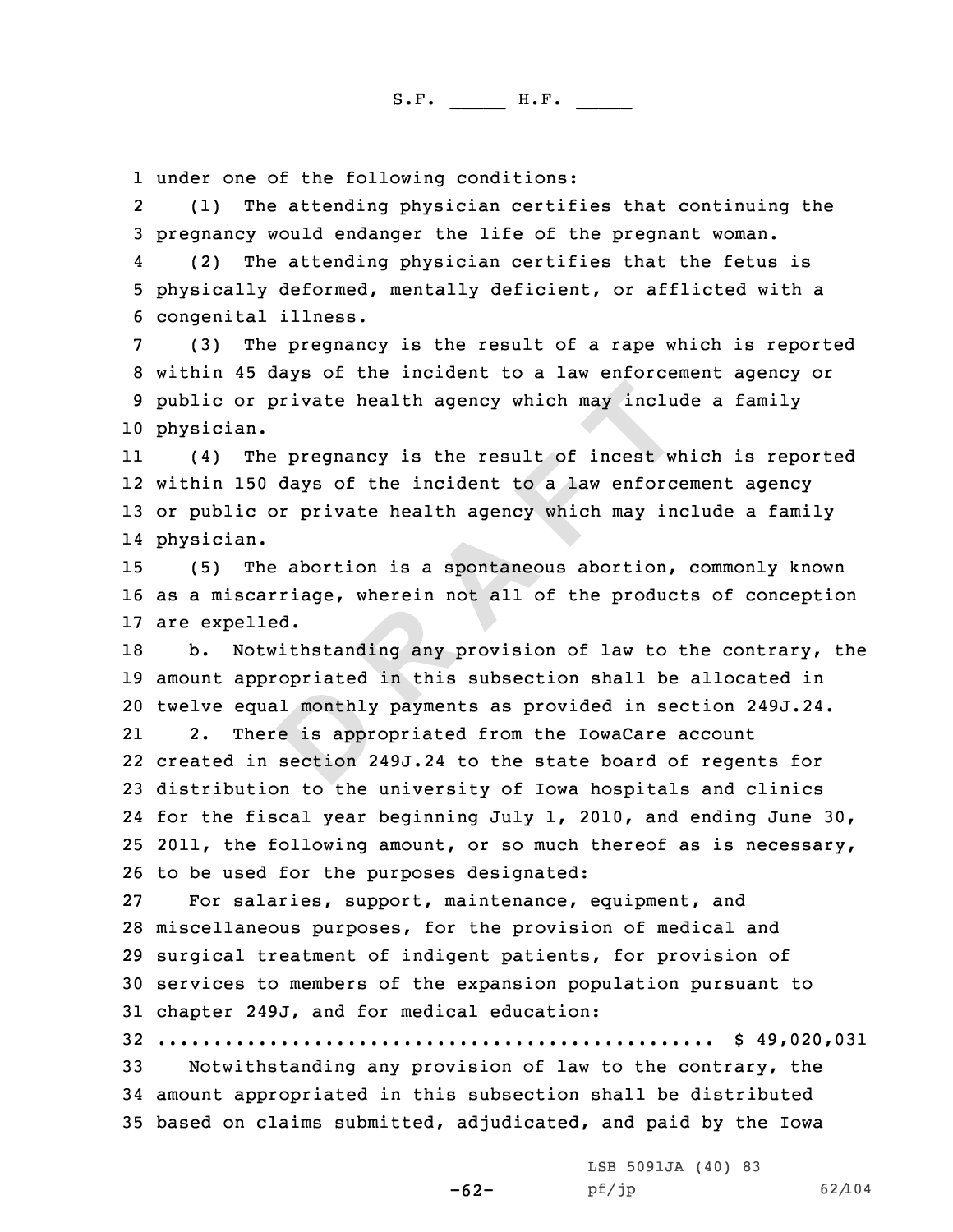1 under one of the following conditions:<br>2 (1) The attending physician certif

(1) The attending physician certifies that continuing the<br>3 pregnancy would endanger the life of the pregnant woman.<br>4 (2) The attending physician certifies that the fetus is

(2) The attending physician certifies that the fetus is<br>5 physically deformed, mentally deficient, or afflicted with a<br>6 congenital illness.<br>(3) The pregnancy is the result of a rape which is reported<br>8 within 45 days of t 10 physician.

**P Propertival is the properties that is a specifical of incest widdys of the incident to a law enforce or private health agency which may induce the incident to a law enforce or private health agency which may independe** 11 (4) The pregnancy is the result of incest which is reported 12 within <sup>150</sup> days of the incident to <sup>a</sup> law enforcement agency <sup>13</sup> or public or private health agency which may include <sup>a</sup> family 14 physician.

<sup>15</sup> (5) The abortion is <sup>a</sup> spontaneous abortion, commonly known <sup>16</sup> as <sup>a</sup> miscarriage, wherein not all of the products of conception 17 are expelled.<br>18 b. Notwith

b. Notwithstanding any provision of law to the contrary, the <sup>19</sup> amount appropriated in this subsection shall be allocated in 20 twelve equal monthly payments as provided in section 249J.24.<br>21 2. There is appropriated from the IowaCare account 21There is appropriated from the IowaCare account

 created in section 249J.24 to the state board of regents for distribution to the university of Iowa hospitals and clinics for the fiscal year beginning July 1, 2010, and ending June 30, 2011, the following amount, or so much thereof as is necessary, 26 to be used for the purposes designated:<br>27 For salaries, support, maintenance,

For salaries, support, maintenance, equipment, and miscellaneous purposes, for the provision of medical and surgical treatment of indigent patients, for provision of services to members of the expansion population pursuant to chapter 249J, and for medical education:

<sup>32</sup> .................................................. \$ 49,020,031

-62-

Notwithstanding any provision of law to the contrary, the <sup>34</sup> amount appropriated in this subsection shall be distributed <sup>35</sup> based on claims submitted, adjudicated, and paid by the Iowa

LSB 5091JA (40) 83<br>pf/jp

pf/jp 62/104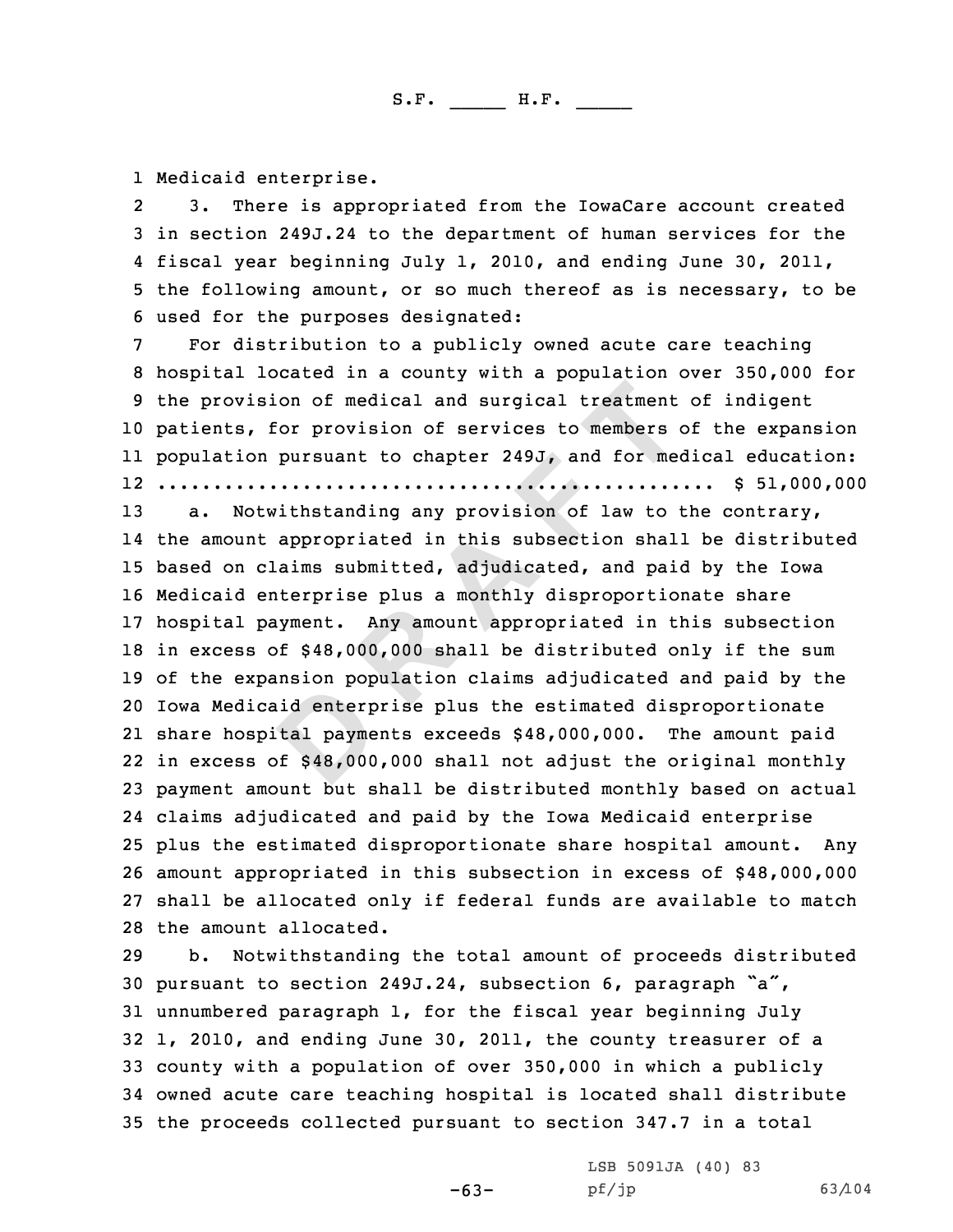1 Medicaid enterprise.<br>2 3. There is appr

3. There is appropriated from the IowaCare account created<br>3 in section 249J.24 to the department of human services for the<br>4 fiscal year beginning July 1, 2010, and ending June 30, 2011,

4 fiscal year beginning July 1, 2010, and ending June 30, 2011,<br>5 the following amount, or so much thereof as is necessary, to be<br>6 used for the purposes designated:<br>7 For distribution to a publicly owned acute care teachi patients, for provision of services to members of the expansion population pursuant to chapter 249J, and for medical education: .................................................. \$ 51,000,000

on of medical and surgical treatment<br>pursuant to chapter 249J, and for members<br>pursuant to chapter 249J, and for members<br>ithstanding any provision of law to the<br>appropriated in this subsection shal<br>aims submitted, adjudica a. Notwithstanding any provision of law to the contrary, the amount appropriated in this subsection shall be distributed based on claims submitted, adjudicated, and paid by the Iowa Medicaid enterprise plus <sup>a</sup> monthly disproportionate share hospital payment. Any amount appropriated in this subsection in excess of \$48,000,000 shall be distributed only if the sum of the expansion population claims adjudicated and paid by the Iowa Medicaid enterprise plus the estimated disproportionate share hospital payments exceeds \$48,000,000. The amount paid in excess of \$48,000,000 shall not adjust the original monthly payment amount but shall be distributed monthly based on actual claims adjudicated and paid by the Iowa Medicaid enterprise plus the estimated disproportionate share hospital amount. Any amount appropriated in this subsection in excess of \$48,000,000 shall be allocated only if federal funds are available to match 28 the amount allocated.<br>29 b. Notwithstandin

Notwithstanding the total amount of proceeds distributed pursuant to section 249J.24, subsection 6, paragraph "a", unnumbered paragraph 1, for the fiscal year beginning July 1, 2010, and ending June 30, 2011, the county treasurer of <sup>a</sup> county with <sup>a</sup> population of over 350,000 in which <sup>a</sup> publicly owned acute care teaching hospital is located shall distribute the proceeds collected pursuant to section 347.7 in <sup>a</sup> total

-63-

LSB 5091JA (40) <sup>83</sup>

pf/jp 63/104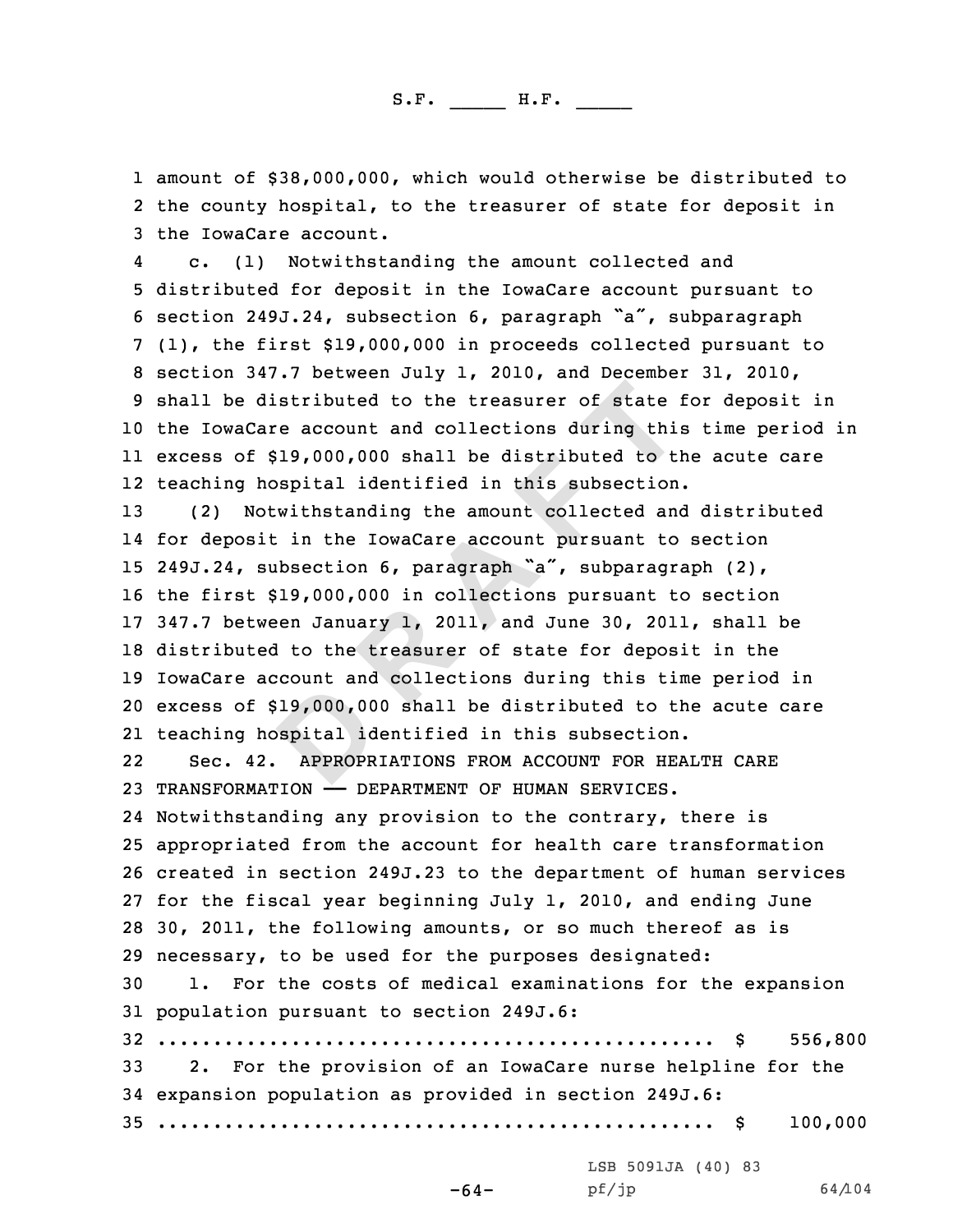1 amount of \$38,000,000, which would otherwise be distributed to<br>2 the county hospital, to the treasurer of state for deposit in 2 the county hospital, to the treasurer of state for deposit in<br>3 the IowaCare account.<br>4 c. (1) Notwithstanding the amount collected and

c. (1) Notwithstanding the amount collected and<br>5 distributed for deposit in the IowaCare account pursuant to<br>6 section 249J.24, subsection 6, paragraph "a", subparagraph<br>7 (1), the first \$19,000,000 in proceeds collected the IowaCare account and collections during this time period in excess of \$19,000,000 shall be distributed to the acute care teaching hospital identified in this subsection.

**D R A F T** (2) Notwithstanding the amount collected and distributed 14 for deposit in the IowaCare account pursuant to section 249J.24, subsection 6, paragraph "a", subparagraph (2), the first \$19,000,000 in collections pursuant to section 347.7 between January 1, 2011, and June 30, 2011, shall be distributed to the treasurer of state for deposit in the IowaCare account and collections during this time period in excess of \$19,000,000 shall be distributed to the acute care teaching hospital identified in this subsection.

22 Sec. 42. APPROPRIATIONS FROM ACCOUNT FOR HEALTH CARE <sup>23</sup> TRANSFORMATION —— DEPARTMENT OF HUMAN SERVICES.

 Notwithstanding any provision to the contrary, there is appropriated from the account for health care transformation created in section 249J.23 to the department of human services for the fiscal year beginning July 1, 2010, and ending June 30, 2011, the following amounts, or so much thereof as is 29 necessary, to be used for the purposes designated:<br>30 1. For the costs of medical examinations for the

1. For the costs of medical examinations for the expansion <sup>31</sup> population pursuant to section 249J.6:

 .................................................. \$ 556,800 2. For the provision of an IowaCare nurse helpline for the expansion population as provided in section 249J.6: .................................................. \$ 100,000

LSB 5091JA (40) 83<br>pf/jp

-64-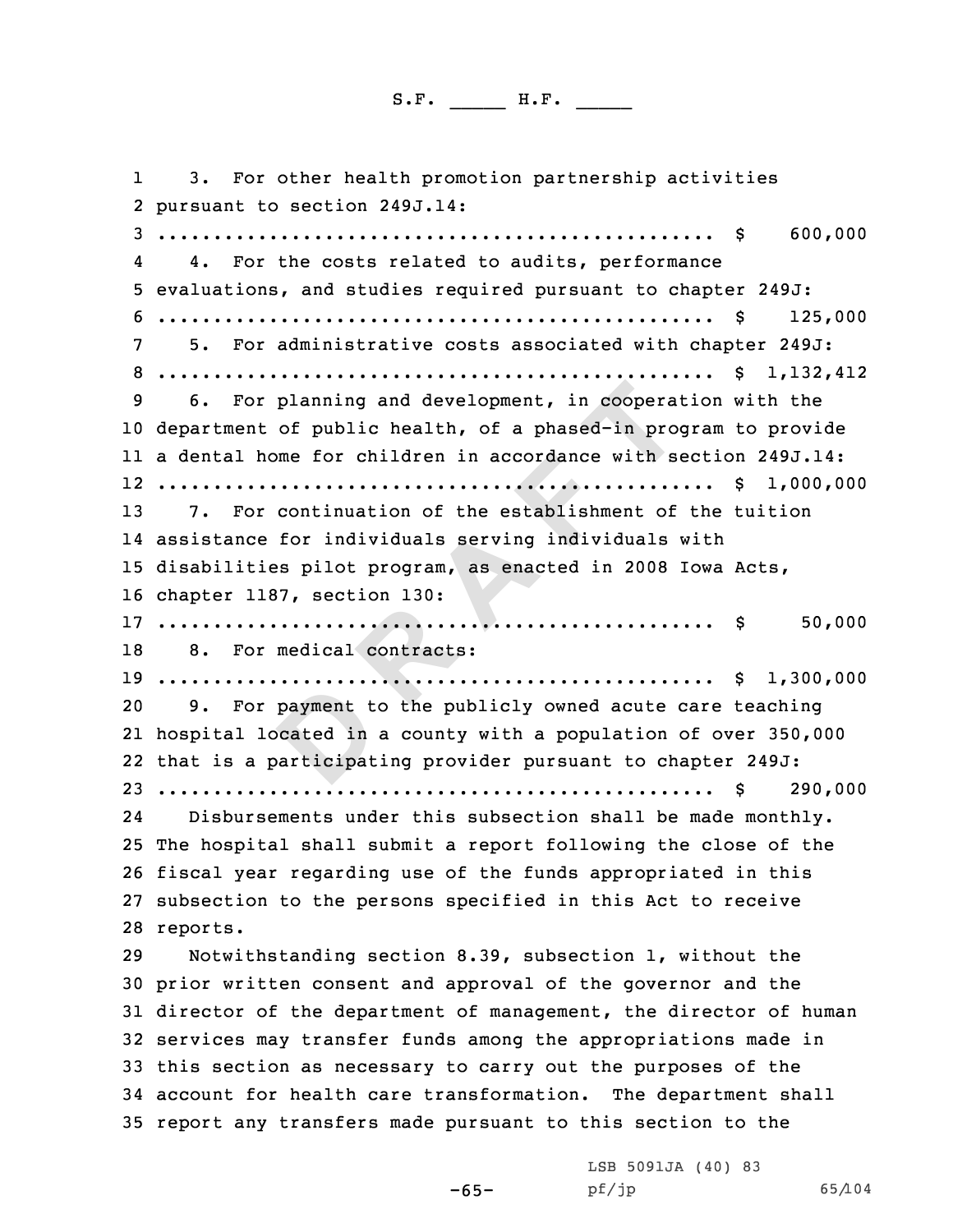**planning and development, in cooperation**<br>of public health, of a phased-in protome for children in accordance with so<br>continuation of the establishment of<br>for individuals serving individuals<br>ss pilot program, as enacted i 11 3. For other health promotion partnership activities<br>2 pursuant to section 249J.14: pursuant to section 249J.14: <sup>3</sup> .................................................. \$ 600,000 4 4. For the costs related to audits, performance <sup>5</sup> evaluations, and studies required pursuant to chapter 249J: <sup>6</sup> .................................................. \$ 125,000 <sup>7</sup> 5. For administrative costs associated with chapter 249J: <sup>8</sup> .................................................. \$ 1,132,412 <sup>9</sup> 6. For planning and development, in cooperation with the department of public health, of <sup>a</sup> phased-in program to provide <sup>a</sup> dental home for children in accordance with section 249J.14: .................................................. \$ 1,000,000 7. For continuation of the establishment of the tuition assistance for individuals serving individuals with disabilities pilot program, as enacted in <sup>2008</sup> Iowa Acts, chapter 1187, section 130: .................................................. \$ 50,000 8. For medical contracts: .................................................. \$ 1,300,000 9. For payment to the publicly owned acute care teaching hospital located in <sup>a</sup> county with <sup>a</sup> population of over 350,000 that is <sup>a</sup> participating provider pursuant to chapter 249J: .................................................. \$ 290,000 24 Disbursements under this subsection shall be made monthly. The hospital shall submit <sup>a</sup> report following the close of the fiscal year regarding use of the funds appropriated in this subsection to the persons specified in this Act to receive 28 reports. Notwithstanding section 8.39, subsection 1, without the prior written consent and approval of the governor and the director of the department of management, the director of human services may transfer funds among the appropriations made in this section as necessary to carry out the purposes of the account for health care transformation. The department shall report any transfers made pursuant to this section to the

-65-

LSB 5091JA (40) 83<br>pf/jp

pf/jp 65/104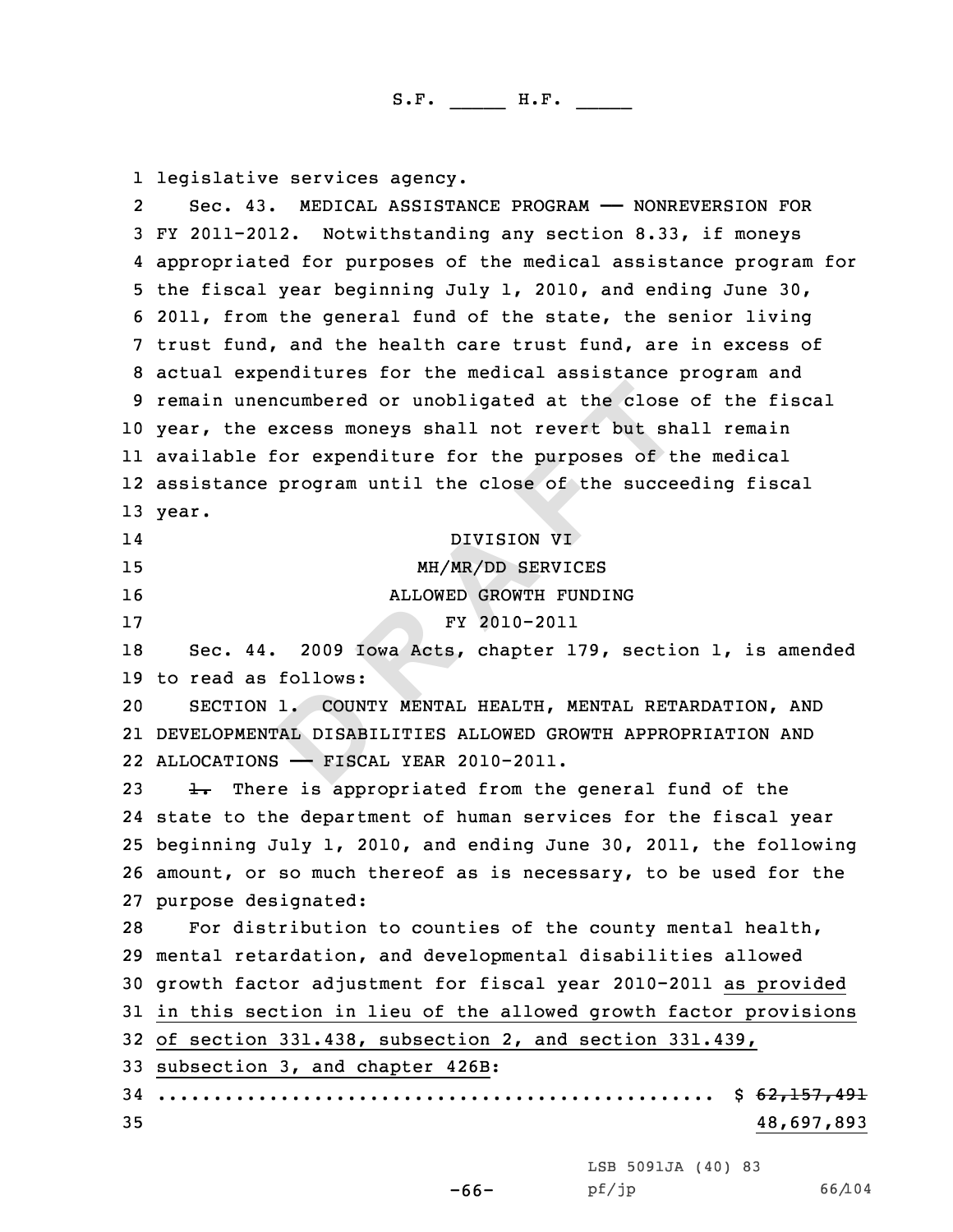**EXECTS D EXECUTE:**<br> **D EXECUTE:**<br> **D EXECUTE:**<br> **D EXECUTE:**<br> **DREPENDENT IN THE PROPERTIES ALLOWED GROWTH FUNDING<br>
<b>PP PPPENDENT ARES**<br> **DREPENDE ARRALLOWED GROWTH PUNDING**<br> **PPPENDENT PUNDING**<br> **PPPENDENTAL** 1 legislative services agency.<br>2 Sec. 43. MEDICAL ASSISTA Sec. 43. MEDICAL ASSISTANCE PROGRAM —— NONREVERSION FOR<br>3 FY 2011-2012. Notwithstanding any section 8.33, if moneys<br>4 appropriated for purposes of the medical assistance program for 4 appropriated for purposes of the medical assistance program for<br>5 the fiscal year beginning July 1, 2010, and ending June 30,<br>6 2011, from the general fund of the state, the senior living<br>7 trust fund, and the health car <sup>10</sup> year, the excess moneys shall not revert but shall remain 11 available for expenditure for the purposes of the medical 12 assistance program until the close of the succeeding fiscal 13 year. 1414 DIVISION VI<br>15 MH/MR/DD SERVIC 15 MH/MR/DD SERVICES<br>16 MHLOWED GROWTH FUND1 16 ALLOWED GROWTH FUNDING<br>17 FY 2010-2011 <sup>17</sup> FY 2010-2011 <sup>18</sup> Sec. 44. <sup>2009</sup> Iowa Acts, chapter 179, section 1, is amended 19 to read as follows:<br>20 SECTION 1. COUN SECTION 1. COUNTY MENTAL HEALTH, MENTAL RETARDATION, AND 21 DEVELOPMENTAL DISABILITIES ALLOWED GROWTH APPROPRIATION AND 22 ALLOCATIONS —— FISCAL YEAR 2010-2011. 23  $\pm$ . There is appropriated from the general fund of the 24 state to the department of human services for the fiscal year <sup>25</sup> beginning July 1, 2010, and ending June 30, 2011, the following <sup>26</sup> amount, or so much thereof as is necessary, to be used for the 27 purpose designated:<br>28 For distribution For distribution to counties of the county mental health, <sup>29</sup> mental retardation, and developmental disabilities allowed <sup>30</sup> growth factor adjustment for fiscal year 2010-2011 as provided <sup>31</sup> in this section in lieu of the allowed growth factor provisions <sup>32</sup> of section 331.438, subsection 2, and section 331.439, <sup>33</sup> subsection 3, and chapter 426B : <sup>34</sup> .................................................. \$ 62,157,491 35 48,697,893

LSB 5091JA (40) <sup>83</sup>

-66-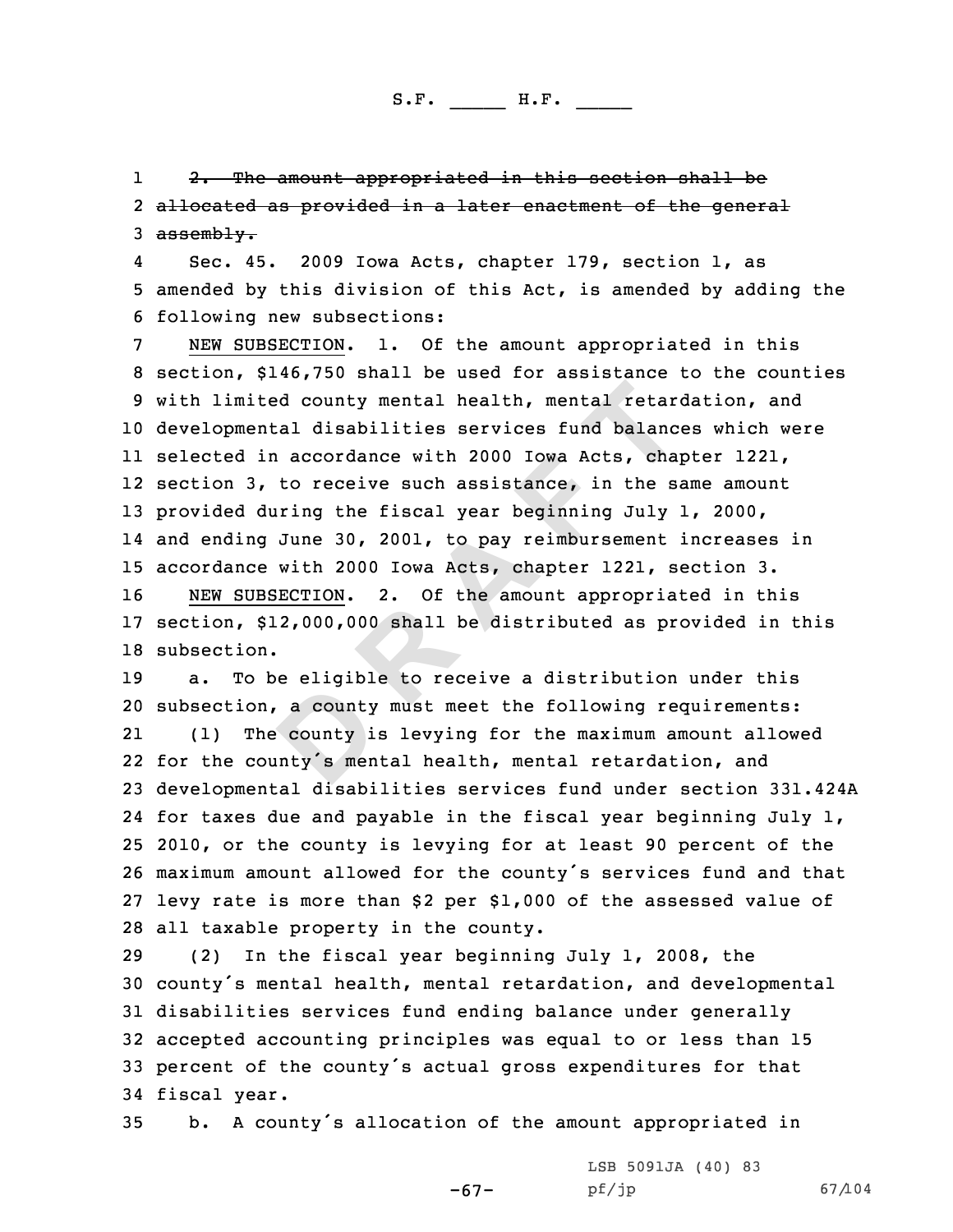11 <del>2. The amount appropriated in this section shall be</del><br>2 <del>allocated as provided in a later enactment of the gener</del> 2 <del>allocated as provided in a later enactment of the general</del><br>3 <del>assembly.</del>

4

**D R A F T** Sec. 45. 2009 Iowa Acts, chapter 179, section 1, as<br>5 amended by this division of this Act, is amended by adding the<br>6 following new subsections:<br>7 NEW SUBSECTION. 1. Of the amount appropriated in this<br>8 section, \$146,750 developmental disabilities services fund balances which were selected in accordance with <sup>2000</sup> Iowa Acts, chapter 1221, section 3, to receive such assistance, in the same amount provided during the fiscal year beginning July 1, 2000, and ending June 30, 2001, to pay reimbursement increases in 15 accordance with 2000 Iowa Acts, chapter 1221, section 3.<br>16 NEW SUBSECTION. 2. Of the amount appropriated in th 2. Of the amount appropriated in this section, \$12,000,000 shall be distributed as provided in this subsection.

 a. To be eligible to receive <sup>a</sup> distribution under this subsection, <sup>a</sup> county must meet the following requirements: 21 (1) The county is levying for the maximum amount allowed for the county's mental health, mental retardation, and developmental disabilities services fund under section 331.424A for taxes due and payable in the fiscal year beginning July 1, 2010, or the county is levying for at least <sup>90</sup> percent of the maximum amount allowed for the county's services fund and that levy rate is more than \$2 per \$1,000 of the assessed value of 28 all taxable property in the county.<br>29 (2) In the fiscal vear beginnin

 (2) In the fiscal year beginning July 1, 2008, the county's mental health, mental retardation, and developmental disabilities services fund ending balance under generally accepted accounting principles was equal to or less than <sup>15</sup> percent of the county's actual gross expenditures for that 34 fiscal year.<br>35 b. A cou

b. A county's allocation of the amount appropriated in

-67-

LSB 5091JA (40) 83<br>pf/jp

pf/jp 67/104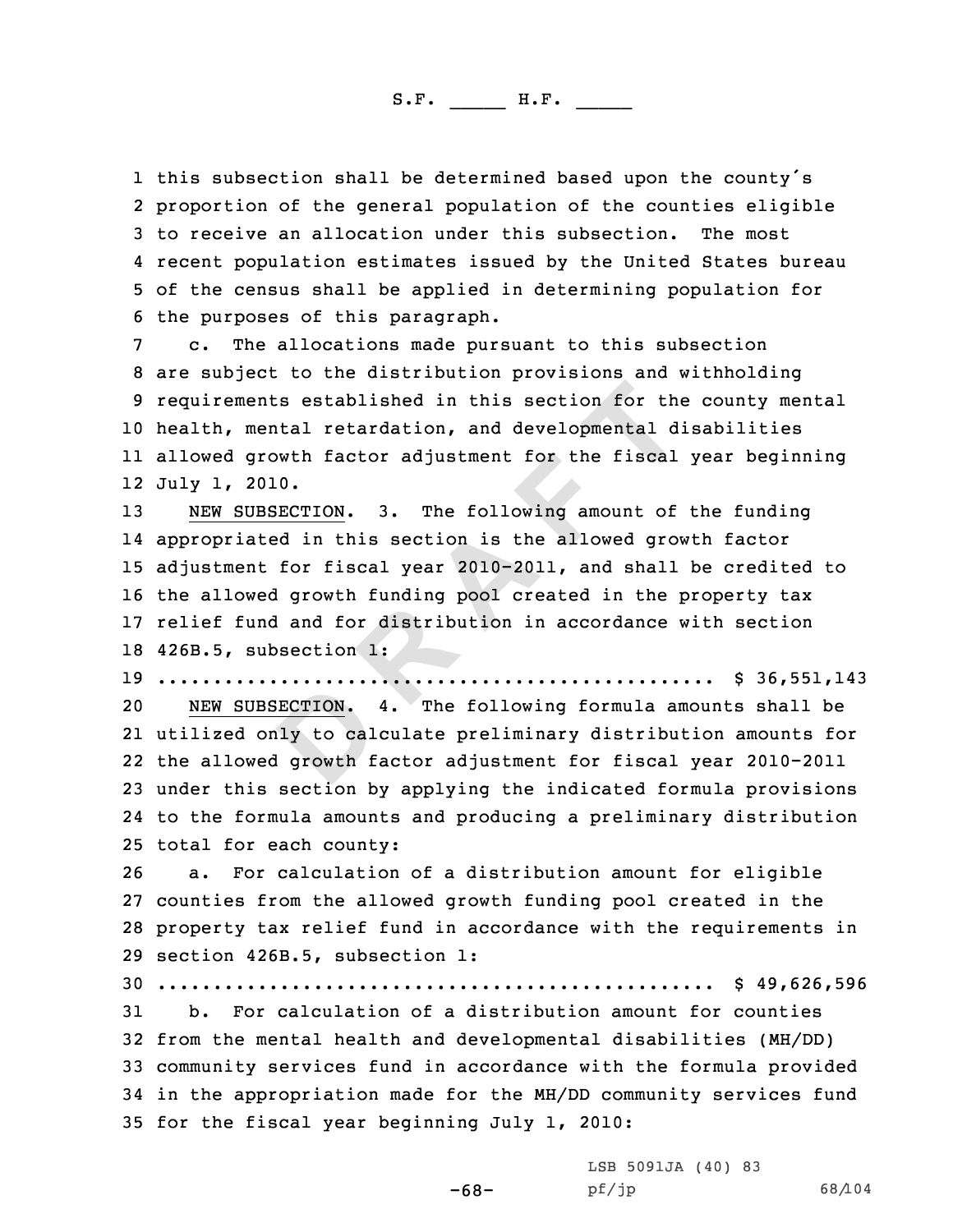1 this subsection shall be determined based upon the county's<br>2 proportion of the general population of the counties eligib 2 proportion of the general population of the counties eligible<br>3 to receive an allocation under this subsection. The most<br>4 recent population estimates issued by the United States bureau

5 of the census shall be applied in determining population for<br>6 the purposes of this paragraph.<br>7 c. The allocations made pursuant to this subsection<br>8 are subject to the distribution provisions and withholding<br>9 requirem health, mental retardation, and developmental disabilities allowed growth factor adjustment for the fiscal year beginning July 1, 2010.

**Example 1 EXAMPLE 1 CONTROM CONTROM CONTROM CONTROM CONTROM CONTROM CONTROM CONTROM CONTROM CONTROM CONTROM CONTROM CONTROM CONTROM CONTROM CONTROM CONTROM CONTROM CONTROM CONTROM**  NEW SUBSECTION. 3. The following amount of the funding appropriated in this section is the allowed growth factor adjustment for fiscal year 2010-2011, and shall be credited to the allowed growth funding pool created in the property tax relief fund and for distribution in accordance with section 426B.5, subsection 1:

<sup>19</sup> .................................................. \$ 36,551,143

NEW SUBSECTION. 4. The following formula amounts shall be utilized only to calculate preliminary distribution amounts for the allowed growth factor adjustment for fiscal year 2010-2011 under this section by applying the indicated formula provisions to the formula amounts and producing <sup>a</sup> preliminary distribution 25 total for each county:<br>26 a. For calculation

a. For calculation of a distribution amount for eligible counties from the allowed growth funding pool created in the property tax relief fund in accordance with the requirements in section 426B.5, subsection 1:

<sup>30</sup> .................................................. \$ 49,626,596

b. For calculation of a distribution amount for counties from the mental health and developmental disabilities (MH/DD) community services fund in accordance with the formula provided in the appropriation made for the MH/DD community services fund for the fiscal year beginning July 1, 2010:

-68-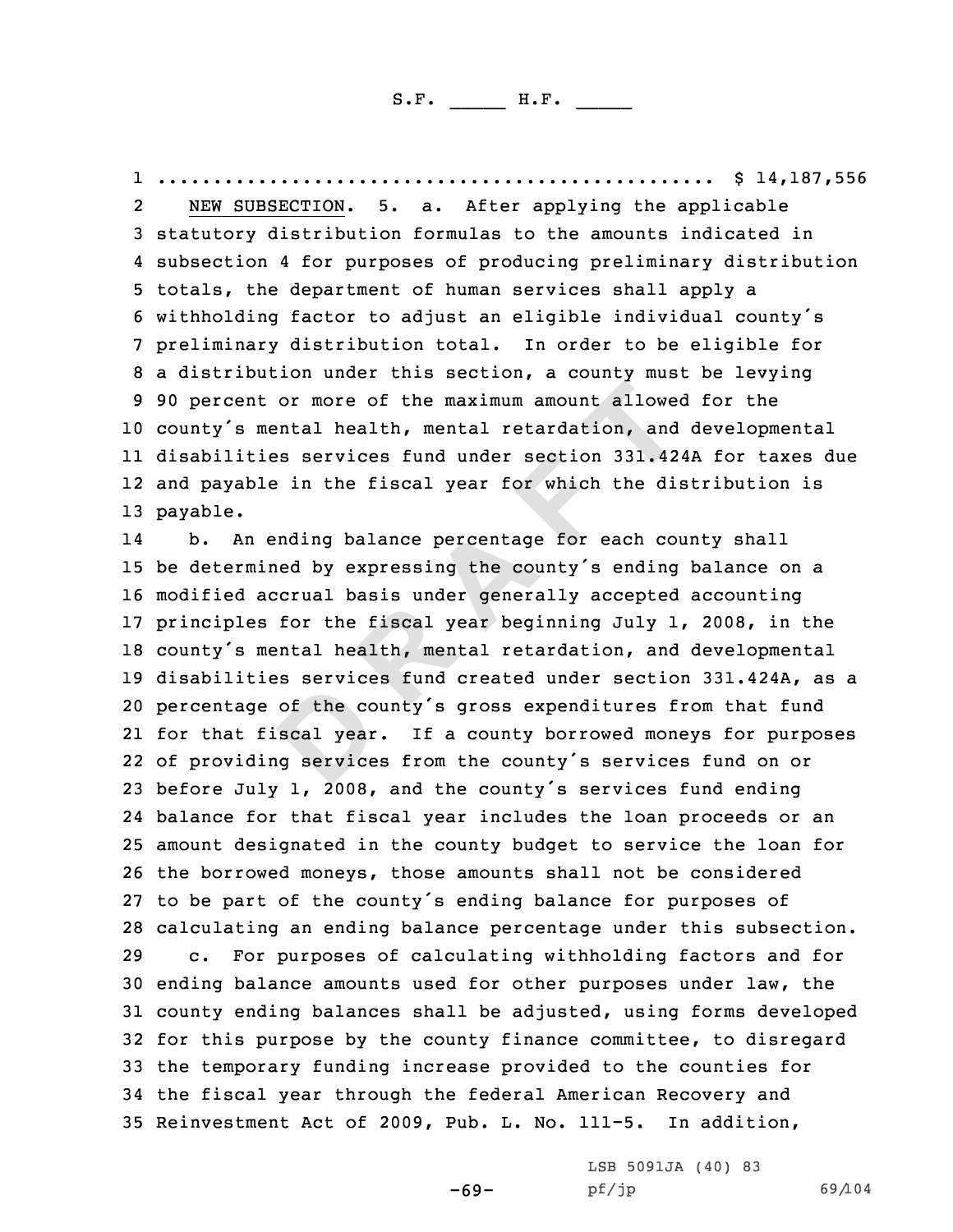1.................................................. \$ 14,187,556 2

3 statutory distribution formulas to the amounts indicated in<br>4 subsection 4 for purposes of producing preliminary distribution 4 subsection 4 for purposes of producing preliminary distribution<br>5 totals, the department of human services shall apply a<br>6 withholding factor to adjust an eligible individual county's<br>7 preliminary distribution total. In <sup>10</sup> county's mental health, mental retardation, and developmental 11 disabilities services fund under section 331.424A for taxes due 12 and payable in the fiscal year for which the distribution is 13 payable.

or more of the maximum amount allowed and<br>esservices fund under section 331.42<br>a in the fiscal year for which the dis-<br>anding balance percentage for each cound<br>ed by expressing the county's ending<br>corual basis under genera 14 b. An ending balance percentage for each county shall be determined by expressing the county's ending balance on <sup>a</sup> modified accrual basis under generally accepted accounting principles for the fiscal year beginning July 1, 2008, in the county's mental health, mental retardation, and developmental disabilities services fund created under section 331.424A, as <sup>a</sup> percentage of the county's gross expenditures from that fund for that fiscal year. If <sup>a</sup> county borrowed moneys for purposes of providing services from the county's services fund on or before July 1, 2008, and the county's services fund ending balance for that fiscal year includes the loan proceeds or an amount designated in the county budget to service the loan for the borrowed moneys, those amounts shall not be considered to be part of the county's ending balance for purposes of 28 calculating an ending balance percentage under this subsection.<br>29 c. For purposes of calculating withholding factors and for For purposes of calculating withholding factors and for ending balance amounts used for other purposes under law, the county ending balances shall be adjusted, using forms developed for this purpose by the county finance committee, to disregard the temporary funding increase provided to the counties for the fiscal year through the federal American Recovery and Reinvestment Act of 2009, Pub. L. No. 111-5. In addition,

-69-

LSB 5091JA (40) <sup>83</sup>

pf/jp 69/104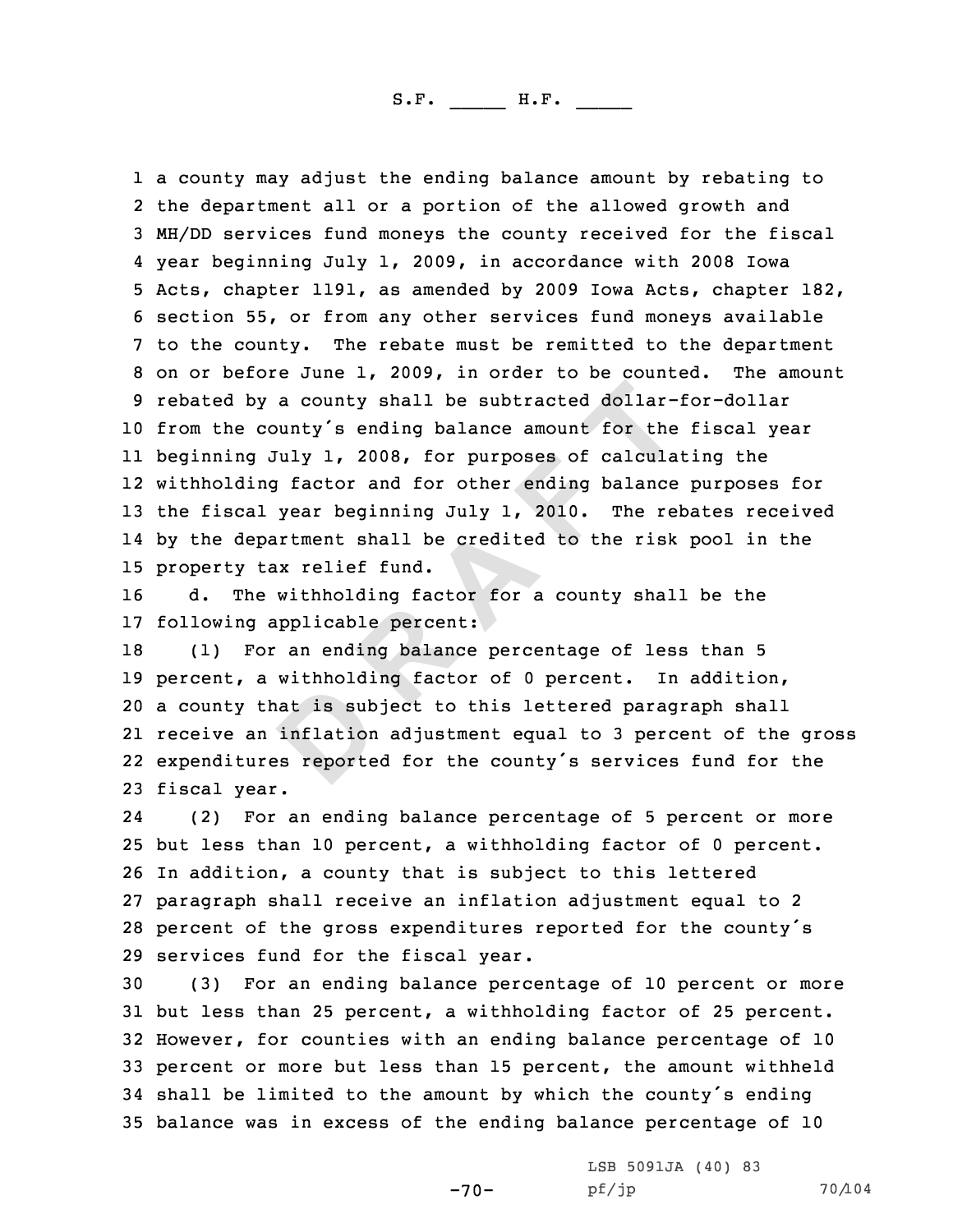a county shall be subtracted dollar-<br>
bunty's ending balance amount for the<br>
fuly 1, 2008, for purposes of calcula<br>
g factor and for other ending balance<br>
year beginning July 1, 2010. The rel<br>
priment shall be credited to 1 a county may adjust the ending balance amount by rebating to<br>2 the department all or a portion of the allowed growth and 2 the department all or a portion of the allowed growth and<br>3 MH/DD services fund moneys the county received for the fiscal<br>4 year beginning July 1, 2009, in accordance with 2008 Iowa 5 Acts, chapter 1191, as amended by 2009 Iowa Acts, chapter 182,<br>6 section 55, or from any other services fund moneys available<br>7 to the county. The rebate must be remitted to the department<br>8 on or before June 1, 2009, in <sup>10</sup> from the county's ending balance amount for the fiscal year 11 beginning July 1, 2008, for purposes of calculating the 12 withholding factor and for other ending balance purposes for <sup>13</sup> the fiscal year beginning July 1, 2010. The rebates received 14 by the department shall be credited to the risk pool in the 15 property tax relief fund.<br>16 d. The withholding fa

The withholding factor for a county shall be the 17 following applicable percent:<br>18 (1) For an ending balance p

(1) For an ending balance percentage of less than 5<br>cent, a withholding factor of 0 percent. In addition, 19 percent, a withholding factor of 0 percent. <sup>a</sup> county that is subject to this lettered paragraph shall receive an inflation adjustment equal to <sup>3</sup> percent of the gross expenditures reported for the county's services fund for the fiscal year.

24 (2) For an ending balance percentage of <sup>5</sup> percent or more <sup>25</sup> but less than <sup>10</sup> percent, <sup>a</sup> withholding factor of <sup>0</sup> percent. <sup>26</sup> In addition, <sup>a</sup> county that is subject to this lettered <sup>27</sup> paragraph shall receive an inflation adjustment equal to <sup>2</sup> <sup>28</sup> percent of the gross expenditures reported for the county's 29 services fund for the fiscal year.<br>30 (3) For an ending balance perc

(3) For an ending balance percentage of 10 percent or more but less than <sup>25</sup> percent, <sup>a</sup> withholding factor of <sup>25</sup> percent. However, for counties with an ending balance percentage of <sup>10</sup> percent or more but less than <sup>15</sup> percent, the amount withheld shall be limited to the amount by which the county's ending balance was in excess of the ending balance percentage of <sup>10</sup>

-70-

LSB 5091JA (40) 83<br>pf/jp

pf/jp 70/104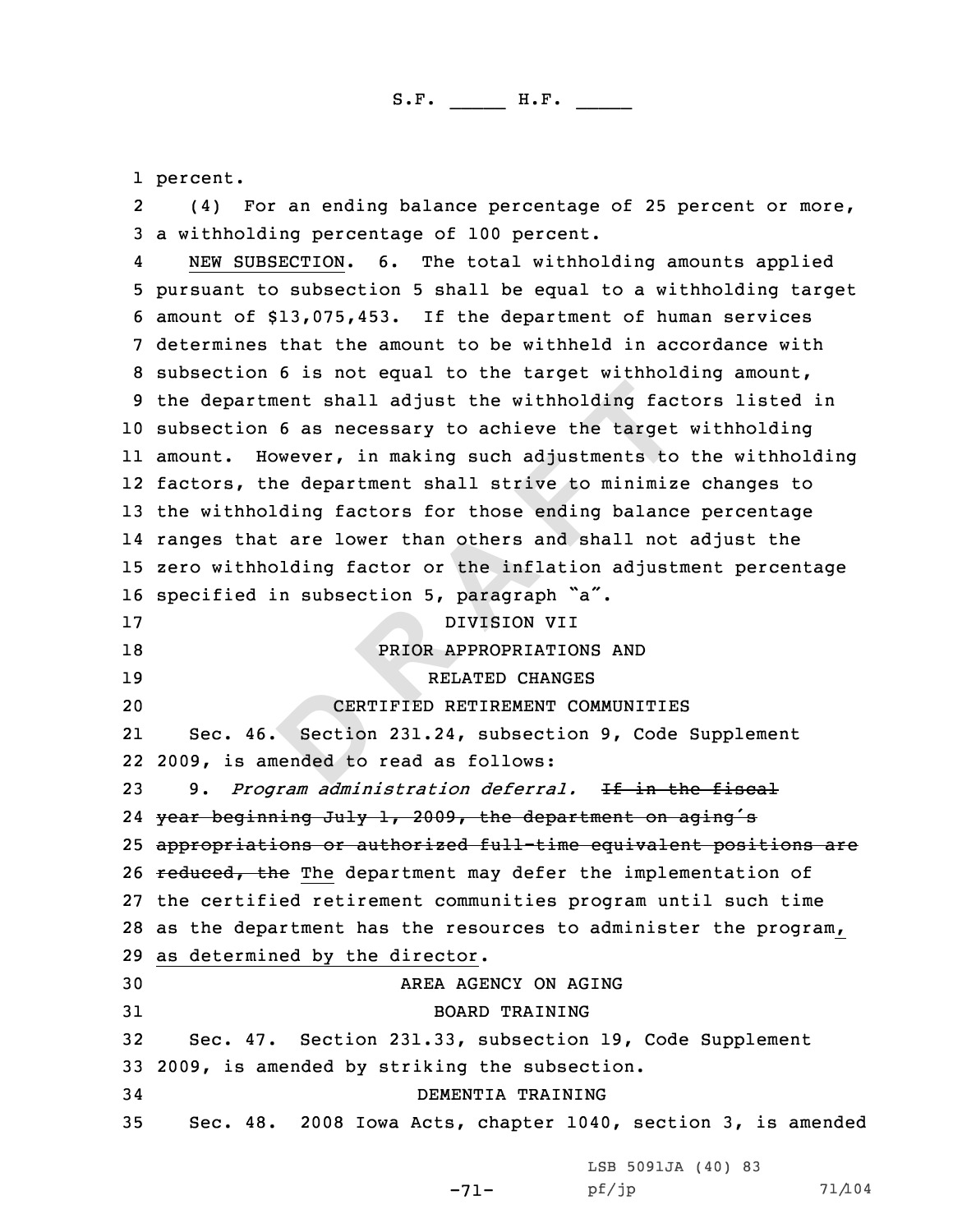1 percent.

2(4) For an ending balance percentage of 25 percent or more,<br>3 a withholding percentage of 100 percent.<br>4 NEW SUBSECTION. 6. The total withholding amounts applied

nent shall adjust the withholding fac<br>
6 as necessary to achieve the target<br>
wever, in making such adjustments to<br>
ne department shall strive to minimiz<br>
ding factors for those ending balance<br>
: are lower than others and s A NEW SUBSECTION. 6. The total withholding amounts applied<br>5 pursuant to subsection 5 shall be equal to a withholding target<br>6 amount of \$13,075,453. If the department of human services<br>7 determines that the amount to be w <sup>10</sup> subsection <sup>6</sup> as necessary to achieve the target withholding 11 amount. However, in making such adjustments to the withholding 12 factors, the department shall strive to minimize changes to <sup>13</sup> the withholding factors for those ending balance percentage 14 ranges that are lower than others and shall not adjust the <sup>15</sup> zero withholding factor or the inflation adjustment percentage 16 specified in subsection 5, paragraph  $a^2$ .<br>17 DIVISION VII 17 DIVISION VII<br>18 PRIOR APPROPRIATIO 18 PRIOR APPROPRIATIONS AND<br>19 RELATED CHANGES 19 RELATED CHANGES<br>20 20 CERTIFIED RETIREMENT COM CERTIFIED RETIREMENT COMMUNITIES 21 Sec. 46. Section 231.24, subsection 9, Code Supplement 22 2009, is amended to read as follows: <sup>23</sup> 9. *Program administration deferral.* If in the fiscal 24 year beginning July 1, 2009, the department on aging's <sup>25</sup> appropriations or authorized full-time equivalent positions are 26 reduced, the The department may defer the implementation of <sup>27</sup> the certified retirement communities program until such time <sup>28</sup> as the department has the resources to administer the program, <sup>29</sup> as determined by the director . 30 AREA AGENCY ON AGING<br>31 BOARD TRAINING 31 BOARD TRAINING<br>32 Sec. 47. Section 231.33, subsection Sec. 47. Section 231.33, subsection 19, Code Supplement 33 2009, is amended by striking the subsection.<br>34 DEMENTIA TRAINING 34 DEMENTIA TRAINING<br>35 Sec. 48. 2008 Iowa Acts, chapter 1040 Sec. 48. 2008 Iowa Acts, chapter 1040, section 3, is amended

-71-

|       | LSB 5091JA (40) 83 |  |        |
|-------|--------------------|--|--------|
| pf/jp |                    |  | 71/104 |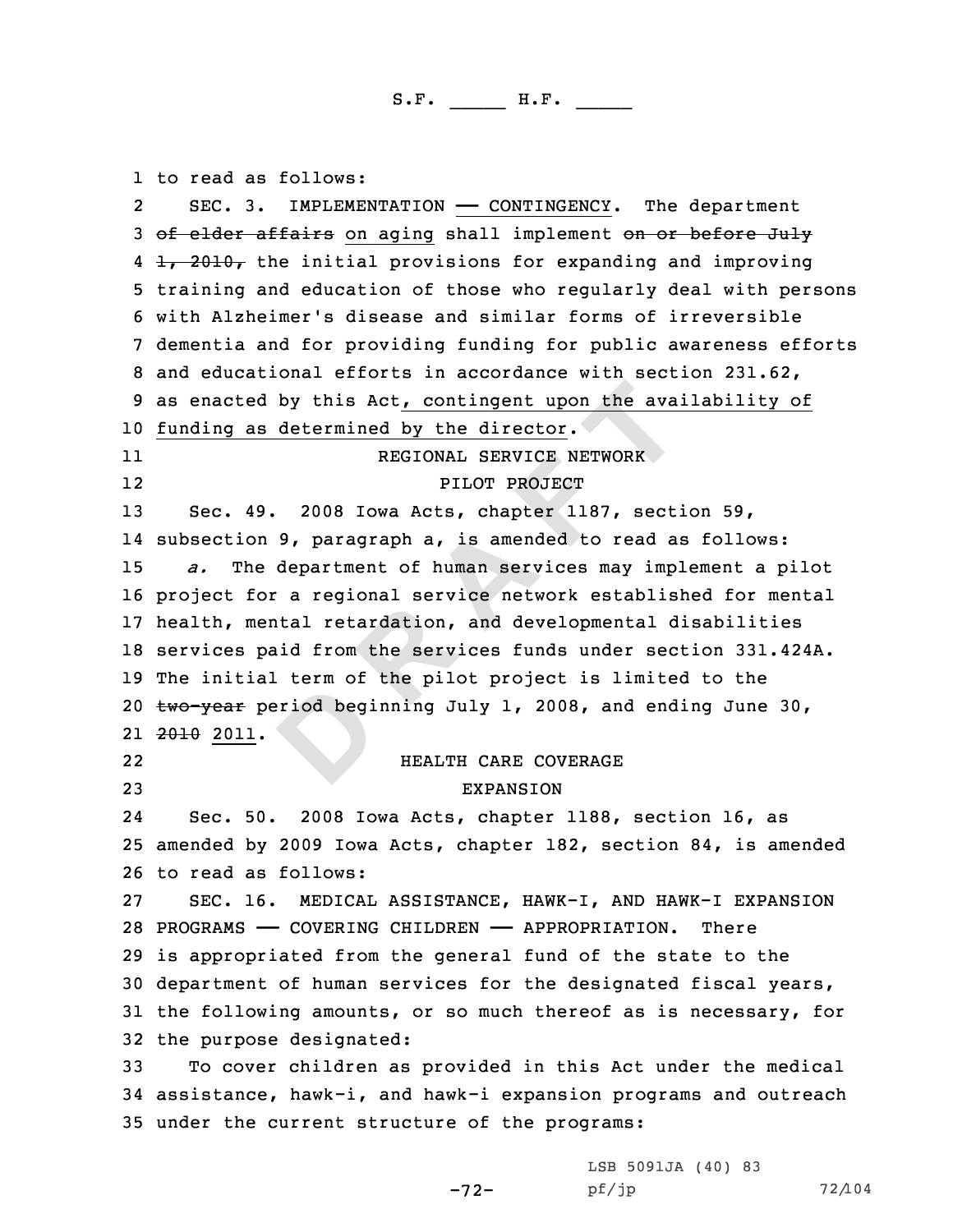**D EXECUTE 10 EXECUTE 10 EXECUTE 10 EXECUTE 10 EXECUTE 10 EXECUTE 10 EXECUTE 10 EXECUTE 2008 IONA Acts, chapter 1187, sect:**<br>**9, paragraph a, is amended to read and department of human services may impl** 1 to read as follows: 2SEC. 3. IMPLEMENTATION — CONTINGENCY. The department<br>3 <del>of elder affairs</del> on aging shall implement on or before July<br>4 <del>1, 2010,</del> the initial provisions for expanding and improving 4 1, 2010, the initial provisions for expanding and improving<br>5 training and education of those who regularly deal with persons<br>6 with Alzheimer's disease and similar forms of irreversible<br>7 dementia and for providing fund <sup>10</sup> funding as determined by the director . 11 REGIONAL SERVICE NETWORK 1212 PILOT PROJECT<br>13 Sec. 49. 2008 Iowa Acts, chapter 11 Sec. 49. 2008 Iowa Acts, chapter 1187, section 59, 14 subsection 9, paragraph a, is amended to read as follows: <sup>15</sup> *a.* The department of human services may implement <sup>a</sup> pilot <sup>16</sup> project for <sup>a</sup> regional service network established for mental <sup>17</sup> health, mental retardation, and developmental disabilities <sup>18</sup> services paid from the services funds under section 331.424A. <sup>19</sup> The initial term of the pilot project is limited to the 20  $t$ wo-year period beginning July 1, 2008, and ending June 30, 21 <del>2010</del> 2011. 2222 HEALTH CARE COVERAGE 23 **EXPANSION** 24 Sec. 50. <sup>2008</sup> Iowa Acts, chapter 1188, section 16, as <sup>25</sup> amended by <sup>2009</sup> Iowa Acts, chapter 182, section 84, is amended 26 to read as follows:<br>27 SEC. 16. MEDICA SEC. 16. MEDICAL ASSISTANCE, HAWK-I, AND HAWK-I EXPANSION<br>GRAMS — COVERING CHILDREN — APPROPRIATION. There 28 PROGRAMS - COVERING CHILDREN - APPROPRIATION. <sup>29</sup> is appropriated from the general fund of the state to the <sup>30</sup> department of human services for the designated fiscal years, <sup>31</sup> the following amounts, or so much thereof as is necessary, for 32 the purpose designated:<br>33 To cover children as To cover children as provided in this Act under the medical <sup>34</sup> assistance, hawk-i, and hawk-i expansion programs and outreach <sup>35</sup> under the current structure of the programs:

> LSB 5091JA (40) 83<br>pf/jp pf/jp 72/104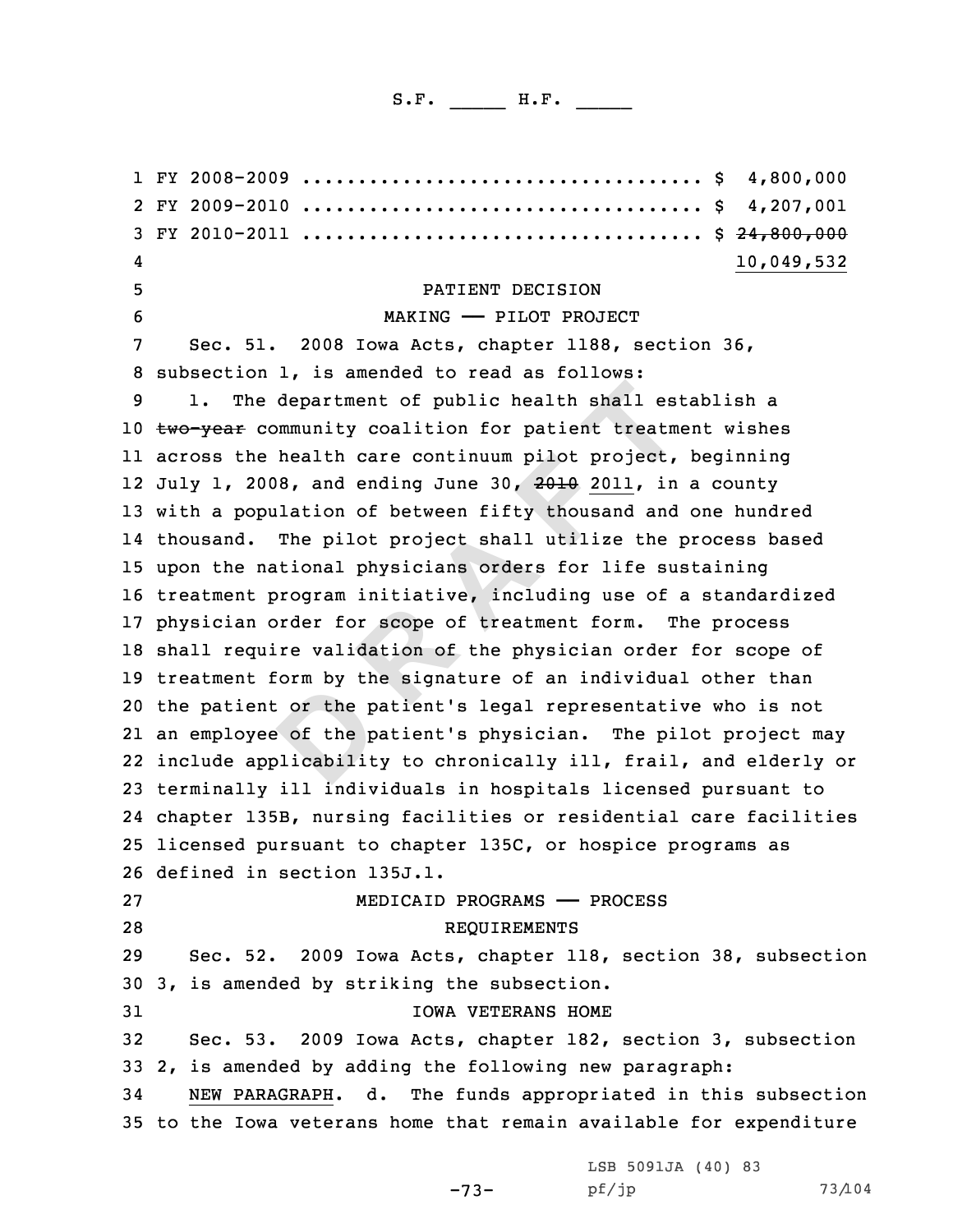department of public health shall est<br>mmmunity coalition for patient treatm<br>health care continuum pilot project,<br>18, and ending June 30, 2010 2011, in<br>llation of between fifty thousand and<br>The pilot project shall utilize t 1 FY 2008-2009 .................................... \$ 4,800,000 2 FY 2009-2010 .................................... \$ 4,207,001 <sup>3</sup> FY 2010-2011 .................................... \$ 24,800,000 4 10,049,532 9 PATIENT DECISION<br>
5 PATIENT DECISION<br>
6 MAKING — PILOT PROJECT<br>
7 Sec. 51. 2008 Iowa Acts, chapter 1188, section 36,<br>
8 subsection 1, is amended to read as follows:<br>
9 1. The department of public health shall establish a 10 two-year community coalition for patient treatment wishes 11 across the health care continuum pilot project, beginning 12 July 1, 2008, and ending June 30, <del>2010</del> 2011, in a county <sup>13</sup> with <sup>a</sup> population of between fifty thousand and one hundred 14 thousand. The pilot project shall utilize the process based <sup>15</sup> upon the national physicians orders for life sustaining <sup>16</sup> treatment program initiative, including use of <sup>a</sup> standardized <sup>17</sup> physician order for scope of treatment form. The process <sup>18</sup> shall require validation of the physician order for scope of <sup>19</sup> treatment form by the signature of an individual other than <sup>20</sup> the patient or the patient's legal representative who is not 21 an employee of the patient's physician. The pilot project may 22 include applicability to chronically ill, frail, and elderly or <sup>23</sup> terminally ill individuals in hospitals licensed pursuant to 24 chapter 135B, nursing facilities or residential care facilities <sup>25</sup> licensed pursuant to chapter 135C, or hospice programs as 26 defined in section 135J.1.<br>27 MEDICAID 27 MEDICAID PROGRAMS —— PROCESS<br>28 REQUIREMENTS **REQUIREMENTS** <sup>29</sup> Sec. 52. <sup>2009</sup> Iowa Acts, chapter 118, section 38, subsection <sup>30</sup> 3, is amended by striking the subsection. 31 IOWA VETERANS HOME<br>32 Sec. 53. 2009 Iowa Acts, chapter 182, 2009 Iowa Acts, chapter 182, section 3, subsection 33 2, is amended by adding the following new paragraph:<br>34 NEW PARAGRAPH. d. The funds appropriated in thi NEW PARAGRAPH. d. The funds appropriated in this subsection <sup>35</sup> to the Iowa veterans home that remain available for expenditure

-73-

LSB 5091JA (40) 83<br>pf/jp

pf/jp 73/104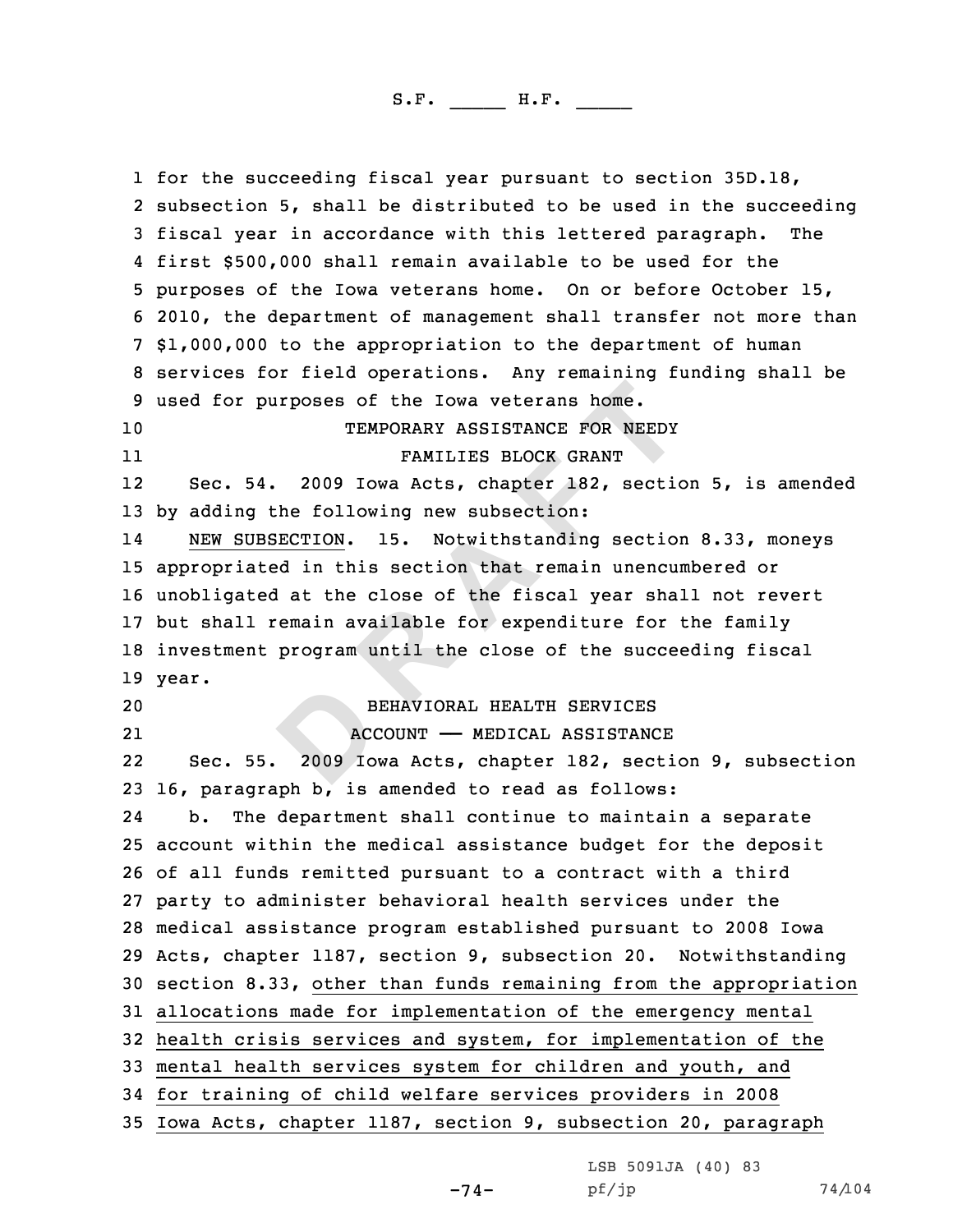**PERECALL A**<br> **D EXECUTE:** THE **EXECUTE:** THE **EXECUTE:** THE **EXECUTE:** THE **EXECUTE:** THE **EXECUTION.** I5. Notwithstanding section<br> **D EXECUTION.** I5. Notwithstanding section<br> **D EXECUTION.** I5. Notwithstanding sect 1 for the succeeding fiscal year pursuant to section 35D.18, 1 for the succeeding fiscal year pursuant to section 35D.18,<br>2 subsection 5, shall be distributed to be used in the succe 2 subsection 5, shall be distributed to be used in the succeeding<br>3 fiscal year in accordance with this lettered paragraph. The<br>4 first \$500,000 shall remain available to be used for the 4 first \$500,000 shall remain available to be used for the<br>5 purposes of the Iowa veterans home. On or before October 15,<br>6 2010, the department of management shall transfer not more than<br>7 \$1,000,000 to the appropriation <sup>10</sup> TEMPORARY ASSISTANCE FOR NEEDY 11 FAMILIES BLOCK GRANT 12 Sec. 54. <sup>2009</sup> Iowa Acts, chapter 182, section 5, is amended <sup>13</sup> by adding the following new subsection: 14 NEW SUBSECTION. 15. Notwithstanding section 8.33, moneys <sup>15</sup> appropriated in this section that remain unencumbered or <sup>16</sup> unobligated at the close of the fiscal year shall not revert <sup>17</sup> but shall remain available for expenditure for the family <sup>18</sup> investment program until the close of the succeeding fiscal 19 year. <sup>20</sup> BEHAVIORAL HEALTH SERVICES 21ACCOUNT - MEDICAL ASSISTANCE<br>Sec. 55. 2009 Iowa Acts, chapter 182, secti 222009 Iowa Acts, chapter 182, section 9, subsection 23 16, paragraph b, is amended to read as follows:<br>24 b. The department shall continue to maintai 24The department shall continue to maintain a separate <sup>25</sup> account within the medical assistance budget for the deposit <sup>26</sup> of all funds remitted pursuant to <sup>a</sup> contract with <sup>a</sup> third <sup>27</sup> party to administer behavioral health services under the <sup>28</sup> medical assistance program established pursuant to <sup>2008</sup> Iowa <sup>29</sup> Acts, chapter 1187, section 9, subsection 20. Notwithstanding <sup>30</sup> section 8.33, other than funds remaining from the appropriation <sup>31</sup> allocations made for implementation of the emergency mental <sup>32</sup> health crisis services and system, for implementation of the <sup>33</sup> mental health services system for children and youth, and <sup>34</sup> for training of child welfare services providers in <sup>2008</sup> <sup>35</sup> Iowa Acts, chapter 1187, section 9, subsection 20, paragraph

LSB 5091JA (40) 83<br>pf/jp

-74-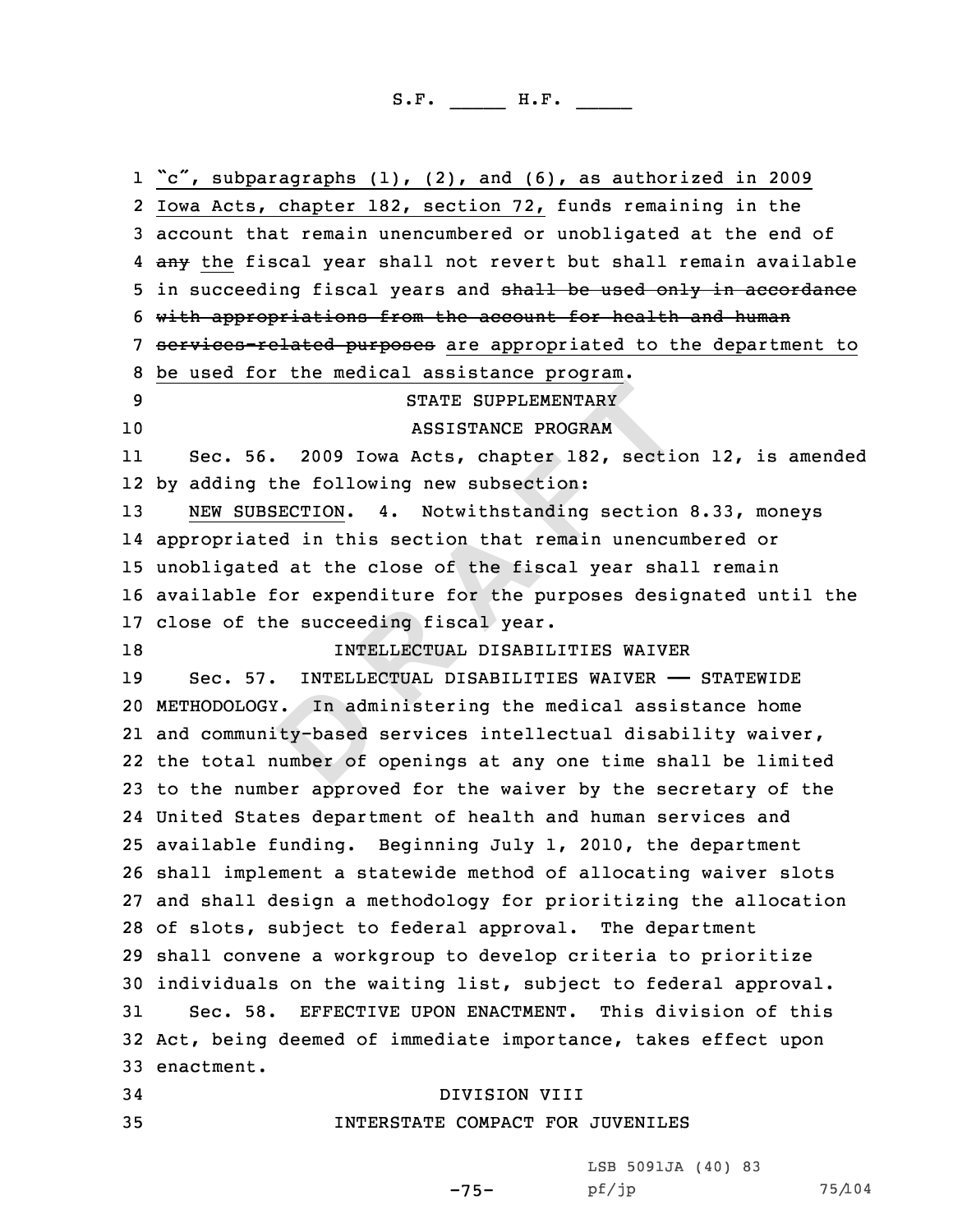**EXECUTE THE SUPPLEMENTARY**<br>
ASSISTANCE PROGRAM<br>
2009 Iowa Acts, chapter 182, section<br>
<u>BECTION</u>. 4. Notwithstanding section<br>
ECTION. 4. Notwithstanding section<br>
ad in this section that remain unencure<br>
at the close of the 1 "c", subparagraphs (1), (2), and (6), as authorized in 2009<br>2 Iowa Acts, chapter 182, section 72, funds remaining in the Iowa Acts, chapter 182, section 72, funds remaining in the<br>3 account that remain unencumbered or unobligated at the end of<br>4 any the fiscal year shall not revert but shall remain available 5 in succeeding fiscal years and <del>shall be used only in accordance</del><br>6 with appropriations from the account for health and human<br>7 services-related purposes are appropriated to the department to<br>8 be used for the medical as ASSISTANCE PROGRAM 11 Sec. 56. <sup>2009</sup> Iowa Acts, chapter 182, section 12, is amended by adding the following new subsection: NEW SUBSECTION. 4. Notwithstanding section 8.33, moneys appropriated in this section that remain unencumbered or unobligated at the close of the fiscal year shall remain available for expenditure for the purposes designated until the 17 close of the succeeding fiscal year.<br>18 18 18 19 18 18 INTELLECTUAL DISABILITIES WAIVER<br>19 Sec. 57. INTELLECTUAL DISABILITIES WAIVER Sec. 57. INTELLECTUAL DISABILITIES WAIVER —— STATEWIDE METHODOLOGY. In administering the medical assistance home and community-based services intellectual disability waiver, the total number of openings at any one time shall be limited to the number approved for the waiver by the secretary of the United States department of health and human services and available funding. Beginning July 1, 2010, the department shall implement <sup>a</sup> statewide method of allocating waiver slots and shall design <sup>a</sup> methodology for prioritizing the allocation of slots, subject to federal approval. The department shall convene <sup>a</sup> workgroup to develop criteria to prioritize 30 individuals on the waiting list, subject to federal approval.<br>31 Sec. 58. EFFECTIVE UPON ENACTMENT. This division of this Sec. 58. EFFECTIVE UPON ENACTMENT. This division of this Act, being deemed of immediate importance, takes effect upon enactment. 34 DIVISION VIII<br>35 1NTERSTATE COMPACT FOR INTERSTATE COMPACT FOR JUVENILES

> $-75-$  pf/jp LSB 5091JA (40) <sup>83</sup>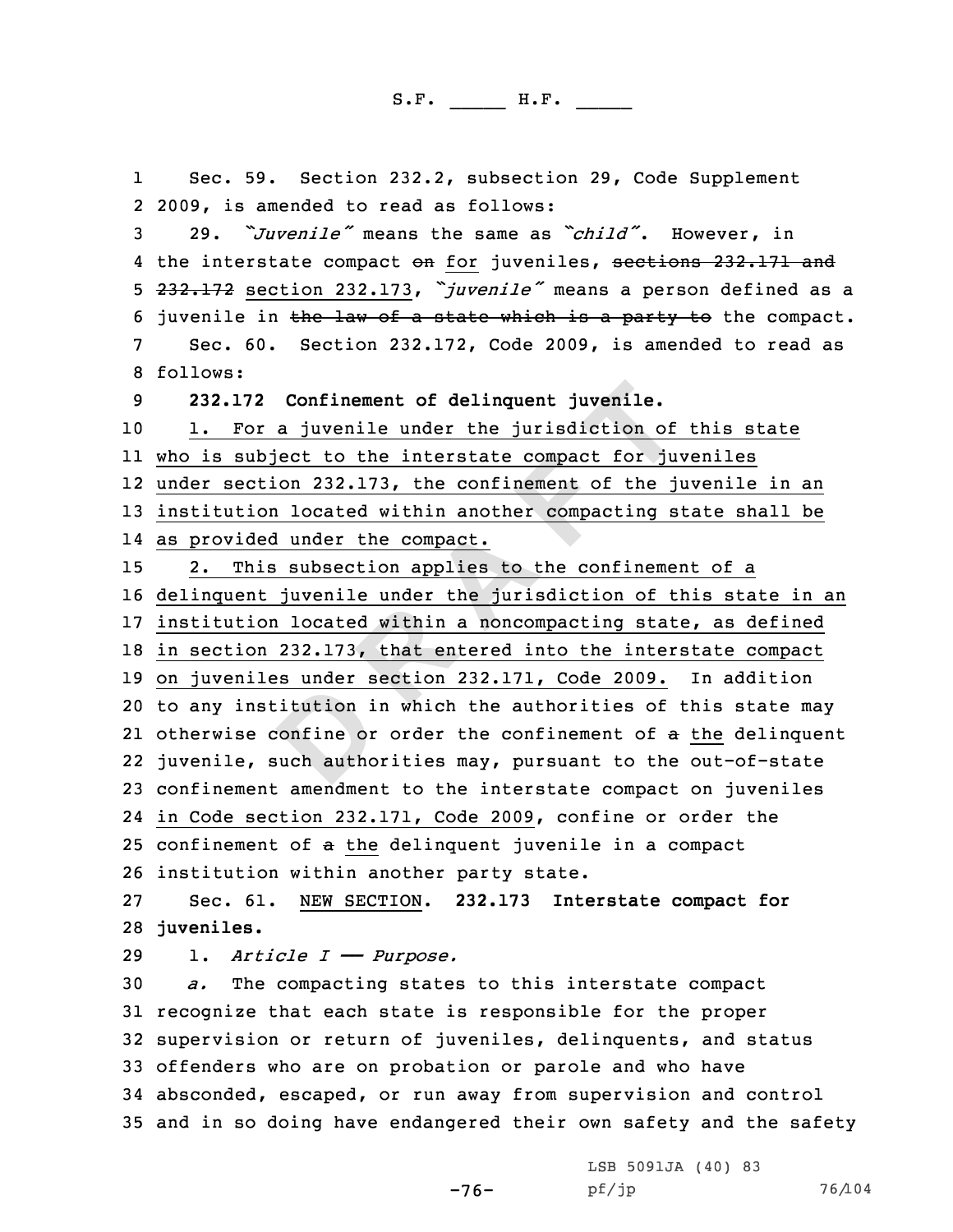**Confinement of delinquent juvenile.**<br>
a juvenile under the jurisdiction of<br>
ject to the interstate compact for juven on 232.173, the confinement of the jurisdiction<br>
a located within another compacting s<br>
lunder the compa 1Sec. 59. Section 232.2, subsection 29, Code Supplement<br>2 2009, is amended to read as follows: 29. "*Juvenile"* means the same as "*child"*. However, in<br>4 the interstate compact <del>on</del> for juveniles, <del>sections 232.171 and</del> 5 232.172 section 232.173, "*juvenile"* means a person defined as a<br>6 juvenile in <del>the law of a state which is a party to</del> the compact.<br>7 Sec. 60. Section 232.172, Code 2009, is amended to read as<br>8 follows: **232.172 Confinement of delinquent juvenile.** 1. For a juvenile under the jurisdiction of this state who is subject to the interstate compact for juveniles under section 232.173, the confinement of the juvenile in an institution located within another compacting state shall be as provided under the compact. 2. This subsection applies to the confinement of <sup>a</sup> delinquent juvenile under the jurisdiction of this state in an institution located within <sup>a</sup> noncompacting state, as defined in section 232.173, that entered into the interstate compact on juveniles under section 232.171, Code 2009. In addition to any institution in which the authorities of this state may 21 otherwise confine or order the confinement of a the delinquent juvenile, such authorities may, pursuant to the out-of-state confinement amendment to the interstate compact on juveniles in Code section 232.171, Code 2009, confine or order the confinement of <sup>a</sup> the delinquent juvenile in <sup>a</sup> compact 26 institution within another party state.<br>27 Sec. 61. NEW SECTION. 232.173 Inte Sec. 61. NEW SECTION . **232.173 Interstate compact for juveniles.** 29 1. *Article I*  $\rightarrow$  *Purpose.*<br>30 *a.* The compacting states The compacting states to this interstate compact recognize that each state is responsible for the proper supervision or return of juveniles, delinquents, and status offenders who are on probation or parole and who have absconded, escaped, or run away from supervision and control

<sup>35</sup> and in so doing have endangered their own safety and the safety

 $-76$ -  $pf/jp$ LSB 5091JA (40) <sup>83</sup>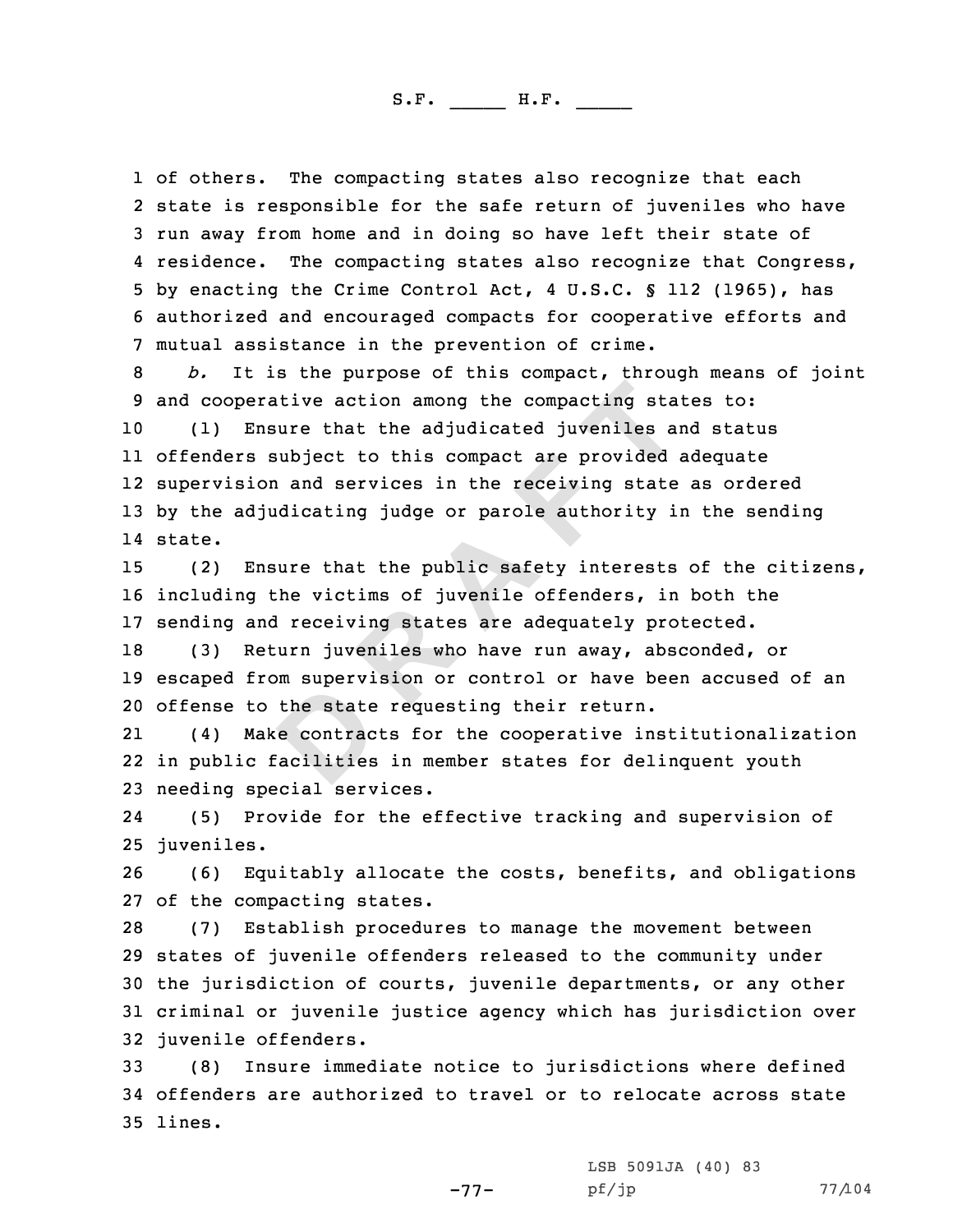1 of others. The compacting states also recognize that each<br>2 state is responsible for the safe return of juveniles who 2 state is responsible for the safe return of juveniles who have<br>3 run away from home and in doing so have left their state of<br>4 residence. The compacting states also recognize that Congress, 5 by enacting the Crime Control Act, 4 U.S.C. § 112 (1965), has<br>6 authorized and encouraged compacts for cooperative efforts and<br>7 mutual assistance in the prevention of crime.<br>8 b. It is the purpose of this compact, throu

**Example 1**<br> **Example 1**<br> **Example 2**<br> **Example 2**<br> **EXPLE 1**<br> **EXPLE 1**<br> **EXPLE 1**<br> **EXPLE 1**<br> **EXPLE 1**<br> **EXPLE 1**<br> **EXPLE 1**<br> **EXPLE 1**<br> **EXPLE 12**<br> **EXPLE 12**<br> **EXPLE 12**<br> **EXPLE 12**<br> **EXPLE 12**<br> **EXPLE 12**<br> **EXPLE 12**  (1) Ensure that the adjudicated juveniles and status offenders subject to this compact are provided adequate supervision and services in the receiving state as ordered by the adjudicating judge or parole authority in the sending 14 state.

<sup>15</sup> (2) Ensure that the public safety interests of the citizens, <sup>16</sup> including the victims of juvenile offenders, in both the 17 sending and receiving states are adequately protected.<br>18 (3) Return iuveniles who have run awav, absconded,

<sup>18</sup> (3) Return juveniles who have run away, absconded, or <sup>19</sup> escaped from supervision or control or have been accused of an <sup>20</sup> offense to the state requesting their return.

21 (4) Make contracts for the cooperative institutionalization 22 in public facilities in member states for delinquent youth <sup>23</sup> needing special services.

24 (5) Provide for the effective tracking and supervision of 25 juveniles.

<sup>26</sup> (6) Equitably allocate the costs, benefits, and obligations 27 of the compacting states.<br>28 (7) Establish procedu

(7) Establish procedures to manage the movement between <sup>29</sup> states of juvenile offenders released to the community under <sup>30</sup> the jurisdiction of courts, juvenile departments, or any other <sup>31</sup> criminal or juvenile justice agency which has jurisdiction over 32 juvenile offenders.<br>33 (8) Insure imme

(8) Insure immediate notice to jurisdictions where defined <sup>34</sup> offenders are authorized to travel or to relocate across state 35 lines.

-77-

LSB 5091JA (40) 83<br>pf/jp

pf/jp 77/104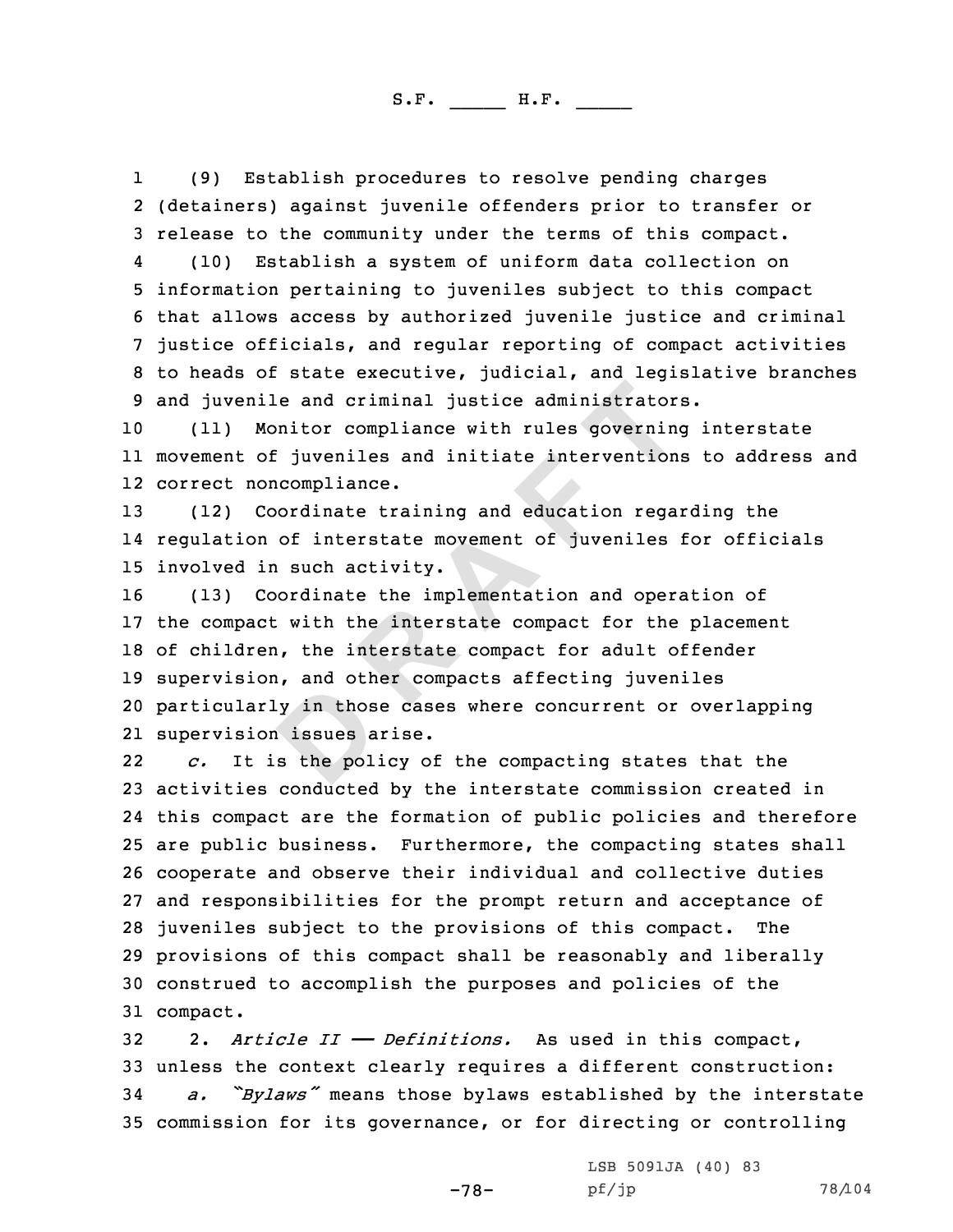11 (9) Establish procedures to resolve pending charges<br>2 (detainers) against juvenile offenders prior to transfer or % 3 release to the community under the terms of this compact.<br>4 (10) Establish a system of uniform data collection on

4 (10) Establish a system of uniform data collection on<br>5 information pertaining to juveniles subject to this compact<br>6 that allows access by authorized juvenile justice and criminal<br>7 justice officials, and regular report

<sup>10</sup> (11) Monitor compliance with rules governing interstate 11 movement of juveniles and initiate interventions to address and 12 correct noncompliance.

<sup>13</sup> (12) Coordinate training and education regarding the 14 regulation of interstate movement of juveniles for officials 15 involved in such activity.<br>16 (13) Coordinate the impo

**Example 12**<br> **Example 20**<br> **EXECUTE:** inversibility the intervention<br> **EXECUTE:** inversibility the intervention<br> **D**<br> **EXECUTE:** interstate movement of juveniles<br> **EXECUTE:** is work activity.<br> **D**<br> **EXECUTE:** with the int (13) Coordinate the implementation and operation of the compact with the interstate compact for the placement of children, the interstate compact for adult offender supervision, and other compacts affecting juveniles particularly in those cases where concurrent or overlapping supervision issues arise.

22 *c.* It is the policy of the compacting states that the <sup>23</sup> activities conducted by the interstate commission created in 24 this compact are the formation of public policies and therefore <sup>25</sup> are public business. Furthermore, the compacting states shall <sup>26</sup> cooperate and observe their individual and collective duties 27 and responsibilities for the prompt return and acceptance of<br>28 iuveniles subiect to the provisions of this compact. The 28 juveniles subject to the provisions of this compact. <sup>29</sup> provisions of this compact shall be reasonably and liberally <sup>30</sup> construed to accomplish the purposes and policies of the 31 compact.

<sup>32</sup> 2. *Article II —— Definitions.* As used in this compact, 33 unless the context clearly requires a different construction:<br>34 a. "Bylaws" means those bylaws established by the intersta "Bylaws" means those bylaws established by the interstate <sup>35</sup> commission for its governance, or for directing or controlling

-78-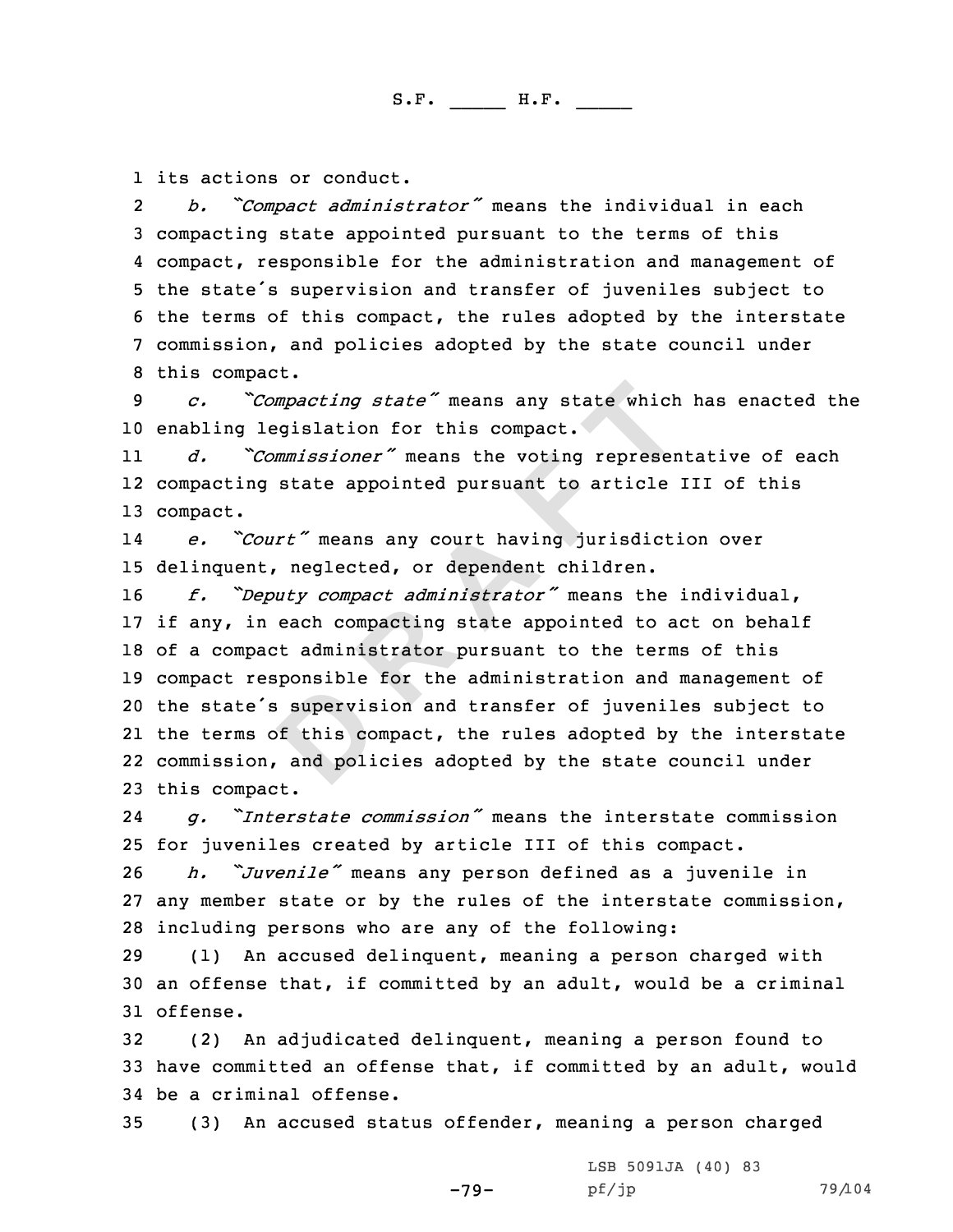1 its actions or conduct.<br>2 b. "Compact adminis:

*b. "Compact administrator"* means the individual in each<br>3 compacting state appointed pursuant to the terms of this<br>4 compact, responsible for the administration and management of 4 compact, responsible for the administration and management of<br>5 the state's supervision and transfer of juveniles subject to<br>6 the terms of this compact, the rules adopted by the interstate<br>7 commission, and policies ado

10 enabling legislation for this compact.<br>11 d. "Commissioner" means the voting

11 *d. "Commissioner"* means the voting representative of each 12 compacting state appointed pursuant to article III of this 13 compact.

14 *e. "Court"* means any court having jurisdiction over 15 delinquent, neglected, or dependent children.<br>16 f. "Deputy compact administrator" means th

mpacting state" means any state which<br>egislation for this compact.<br>mmissioner" means the voting represen<br>state appointed pursuant to article<br>rt" means any court having jurisdicti<br>. neglected, or dependent children.<br>uty com *f. "Deputy compact administrator"* means the individual, if any, in each compacting state appointed to act on behalf of <sup>a</sup> compact administrator pursuant to the terms of this compact responsible for the administration and management of the state's supervision and transfer of juveniles subject to the terms of this compact, the rules adopted by the interstate commission, and policies adopted by the state council under this compact.

24 *g. "Interstate commission"* means the interstate commission 25 for juveniles created by article III of this compact.<br>26 *h. ``Juvenile*" means any person defined as a juveni

<sup>26</sup> *h. "Juvenile"* means any person defined as <sup>a</sup> juvenile in <sup>27</sup> any member state or by the rules of the interstate commission, 28 including persons who are any of the following:<br>29 (1) An accused delinguent, meaning a person

(1) An accused delinquent, meaning a person charged with <sup>30</sup> an offense that, if committed by an adult, would be <sup>a</sup> criminal 31 offense.

<sup>32</sup> (2) An adjudicated delinquent, meaning <sup>a</sup> person found to <sup>33</sup> have committed an offense that, if committed by an adult, would 34 be a criminal offense.<br>35 (3) An accused sta

<sup>35</sup> (3) An accused status offender, meaning <sup>a</sup> person charged

-79- LSB 5091JA (40) 83<br>pf/jp

pf/jp 79/104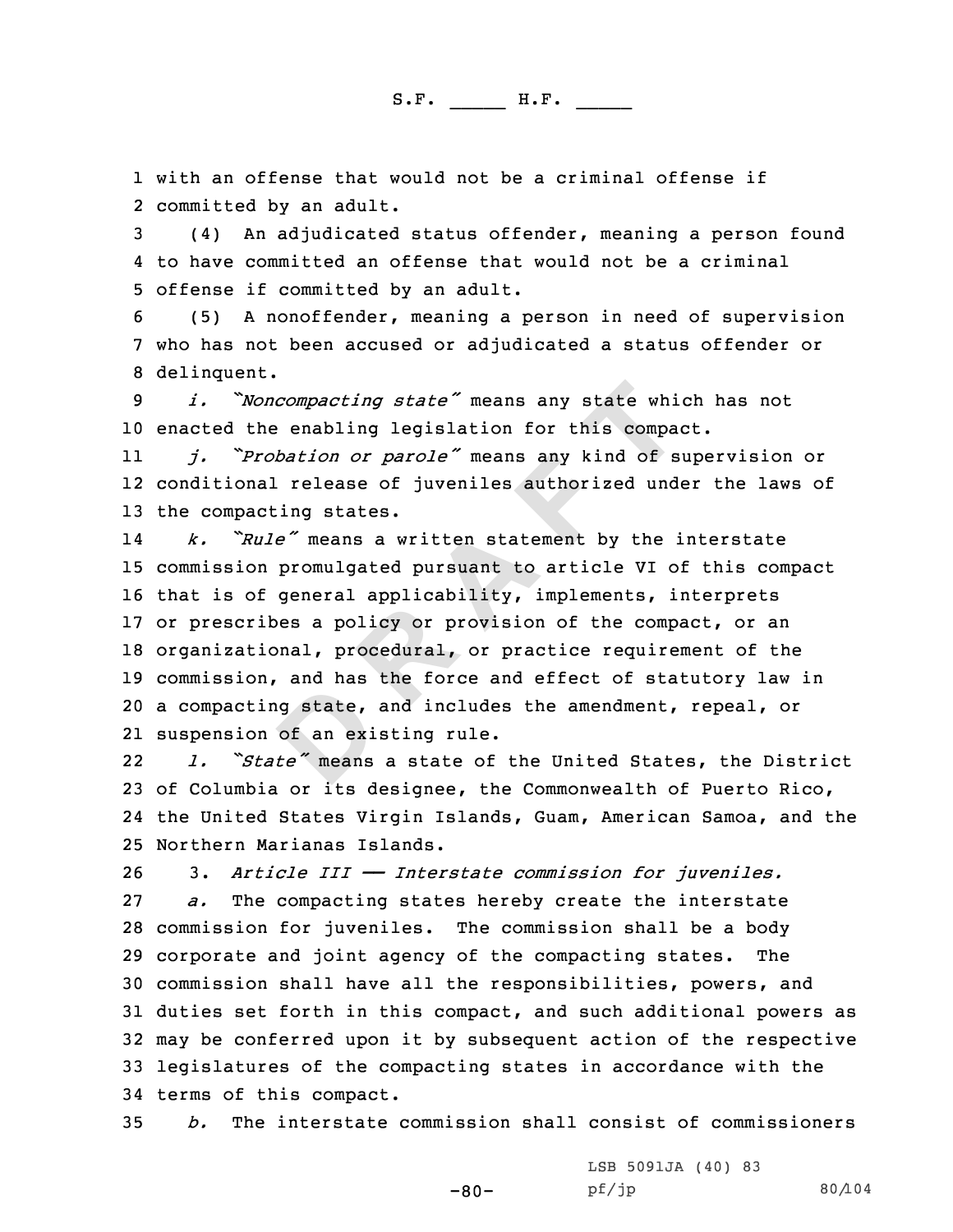1 with an offense that would not be a criminal offense if<br>2 committed by an adult.

2 committed by an adult.<br>3 (4) An adjudicated status offender, meaning a person found<br>4 to have committed an offense that would not be a criminal

5 offense if committed by an adult.<br>6 (5) A nonoffender, meaning a person in need of supervision<br>7 who has not been accused or adjudicated a status offender or<br>8 delinquent.

<sup>9</sup> *i. "Noncompacting state"* means any state which has not <sup>10</sup> enacted the enabling legislation for this compact.

11 *j. "Probation or parole"* means any kind of supervision or 12 conditional release of juveniles authorized under the laws of <sup>13</sup> the compacting states.

compacting state" means any state which enabling legislation for this comparabation or parole" means any kind of s<br>
I release of juveniles authorized und<br>  $\tilde{e}$  release of juveniles authorized und<br>  $\tilde{e}$  release of j 14 *k. "Rule"* means <sup>a</sup> written statement by the interstate commission promulgated pursuant to article VI of this compact that is of general applicability, implements, interprets or prescribes <sup>a</sup> policy or provision of the compact, or an organizational, procedural, or practice requirement of the commission, and has the force and effect of statutory law in <sup>a</sup> compacting state, and includes the amendment, repeal, or suspension of an existing rule.

22 *l. "State"* means <sup>a</sup> state of the United States, the District <sup>23</sup> of Columbia or its designee, the Commonwealth of Puerto Rico, 24 the United States Virgin Islands, Guam, American Samoa, and the 25 Northern Marianas Islands.<br>26 3. Article III - Inter

26 3. *Article III*  $-$  *Interstate commission for juveniles.*<br>27 *a.* The compacting states hereby create the interstate The compacting states hereby create the interstate 28 commission for juveniles. The commission shall be a body<br>29 corporate and joint agency of the compacting states. The 29 corporate and joint agency of the compacting states. <sup>30</sup> commission shall have all the responsibilities, powers, and <sup>31</sup> duties set forth in this compact, and such additional powers as <sup>32</sup> may be conferred upon it by subsequent action of the respective <sup>33</sup> legislatures of the compacting states in accordance with the 34 terms of this compact.<br>35  $b.$  The interstate

<sup>35</sup> *b.* The interstate commission shall consist of commissioners

-80-

LSB 5091JA (40) <sup>83</sup>

pf/jp 80/104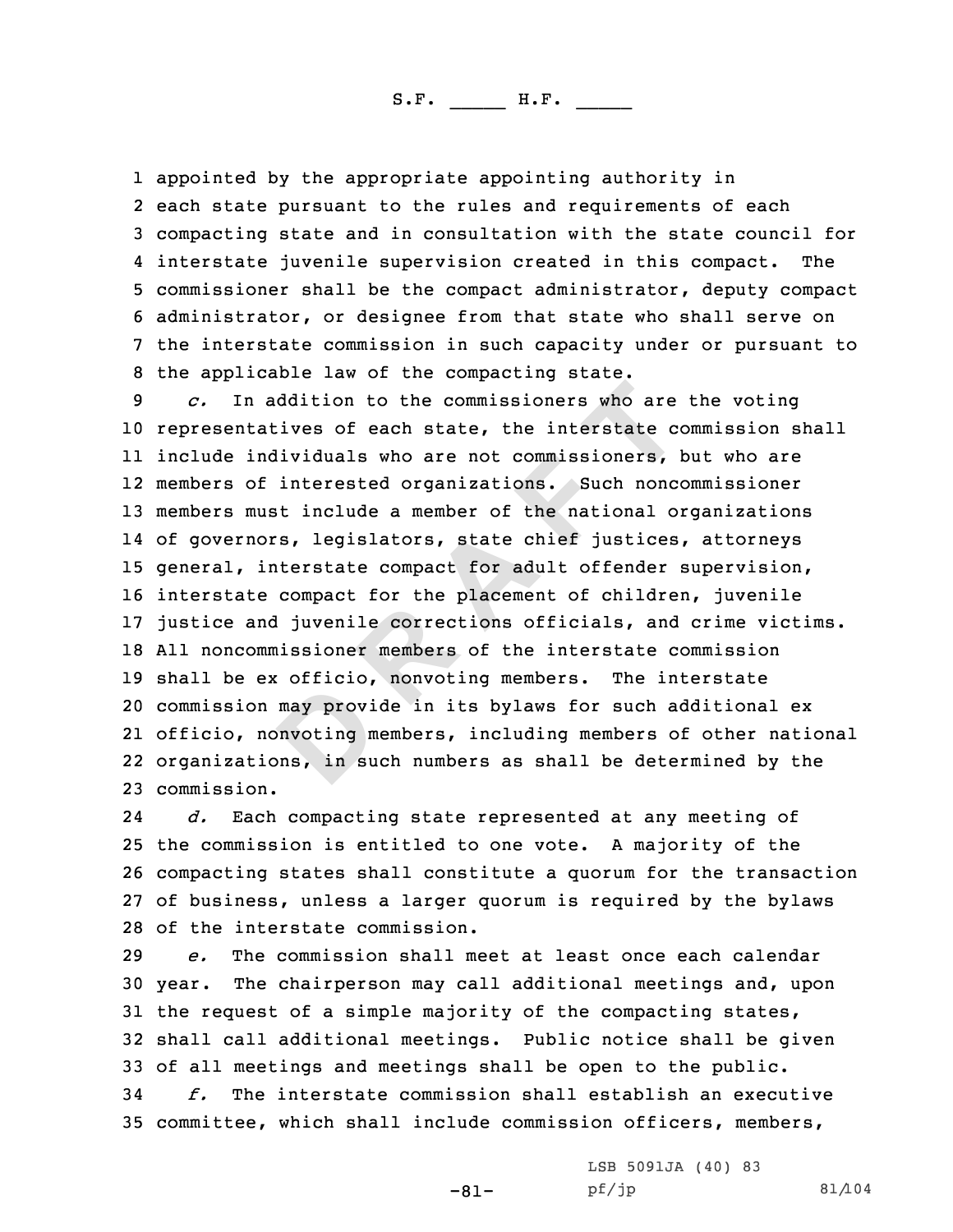1 appointed by the appropriate appointing authority in

2 each state pursuant to the rules and requirements of each 3 compacting state and in consultation with the state council for<br>4 interstate juvenile supervision created in this compact. The 5 commissioner shall be the compact administrator, deputy compact<br>6 administrator, or designee from that state who shall serve on<br>7 the interstate commission in such capacity under or pursuant to<br>8 the applicable law of th

ddition to the commissioners who are<br>ives of each state, the interstate co<br>ividuals who are not commissioners, interested organizations. Such nonce<br>it include a member of the national o:<br>s, legislators, state chief justice representatives of each state, the interstate commission shall include individuals who are not commissioners, but who are members of interested organizations. Such noncommissioner members must include <sup>a</sup> member of the national organizations of governors, legislators, state chief justices, attorneys general, interstate compact for adult offender supervision, interstate compact for the placement of children, juvenile justice and juvenile corrections officials, and crime victims. 18 All noncommissioner members of the interstate commission<br>19 shall be ex officio, nonvoting members. The interstate 19 shall be ex officio, nonvoting members. commission may provide in its bylaws for such additional ex officio, nonvoting members, including members of other national organizations, in such numbers as shall be determined by the commission.

24 *d.* Each compacting state represented at any meeting of <sup>25</sup> the commission is entitled to one vote. <sup>A</sup> majority of the <sup>26</sup> compacting states shall constitute <sup>a</sup> quorum for the transaction <sup>27</sup> of business, unless <sup>a</sup> larger quorum is required by the bylaws 28 of the interstate commission.<br>29  $e$ . The commission shall mo

29 *e.* The commission shall meet at least once each calendar<br>30 year. The chairperson may call additional meetings and, upo The chairperson may call additional meetings and, upon <sup>31</sup> the request of <sup>a</sup> simple majority of the compacting states, <sup>32</sup> shall call additional meetings. Public notice shall be given 33 of all meetings and meetings shall be open to the public.<br>34  $f$ , The interstate commission shall establish an execu The interstate commission shall establish an executive <sup>35</sup> committee, which shall include commission officers, members,

-81-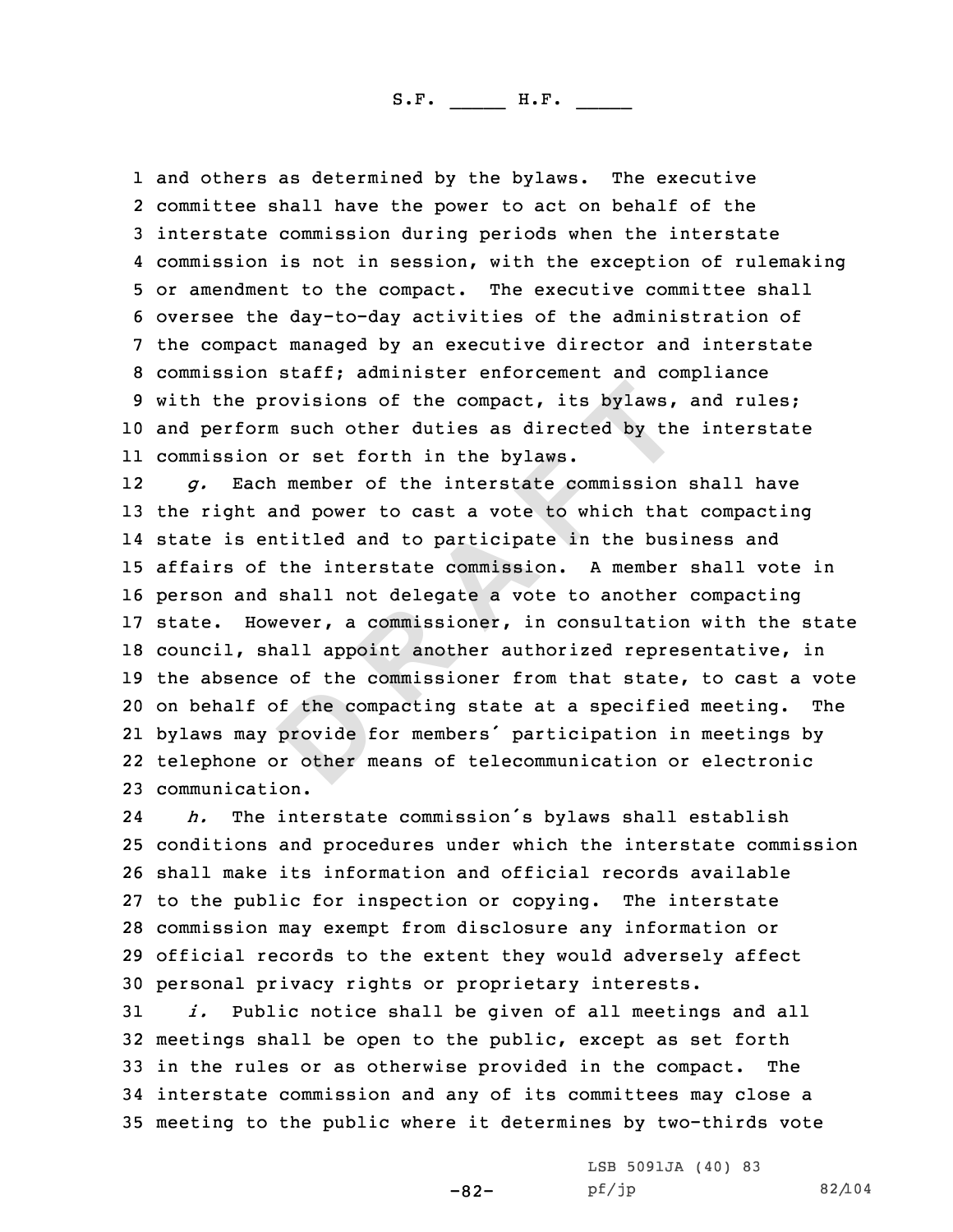1 and others as determined by the bylaws. The executive<br>2 committee shall have the power to act on behalf of the 2 committee shall have the power to act on behalf of the<br>3 interstate commission during periods when the interstate<br>4 commission is not in session, with the exception of rulemaking 4 commission is not in session, with the exception of rulemaking<br>5 or amendment to the compact. The executive committee shall<br>6 oversee the day-to-day activities of the administration of<br>7 the compact managed by an executi <sup>10</sup> and perform such other duties as directed by the interstate 11 commission or set forth in the bylaws.

**Example 1 EXEC THE COMPACT:** THE COMPACT: THE COMPACT OF THE CONDUCT OF THE CONDUCT OF THE CONDUCT OF THE INTERTING THE INTERTING THE INTERTING THE SAMPLE THE SAMPLE THE SAMPLE SAMPLE SAMPLE SAMPLE SAMPLE SAMPLE SAMPLE 12 *g.* Each member of the interstate commission shall have the right and power to cast <sup>a</sup> vote to which that compacting state is entitled and to participate in the business and affairs of the interstate commission. <sup>A</sup> member shall vote in person and shall not delegate <sup>a</sup> vote to another compacting state. However, <sup>a</sup> commissioner, in consultation with the state council, shall appoint another authorized representative, in 19 the absence of the commissioner from that state, to cast a vote<br>20 on behalf of the compacting state at a specified meeting. The 20 on behalf of the compacting state at a specified meeting. bylaws may provide for members' participation in meetings by telephone or other means of telecommunication or electronic communication.

24 *h.* The interstate commission's bylaws shall establish conditions and procedures under which the interstate commission shall make its information and official records available to the public for inspection or copying. The interstate commission may exempt from disclosure any information or official records to the extent they would adversely affect 30 personal privacy rights or proprietary interests.<br>31  $i.$  Public notice shall be given of all meetine

Public notice shall be given of all meetings and all 32 meetings shall be open to the public, except as set forth<br>33 in the rules or as otherwise provided in the compact. The 33 in the rules or as otherwise provided in the compact. <sup>34</sup> interstate commission and any of its committees may close <sup>a</sup> <sup>35</sup> meeting to the public where it determines by two-thirds vote

-82-

LSB 5091JA (40) 83<br>pf/jp

pf/jp 82/104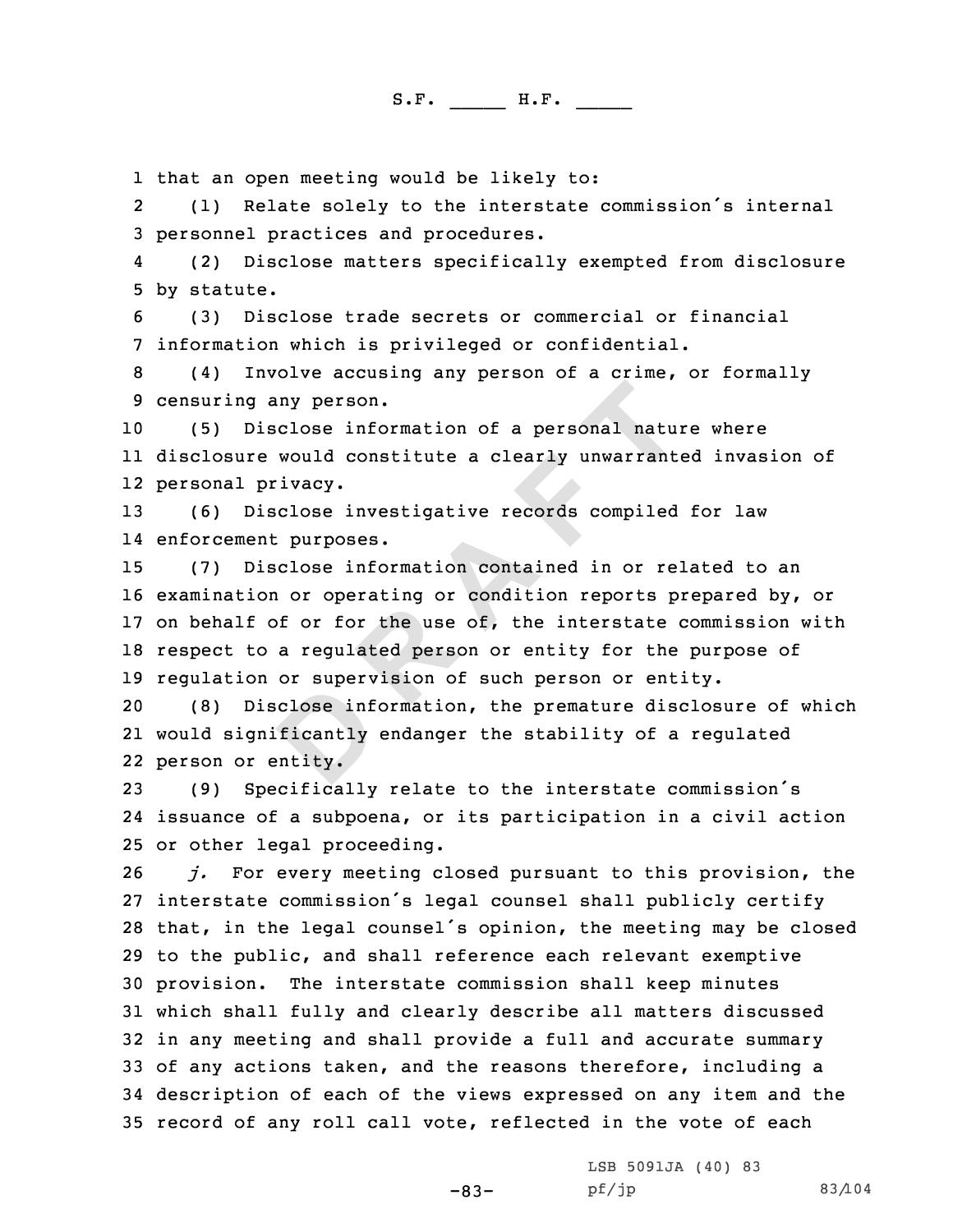1 that an open meeting would be likely to:<br>2 (1) Relate solely to the interstate

(1) Relate solely to the interstate commission's internal<br>3 personnel practices and procedures.<br>4 (2) Disclose matters specifically exempted from disclosure

(2) Disclose matters specifically exempted from disclosure<br>5 by statute.<br>(3) Disclose trade secrets or commercial or financial<br>7 information which is privileged or confidential.<br>(4) Involve accusing any person of a crime,

<sup>10</sup> (5) Disclose information of <sup>a</sup> personal nature where 11 disclosure would constitute <sup>a</sup> clearly unwarranted invasion of 12 personal privacy.

<sup>13</sup> (6) Disclose investigative records compiled for law 14 enforcement purposes.

**EXECUTE:**<br> **EXECUTE:**<br> **EXECUTE:**<br> **EXECUTE:**<br> **EXECUTE:**<br> **EXECUTE:**<br> **EXECUTE:**<br> **EXECUTE:**<br> **EXECUTE:**<br> **EXECUTE:**<br> **EXECUTE:**<br> **EXECUTE:**<br> **EXECUTE:**<br> **EXECUTE:**<br> **EXECUTE:**<br> **EXECUTE:**<br> **EXECUTE:**<br> **EXECUTE:**<br> **EXECU**  (7) Disclose information contained in or related to an examination or operating or condition reports prepared by, or on behalf of or for the use of, the interstate commission with respect to <sup>a</sup> regulated person or entity for the purpose of 19 regulation or supervision of such person or entity.<br>20 (8) Disclose information, the premature disclos

(8) Disclose information, the premature disclosure of which 21 would significantly endanger the stability of <sup>a</sup> regulated 22 person or entity.

<sup>23</sup> (9) Specifically relate to the interstate commission's 24 issuance of <sup>a</sup> subpoena, or its participation in <sup>a</sup> civil action 25 or other legal proceeding.<br>26  $i$ . For every meeting c

j. For every meeting closed pursuant to this provision, the interstate commission's legal counsel shall publicly certify that, in the legal counsel's opinion, the meeting may be closed to the public, and shall reference each relevant exemptive provision. The interstate commission shall keep minutes which shall fully and clearly describe all matters discussed in any meeting and shall provide <sup>a</sup> full and accurate summary of any actions taken, and the reasons therefore, including <sup>a</sup> description of each of the views expressed on any item and the record of any roll call vote, reflected in the vote of each

LSB 5091JA (40) <sup>83</sup>

-83-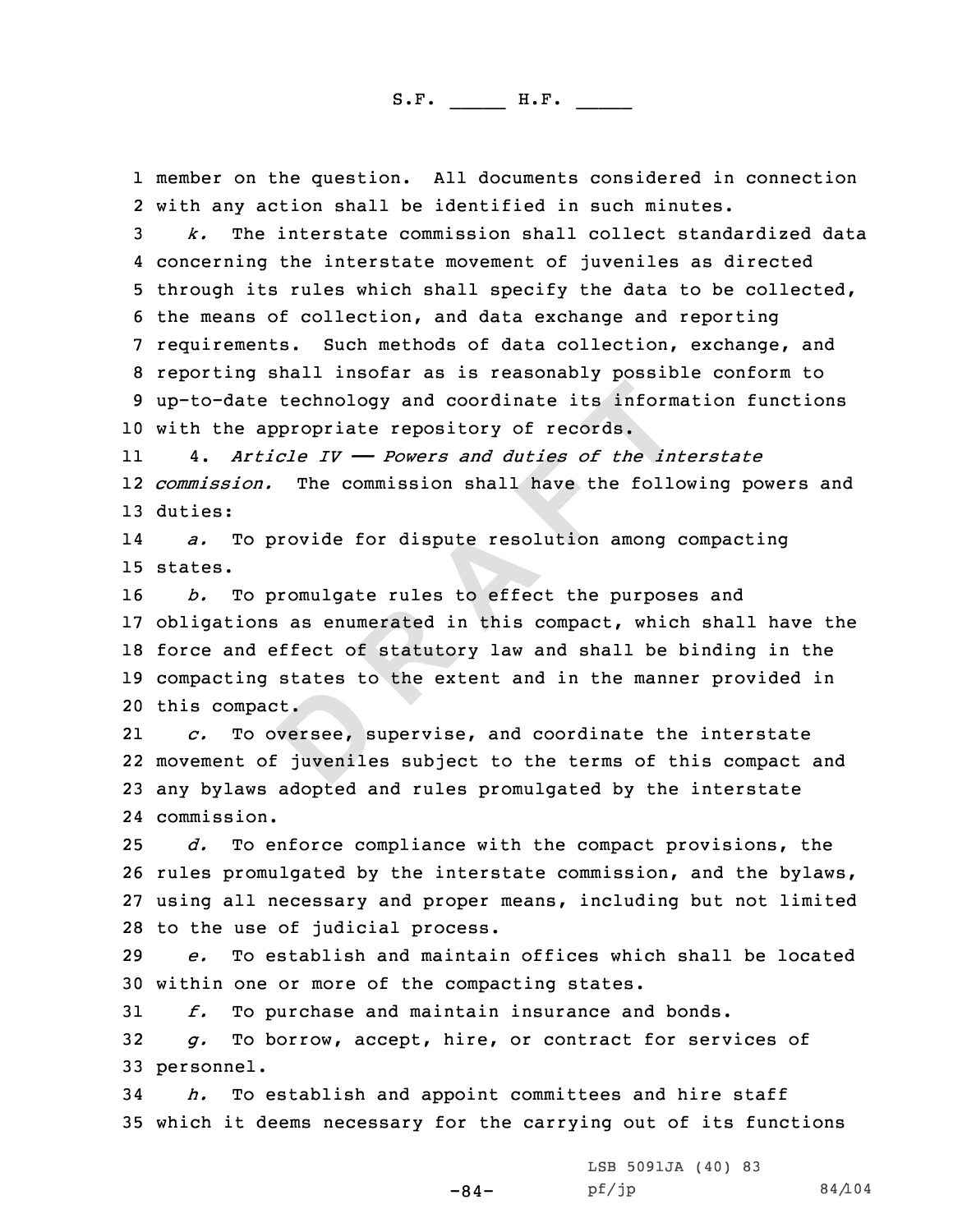1 member on the question. All documents considered in connection<br>2 with anv action shall be identified in such minutes.

with any action shall be identified in such minutes.<br>3 *k.* The interstate commission shall collect standardized data<br>4 concerning the interstate movement of juveniles as directed 4 concerning the interstate movement of juveniles as directed<br>5 through its rules which shall specify the data to be collected,<br>6 the means of collection, and data exchange and reporting<br>7 requirements. Such methods of dat <sup>10</sup> with the appropriate repository of records.

11 4. *Article IV —— Powers and duties of the interstate* 12 *commission.* The commission shall have the following powers and 13 duties:

14 *a.* To provide for dispute resolution among compacting 15 states.

**Example 1 Example 1 CONTER 1 CONTER 1 CONTER 1 CONTER 1 CONTER 1 CONTER 1 CONTER 1 CONTER 1 CONTER 1 CONTER 1 CONTER 1 CONTER 1 CONTER 1 CONTER 1 CONTER 1 CONTER 1 CONTER 1 CONTER 1**  *b.* To promulgate rules to effect the purposes and obligations as enumerated in this compact, which shall have the force and effect of statutory law and shall be binding in the compacting states to the extent and in the manner provided in 20 this compact.<br>21  $c.$  To over

21To oversee, supervise, and coordinate the interstate 22 movement of juveniles subject to the terms of this compact and <sup>23</sup> any bylaws adopted and rules promulgated by the interstate 24 commission.

 *d.* To enforce compliance with the compact provisions, the rules promulgated by the interstate commission, and the bylaws, using all necessary and proper means, including but not limited 28 to the use of judicial process.<br>29  $e$ . To establish and maintai

<sup>29</sup> *e.* To establish and maintain offices which shall be located 30 within one or more of the compacting states.<br>31  $f.$  To purchase and maintain insurance an

31 *f.* To purchase and maintain insurance and bonds.<br>32 *g.* To borrow, accept, hire, or contract for serv

To borrow, accept, hire, or contract for services of 33 personnel.

<sup>34</sup> *h.* To establish and appoint committees and hire staff <sup>35</sup> which it deems necessary for the carrying out of its functions

-84-

LSB 5091JA (40) <sup>83</sup>

pf/jp 84/104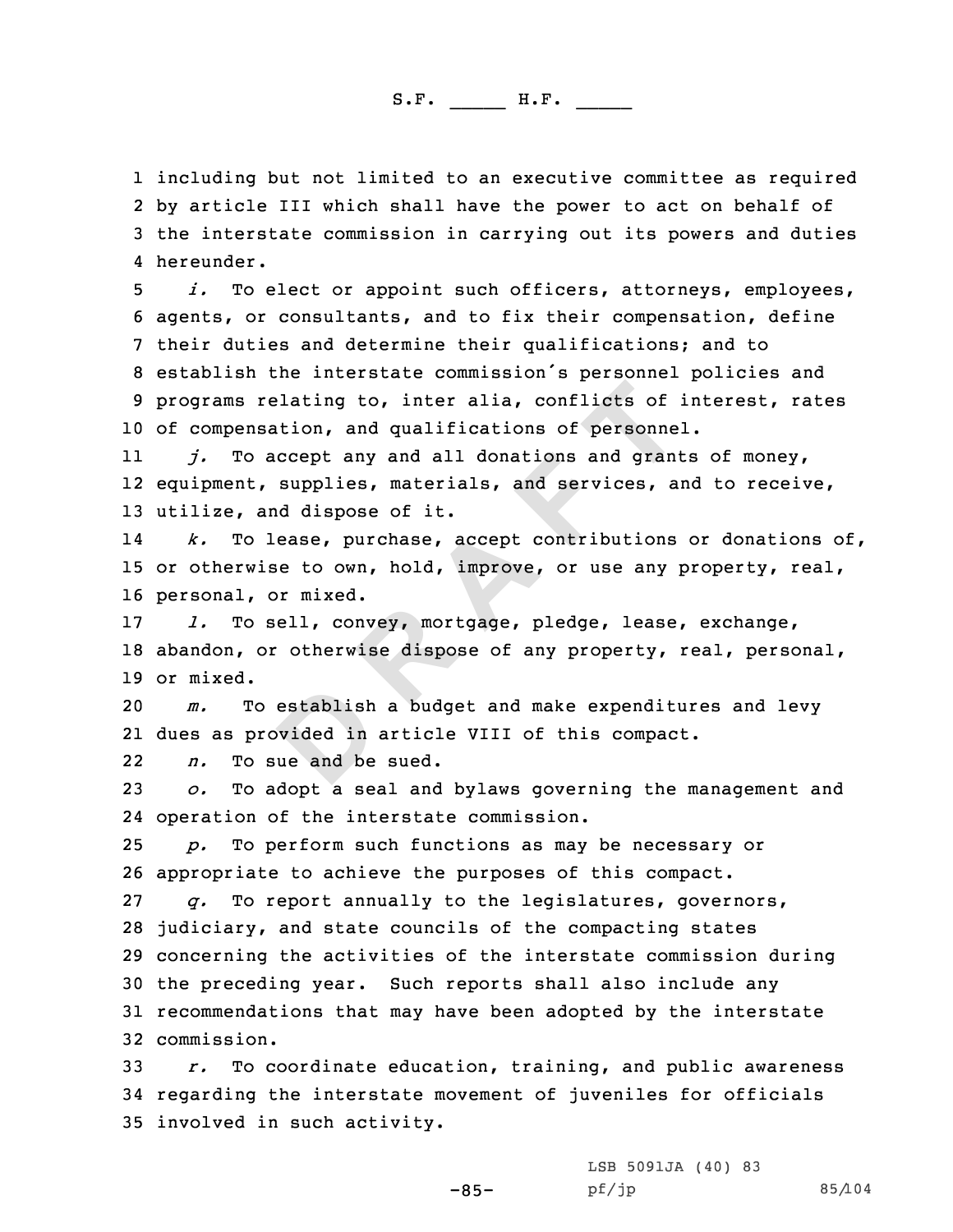1 including but not limited to an executive committee as required<br>2 by article III which shall have the power to act on behalf of 2 by article III which shall have the power to act on behalf of<br>3 the interstate commission in carrying out its powers and duties 4 hereunder.

*i.* To elect or appoint such officers, attorneys, employees,<br>6 agents, or consultants, and to fix their compensation, define<br>7 their duties and determine their qualifications; and to<br>8 establish the interstate commission' <sup>10</sup> of compensation, and qualifications of personnel.

**D R A F T** 11 *j.* To accept any and all donations and grants of money, 12 equipment, supplies, materials, and services, and to receive, <sup>13</sup> utilize, and dispose of it.

14 *k.* To lease, purchase, accept contributions or donations of, <sup>15</sup> or otherwise to own, hold, improve, or use any property, real, 16 personal, or mixed.<br>17 1. To sell, con

<sup>17</sup> *l.* To sell, convey, mortgage, pledge, lease, exchange, <sup>18</sup> abandon, or otherwise dispose of any property, real, personal, 19 or mixed.<br>20 *m.* T

<sup>20</sup> *m.* To establish <sup>a</sup> budget and make expenditures and levy 21 dues as provided in article VIII of this compact.

2222 n. To sue and be sued.<br>23 o. To adopt a seal and

<sup>23</sup> *o.* To adopt <sup>a</sup> seal and bylaws governing the management and 24 operation of the interstate commission.

<sup>25</sup> *p.* To perform such functions as may be necessary or 26 appropriate to achieve the purposes of this compact.<br>27  $q_i$ . To report annually to the legislatures, gover:

To report annually to the legislatures, governors, judiciary, and state councils of the compacting states concerning the activities of the interstate commission during the preceding year. Such reports shall also include any recommendations that may have been adopted by the interstate commission.

<sup>33</sup> *r.* To coordinate education, training, and public awareness <sup>34</sup> regarding the interstate movement of juveniles for officials <sup>35</sup> involved in such activity.

> LSB 5091JA (40) <sup>83</sup> pf/jp 85/104

-85-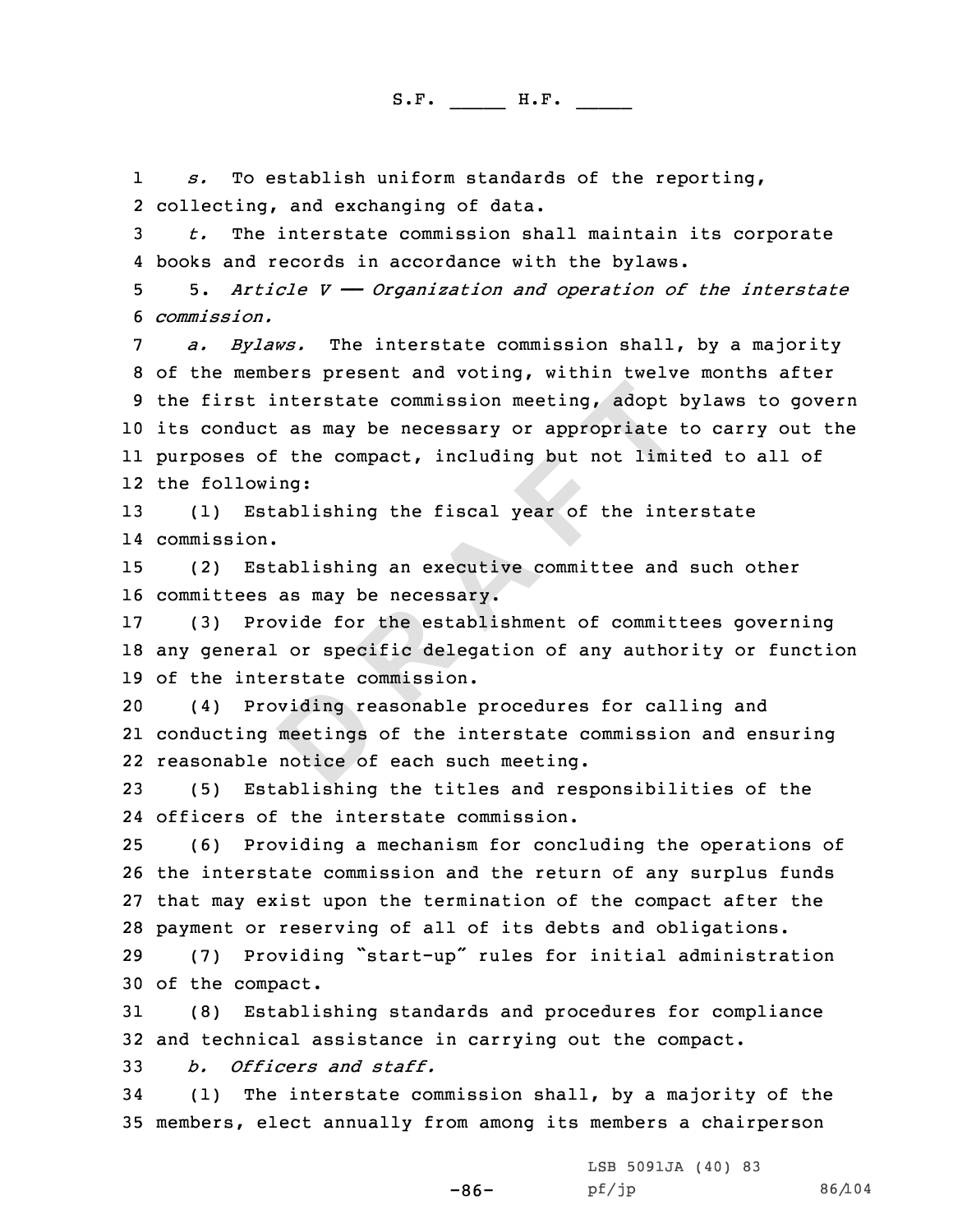1*s.* To establish uniform standards of the reporting,<br>2 collecting, and exchanging of data.

3 t. The interstate commission shall maintain its corporate<br>4 books and records in accordance with the bylaws.

5 5. Article  $V \rightarrow$  Organization and operation of the interstate<br>6 commission.

**D R A F T** *a. Bylaws.* The interstate commission shall, by a majority<br>8 of the members present and voting, within twelve months after<br>9 the first interstate commission meeting, adopt bylaws to govern <sup>10</sup> its conduct as may be necessary or appropriate to carry out the 11 purposes of the compact, including but not limited to all of 12 the following:

<sup>13</sup> (1) Establishing the fiscal year of the interstate 14 commission.

<sup>15</sup> (2) Establishing an executive committee and such other 16 committees as may be necessary.<br>17 (3) Provide for the establi

(3) Provide for the establishment of committees governing <sup>18</sup> any general or specific delegation of any authority or function 19 of the interstate commission.<br>20 (4) Providing reasonable

(4) Providing reasonable procedures for calling and 21 conducting meetings of the interstate commission and ensuring 22 reasonable notice of each such meeting.

<sup>23</sup> (5) Establishing the titles and responsibilities of the 24 officers of the interstate commission.

 (6) Providing <sup>a</sup> mechanism for concluding the operations of the interstate commission and the return of any surplus funds that may exist upon the termination of the compact after the 28 payment or reserving of all of its debts and obligations.<br>29 (7) Providing "start-up" rules for initial administra

<sup>29</sup> (7) Providing "start-up" rules for initial administration 30 of the compact.<br>31 (8) Establi

(8) Establishing standards and procedures for compliance 32 and technical assistance in carrying out the compact.<br>33 b. Officers and staff.

<sup>33</sup> *b. Officers and staff.*

(1) The interstate commission shall, by a majority of the <sup>35</sup> members, elect annually from among its members <sup>a</sup> chairperson

-86-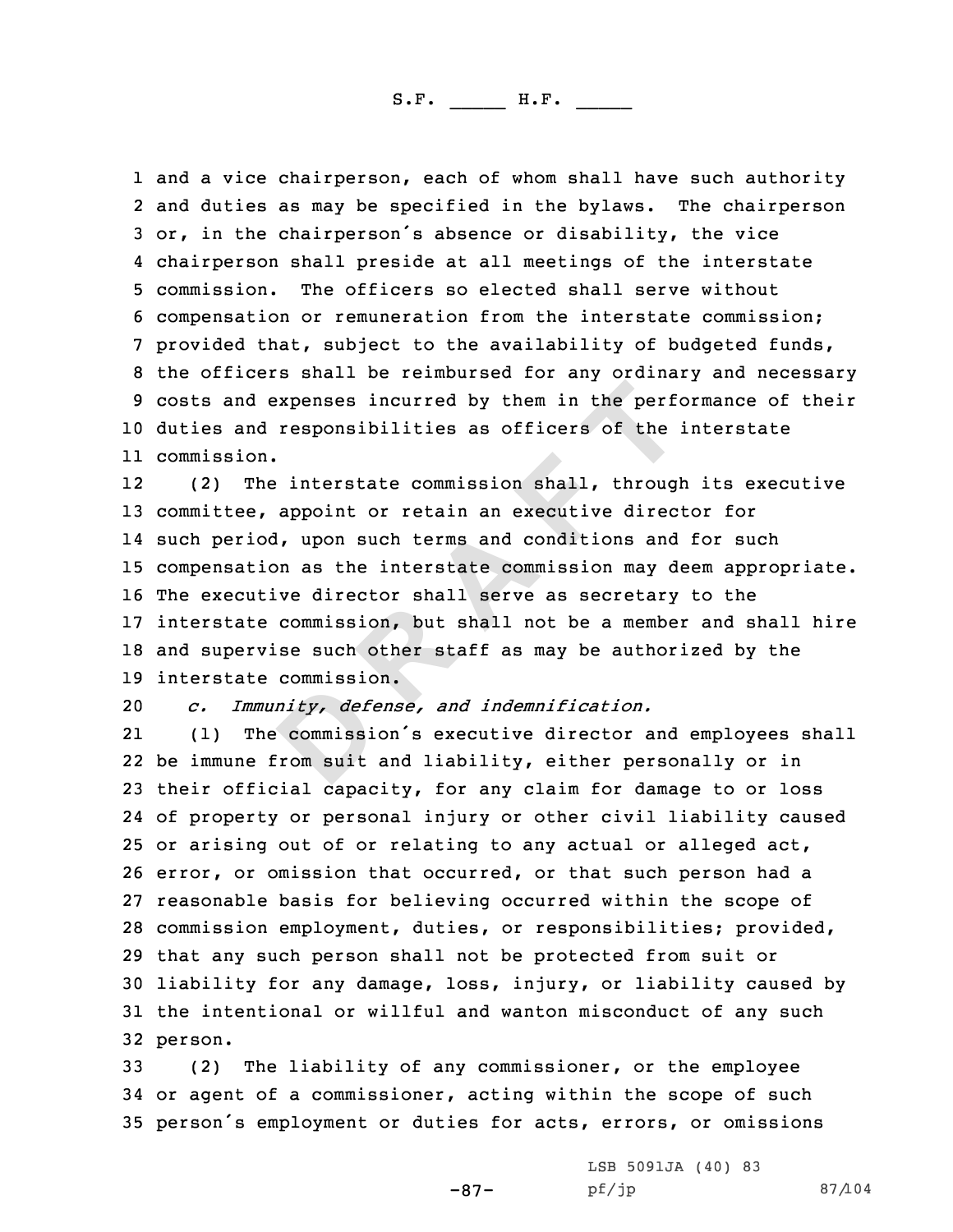1 and a vice chairperson, each of whom shall have such authority 2 and duties as may be specified in the bylaws. The chairperson 3 or, in the chairperson's absence or disability, the vice<br>4 chairperson shall preside at all meetings of the interstate 4 chairperson shall preside at all meetings of the interstate<br>5 commission. The officers so elected shall serve without<br>6 compensation or remuneration from the interstate commission;<br>7 provided that, subject to the availab <sup>10</sup> duties and responsibilities as officers of the interstate 11 commission.

**Expenses incurred by them in the performation in the performation is as officers of the interstate commission shall, through appoint or retain an executive directly upon such terms and conditions and on as the interstate** 12 (2) The interstate commission shall, through its executive <sup>13</sup> committee, appoint or retain an executive director for 14 such period, upon such terms and conditions and for such <sup>15</sup> compensation as the interstate commission may deem appropriate. <sup>16</sup> The executive director shall serve as secretary to the <sup>17</sup> interstate commission, but shall not be <sup>a</sup> member and shall hire <sup>18</sup> and supervise such other staff as may be authorized by the 19 interstate commission.<br>20 c. Immunity, defens

<sup>20</sup> *c. Immunity, defense, and indemnification.*

21 (1) The commission's executive director and employees shall be immune from suit and liability, either personally or in their official capacity, for any claim for damage to or loss of property or personal injury or other civil liability caused or arising out of or relating to any actual or alleged act, error, or omission that occurred, or that such person had <sup>a</sup> reasonable basis for believing occurred within the scope of commission employment, duties, or responsibilities; provided, that any such person shall not be protected from suit or liability for any damage, loss, injury, or liability caused by the intentional or willful and wanton misconduct of any such 32 person.

<sup>33</sup> (2) The liability of any commissioner, or the employee <sup>34</sup> or agent of <sup>a</sup> commissioner, acting within the scope of such <sup>35</sup> person's employment or duties for acts, errors, or omissions

-87-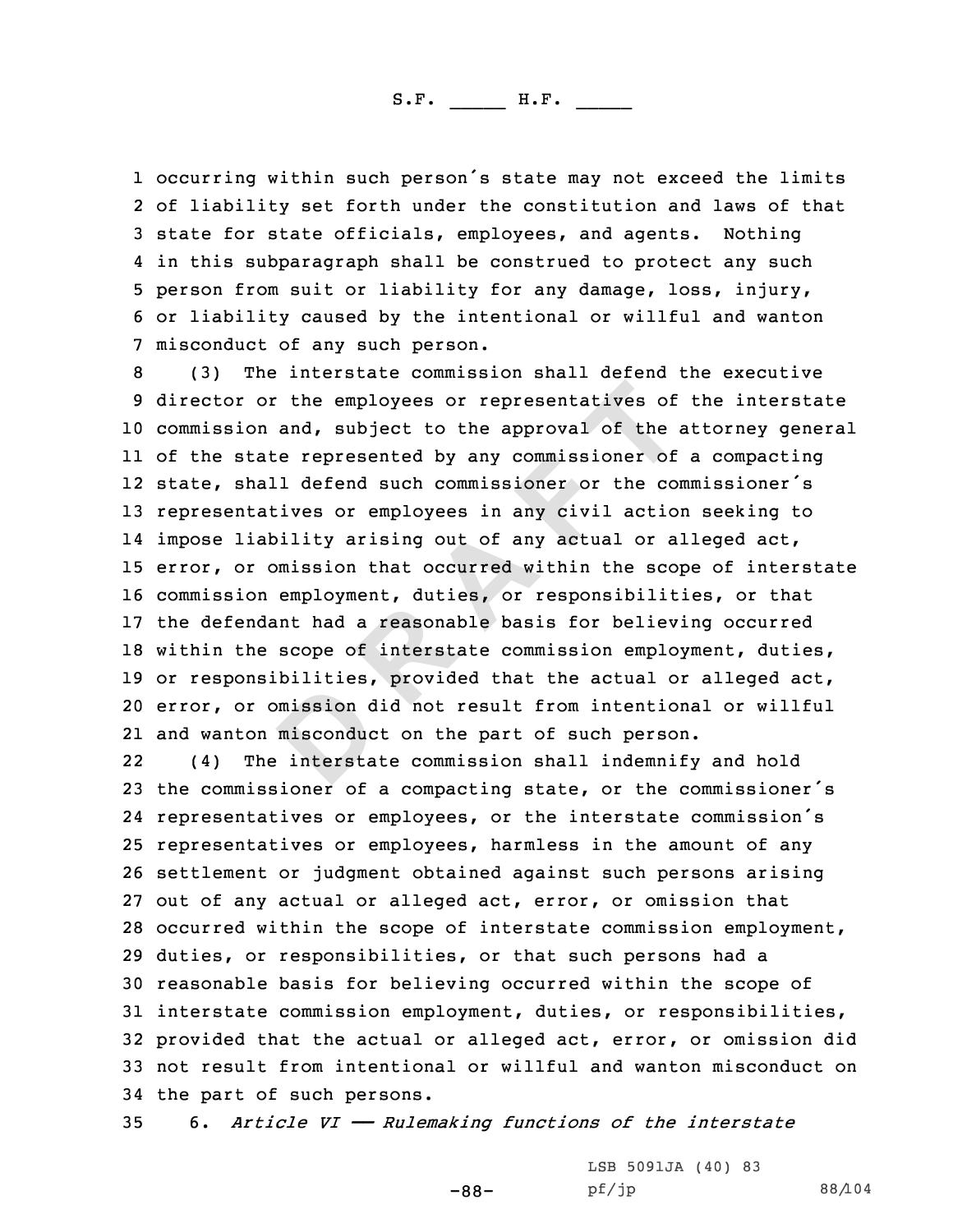1 occurring within such person's state may not exceed the limits<br>2 of liability set forth under the constitution and laws of that 2 of liability set forth under the constitution and laws of that<br>3 state for state officials, employees, and agents. Nothing<br>4 in this subparagraph shall be construed to protect any such 4 in this subparagraph shall be construed to protect any such<br>5 person from suit or liability for any damage, loss, injury,<br>6 or liability caused by the intentional or willful and wanton<br>7 misconduct of any such person.<br>8

**D R A F T** commission and, subject to the approval of the attorney general of the state represented by any commissioner of <sup>a</sup> compacting state, shall defend such commissioner or the commissioner's representatives or employees in any civil action seeking to impose liability arising out of any actual or alleged act, error, or omission that occurred within the scope of interstate commission employment, duties, or responsibilities, or that the defendant had <sup>a</sup> reasonable basis for believing occurred within the scope of interstate commission employment, duties, or responsibilities, provided that the actual or alleged act, error, or omission did not result from intentional or willful and wanton misconduct on the part of such person.

22 (4) The interstate commission shall indemnify and hold the commissioner of <sup>a</sup> compacting state, or the commissioner's representatives or employees, or the interstate commission's representatives or employees, harmless in the amount of any settlement or judgment obtained against such persons arising out of any actual or alleged act, error, or omission that occurred within the scope of interstate commission employment, duties, or responsibilities, or that such persons had <sup>a</sup> reasonable basis for believing occurred within the scope of interstate commission employment, duties, or responsibilities, provided that the actual or alleged act, error, or omission did not result from intentional or willful and wanton misconduct on 34 the part of such persons.<br>35 6. Article VI – Rulen

<sup>35</sup> 6. *Article VI —— Rulemaking functions of the interstate*

-88-

LSB 5091JA (40) 83<br>pf/jp

pf/jp 88/104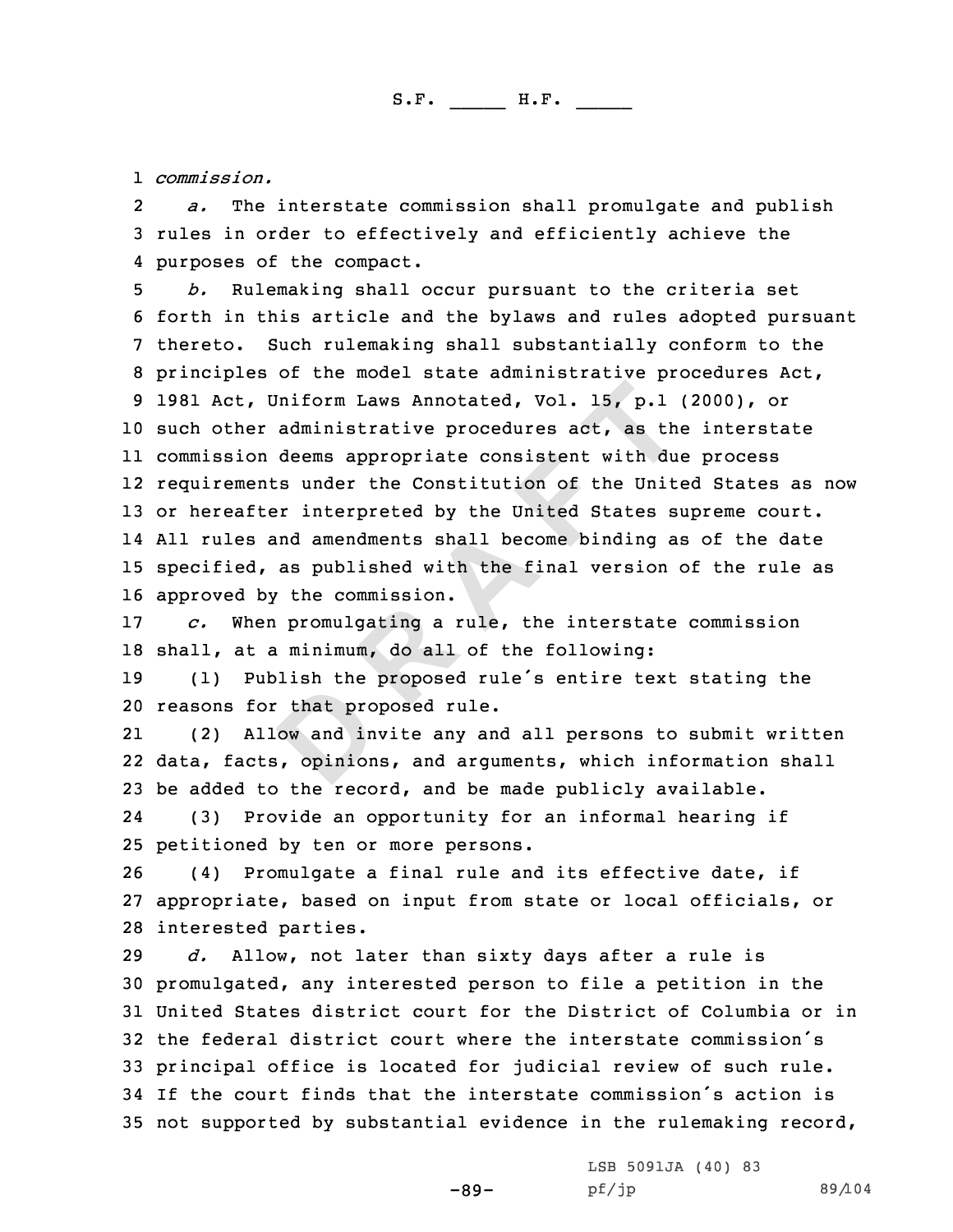1 *commission.*

2*a.* The interstate commission shall promulgate and publish<br>3 rules in order to effectively and efficiently achieve the<br>4 purposes of the compact.

Iniform Laws Annotated, Vol. 15, p.1<br>administrative procedures act, as the<br>deems appropriate consistent with due<br>is under the Constitution of the Uniter<br>interpreted by the United States s:<br>and amendments shall become bindi 4 purposes of the compact.<br>5 b. Rulemaking shall occur pursuant to the criteria set<br>6 forth in this article and the bylaws and rules adopted pursuant<br>7 thereto. Such rulemaking shall substantially conform to the<br>8 principl such other administrative procedures act, as the interstate commission deems appropriate consistent with due process requirements under the Constitution of the United States as now or hereafter interpreted by the United States supreme court. All rules and amendments shall become binding as of the date specified, as published with the final version of the rule as 16 approved by the commission.<br>17  $\,$   $\,$   $\,$   $\,$   $\,$   $\,$   $\,$  When promulgating a  $\,$ 

<sup>17</sup> *c.* When promulgating <sup>a</sup> rule, the interstate commission 18 shall, at a minimum, do all of the following:<br>19 (1) Publish the proposed rule's entire te

<sup>19</sup> (1) Publish the proposed rule's entire text stating the <sup>20</sup> reasons for that proposed rule.

21 (2) Allow and invite any and all persons to submit written 22 data, facts, opinions, and arguments, which information shall <sup>23</sup> be added to the record, and be made publicly available.

24 (3) Provide an opportunity for an informal hearing if 25 petitioned by ten or more persons.<br>26 (4) Promulgate a final rule an

(4) Promulgate a final rule and its effective date, if <sup>27</sup> appropriate, based on input from state or local officials, or 28 interested parties.<br>29 d. Allow, not la

Allow, not later than sixty days after a rule is promulgated, any interested person to file <sup>a</sup> petition in the United States district court for the District of Columbia or in the federal district court where the interstate commission's principal office is located for judicial review of such rule. If the court finds that the interstate commission's action is not supported by substantial evidence in the rulemaking record,

-89-

LSB 5091JA (40) 83<br>pf/jp

pf/jp 89/104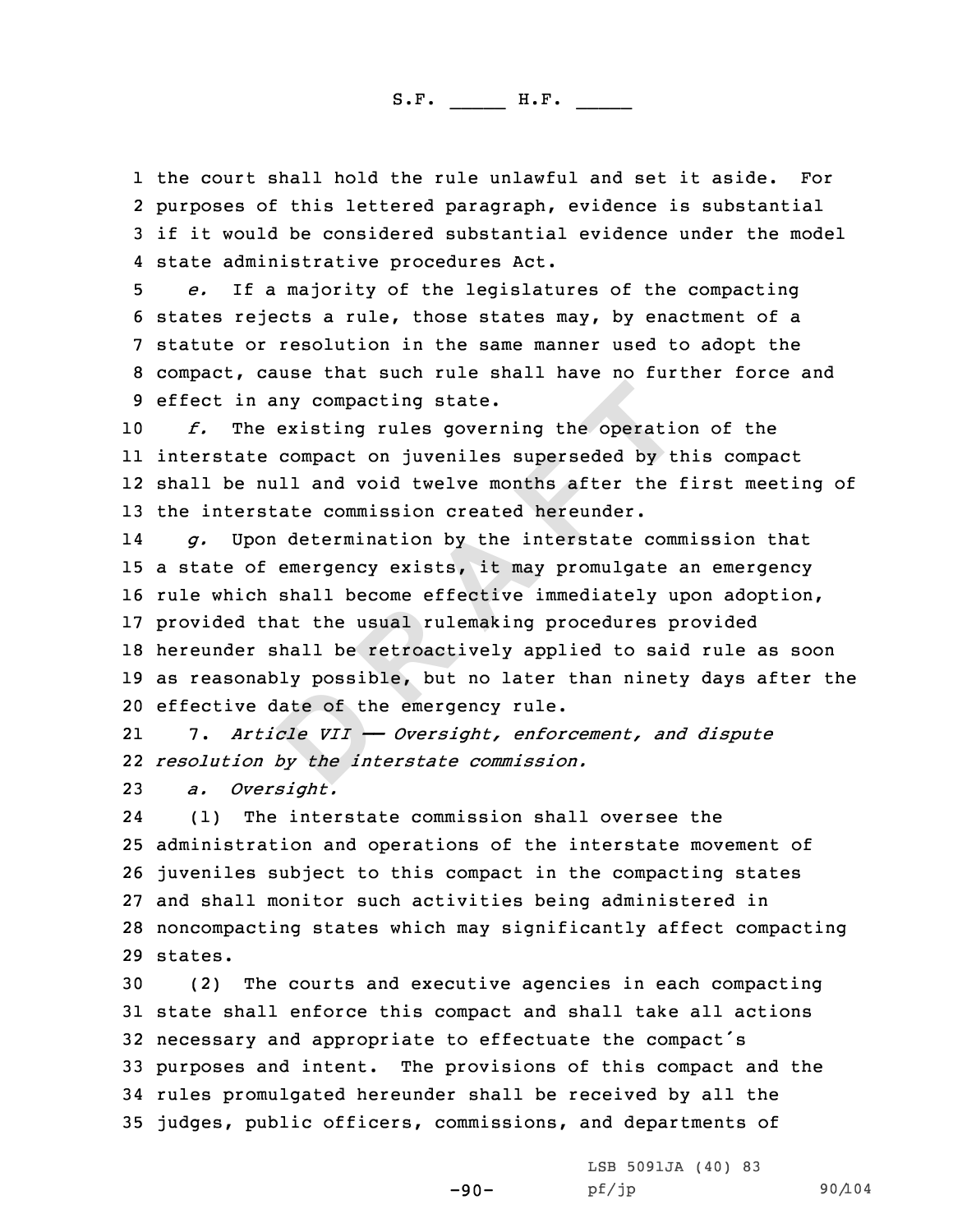1 the court shall hold the rule unlawful and set it aside. For 2 purposes of this lettered paragraph, evidence is substantial 3 if it would be considered substantial evidence under the model<br>4 state administrative procedures Act.

4 state administrative procedures Act.<br>5 e. If a majority of the legislatures of the compacting<br>6 states rejects a rule, those states may, by enactment of a<br>7 statute or resolution in the same manner used to adopt the<br>8 co

 *f.* The existing rules governing the operation of the interstate compact on juveniles superseded by this compact shall be null and void twelve months after the first meeting of the interstate commission created hereunder.

Iny compacting state.<br>
existing rules governing the operatic<br>
compact on juveniles superseded by till<br>
lil and void twelve months after the<br>
cate commission created hereunder.<br>
determination by the interstate comment<br>
emer 14 *g.* Upon determination by the interstate commission that <sup>a</sup> state of emergency exists, it may promulgate an emergency rule which shall become effective immediately upon adoption, provided that the usual rulemaking procedures provided hereunder shall be retroactively applied to said rule as soon as reasonably possible, but no later than ninety days after the effective date of the emergency rule.

21 7. *Article VII —— Oversight, enforcement, and dispute* 22 *resolution by the interstate commission.*

<sup>23</sup> *a. Oversight.*

24 (1) The interstate commission shall oversee the <sup>25</sup> administration and operations of the interstate movement of <sup>26</sup> juveniles subject to this compact in the compacting states <sup>27</sup> and shall monitor such activities being administered in <sup>28</sup> noncompacting states which may significantly affect compacting 29 states.

 (2) The courts and executive agencies in each compacting state shall enforce this compact and shall take all actions necessary and appropriate to effectuate the compact's purposes and intent. The provisions of this compact and the rules promulgated hereunder shall be received by all the judges, public officers, commissions, and departments of

-90-

LSB 5091JA (40) 83<br>pf/jp

pf/jp 90/104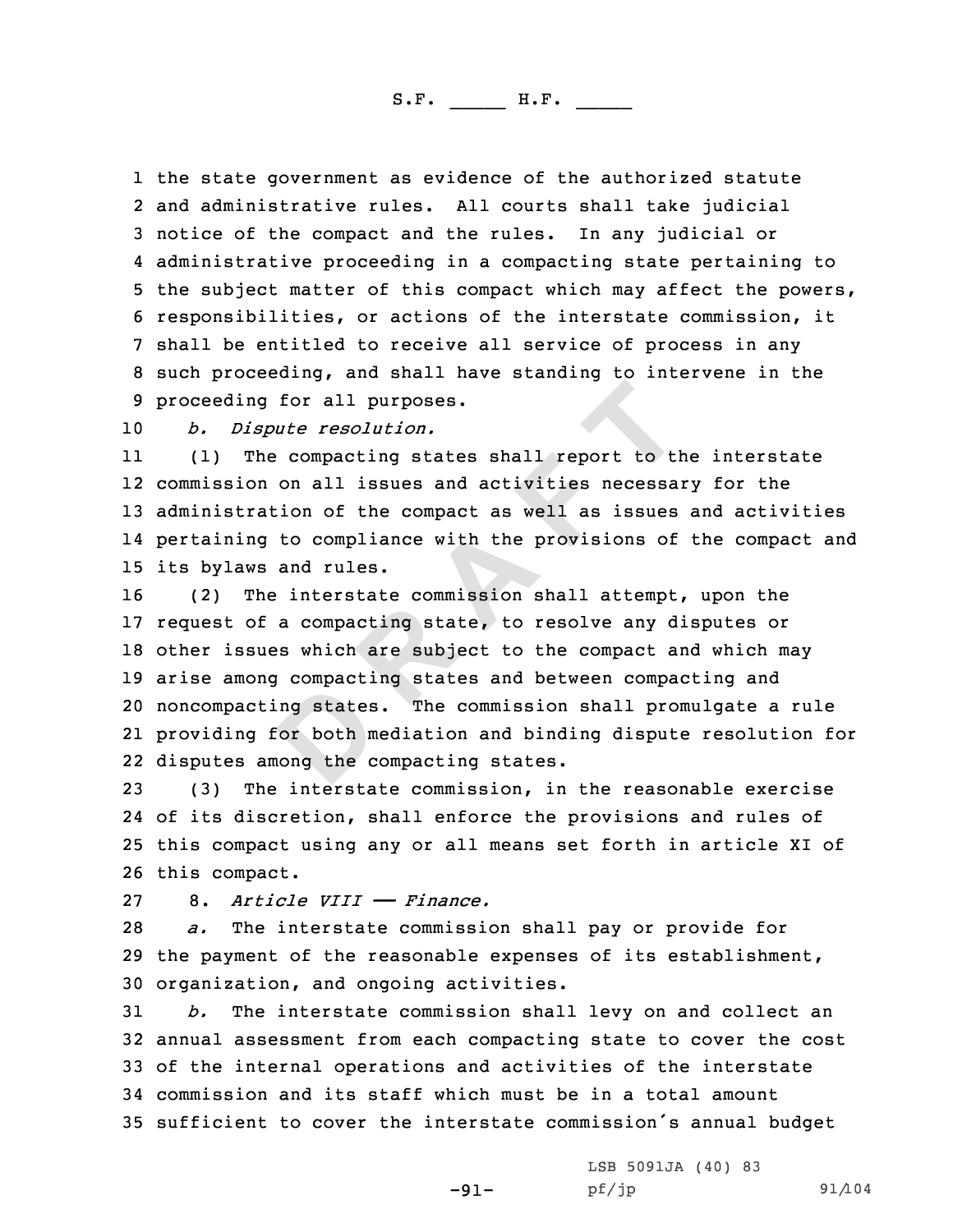1 the state government as evidence of the authorized statute 2 and administrative rules. All courts shall take judicial 3 notice of the compact and the rules. In any judicial or<br>4 administrative proceeding in a compacting state pertaining to 4 administrative proceeding in a compacting state pertaining to<br>5 the subject matter of this compact which may affect the powers,<br>6 responsibilities, or actions of the interstate commission, it<br>7 shall be entitled to recei

<sup>10</sup> *b. Dispute resolution.*

11 (1) The compacting states shall report to the interstate 12 commission on all issues and activities necessary for the <sup>13</sup> administration of the compact as well as issues and activities 14 pertaining to compliance with the provisions of the compact and 15 its bylaws and rules.<br>16 (2) The interstate

**For all purposes.**<br> **D Compacting states shall report to the ompacting states shall report to the ompact as well as issues to compliance with the provisions of and rules.<br>
<b>E** interstate commission shall attempt a compa (2) The interstate commission shall attempt, upon the request of <sup>a</sup> compacting state, to resolve any disputes or other issues which are subject to the compact and which may arise among compacting states and between compacting and noncompacting states. The commission shall promulgate <sup>a</sup> rule providing for both mediation and binding dispute resolution for disputes among the compacting states.

 (3) The interstate commission, in the reasonable exercise of its discretion, shall enforce the provisions and rules of this compact using any or all means set forth in article XI of 26 this compact.<br>27 8. Article

27 8. *Article VIII* — *Finance.*<br>28 *a.* The interstate commission

The interstate commission shall pay or provide for <sup>29</sup> the payment of the reasonable expenses of its establishment, 30 organization, and ongoing activities.<br>31  $b.$  The interstate commission shal

The interstate commission shall levy on and collect an annual assessment from each compacting state to cover the cost of the internal operations and activities of the interstate commission and its staff which must be in <sup>a</sup> total amount sufficient to cover the interstate commission's annual budget

-91-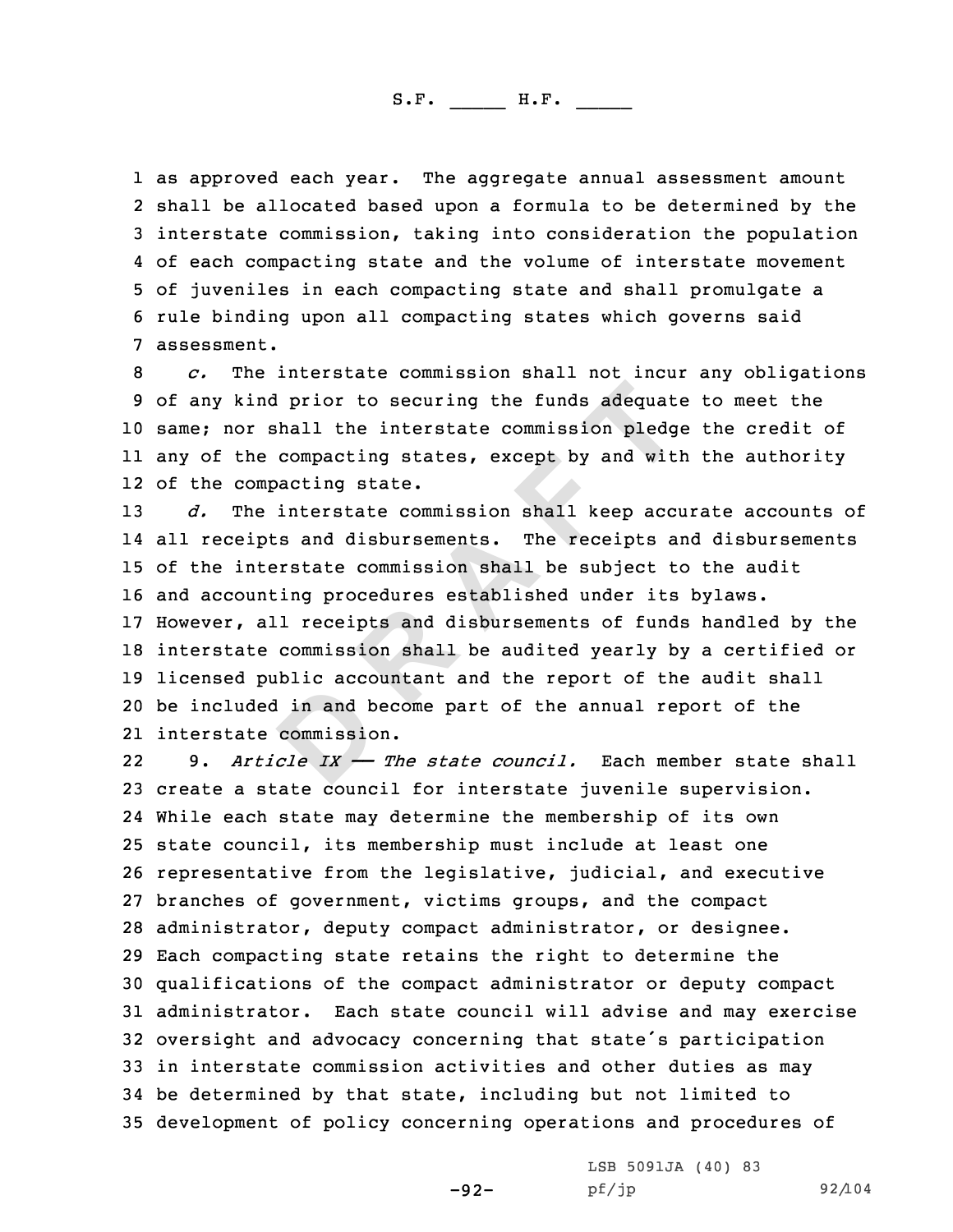1 as approved each year. The aggregate annual assessment amount 2 shall be allocated based upon a formula to be determined by the 3 interstate commission, taking into consideration the population<br>4 of each compacting state and the volume of interstate movement 5 of juveniles in each compacting state and shall promulgate a<br>6 rule binding upon all compacting states which governs said<br>7 assessment.

*c.* The interstate commission shall not incur any obligations<br>9 of any kind prior to securing the funds adequate to meet the same; nor shall the interstate commission pledge the credit of any of the compacting states, except by and with the authority of the compacting state.

If prior to securing the funds adequate<br>
shall the interstate commission pledge<br>
compacting states, except by and with<br>
bacting state.<br>
interstate commission shall keep accu<br>
sand disbursements. The receipts are<br>
restate c *d.* The interstate commission shall keep accurate accounts of 14 all receipts and disbursements. The receipts and disbursements of the interstate commission shall be subject to the audit and accounting procedures established under its bylaws. However, all receipts and disbursements of funds handled by the interstate commission shall be audited yearly by <sup>a</sup> certified or licensed public accountant and the report of the audit shall be included in and become part of the annual report of the interstate commission.

22 9. *Article IX —— The state council.* Each member state shall create <sup>a</sup> state council for interstate juvenile supervision. While each state may determine the membership of its own state council, its membership must include at least one representative from the legislative, judicial, and executive branches of government, victims groups, and the compact administrator, deputy compact administrator, or designee. Each compacting state retains the right to determine the qualifications of the compact administrator or deputy compact administrator. Each state council will advise and may exercise oversight and advocacy concerning that state's participation in interstate commission activities and other duties as may be determined by that state, including but not limited to development of policy concerning operations and procedures of

-92-

LSB 5091JA (40) 83<br>pf/jp

pf/jp 92/104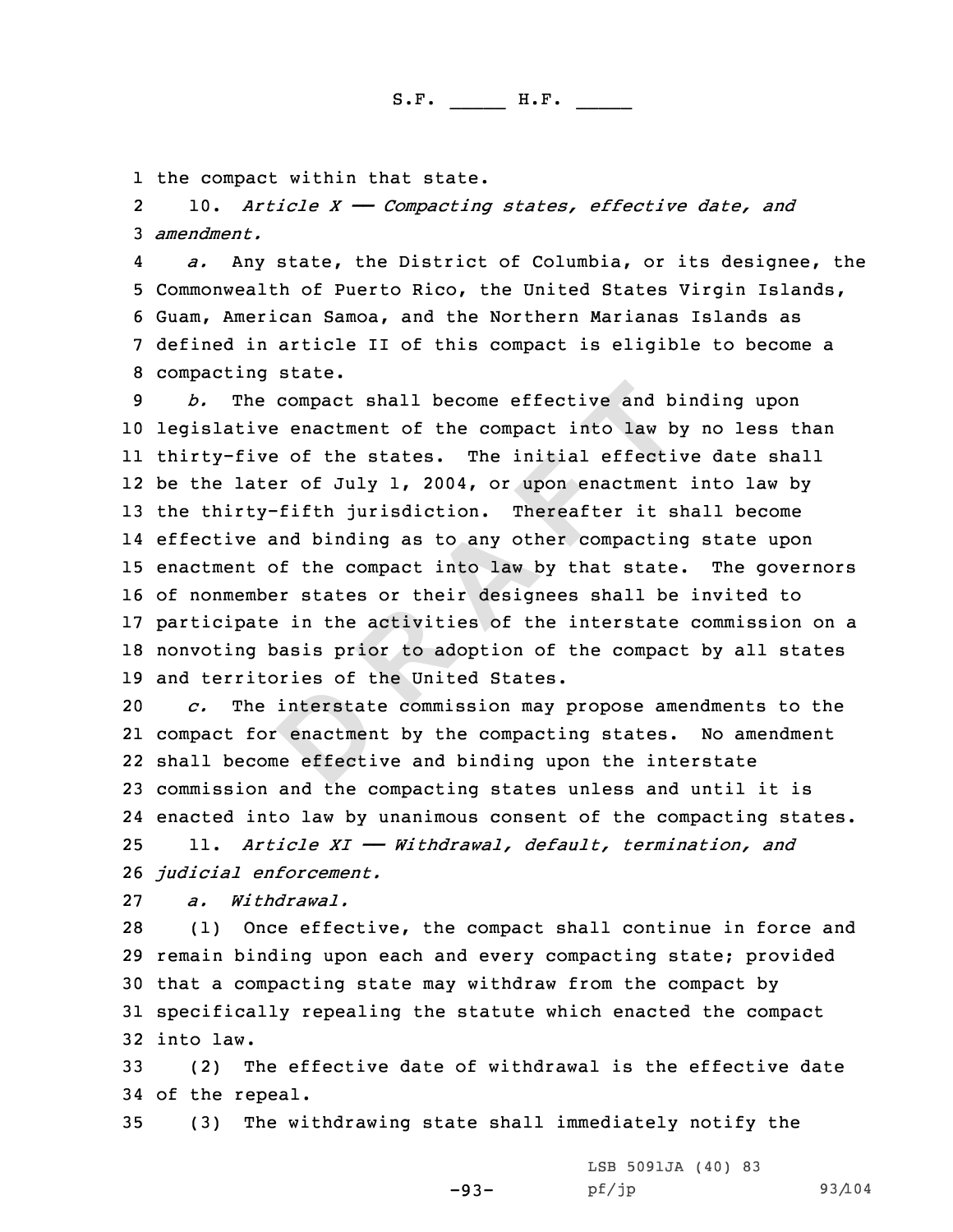1 the compact within that state.<br>2 10. Article X – Compactine

10. *Article <sup>X</sup> —— Compacting states, effective date, and* <sup>3</sup> *amendment.*

4*a.* Any state, the District of Columbia, or its designee, the<br>5 Commonwealth of Puerto Rico, the United States Virgin Islands,<br>6 Guam, American Samoa, and the Northern Marianas Islands as<br>7 defined in article II of this c

compact shall become effective and b:<br>
e enactment of the compact into law b:<br>
e of the states. The initial effection<br>
fifth jurisdiction. Thereafter it simpled into the compact of the compact into law by that state<br>
posit legislative enactment of the compact into law by no less than thirty-five of the states. The initial effective date shall be the later of July 1, 2004, or upon enactment into law by the thirty-fifth jurisdiction. Thereafter it shall become effective and binding as to any other compacting state upon enactment of the compact into law by that state. The governors of nonmember states or their designees shall be invited to participate in the activities of the interstate commission on <sup>a</sup> nonvoting basis prior to adoption of the compact by all states 19 and territories of the United States.<br>20  $c.$  The interstate commission may

The interstate commission may propose amendments to the compact for enactment by the compacting states. No amendment shall become effective and binding upon the interstate commission and the compacting states unless and until it is enacted into law by unanimous consent of the compacting states. 11. *Article XI —— Withdrawal, default, termination, and judicial enforcement.*

27 *a. Withdrawal.*<br>28 (1) Once effer

(1) Once effective, the compact shall continue in force and <sup>29</sup> remain binding upon each and every compacting state; provided <sup>30</sup> that <sup>a</sup> compacting state may withdraw from the compact by <sup>31</sup> specifically repealing the statute which enacted the compact 32 into law.<br>33 (2) T

(2) The effective date of withdrawal is the effective date 34 of the repeal.<br>35 (3) The wi

(3) The withdrawing state shall immediately notify the

-93- LSB 5091JA (40) 83<br>pf/jp

pf/jp 93/104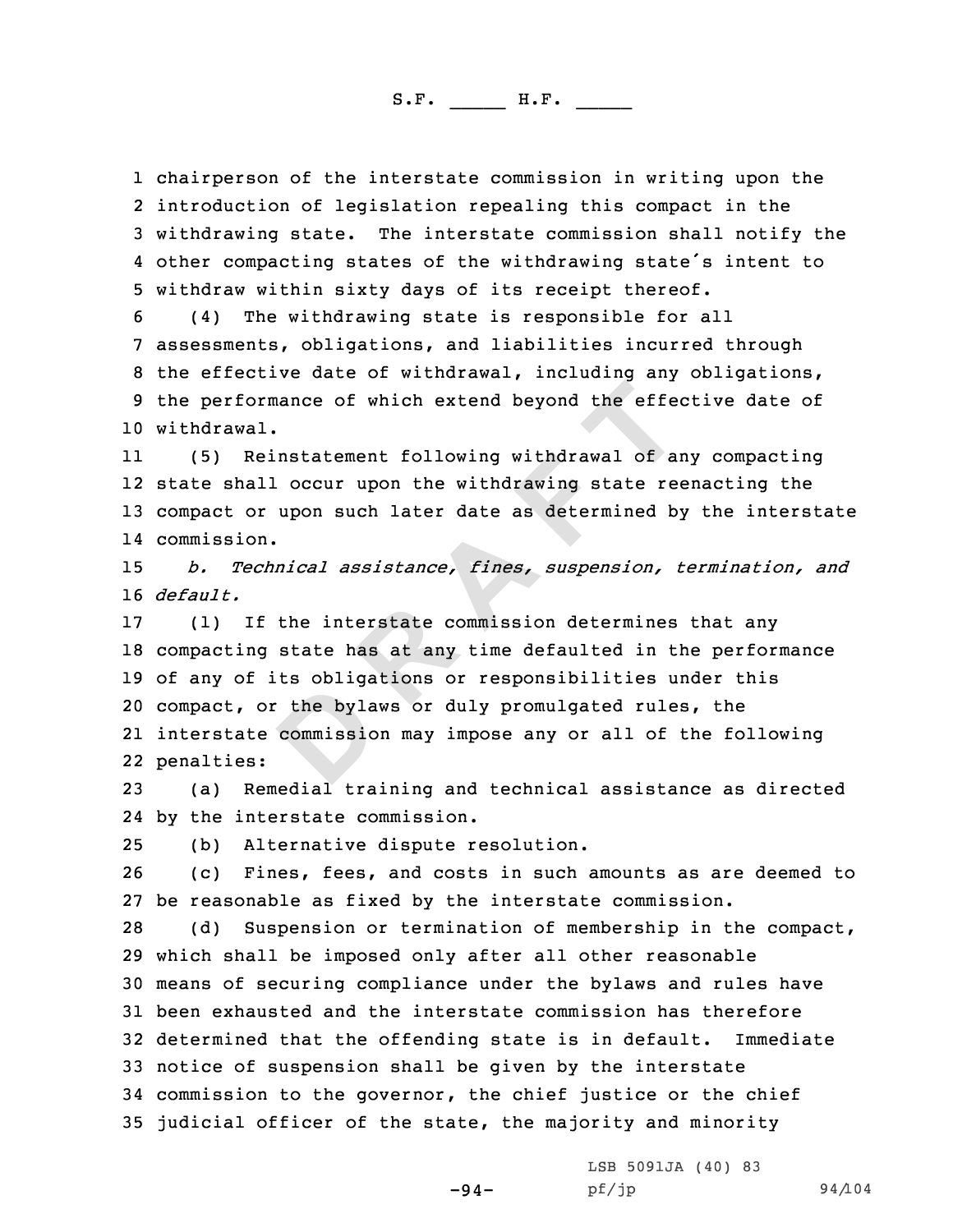1 chairperson of the interstate commission in writing upon the<br>2 introduction of legislation repealing this compact in the 2 introduction of legislation repealing this compact in the<br>3 withdrawing state. The interstate commission shall notify the<br>4 other compacting states of the withdrawing state's intent to

4 other compacting states of the withdrawing state's intent to<br>5 withdraw within sixty days of its receipt thereof.<br>6 (4) The withdrawing state is responsible for all<br>7 assessments, obligations, and liabilities incurred th 10 withdrawal.

11 (5) Reinstatement following withdrawal of any compacting 12 state shall occur upon the withdrawing state reenacting the <sup>13</sup> compact or upon such later date as determined by the interstate 14 commission.

<sup>15</sup> *b. Technical assistance, fines, suspension, termination, and* 16 *default.*

nance of which extend beyond the effection<br> **R**<br> **E**  $\alpha$  **CCCUT UPON THE CONCILERATION**<br> **EXECUTE 10**<br> **EXECUTE 10**<br> **EXECUTE 10**<br> **EXECUTE 10**<br> **EXECUTE:**<br> **EXECUTE:**<br> **EXECUTE:**<br> **EXECUTE:**<br> **EXECUTE:**<br> **EXECUTE:**<br> **EXE**  (1) If the interstate commission determines that any compacting state has at any time defaulted in the performance of any of its obligations or responsibilities under this compact, or the bylaws or duly promulgated rules, the interstate commission may impose any or all of the following penalties:

<sup>23</sup> (a) Remedial training and technical assistance as directed 24 by the interstate commission.

25 (b) Alternative dispute resolution.<br>26 (c) Fines, fees, and costs in such

<sup>26</sup> (c) Fines, fees, and costs in such amounts as are deemed to 27 be reasonable as fixed by the interstate commission.<br>28 (d) Suspension or termination of membership in t

Suspension or termination of membership in the compact, which shall be imposed only after all other reasonable means of securing compliance under the bylaws and rules have 31 been exhausted and the interstate commission has therefore<br>32 determined that the offending state is in default. Immediate 32 determined that the offending state is in default. notice of suspension shall be given by the interstate commission to the governor, the chief justice or the chief judicial officer of the state, the majority and minority

-94-

LSB 5091JA (40) 83<br>pf/jp

pf/jp 94/104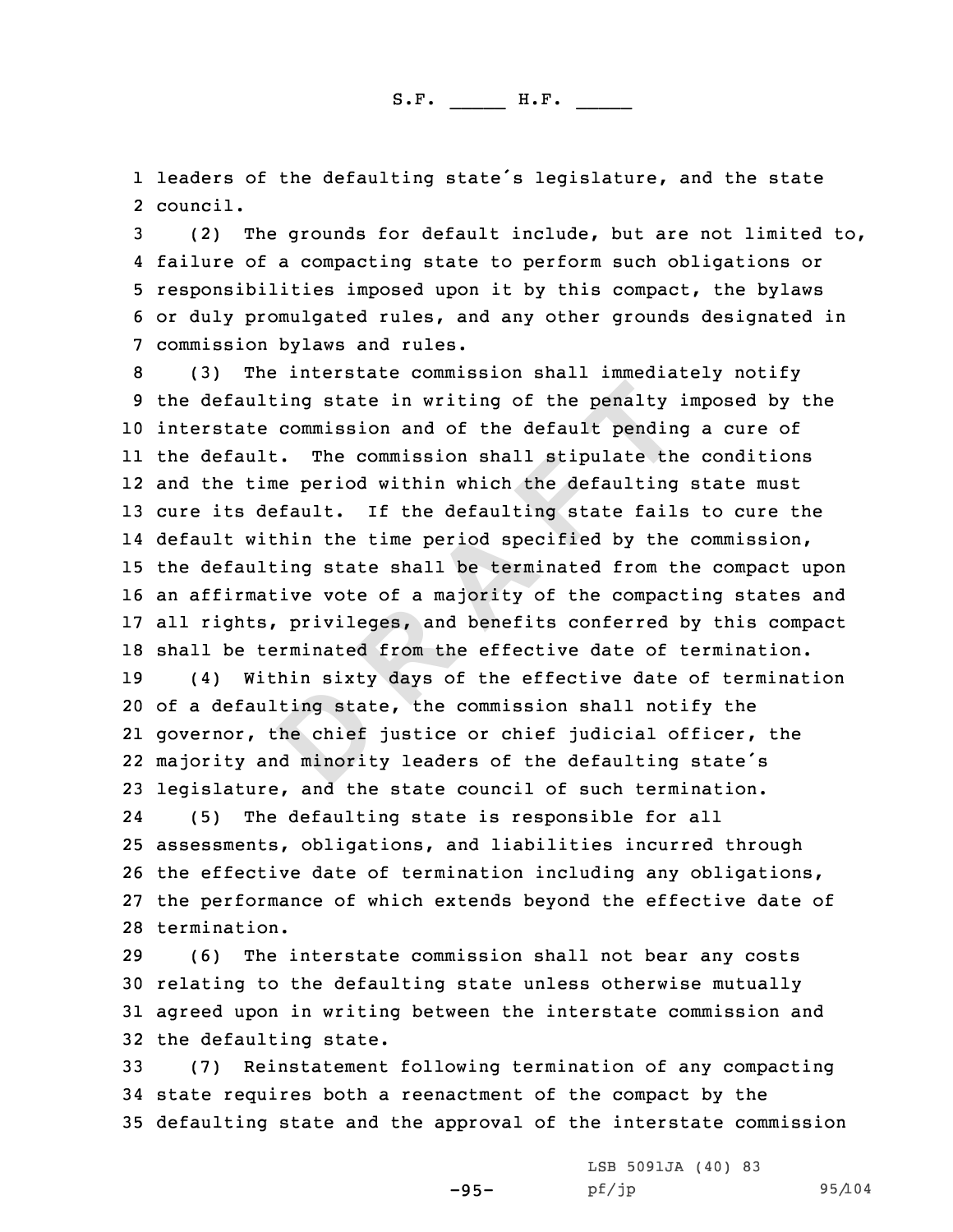1 leaders of the defaulting state's legislature, and the state<br>2 council. 2 council.

3 (2) The grounds for default include, but are not limited to,<br>4 failure of a compacting state to perform such obligations or 5 responsibilities imposed upon it by this compact, the bylaws<br>6 or duly promulgated rules, and any other grounds designated in<br>7 commission bylaws and rules.<br>8 (3) The interstate commission shall immediately notify<br>9 the

Example 10 The set of the set of the set of the set of the set of the set of the set of the set of the set of the set of the set of the set of the set of the set of the set of the set of the set of the set of the set of th interstate commission and of the default pending <sup>a</sup> cure of the default. The commission shall stipulate the conditions and the time period within which the defaulting state must cure its default. If the defaulting state fails to cure the 14 default within the time period specified by the commission, the defaulting state shall be terminated from the compact upon an affirmative vote of <sup>a</sup> majority of the compacting states and all rights, privileges, and benefits conferred by this compact 18 shall be terminated from the effective date of termination.<br>19 (4) Within sixty days of the effective date of terminat (4) Within sixty days of the effective date of termination of <sup>a</sup> defaulting state, the commission shall notify the governor, the chief justice or chief judicial officer, the

22 majority and minority leaders of the defaulting state's <sup>23</sup> legislature, and the state council of such termination.

24 (5) The defaulting state is responsible for all assessments, obligations, and liabilities incurred through the effective date of termination including any obligations, the performance of which extends beyond the effective date of termination.

 (6) The interstate commission shall not bear any costs relating to the defaulting state unless otherwise mutually agreed upon in writing between the interstate commission and 32 the defaulting state.<br>33 (7) Reinstatement

<sup>33</sup> (7) Reinstatement following termination of any compacting <sup>34</sup> state requires both <sup>a</sup> reenactment of the compact by the <sup>35</sup> defaulting state and the approval of the interstate commission

-95-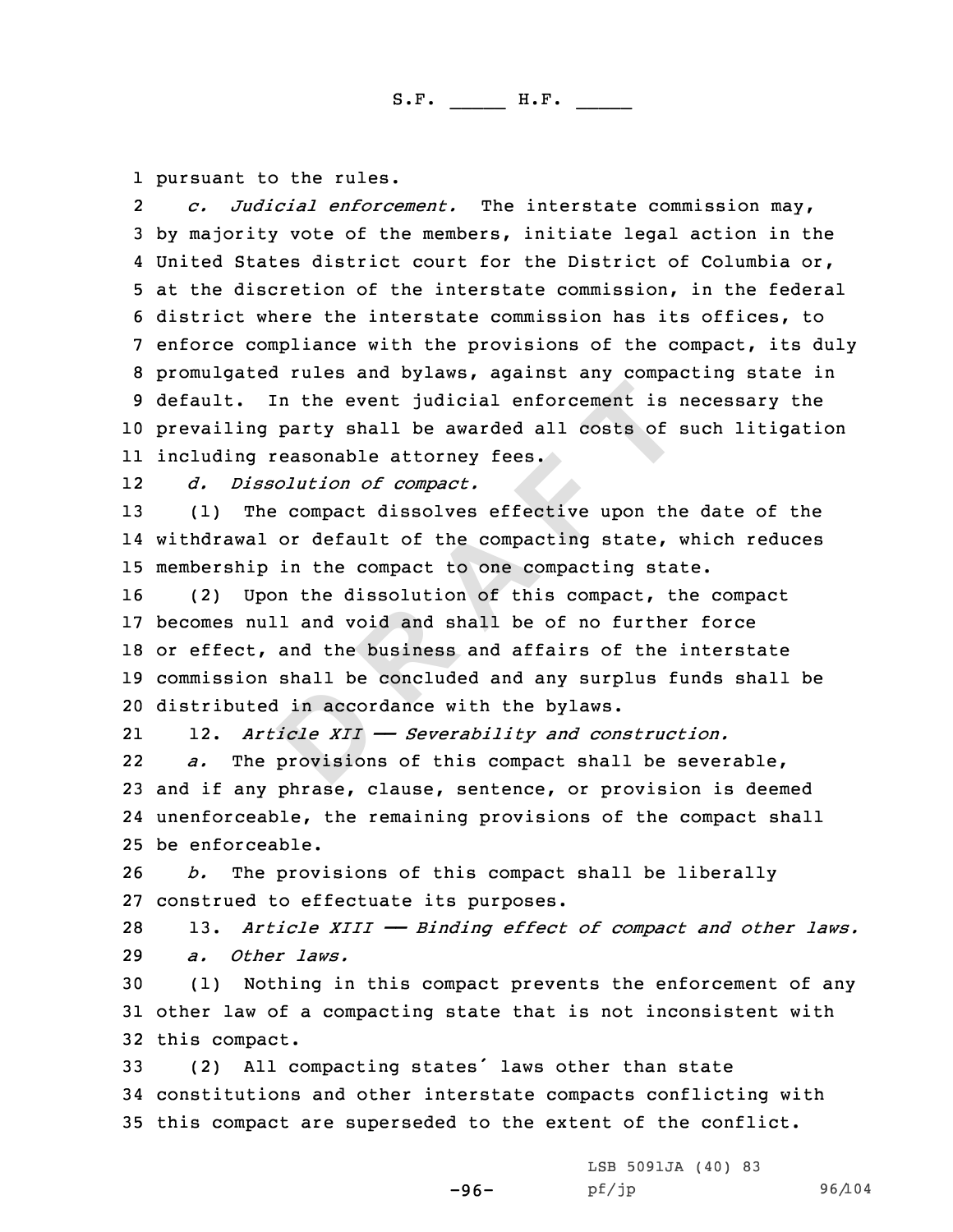1 pursuant to the rules.<br>2 *c. Judicial enforce* 

*c. Judicial enforcement.* The interstate commission may,<br>3 by majority vote of the members, initiate legal action in the<br>4 United States district court for the District of Columbia or, 4 United States district court for the District of Columbia or,<br>5 at the discretion of the interstate commission, in the federal<br>6 district where the interstate commission has its offices, to<br>7 enforce compliance with the <sup>10</sup> prevailing party shall be awarded all costs of such litigation 11 including reasonable attorney fees.

1212 *d. Dissolution of compact.*<br>13 (1) The compact dissolves

(1) The compact dissolves effective upon the date of the 14 withdrawal or default of the compacting state, which reduces 15 membership in the compact to one compacting state.<br>16 (2) Upon the dissolution of this compact, the

In the event judicial enforcement is party shall be awarded all costs of reasonable attorney fees.<br> *Olution of compact*.<br> **COMPACT COMPACT:**<br>  $\therefore$  compact dissolves effective upon the<br>
or default of the compacting state, (2) Upon the dissolution of this compact, the compact becomes null and void and shall be of no further force or effect, and the business and affairs of the interstate commission shall be concluded and any surplus funds shall be distributed in accordance with the bylaws.

2112. *Article XII* — *Severability* and *construction.*<br>*a.* The provisions of this compact shall be sever

22The provisions of this compact shall be severable, <sup>23</sup> and if any phrase, clause, sentence, or provision is deemed 24 unenforceable, the remaining provisions of the compact shall 25 be enforceable.<br>26  $b$ . The prov.

b. The provisions of this compact shall be liberally 27 construed to effectuate its purposes.<br>28 13. Article XIII - Binding effect

<sup>28</sup> 13. *Article XIII —— Binding effect of compact and other laws.* 29 *a. Other laws.*<br>30 (1) Nothing in

(1) Nothing in this compact prevents the enforcement of any <sup>31</sup> other law of <sup>a</sup> compacting state that is not inconsistent with 32 this compact.<br>33 (2) All  $c_1$ 

All compacting states' laws other than state <sup>34</sup> constitutions and other interstate compacts conflicting with <sup>35</sup> this compact are superseded to the extent of the conflict.

-96-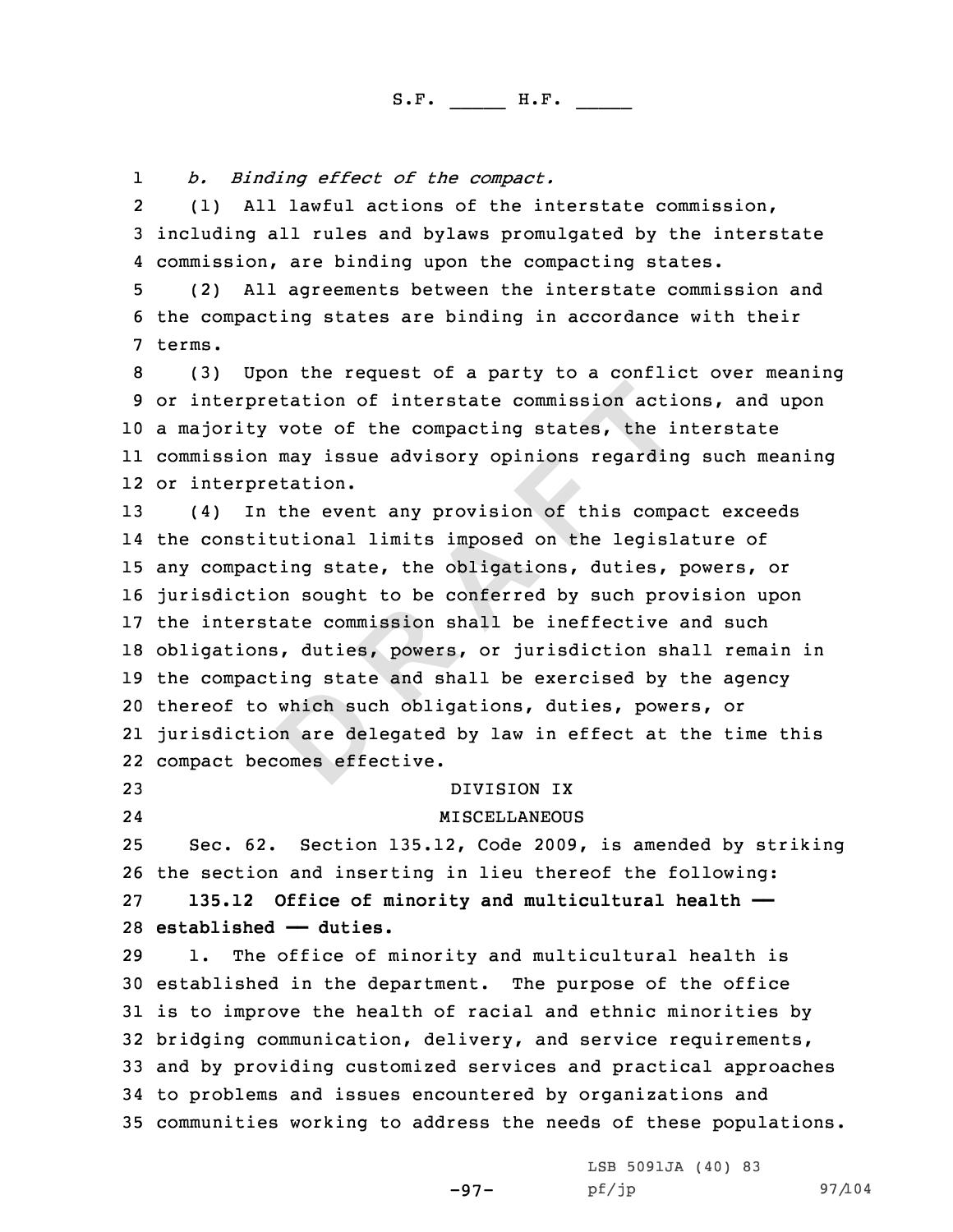1

*b. Binding effect of the compact.*<br>2 (1) All lawful actions of the interstate commission, 3 including all rules and bylaws promulgated by the interstate<br>4 commission, are binding upon the compacting states.

5 (2) All agreements between the interstate commission and<br>6 the compacting states are binding in accordance with their<br>7 terms.

8 (3) Upon the request of a party to a conflict over meaning<br>9 or interpretation of interstate commission actions, and upon <sup>a</sup> majority vote of the compacting states, the interstate commission may issue advisory opinions regarding such meaning or interpretation.

**D R A F T** (4) In the event any provision of this compact exceeds the constitutional limits imposed on the legislature of any compacting state, the obligations, duties, powers, or jurisdiction sought to be conferred by such provision upon the interstate commission shall be ineffective and such obligations, duties, powers, or jurisdiction shall remain in the compacting state and shall be exercised by the agency thereof to which such obligations, duties, powers, or jurisdiction are delegated by law in effect at the time this compact becomes effective.

24

<sup>23</sup> DIVISION IX

MISCELLANEOUS

 Sec. 62. Section 135.12, Code 2009, is amended by striking 26 the section and inserting in lieu thereof the following:<br>27 135.12 Office of minority and multicultural health - **135.12 Office of minority and multicultural health —— established —** duties.<br>29 1. The office of **r** 

The office of minority and multicultural health is established in the department. The purpose of the office is to improve the health of racial and ethnic minorities by bridging communication, delivery, and service requirements, and by providing customized services and practical approaches to problems and issues encountered by organizations and communities working to address the needs of these populations.

-97-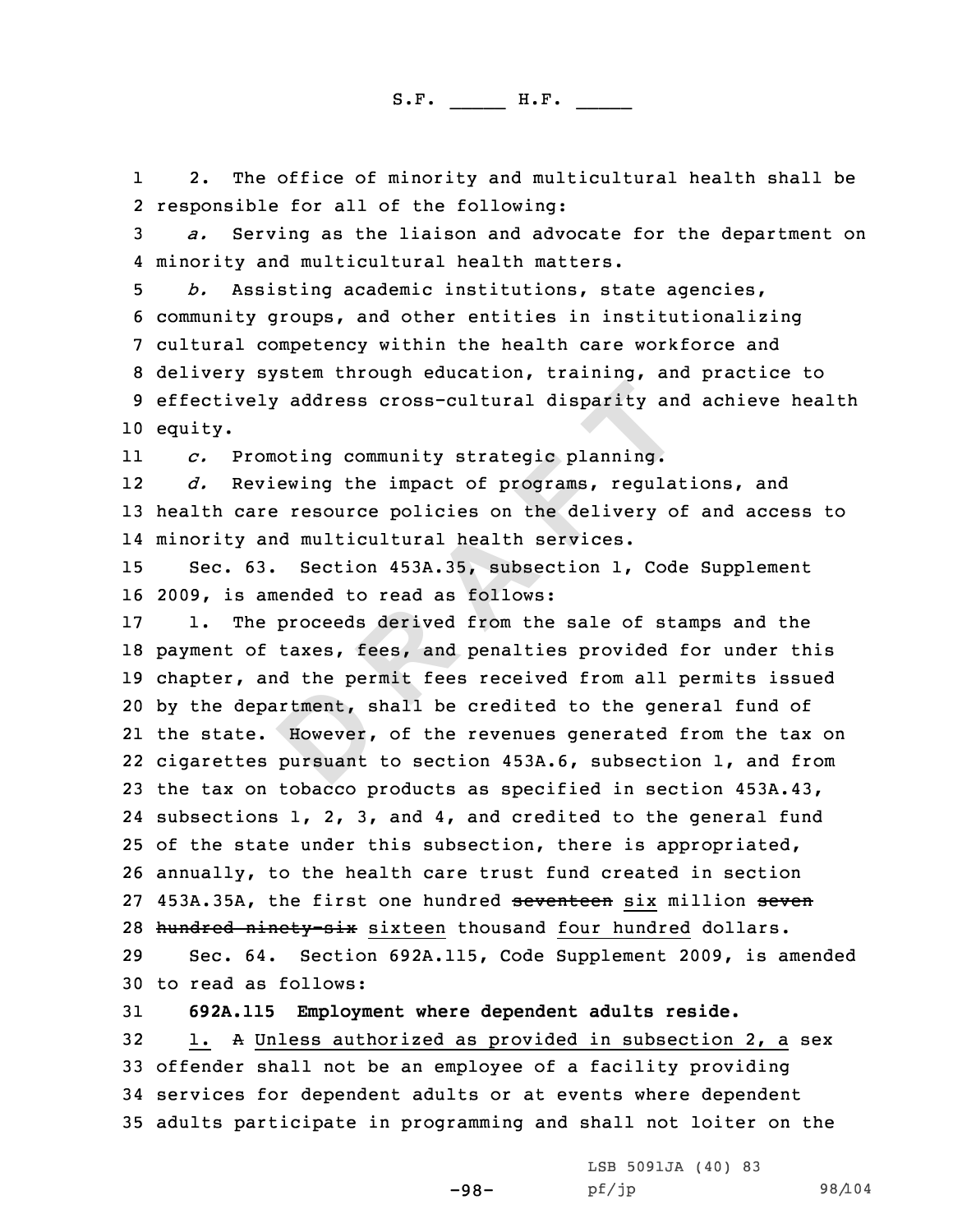11 2. The office of minority and multicultural health shall be 2 responsible for all of the following:

3 *a.* Serving as the liaison and advocate for the department on<br>4 minority and multicultural health matters.

4 minority and multicultural health matters.<br>5 b. Assisting academic institutions, state agencies,<br>6 community groups, and other entities in institutionalizing<br>7 cultural competency within the health care workforce and<br>8 d 10 equity.

11*c.* Promoting community strategic planning.<br>*d.* Reviewing the impact of programs, regul

12Reviewing the impact of programs, regulations, and <sup>13</sup> health care resource policies on the delivery of and access to 14 minority and multicultural health services.

<sup>15</sup> Sec. 63. Section 453A.35, subsection 1, Code Supplement 16 2009, is amended to read as follows:<br>17 1. The proceeds derived from the

**R R EXECTS EXECTS EXECTS EXECTS EXECTS EXECTS EXECTS EXECTS EXECTS EXECTS EXECTS EXECTS EXECTS EXECTS EXECTS EXECTS EXECTS EXECTS EXECTS EXECTS EXECTS EXECTS EXECTS EXECTS** The proceeds derived from the sale of stamps and the payment of taxes, fees, and penalties provided for under this chapter, and the permit fees received from all permits issued by the department, shall be credited to the general fund of the state. However, of the revenues generated from the tax on cigarettes pursuant to section 453A.6, subsection 1, and from the tax on tobacco products as specified in section 453A.43, subsections 1, 2, 3, and 4, and credited to the general fund 25 of the state under this subsection, there is appropriated, annually, to the health care trust fund created in section 27 453A.35A, the first one hundred seventeen six million seven 28 hundred ninety-six sixteen thousand <u>four hundred</u> dollars.<br>29 Sec. 64. Section 692A.115, Code Supplement 2009, is an

Sec. 64. Section 692A.115, Code Supplement 2009, is amended 30 to read as follows:<br>31 692A.115 Emplovm

 **692A.115 Employment where dependent adults reside.**  $32.$ 1. A Unless authorized as provided in subsection 2, a sex offender shall not be an employee of <sup>a</sup> facility providing services for dependent adults or at events where dependent adults participate in programming and shall not loiter on the

-98-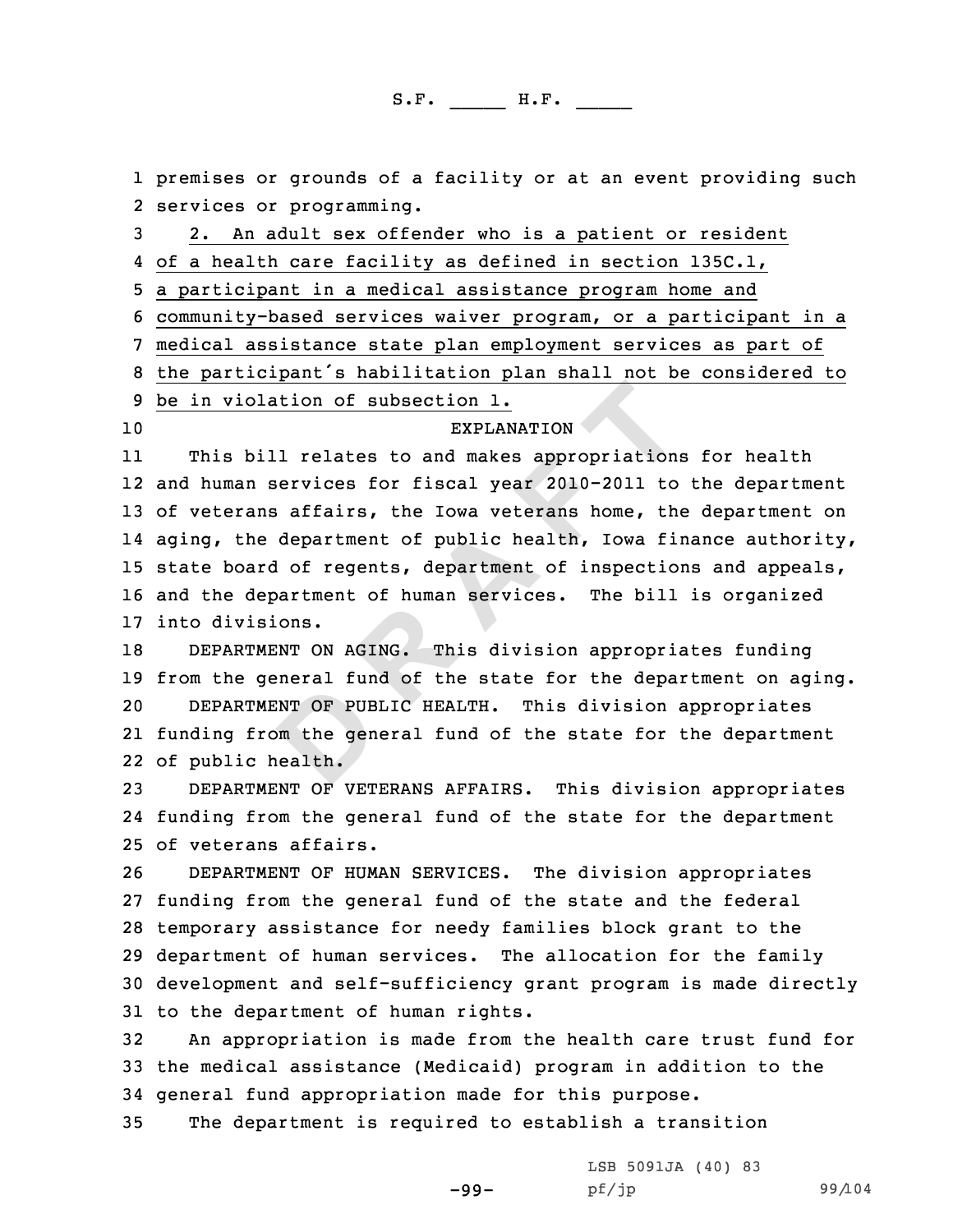**EXPLANATION**<br> **EXPLANATION**<br> **D EXPLANATION**<br> **EXPLANATION**<br> **EXPLANATION**<br> **EXPLANATION**<br> **EXPLANATION**<br> **EXPLANATION**<br> **EXPLANATION**<br> **EXPLANA A**<br> **EXPLANATION**<br> **EXPLANATION**<br> **EXPLANATION**<br> **D EXPLANATION**<br> **D E** 1 premises or grounds of a facility or at an event providing such<br>2 services or programming. Such the communism of the revices or programming.<br>3 2. An adult sex offender who is a patient or resident<br>4 of a health care facility as defined in section 135C.1, 5 a participant in a medical assistance program home and<br>6 community-based services waiver program, or a participant in a<br>7 medical assistance state plan employment services as part of<br>8 the participant's habilitation plan **EXPLANATION** 11 This bill relates to and makes appropriations for health 12 and human services for fiscal year 2010-2011 to the department <sup>13</sup> of veterans affairs, the Iowa veterans home, the department on 14 aging, the department of public health, Iowa finance authority, <sup>15</sup> state board of regents, department of inspections and appeals, <sup>16</sup> and the department of human services. The bill is organized 17 into divisions.<br>18 DEPARTMENT O DEPARTMENT ON AGING. This division appropriates funding 19 from the general fund of the state for the department on aging.<br>20 DEPARTMENT OF PUBLIC HEALTH. This division appropriates DEPARTMENT OF PUBLIC HEALTH. This division appropriates 21 funding from the general fund of the state for the department 22 of public health. <sup>23</sup> DEPARTMENT OF VETERANS AFFAIRS. This division appropriates 24 funding from the general fund of the state for the department 25 of veterans affairs.<br>26 DEPARTMENT OF HUM DEPARTMENT OF HUMAN SERVICES. The division appropriates <sup>27</sup> funding from the general fund of the state and the federal <sup>28</sup> temporary assistance for needy families block grant to the <sup>29</sup> department of human services. The allocation for the family <sup>30</sup> development and self-sufficiency grant program is made directly 31 to the department of human rights.<br>32 An appropriation is made from t An appropriation is made from the health care trust fund for <sup>33</sup> the medical assistance (Medicaid) program in addition to the 34 general fund appropriation made for this purpose.<br>35 The department is required to establish a tran The department is required to establish a transition

-99-

LSB 5091JA (40) 83<br>pf/jp

pf/jp 99/104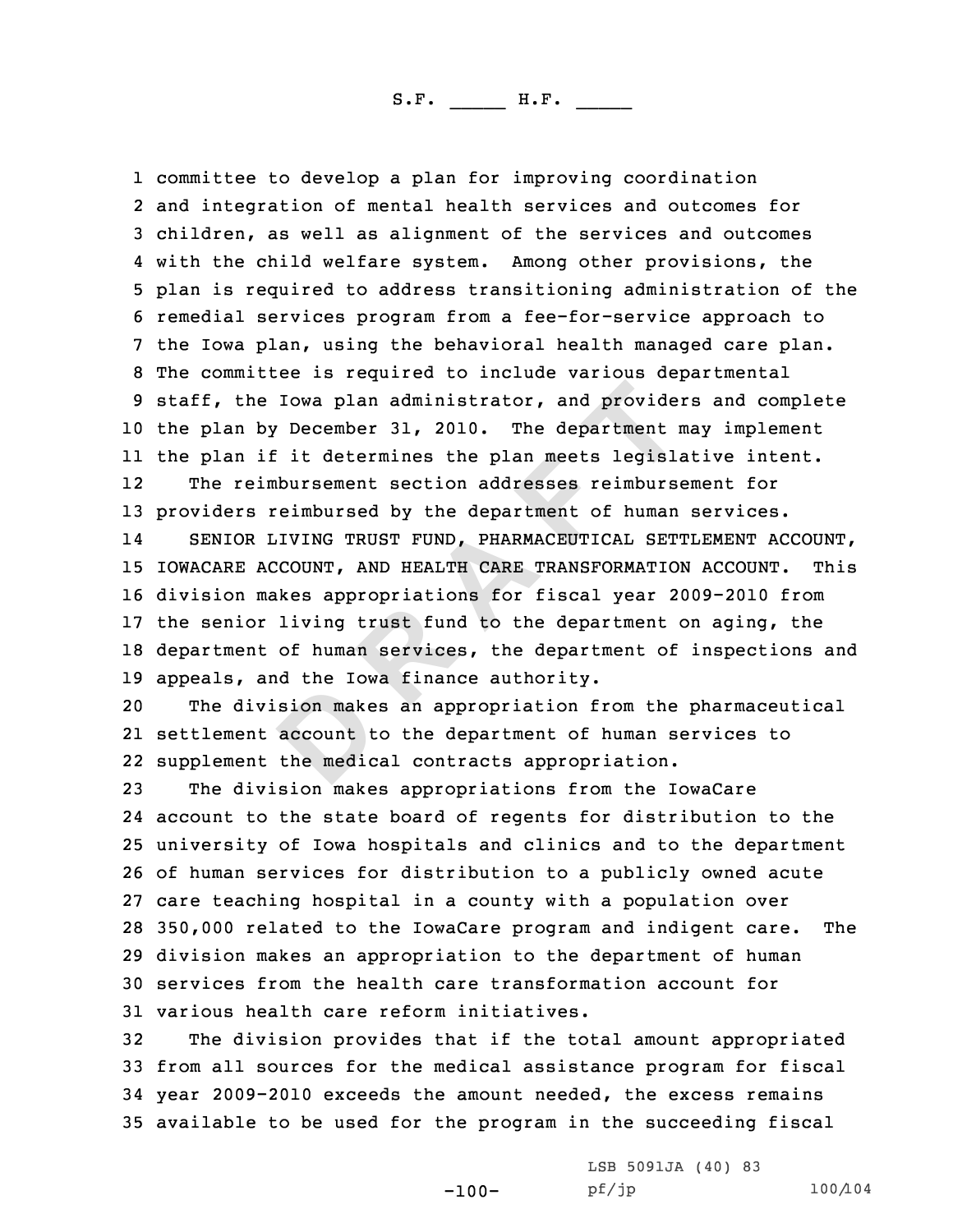Iowa plan administrator, and provide<br>
Pecember 31, 2010. The department i<br>
i it determines the plan meets legislin<br>
bursement section addresses reimburs<br>
reimbursed by the department of human<br>
JIVING TRUST FUND, PHARMACEUT 1 committee to develop a plan for improving coordination 2 and integration of mental health services and outcomes for 3 children, as well as alignment of the services and outcomes<br>4 with the child welfare system. Among other provisions, the 4 with the child welfare system. Among other provisions, the<br>5 plan is required to address transitioning administration of the<br>6 remedial services program from a fee-for-service approach to<br>7 the Iowa plan, using the behav <sup>10</sup> the plan by December 31, 2010. The department may implement 11 the plan if it determines the plan meets legislative intent. 12 The reimbursement section addresses reimbursement for <sup>13</sup> providers reimbursed by the department of human services. 14SENIOR LIVING TRUST FUND, PHARMACEUTICAL SETTLEMENT ACCOUNT,<br>ACARE ACCOUNT, AND HEALTH CARE TRANSFORMATION ACCOUNT. This 15 IOWACARE ACCOUNT, AND HEALTH CARE TRANSFORMATION ACCOUNT. <sup>16</sup> division makes appropriations for fiscal year 2009-2010 from <sup>17</sup> the senior living trust fund to the department on aging, the <sup>18</sup> department of human services, the department of inspections and 19 appeals, and the Iowa finance authority.<br>20 The division makes an appropriation f

The division makes an appropriation from the pharmaceutical 21 settlement account to the department of human services to 22 supplement the medical contracts appropriation.

 The division makes appropriations from the IowaCare account to the state board of regents for distribution to the university of Iowa hospitals and clinics and to the department of human services for distribution to <sup>a</sup> publicly owned acute care teaching hospital in <sup>a</sup> county with <sup>a</sup> population over 350,000 related to the IowaCare program and indigent care. The division makes an appropriation to the department of human services from the health care transformation account for 31 various health care reform initiatives.<br>32 The division provides that if the to

The division provides that if the total amount appropriated from all sources for the medical assistance program for fiscal year 2009-2010 exceeds the amount needed, the excess remains available to be used for the program in the succeeding fiscal

-100-

LSB 5091JA (40) 83<br>pf/jp

pf/jp 100/104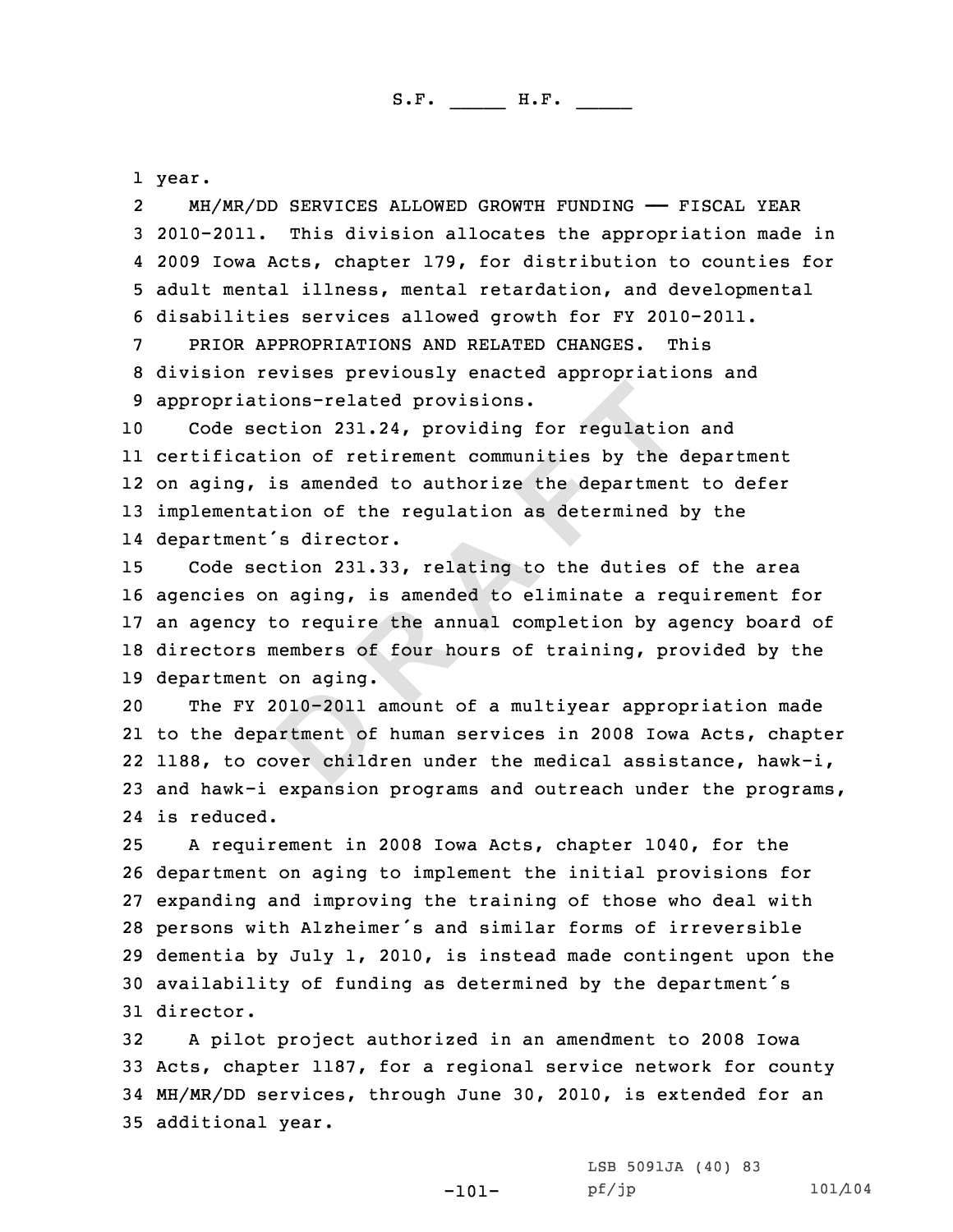1 year.<br>2 MH/MR/DD SERVICES ALLOWED GROWTH FUNDING — FISCAL YEAR Mem/MR/DD 3 2010-2011. This division allocates the appropriation made in 4 2009 Iowa Acts, chapter 179, for distribution to counties for 4 2009 Iowa Acts, chapter 179, for distribution to counties for<br>5 adult mental illness, mental retardation, and developmental<br>6 disabilities services allowed growth for FY 2010-2011.<br>PRIOR APPROPRIATIONS AND RELATED CHANGE

 Code section 231.24, providing for regulation and certification of retirement communities by the department on aging, is amended to authorize the department to defer implementation of the regulation as determined by the department's director.

ons-related provisions.<br>
tion 231.24, providing for regulation<br>
some of retirement communities by the<br>
samended to authorize the department<br>
ion of the regulation as determined<br>
is director.<br>
tion 231.33, relating to the d Code section 231.33, relating to the duties of the area agencies on aging, is amended to eliminate <sup>a</sup> requirement for an agency to require the annual completion by agency board of directors members of four hours of training, provided by the 19 department on aging.<br>20 The FY 2010-2011

The FY 2010-2011 amount of a multiyear appropriation made to the department of human services in <sup>2008</sup> Iowa Acts, chapter 1188, to cover children under the medical assistance, hawk-i, and hawk-i expansion programs and outreach under the programs, is reduced.

 <sup>A</sup> requirement in <sup>2008</sup> Iowa Acts, chapter 1040, for the department on aging to implement the initial provisions for expanding and improving the training of those who deal with persons with Alzheimer's and similar forms of irreversible dementia by July 1, 2010, is instead made contingent upon the availability of funding as determined by the department's director.

 <sup>A</sup> pilot project authorized in an amendment to <sup>2008</sup> Iowa Acts, chapter 1187, for <sup>a</sup> regional service network for county MH/MR/DD services, through June 30, 2010, is extended for an additional year.

-101-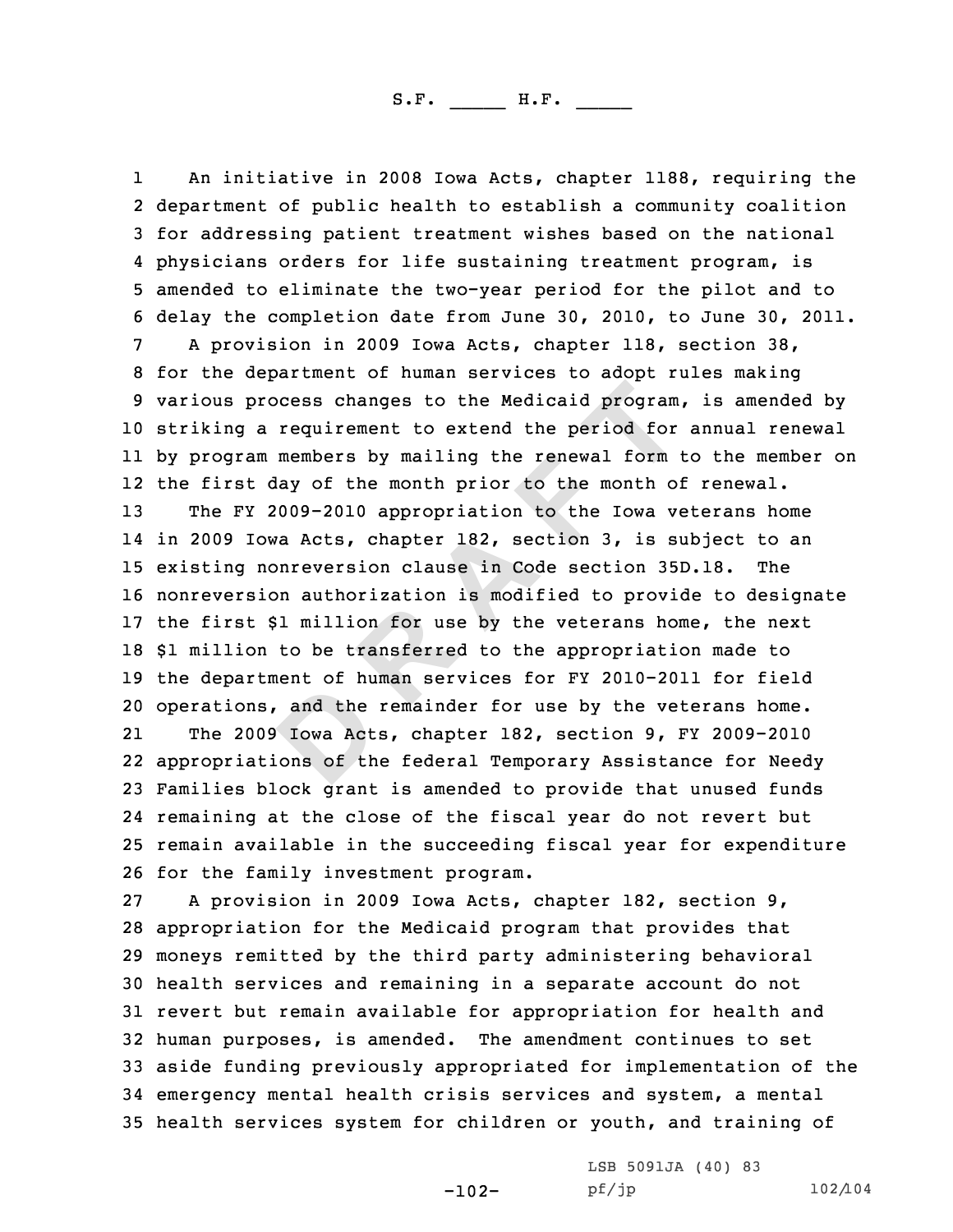because to the Medicaid program<br>requirement to extend the period for<br>members by mailing the renewal form<br>may of the month prior to the month of<br>0009-2010 appropriation to the Iowa vo<br>va Acts, chapter 182, section 3, is sup 11 An initiative in 2008 Iowa Acts, chapter 1188, requiring the<br>2 department of public health to establish a community coalition department of or public health and the paradional 3 for addressing patient treatment values on the national 4 physicians orders for life sustaining treatment program, is 4 physicians orders for life sustaining treatment program, is<br>5 amended to eliminate the two-year period for the pilot and to<br>6 delay the completion date from June 30, 2010, to June 30, 2011.<br>7 A provision in 2009 Iowa Act striking <sup>a</sup> requirement to extend the period for annual renewal by program members by mailing the renewal form to the member on the first day of the month prior to the month of renewal. The FY 2009-2010 appropriation to the Iowa veterans home in <sup>2009</sup> Iowa Acts, chapter 182, section 3, is subject to an existing nonreversion clause in Code section 35D.18. The nonreversion authorization is modified to provide to designate the first \$1 million for use by the veterans home, the next \$1 million to be transferred to the appropriation made to the department of human services for FY 2010-2011 for field operations, and the remainder for use by the veterans home. 21 The <sup>2009</sup> Iowa Acts, chapter 182, section 9, FY 2009-2010 appropriations of the federal Temporary Assistance for Needy Families block grant is amended to provide that unused funds remaining at the close of the fiscal year do not revert but remain available in the succeeding fiscal year for expenditure 26 for the family investment program.<br>27 A provision in 2009 Iowa Acts, A provision in 2009 Iowa Acts, chapter 182, section 9, appropriation for the Medicaid program that provides that moneys remitted by the third party administering behavioral health services and remaining in <sup>a</sup> separate account do not

 revert but remain available for appropriation for health and human purposes, is amended. The amendment continues to set aside funding previously appropriated for implementation of the emergency mental health crisis services and system, <sup>a</sup> mental health services system for children or youth, and training of

LSB 5091JA (40) 83<br>pf/jp

-102-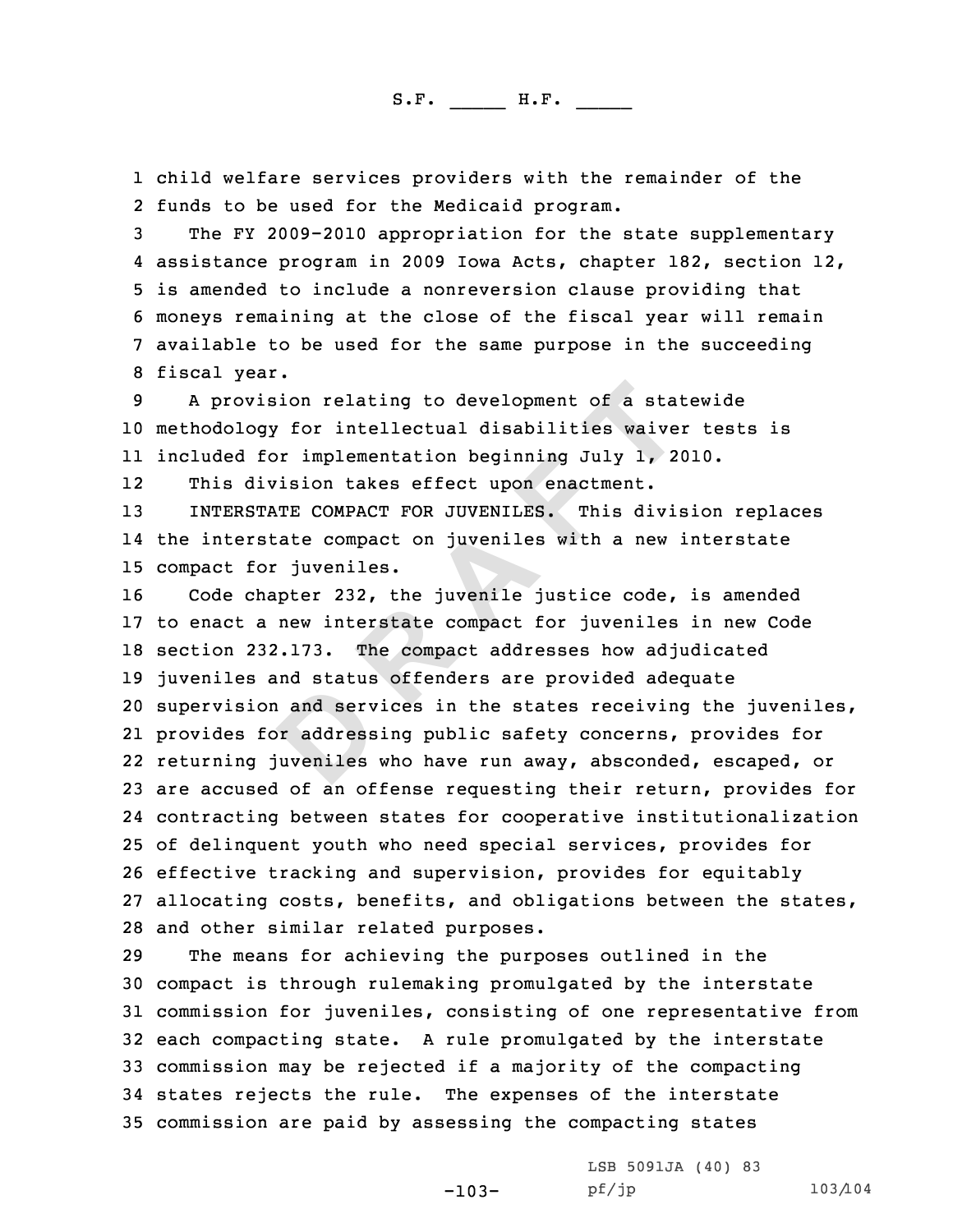1 child welfare services providers with the remainder of the<br>2 funds to be used for the Medicaid program.

%2 funds to be used for the Medicaid program.<br>3 The FY 2009-2010 appropriation for the state supplementary<br>4 assistance program in 2009 Iowa Acts, chapter 182, section 12, 5 is amended to include a nonreversion clause providing that<br>6 moneys remaining at the close of the fiscal year will remain<br>7 available to be used for the same purpose in the succeeding<br>8 fiscal year.<br>9 A provision relatin

<sup>10</sup> methodology for intellectual disabilities waiver tests is 11 included for implementation beginning July 1, 2010.

1212 This division takes effect upon enactment.<br>13 INTERSTATE COMPACT FOR JUVENILES. This di

<sup>13</sup> INTERSTATE COMPACT FOR JUVENILES. This division replaces 14 the interstate compact on juveniles with <sup>a</sup> new interstate 15 compact for juveniles.<br>16 Code chapter 232, t

**D R A F T** Code chapter 232, the juvenile justice code, is amended to enact <sup>a</sup> new interstate compact for juveniles in new Code section 232.173. The compact addresses how adjudicated juveniles and status offenders are provided adequate supervision and services in the states receiving the juveniles, provides for addressing public safety concerns, provides for returning juveniles who have run away, absconded, escaped, or are accused of an offense requesting their return, provides for contracting between states for cooperative institutionalization of delinquent youth who need special services, provides for effective tracking and supervision, provides for equitably allocating costs, benefits, and obligations between the states, 28 and other similar related purposes.<br>29 The means for achieving the purp

The means for achieving the purposes outlined in the compact is through rulemaking promulgated by the interstate commission for juveniles, consisting of one representative from each compacting state. <sup>A</sup> rule promulgated by the interstate commission may be rejected if <sup>a</sup> majority of the compacting states rejects the rule. The expenses of the interstate commission are paid by assessing the compacting states

-103-

LSB 5091JA (40) 83<br>pf/jp

pf/jp 103/104